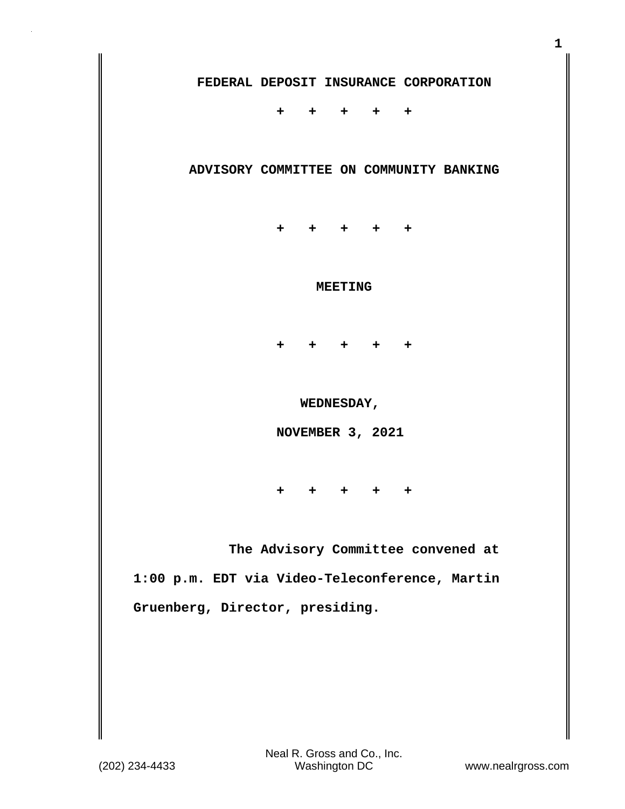**+ + + + +**

## **ADVISORY COMMITTEE ON COMMUNITY BANKING**

 **+ + + + +**

## **MEETING**

 **+ + + + +**

 **WEDNESDAY,**

 **NOVEMBER 3, 2021**

 **+ + + + +**

 **The Advisory Committee convened at 1:00 p.m. EDT via Video-Teleconference, Martin Gruenberg, Director, presiding.**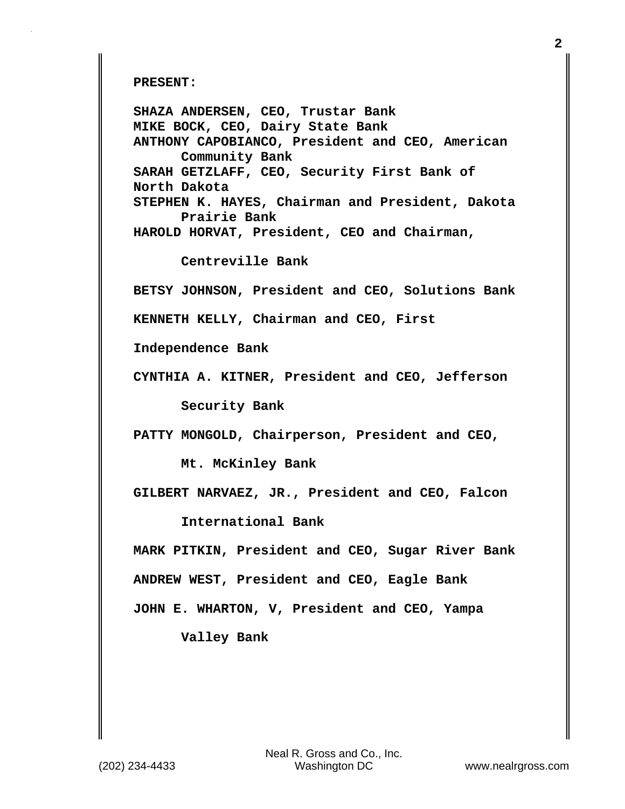**PRESENT:** 

**SHAZA ANDERSEN, CEO, Trustar Bank MIKE BOCK, CEO, Dairy State Bank ANTHONY CAPOBIANCO, President and CEO, American Community Bank SARAH GETZLAFF, CEO, Security First Bank of North Dakota STEPHEN K. HAYES, Chairman and President, Dakota Prairie Bank HAROLD HORVAT, President, CEO and Chairman, Centreville Bank BETSY JOHNSON, President and CEO, Solutions Bank KENNETH KELLY, Chairman and CEO, First Independence Bank CYNTHIA A. KITNER, President and CEO, Jefferson Security Bank PATTY MONGOLD, Chairperson, President and CEO, Mt. McKinley Bank GILBERT NARVAEZ, JR., President and CEO, Falcon International Bank MARK PITKIN, President and CEO, Sugar River Bank ANDREW WEST, President and CEO, Eagle Bank JOHN E. WHARTON, V, President and CEO, Yampa** 

**Valley Bank**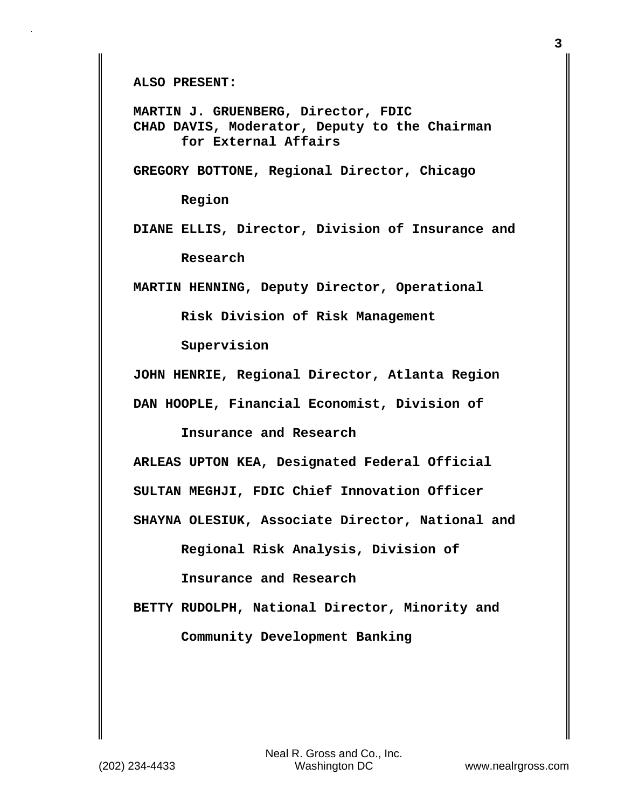**ALSO PRESENT:** 

**MARTIN J. GRUENBERG, Director, FDIC CHAD DAVIS, Moderator, Deputy to the Chairman for External Affairs** 

**GREGORY BOTTONE, Regional Director, Chicago**

 **Region** 

**DIANE ELLIS, Director, Division of Insurance and Research** 

**MARTIN HENNING, Deputy Director, Operational**

 **Risk Division of Risk Management**

 **Supervision** 

**JOHN HENRIE, Regional Director, Atlanta Region** 

**DAN HOOPLE, Financial Economist, Division of**

 **Insurance and Research** 

**ARLEAS UPTON KEA, Designated Federal Official** 

**SULTAN MEGHJI, FDIC Chief Innovation Officer** 

**SHAYNA OLESIUK, Associate Director, National and**

 **Regional Risk Analysis, Division of**

 **Insurance and Research** 

**BETTY RUDOLPH, National Director, Minority and Community Development Banking**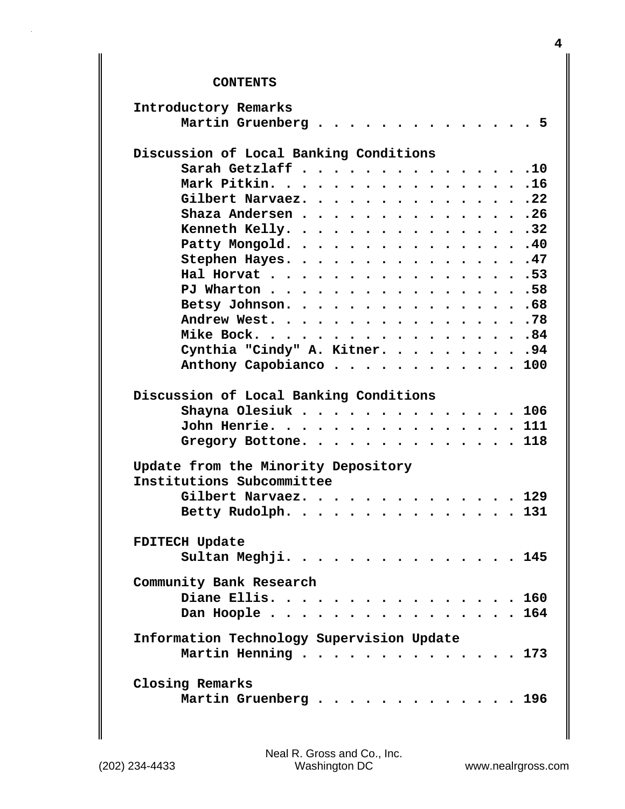## **CONTENTS**

| Introductory Remarks                      |
|-------------------------------------------|
| Martin Gruenberg 5                        |
| Discussion of Local Banking Conditions    |
| Sarah Getzlaff 10                         |
| Mark Pitkin. 16                           |
| Gilbert Narvaez. 22                       |
| Shaza Andersen 26                         |
| Kenneth Kelly. 32                         |
| Patty Mongold. 40                         |
| Stephen Hayes. 47                         |
| Hal Horvat 53                             |
| PJ Wharton 58                             |
| Betsy Johnson. 68                         |
| Andrew West. 78                           |
| Mike Bock. 84                             |
| Cynthia "Cindy" A. Kitner. 94             |
| Anthony Capobianco 100                    |
| Discussion of Local Banking Conditions    |
|                                           |
| Shayna Olesiuk 106<br>John Henrie. 111    |
|                                           |
| Gregory Bottone. 118                      |
| Update from the Minority Depository       |
| Institutions Subcommittee                 |
| Gilbert Narvaez. 129                      |
| Betty Rudolph. 131                        |
| <b>FDITECH Update</b>                     |
| Sultan Meghji.<br>145                     |
|                                           |
| Community Bank Research                   |
| Diane Ellis. 160                          |
| Dan Hoople164                             |
| Information Technology Supervision Update |
| Martin Henning 173                        |
|                                           |
| Closing Remarks                           |
| Martin Gruenberg 196                      |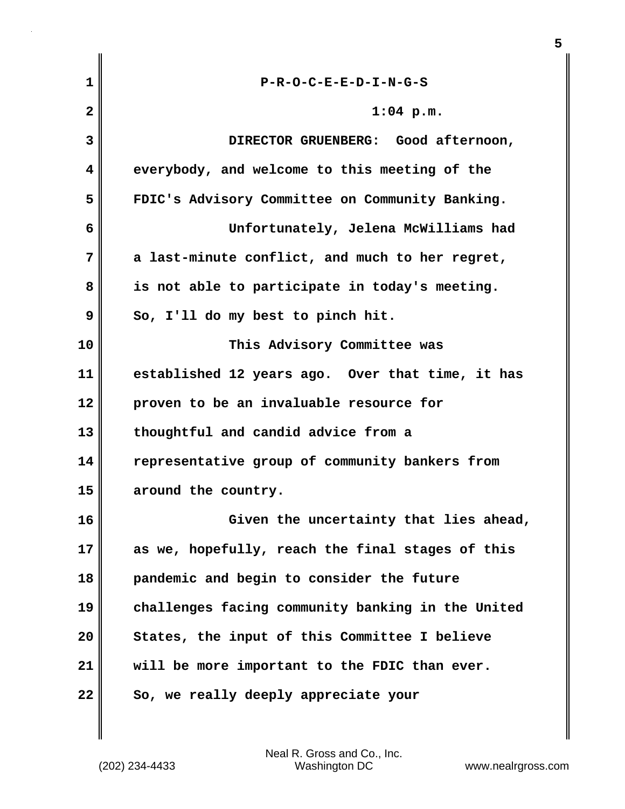| $\mathbf 1$  | $P-R-O-C-E-E-D-I-N-G-S$                           |
|--------------|---------------------------------------------------|
| $\mathbf{2}$ | $1:04$ p.m.                                       |
| 3            | DIRECTOR GRUENBERG: Good afternoon,               |
| 4            | everybody, and welcome to this meeting of the     |
| 5            | FDIC's Advisory Committee on Community Banking.   |
| 6            | Unfortunately, Jelena McWilliams had              |
| 7            | a last-minute conflict, and much to her regret,   |
| 8            | is not able to participate in today's meeting.    |
| 9            | So, I'll do my best to pinch hit.                 |
| 10           | This Advisory Committee was                       |
| 11           | established 12 years ago. Over that time, it has  |
| 12           | proven to be an invaluable resource for           |
| 13           | thoughtful and candid advice from a               |
| 14           | representative group of community bankers from    |
| 15           | around the country.                               |
| 16           | Given the uncertainty that lies ahead,            |
| 17           | as we, hopefully, reach the final stages of this  |
| 18           | pandemic and begin to consider the future         |
| 19           | challenges facing community banking in the United |
| 20           | States, the input of this Committee I believe     |
| 21           | will be more important to the FDIC than ever.     |
| 22           | So, we really deeply appreciate your              |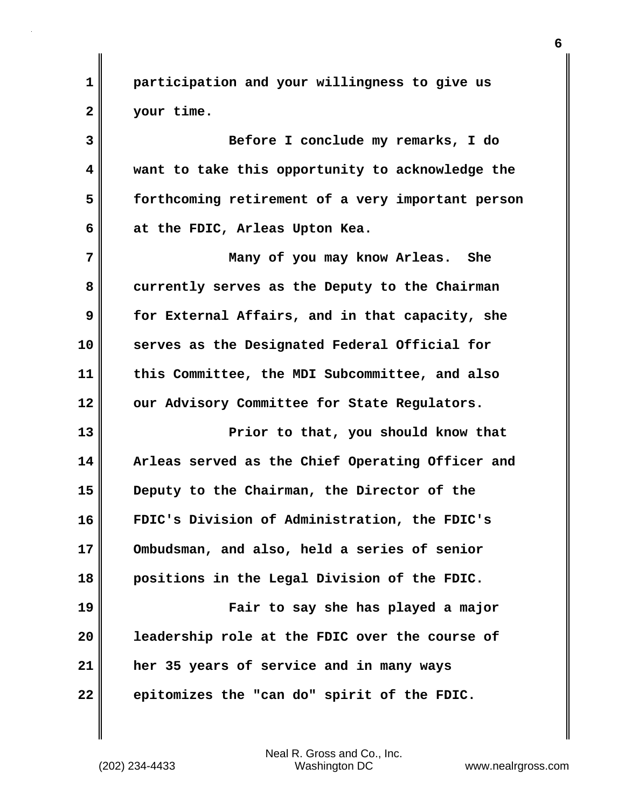**1 2 participation and your willingness to give us your time.**

**3 4 5 6 Before I conclude my remarks, I do want to take this opportunity to acknowledge the forthcoming retirement of a very important person at the FDIC, Arleas Upton Kea.**

**7 8 9 10 11 12 Many of you may know Arleas. She currently serves as the Deputy to the Chairman for External Affairs, and in that capacity, she serves as the Designated Federal Official for this Committee, the MDI Subcommittee, and also our Advisory Committee for State Regulators.**

**13 14 15 16 17 18 19 20 21 Prior to that, you should know that Arleas served as the Chief Operating Officer and Deputy to the Chairman, the Director of the FDIC's Division of Administration, the FDIC's Ombudsman, and also, held a series of senior positions in the Legal Division of the FDIC. Fair to say she has played a major leadership role at the FDIC over the course of her 35 years of service and in many ways** 

**epitomizes the "can do" spirit of the FDIC.** 

Neal R. Gross and Co., Inc. (202) 234-4433 Washington DC <www.nealrgross.com>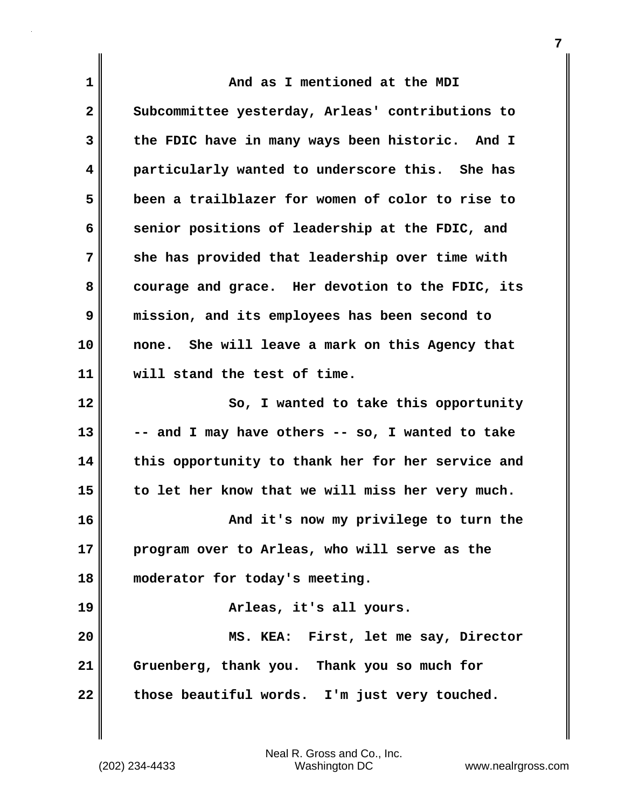| $\mathbf 1$  | And as I mentioned at the MDI                     |
|--------------|---------------------------------------------------|
| $\mathbf{2}$ | Subcommittee yesterday, Arleas' contributions to  |
| 3            | the FDIC have in many ways been historic. And I   |
| 4            | particularly wanted to underscore this. She has   |
| 5            | been a trailblazer for women of color to rise to  |
| 6            | senior positions of leadership at the FDIC, and   |
| 7            | she has provided that leadership over time with   |
| 8            | courage and grace. Her devotion to the FDIC, its  |
| 9            | mission, and its employees has been second to     |
| 10           | none. She will leave a mark on this Agency that   |
| 11           | will stand the test of time.                      |
| 12           | So, I wanted to take this opportunity             |
| 13           | -- and I may have others -- so, I wanted to take  |
| 14           | this opportunity to thank her for her service and |
| 15           | to let her know that we will miss her very much.  |
| 16           | And it's now my privilege to turn the             |
| 17           | program over to Arleas, who will serve as the     |
| 18           | moderator for today's meeting.                    |
| 19           | Arleas, it's all yours.                           |
| 20           | MS. KEA: First, let me say, Director              |
| 21           | Gruenberg, thank you. Thank you so much for       |
| 22           | those beautiful words. I'm just very touched.     |

Neal R. Gross and Co., Inc. (202) 234-4433 Washington DC <www.nealrgross.com>

 $\mathbf{I}$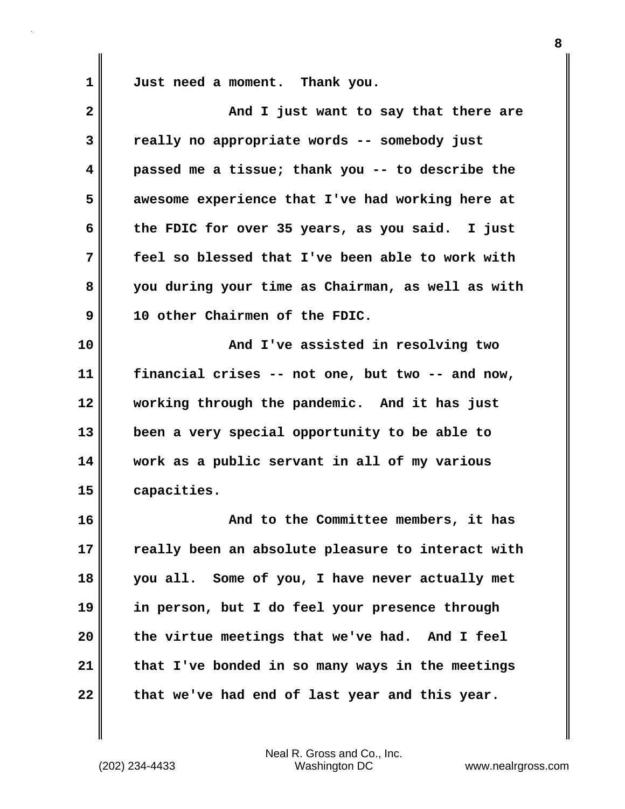**1** 

**Just need a moment. Thank you.**

| $\overline{\mathbf{2}}$ | And I just want to say that there are             |
|-------------------------|---------------------------------------------------|
| 3                       | really no appropriate words -- somebody just      |
| 4                       | passed me a tissue; thank you -- to describe the  |
| 5                       | awesome experience that I've had working here at  |
| 6                       | the FDIC for over 35 years, as you said. I just   |
| 7                       | feel so blessed that I've been able to work with  |
| 8                       | you during your time as Chairman, as well as with |
| 9                       | 10 other Chairmen of the FDIC.                    |
| 10                      | And I've assisted in resolving two                |
| 11                      | financial crises -- not one, but two -- and now,  |
| 12                      | working through the pandemic. And it has just     |
| 13                      | been a very special opportunity to be able to     |
| 14                      | work as a public servant in all of my various     |
| 15                      | capacities.                                       |
| 16                      | And to the Committee members, it has              |
| 17                      | really been an absolute pleasure to interact with |
| 18                      | you all. Some of you, I have never actually met   |
| 19                      | in person, but I do feel your presence through    |
| 20                      | the virtue meetings that we've had. And I feel    |
| 21                      | that I've bonded in so many ways in the meetings  |
| 22                      | that we've had end of last year and this year.    |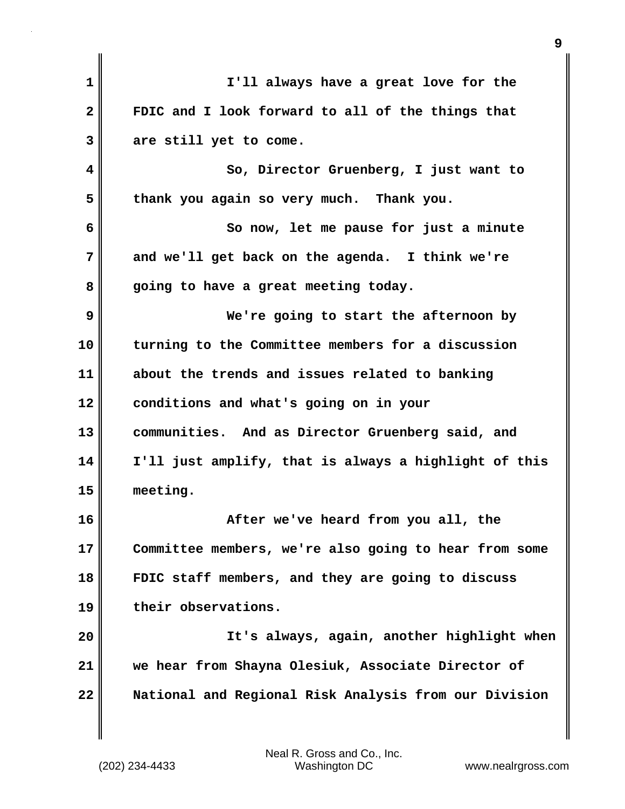| $\mathbf 1$  | I'll always have a great love for the                 |
|--------------|-------------------------------------------------------|
| $\mathbf{2}$ | FDIC and I look forward to all of the things that     |
| 3            | are still yet to come.                                |
| 4            | So, Director Gruenberg, I just want to                |
| 5            | thank you again so very much. Thank you.              |
| 6            | So now, let me pause for just a minute                |
| 7            | and we'll get back on the agenda. I think we're       |
| 8            | going to have a great meeting today.                  |
| 9            | We're going to start the afternoon by                 |
| 10           | turning to the Committee members for a discussion     |
| 11           | about the trends and issues related to banking        |
| 12           | conditions and what's going on in your                |
| 13           | communities. And as Director Gruenberg said, and      |
| 14           | I'll just amplify, that is always a highlight of this |
| 15           | meeting.                                              |
| 16           | After we've heard from you all, the                   |
| 17           | Committee members, we're also going to hear from some |
| 18           | FDIC staff members, and they are going to discuss     |
| 19           | their observations.                                   |
| 20           | It's always, again, another highlight when            |
| 21           | we hear from Shayna Olesiuk, Associate Director of    |
| 22           | National and Regional Risk Analysis from our Division |
|              |                                                       |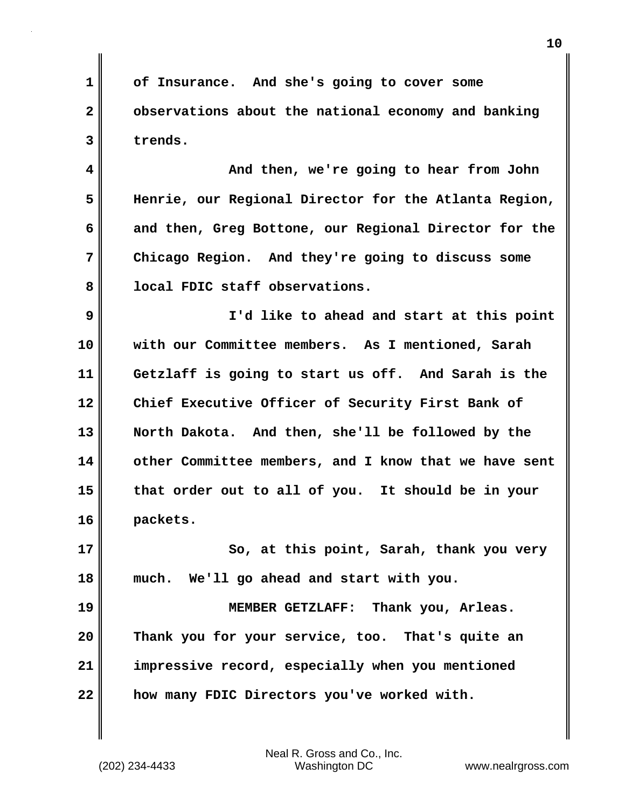**1 2 3 of Insurance. And she's going to cover some observations about the national economy and banking trends.**

**4 5 6 7 8 And then, we're going to hear from John Henrie, our Regional Director for the Atlanta Region, and then, Greg Bottone, our Regional Director for the Chicago Region. And they're going to discuss some local FDIC staff observations.**

**9 10 11 12 13 14 15 16 I'd like to ahead and start at this point with our Committee members. As I mentioned, Sarah Getzlaff is going to start us off. And Sarah is the Chief Executive Officer of Security First Bank of North Dakota. And then, she'll be followed by the other Committee members, and I know that we have sent that order out to all of you. It should be in your packets.**

**17 18 So, at this point, Sarah, thank you very much. We'll go ahead and start with you.**

**19 20 21 22 MEMBER GETZLAFF: Thank you, Arleas. Thank you for your service, too. That's quite an impressive record, especially when you mentioned how many FDIC Directors you've worked with.**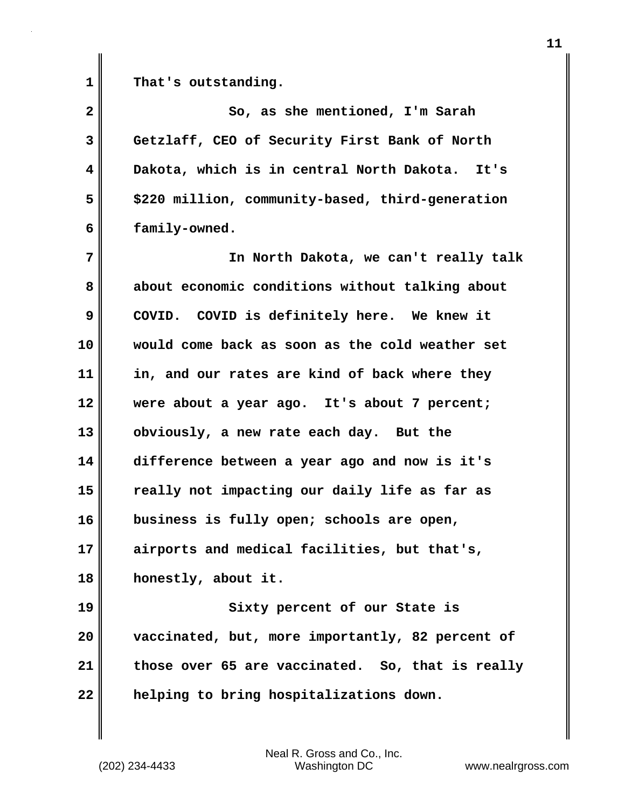**1** 

**That's outstanding.**

**2 3 4 5 6 7 8 9 10 11 12 13 14 15 16 17 18 19 20 21 22 So, as she mentioned, I'm Sarah Getzlaff, CEO of Security First Bank of North Dakota, which is in central North Dakota. It's \$220 million, community-based, third-generation family-owned. In North Dakota, we can't really talk about economic conditions without talking about COVID. COVID is definitely here. We knew it would come back as soon as the cold weather set in, and our rates are kind of back where they were about a year ago. It's about 7 percent; obviously, a new rate each day. But the difference between a year ago and now is it's really not impacting our daily life as far as business is fully open; schools are open, airports and medical facilities, but that's, honestly, about it. Sixty percent of our State is vaccinated, but, more importantly, 82 percent of those over 65 are vaccinated. So, that is really helping to bring hospitalizations down.**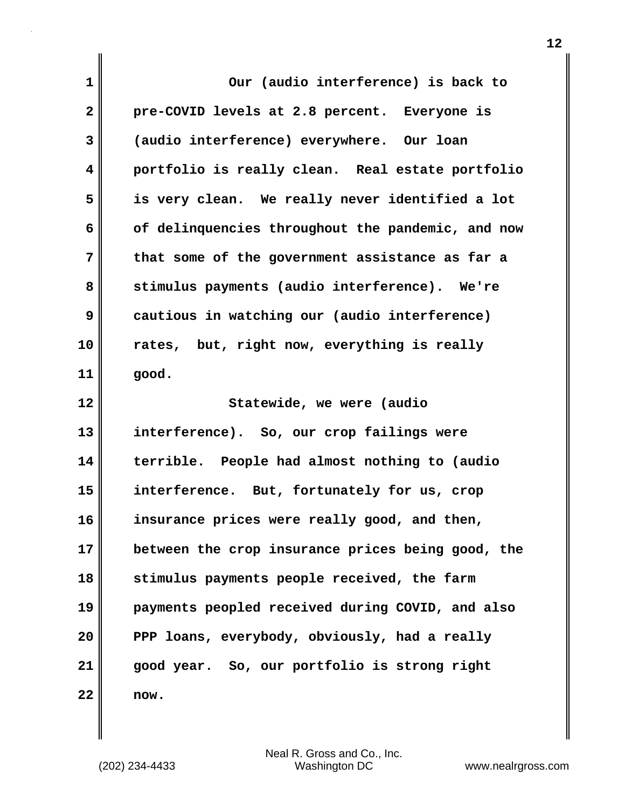| 1  | Our (audio interference) is back to               |
|----|---------------------------------------------------|
| 2  | pre-COVID levels at 2.8 percent. Everyone is      |
|    |                                                   |
| 3  | (audio interference) everywhere. Our loan         |
| 4  | portfolio is really clean. Real estate portfolio  |
| 5  | is very clean. We really never identified a lot   |
| 6  | of delinquencies throughout the pandemic, and now |
| 7  | that some of the government assistance as far a   |
| 8  | stimulus payments (audio interference). We're     |
| 9  | cautious in watching our (audio interference)     |
| 10 | rates, but, right now, everything is really       |
| 11 | good.                                             |
|    |                                                   |
| 12 | Statewide, we were (audio                         |
| 13 | interference). So, our crop failings were         |
| 14 | terrible. People had almost nothing to (audio     |
| 15 | interference. But, fortunately for us, crop       |
| 16 | insurance prices were really good, and then,      |
| 17 | between the crop insurance prices being good, the |
| 18 | stimulus payments people received, the farm       |
| 19 | payments peopled received during COVID, and also  |
| 20 | PPP loans, everybody, obviously, had a really     |
| 21 | good year. So, our portfolio is strong right      |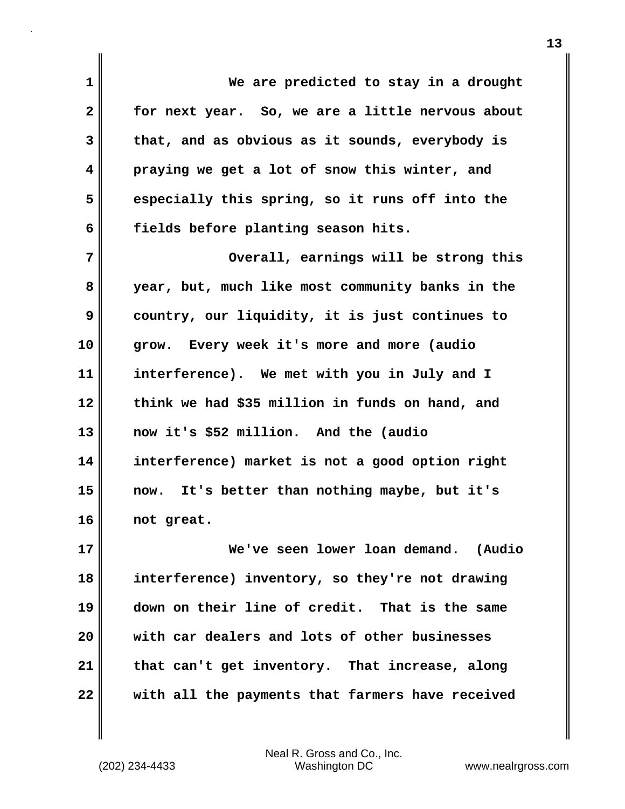**1 2 3 4 5 6 We are predicted to stay in a drought for next year. So, we are a little nervous about that, and as obvious as it sounds, everybody is praying we get a lot of snow this winter, and especially this spring, so it runs off into the fields before planting season hits.**

**7 8 9 10 11 12 13 14 15 16 Overall, earnings will be strong this year, but, much like most community banks in the country, our liquidity, it is just continues to grow. Every week it's more and more (audio interference). We met with you in July and I think we had \$35 million in funds on hand, and now it's \$52 million. And the (audio interference) market is not a good option right now. It's better than nothing maybe, but it's not great.**

**17 18 19 20 21 22 We've seen lower loan demand. (Audio interference) inventory, so they're not drawing down on their line of credit. That is the same with car dealers and lots of other businesses that can't get inventory. That increase, along with all the payments that farmers have received**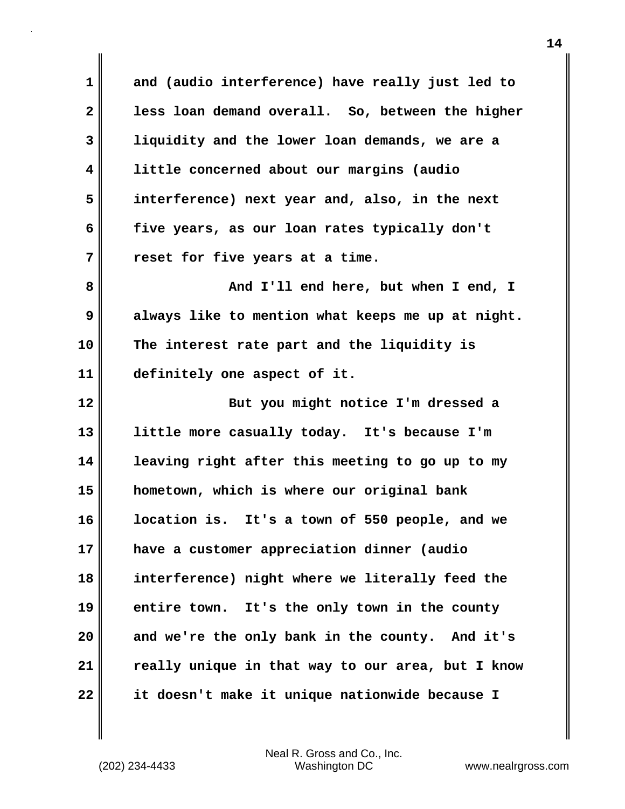**1 2 3 4 5 6 7 and (audio interference) have really just led to less loan demand overall. So, between the higher liquidity and the lower loan demands, we are a little concerned about our margins (audio interference) next year and, also, in the next five years, as our loan rates typically don't reset for five years at a time.**

**8 9 10 11 And I'll end here, but when I end, I always like to mention what keeps me up at night. The interest rate part and the liquidity is definitely one aspect of it.**

**12 13 14 15 16 17 18 19 20 21 22 But you might notice I'm dressed a little more casually today. It's because I'm leaving right after this meeting to go up to my hometown, which is where our original bank location is. It's a town of 550 people, and we have a customer appreciation dinner (audio interference) night where we literally feed the entire town. It's the only town in the county and we're the only bank in the county. And it's really unique in that way to our area, but I know it doesn't make it unique nationwide because I**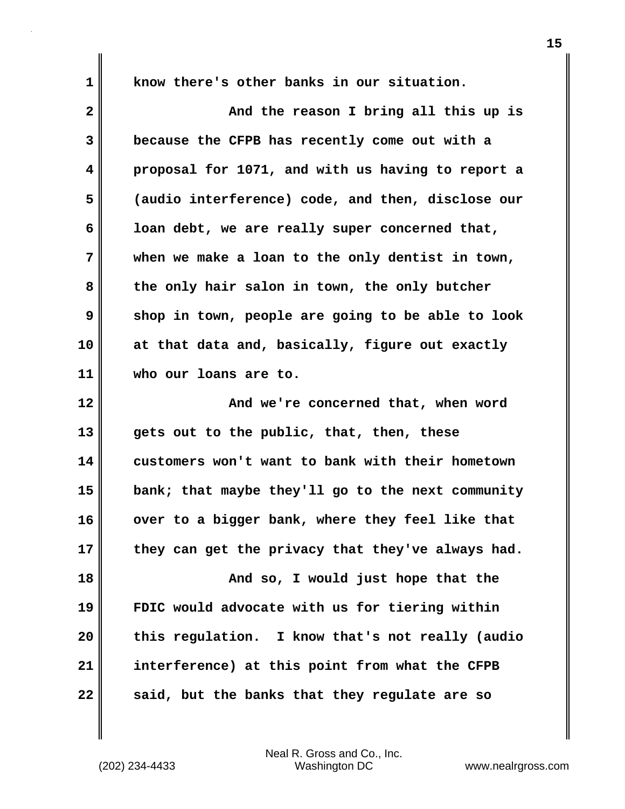**1** 

**know there's other banks in our situation.**

**2 3 4 5 6 7 8 9 10 11 12 13 14 15 16 17 18 19 20 21 22 And the reason I bring all this up is because the CFPB has recently come out with a proposal for 1071, and with us having to report a (audio interference) code, and then, disclose our loan debt, we are really super concerned that, when we make a loan to the only dentist in town, the only hair salon in town, the only butcher shop in town, people are going to be able to look at that data and, basically, figure out exactly who our loans are to. And we're concerned that, when word gets out to the public, that, then, these customers won't want to bank with their hometown bank; that maybe they'll go to the next community over to a bigger bank, where they feel like that they can get the privacy that they've always had. And so, I would just hope that the FDIC would advocate with us for tiering within this regulation. I know that's not really (audio interference) at this point from what the CFPB said, but the banks that they regulate are so**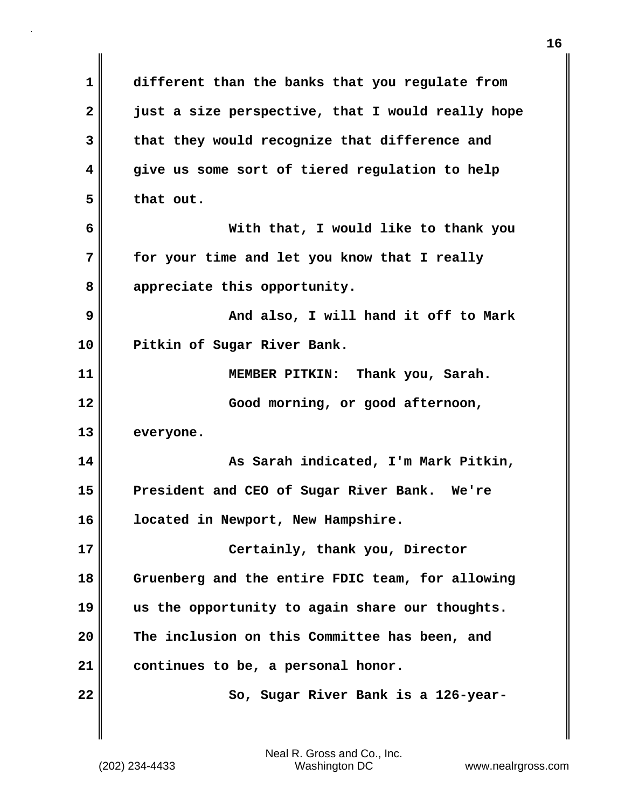**1 2 3 4 5 6 7 8 9 10 11 12 13 14 15 16 17 18 19 20 21 22 different than the banks that you regulate from just a size perspective, that I would really hope that they would recognize that difference and give us some sort of tiered regulation to help that out. With that, I would like to thank you for your time and let you know that I really appreciate this opportunity. And also, I will hand it off to Mark Pitkin of Sugar River Bank. MEMBER PITKIN: Thank you, Sarah. Good morning, or good afternoon, everyone. As Sarah indicated, I'm Mark Pitkin, President and CEO of Sugar River Bank. We're located in Newport, New Hampshire. Certainly, thank you, Director Gruenberg and the entire FDIC team, for allowing us the opportunity to again share our thoughts. The inclusion on this Committee has been, and continues to be, a personal honor. So, Sugar River Bank is a 126-year-**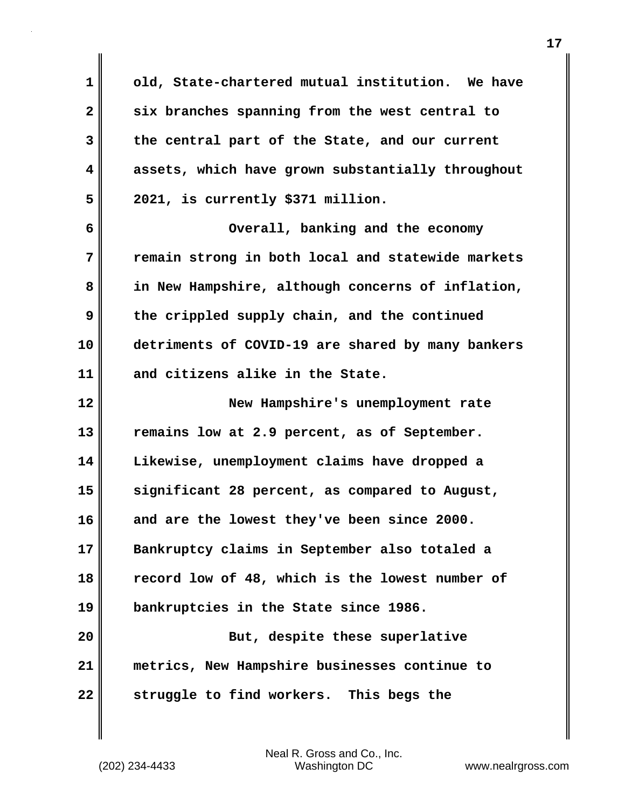**1 2 3 4 5 6 7 8 9 10 11 12 13 14 15 16 17 18 19 20 21 22 old, State-chartered mutual institution. We have six branches spanning from the west central to the central part of the State, and our current assets, which have grown substantially throughout 2021, is currently \$371 million. Overall, banking and the economy remain strong in both local and statewide markets in New Hampshire, although concerns of inflation, the crippled supply chain, and the continued detriments of COVID-19 are shared by many bankers and citizens alike in the State. New Hampshire's unemployment rate remains low at 2.9 percent, as of September. Likewise, unemployment claims have dropped a significant 28 percent, as compared to August, and are the lowest they've been since 2000. Bankruptcy claims in September also totaled a record low of 48, which is the lowest number of bankruptcies in the State since 1986. But, despite these superlative metrics, New Hampshire businesses continue to struggle to find workers. This begs the**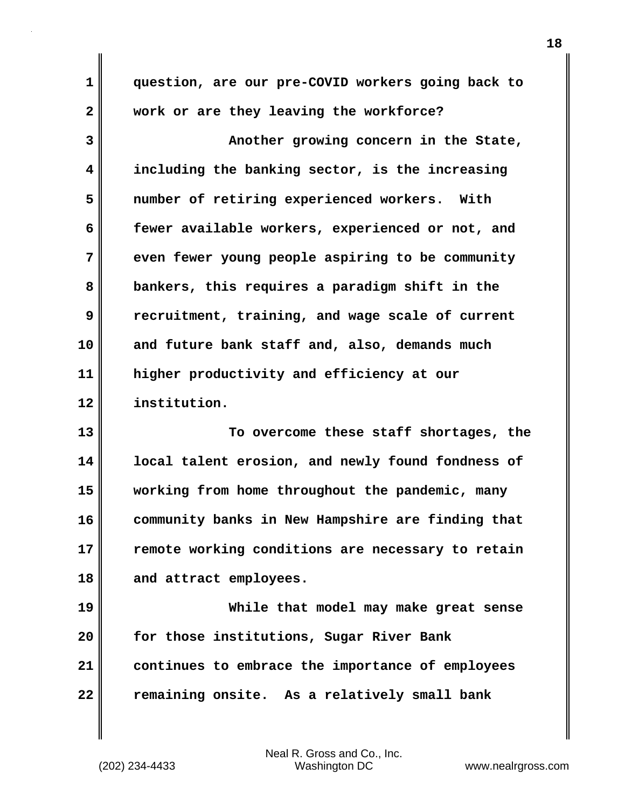**1 2 3 4 5 6 7 8 9 10 11 12 13 14 15 16 17 question, are our pre-COVID workers going back to work or are they leaving the workforce? Another growing concern in the State, including the banking sector, is the increasing number of retiring experienced workers. With fewer available workers, experienced or not, and even fewer young people aspiring to be community bankers, this requires a paradigm shift in the recruitment, training, and wage scale of current and future bank staff and, also, demands much higher productivity and efficiency at our institution. To overcome these staff shortages, the local talent erosion, and newly found fondness of working from home throughout the pandemic, many community banks in New Hampshire are finding that remote working conditions are necessary to retain** 

**18 and attract employees.**

**19 20 21 22 While that model may make great sense for those institutions, Sugar River Bank continues to embrace the importance of employees remaining onsite. As a relatively small bank**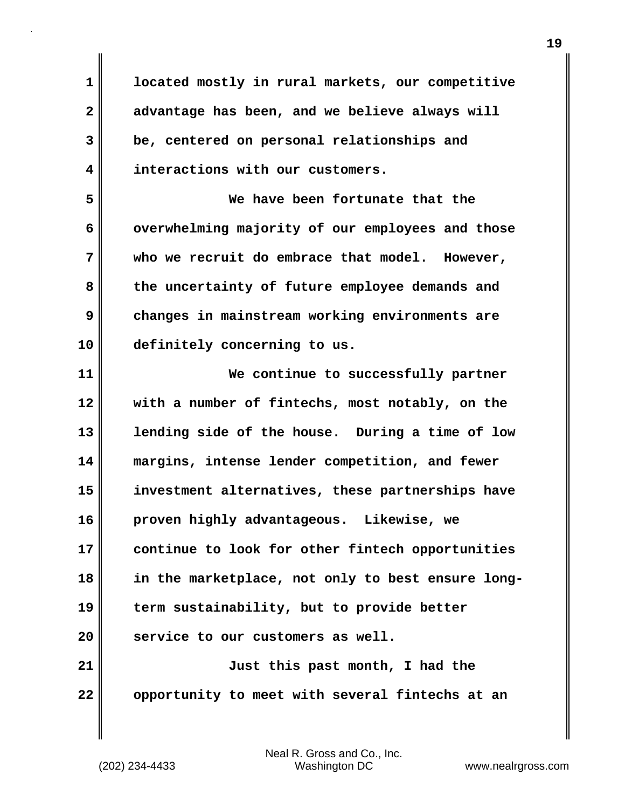**3 4 located mostly in rural markets, our competitive advantage has been, and we believe always will be, centered on personal relationships and interactions with our customers.**

**5 6 7 8 9 10 We have been fortunate that the overwhelming majority of our employees and those who we recruit do embrace that model. However, the uncertainty of future employee demands and changes in mainstream working environments are definitely concerning to us.**

**11 12 13 14 15 16 17 18 19 20 21 22 We continue to successfully partner with a number of fintechs, most notably, on the lending side of the house. During a time of low margins, intense lender competition, and fewer investment alternatives, these partnerships have proven highly advantageous. Likewise, we continue to look for other fintech opportunities in the marketplace, not only to best ensure longterm sustainability, but to provide better service to our customers as well. Just this past month, I had the opportunity to meet with several fintechs at an** 

**1**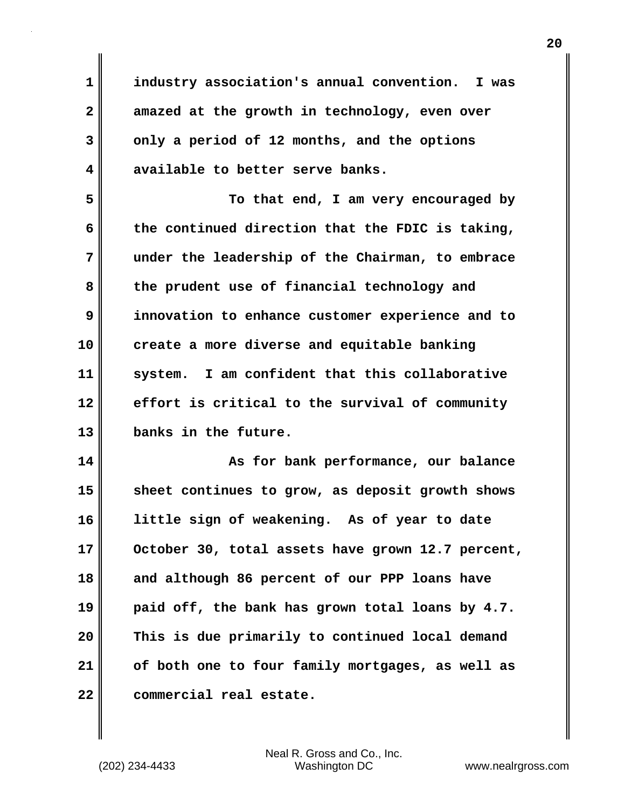**industry association's annual convention. I was amazed at the growth in technology, even over only a period of 12 months, and the options available to better serve banks.**

**5 6 7 8 9 10 11 12 13 To that end, I am very encouraged by the continued direction that the FDIC is taking, under the leadership of the Chairman, to embrace the prudent use of financial technology and innovation to enhance customer experience and to create a more diverse and equitable banking system. I am confident that this collaborative effort is critical to the survival of community banks in the future.**

**14 15 16 17 18 19 20 21 22 As for bank performance, our balance sheet continues to grow, as deposit growth shows little sign of weakening. As of year to date October 30, total assets have grown 12.7 percent, and although 86 percent of our PPP loans have paid off, the bank has grown total loans by 4.7. This is due primarily to continued local demand of both one to four family mortgages, as well as commercial real estate.** 

Neal R. Gross and Co., Inc. (202) 234-4433 Washington DC <www.nealrgross.com>

**1** 

**2** 

**3**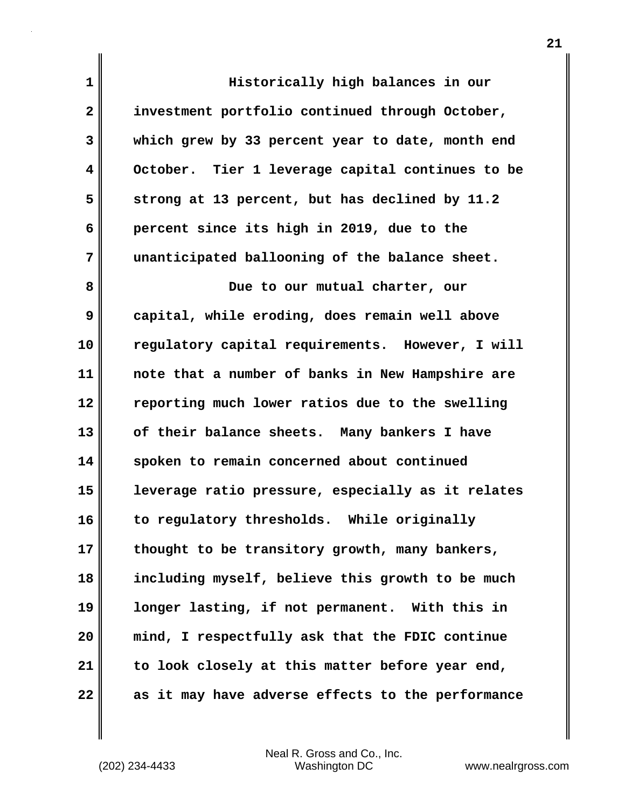**1 2 3 4 5 6 7 8 9 10 11 12 13 14 15 16 17 18 19 20 21 22 Historically high balances in our investment portfolio continued through October, which grew by 33 percent year to date, month end October. Tier 1 leverage capital continues to be strong at 13 percent, but has declined by 11.2 percent since its high in 2019, due to the unanticipated ballooning of the balance sheet. Due to our mutual charter, our capital, while eroding, does remain well above regulatory capital requirements. However, I will note that a number of banks in New Hampshire are reporting much lower ratios due to the swelling of their balance sheets. Many bankers I have spoken to remain concerned about continued leverage ratio pressure, especially as it relates to regulatory thresholds. While originally thought to be transitory growth, many bankers, including myself, believe this growth to be much longer lasting, if not permanent. With this in mind, I respectfully ask that the FDIC continue to look closely at this matter before year end, as it may have adverse effects to the performance**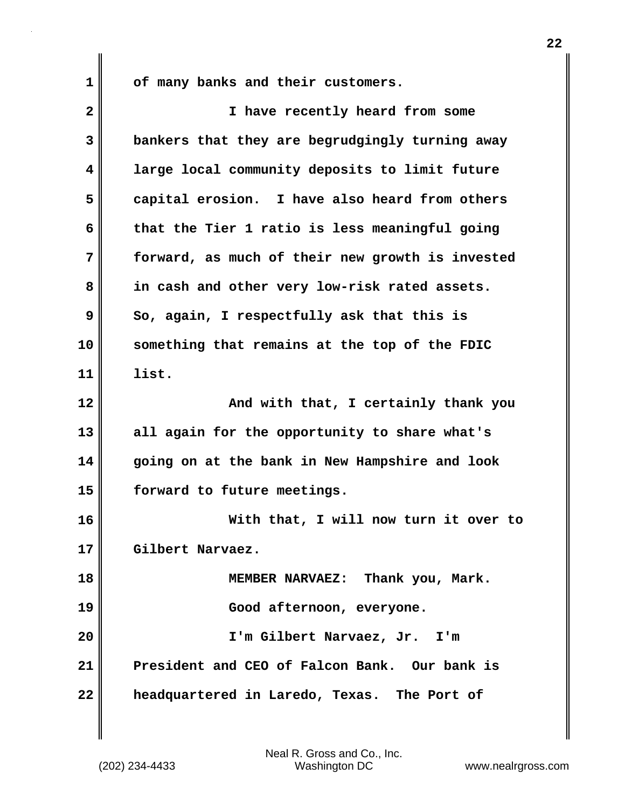**of many banks and their customers.**

| $\overline{\mathbf{2}}$ | I have recently heard from some                  |
|-------------------------|--------------------------------------------------|
| 3                       | bankers that they are begrudgingly turning away  |
| 4                       | large local community deposits to limit future   |
| 5                       | capital erosion. I have also heard from others   |
| 6                       | that the Tier 1 ratio is less meaningful going   |
| 7                       | forward, as much of their new growth is invested |
| 8                       | in cash and other very low-risk rated assets.    |
| 9                       | So, again, I respectfully ask that this is       |
| 10                      | something that remains at the top of the FDIC    |
| 11                      | list.                                            |
| 12                      | And with that, I certainly thank you             |
| 13                      | all again for the opportunity to share what's    |
| 14                      | going on at the bank in New Hampshire and look   |
| 15                      | forward to future meetings.                      |
| 16                      | With that, I will now turn it over to            |
| 17                      | Gilbert Narvaez.                                 |
| 18                      | MEMBER NARVAEZ: Thank you, Mark.                 |
| 19                      | Good afternoon, everyone.                        |
| 20                      | I'm Gilbert Narvaez, Jr. I'm                     |
| 21                      | President and CEO of Falcon Bank. Our bank is    |
| 22                      | headquartered in Laredo, Texas. The Port of      |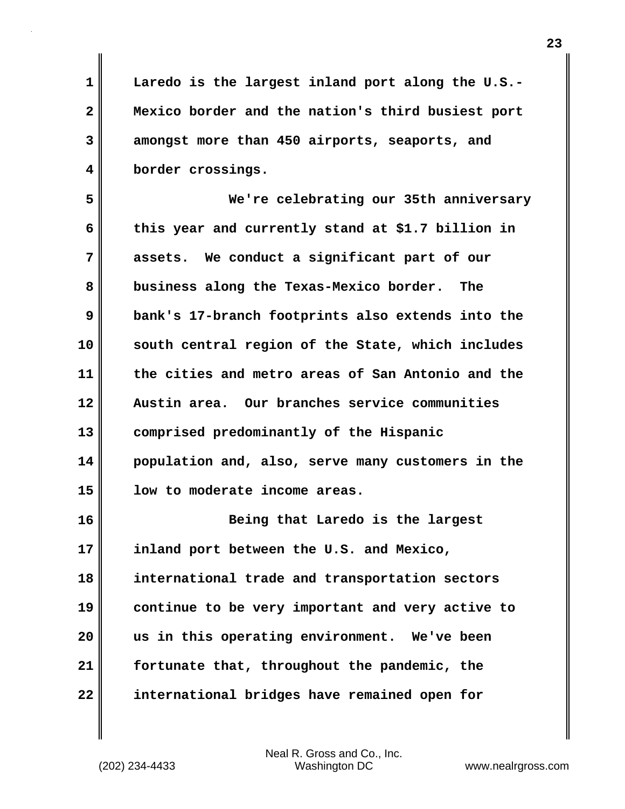**Laredo is the largest inland port along the U.S.- Mexico border and the nation's third busiest port amongst more than 450 airports, seaports, and border crossings.**

**5 6 7 8 9 10 11 12 13 14 15 We're celebrating our 35th anniversary this year and currently stand at \$1.7 billion in assets. We conduct a significant part of our business along the Texas-Mexico border. The bank's 17-branch footprints also extends into the south central region of the State, which includes the cities and metro areas of San Antonio and the Austin area. Our branches service communities comprised predominantly of the Hispanic population and, also, serve many customers in the low to moderate income areas.**

**16 17 18 19 20 21 22 Being that Laredo is the largest inland port between the U.S. and Mexico, international trade and transportation sectors continue to be very important and very active to us in this operating environment. We've been fortunate that, throughout the pandemic, the international bridges have remained open for** 

Neal R. Gross and Co., Inc. (202) 234-4433 Washington DC <www.nealrgross.com>

**1** 

**2** 

**3**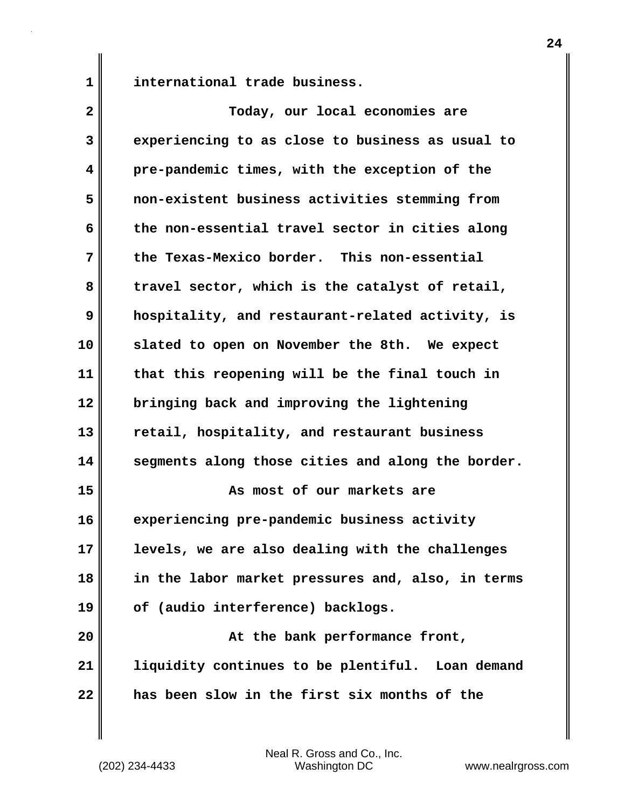**international trade business.**

**1** 

| $\overline{\mathbf{2}}$ | Today, our local economies are                    |
|-------------------------|---------------------------------------------------|
| 3                       | experiencing to as close to business as usual to  |
| 4                       | pre-pandemic times, with the exception of the     |
| 5                       | non-existent business activities stemming from    |
| 6                       | the non-essential travel sector in cities along   |
| 7                       | the Texas-Mexico border. This non-essential       |
| 8                       | travel sector, which is the catalyst of retail,   |
| 9                       | hospitality, and restaurant-related activity, is  |
| 10                      | slated to open on November the 8th. We expect     |
| 11                      | that this reopening will be the final touch in    |
| 12                      | bringing back and improving the lightening        |
| 13                      | retail, hospitality, and restaurant business      |
| 14                      | segments along those cities and along the border. |
| 15                      | As most of our markets are                        |
| 16                      | experiencing pre-pandemic business activity       |
| 17                      | levels, we are also dealing with the challenges   |
| 18                      | in the labor market pressures and, also, in terms |
| 19                      | of (audio interference) backlogs.                 |
| 20                      | At the bank performance front,                    |
| 21                      | liquidity continues to be plentiful. Loan demand  |
| 22                      | has been slow in the first six months of the      |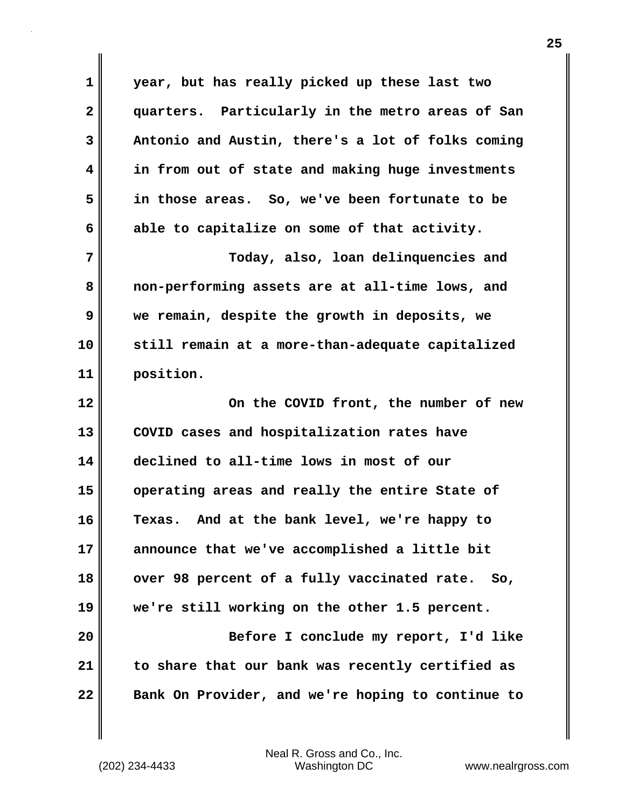**1 2 3 4 5 6 7 8 9 10 11 12 13 14 15 16 17 18 19 20 21 22 year, but has really picked up these last two quarters. Particularly in the metro areas of San Antonio and Austin, there's a lot of folks coming in from out of state and making huge investments in those areas. So, we've been fortunate to be able to capitalize on some of that activity. Today, also, loan delinquencies and non-performing assets are at all-time lows, and we remain, despite the growth in deposits, we still remain at a more-than-adequate capitalized position. On the COVID front, the number of new COVID cases and hospitalization rates have declined to all-time lows in most of our operating areas and really the entire State of Texas. And at the bank level, we're happy to announce that we've accomplished a little bit over 98 percent of a fully vaccinated rate. So, we're still working on the other 1.5 percent. Before I conclude my report, I'd like to share that our bank was recently certified as Bank On Provider, and we're hoping to continue to**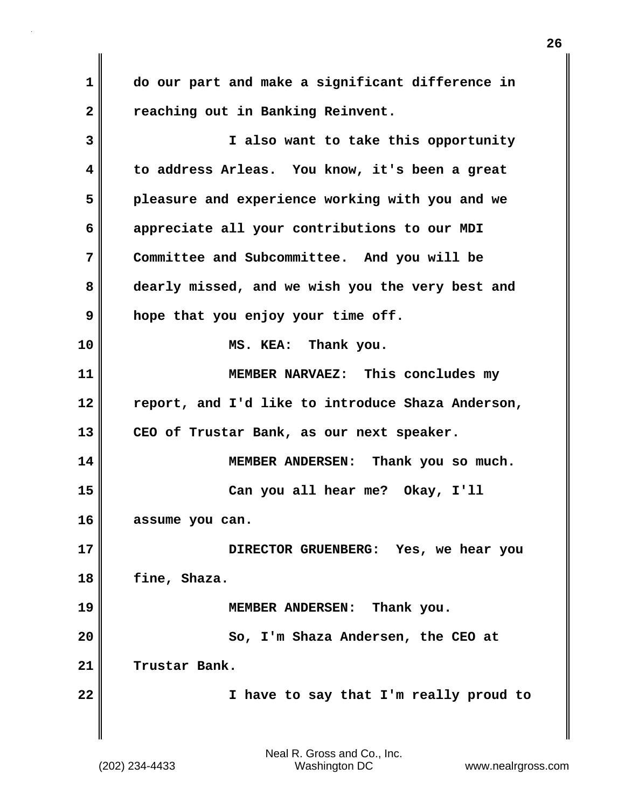**1 2 do our part and make a significant difference in reaching out in Banking Reinvent.**

**3 4 5 6 7 8 9 10 11 12 13 14 15 16 17 18 19 20 21 22 I also want to take this opportunity to address Arleas. You know, it's been a great pleasure and experience working with you and we appreciate all your contributions to our MDI Committee and Subcommittee. And you will be dearly missed, and we wish you the very best and hope that you enjoy your time off. MS. KEA: Thank you. MEMBER NARVAEZ: This concludes my report, and I'd like to introduce Shaza Anderson, CEO of Trustar Bank, as our next speaker. MEMBER ANDERSEN: Thank you so much. Can you all hear me? Okay, I'll assume you can. DIRECTOR GRUENBERG: Yes, we hear you fine, Shaza. MEMBER ANDERSEN: Thank you. So, I'm Shaza Andersen, the CEO at Trustar Bank. I have to say that I'm really proud to**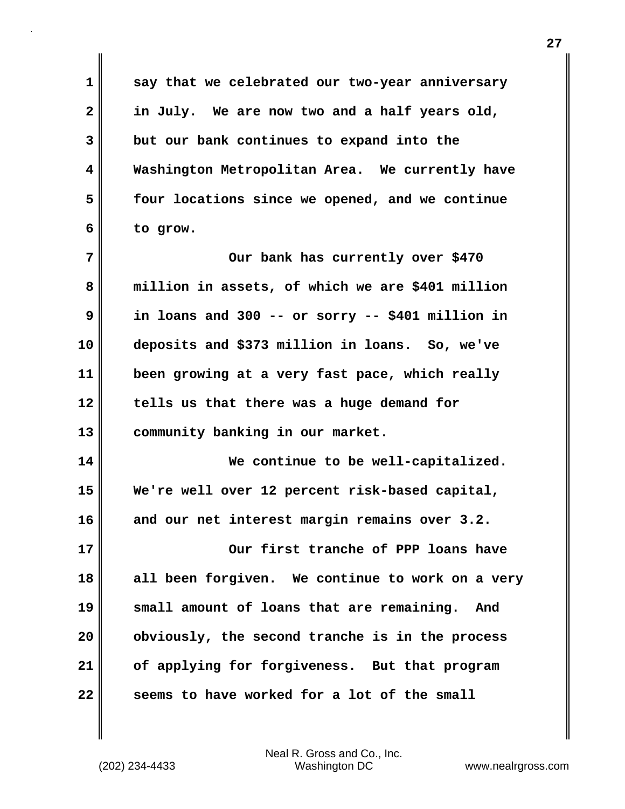**say that we celebrated our two-year anniversary in July. We are now two and a half years old, but our bank continues to expand into the Washington Metropolitan Area. We currently have four locations since we opened, and we continue to grow.**

**7 8 9 10 11 12 13 Our bank has currently over \$470 million in assets, of which we are \$401 million in loans and 300 -- or sorry -- \$401 million in deposits and \$373 million in loans. So, we've been growing at a very fast pace, which really tells us that there was a huge demand for community banking in our market.**

**14 15 16 We continue to be well-capitalized. We're well over 12 percent risk-based capital, and our net interest margin remains over 3.2.**

**17 18 19 20 21 22 Our first tranche of PPP loans have all been forgiven. We continue to work on a very small amount of loans that are remaining. And obviously, the second tranche is in the process of applying for forgiveness. But that program seems to have worked for a lot of the small** 

Neal R. Gross and Co., Inc. (202) 234-4433 Washington DC <www.nealrgross.com>

**1** 

**2** 

**3** 

**4** 

**5**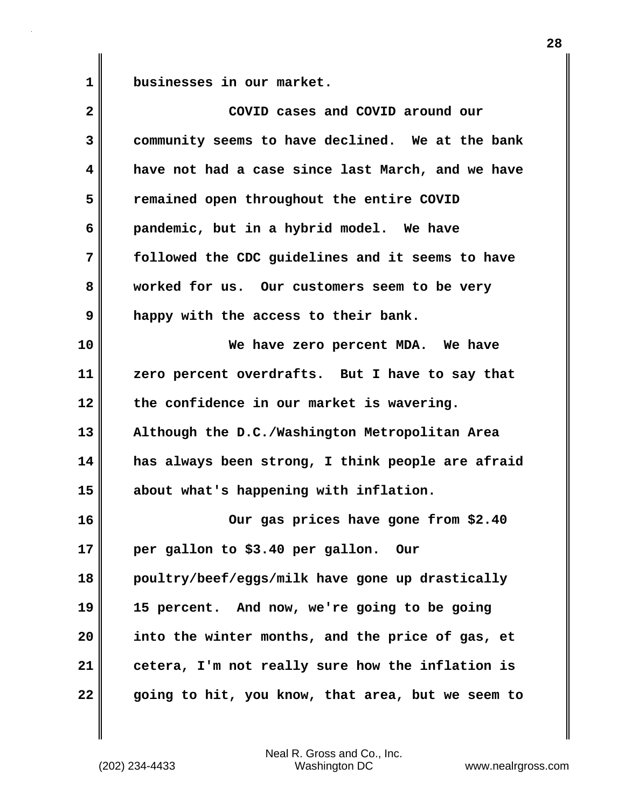**1** 

**businesses in our market.**

| $\overline{\mathbf{2}}$ | COVID cases and COVID around our                  |
|-------------------------|---------------------------------------------------|
| 3                       | community seems to have declined. We at the bank  |
| 4                       | have not had a case since last March, and we have |
| 5                       | remained open throughout the entire COVID         |
| 6                       | pandemic, but in a hybrid model. We have          |
| 7                       | followed the CDC guidelines and it seems to have  |
| 8                       | worked for us. Our customers seem to be very      |
| 9                       | happy with the access to their bank.              |
| 10                      | We have zero percent MDA. We have                 |
| 11                      | zero percent overdrafts. But I have to say that   |
| 12                      | the confidence in our market is wavering.         |
| 13                      | Although the D.C./Washington Metropolitan Area    |
| 14                      | has always been strong, I think people are afraid |
| 15                      | about what's happening with inflation.            |
| 16                      | Our gas prices have gone from \$2.40              |
| 17                      | per gallon to \$3.40 per gallon. Our              |
| 18                      | poultry/beef/eggs/milk have gone up drastically   |
| 19                      | 15 percent. And now, we're going to be going      |
| 20                      | into the winter months, and the price of gas, et  |
| 21                      | cetera, I'm not really sure how the inflation is  |
| 22                      | going to hit, you know, that area, but we seem to |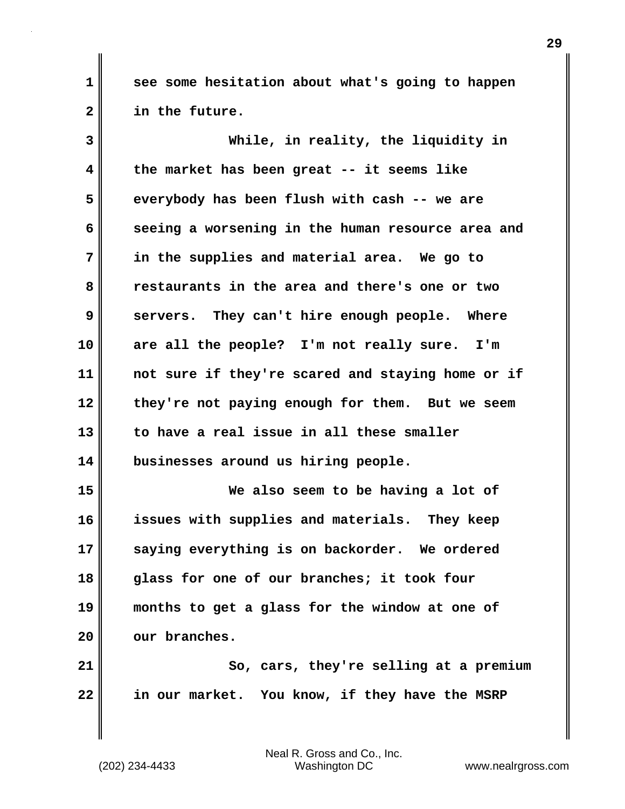**see some hesitation about what's going to happen in the future.**

**3 4 5 6 7 8 9 10 11 12 13 14 15 16 17 18 19 While, in reality, the liquidity in the market has been great -- it seems like everybody has been flush with cash -- we are seeing a worsening in the human resource area and in the supplies and material area. We go to restaurants in the area and there's one or two servers. They can't hire enough people. Where are all the people? I'm not really sure. I'm not sure if they're scared and staying home or if they're not paying enough for them. But we seem to have a real issue in all these smaller businesses around us hiring people. We also seem to be having a lot of issues with supplies and materials. They keep saying everything is on backorder. We ordered glass for one of our branches; it took four months to get a glass for the window at one of** 

**21 22 So, cars, they're selling at a premium in our market. You know, if they have the MSRP** 

Neal R. Gross and Co., Inc. (202) 234-4433 Washington DC <www.nealrgross.com>

**our branches.**

**20** 

**1**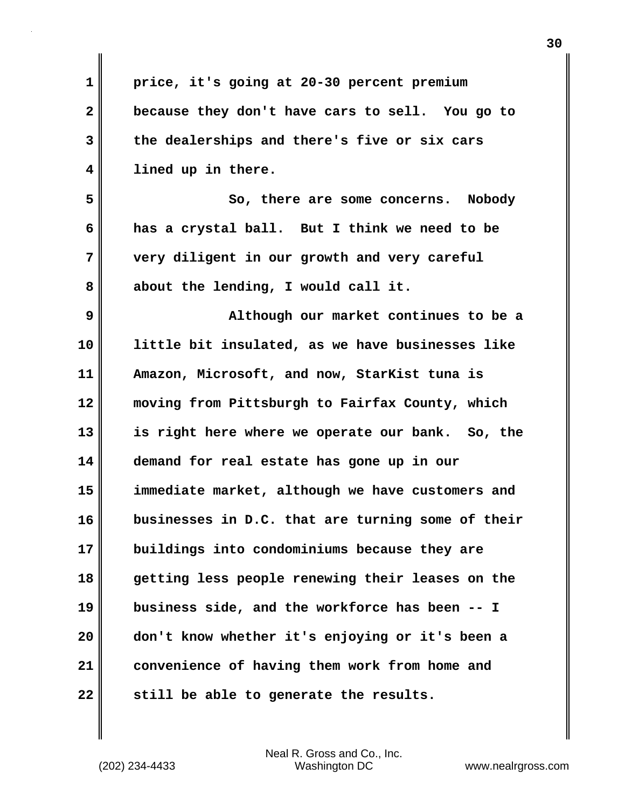| 1                       | price, it's going at 20-30 percent premium        |
|-------------------------|---------------------------------------------------|
| $\overline{\mathbf{2}}$ | because they don't have cars to sell. You go to   |
| 3                       | the dealerships and there's five or six cars      |
| 4                       | lined up in there.                                |
| 5                       | So, there are some concerns. Nobody               |
| 6                       | has a crystal ball. But I think we need to be     |
| 7                       | very diligent in our growth and very careful      |
| 8                       | about the lending, I would call it.               |
| 9                       | Although our market continues to be a             |
| 10                      | little bit insulated, as we have businesses like  |
| 11                      | Amazon, Microsoft, and now, StarKist tuna is      |
| 12                      | moving from Pittsburgh to Fairfax County, which   |
| 13                      | is right here where we operate our bank. So, the  |
| 14                      | demand for real estate has gone up in our         |
| 15                      | immediate market, although we have customers and  |
| 16                      | businesses in D.C. that are turning some of their |
| 17                      | buildings into condominiums because they are      |
| 18                      | getting less people renewing their leases on the  |
| 19                      | business side, and the workforce has been -- I    |
| 20                      | don't know whether it's enjoying or it's been a   |
| 21                      | convenience of having them work from home and     |
| 22                      | still be able to generate the results.            |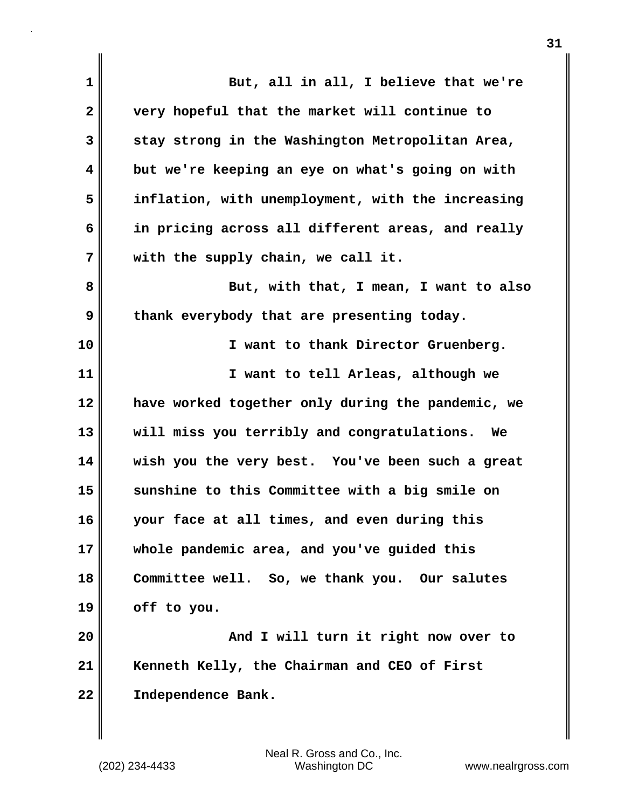| $\mathbf 1$  | But, all in all, I believe that we're             |
|--------------|---------------------------------------------------|
| $\mathbf{2}$ | very hopeful that the market will continue to     |
| 3            | stay strong in the Washington Metropolitan Area,  |
| 4            | but we're keeping an eye on what's going on with  |
| 5            | inflation, with unemployment, with the increasing |
| 6            | in pricing across all different areas, and really |
| 7            | with the supply chain, we call it.                |
| 8            | But, with that, I mean, I want to also            |
| 9            | thank everybody that are presenting today.        |
| 10           | I want to thank Director Gruenberg.               |
| 11           | I want to tell Arleas, although we                |
| 12           | have worked together only during the pandemic, we |
| 13           | will miss you terribly and congratulations.<br>We |
| 14           | wish you the very best. You've been such a great  |
| 15           | sunshine to this Committee with a big smile on    |
| 16           | your face at all times, and even during this      |
| 17           | whole pandemic area, and you've guided this       |
| 18           | Committee well. So, we thank you. Our salutes     |
| 19           | off to you.                                       |
| 20           | And I will turn it right now over to              |
| 21           | Kenneth Kelly, the Chairman and CEO of First      |
| 22           | Independence Bank.                                |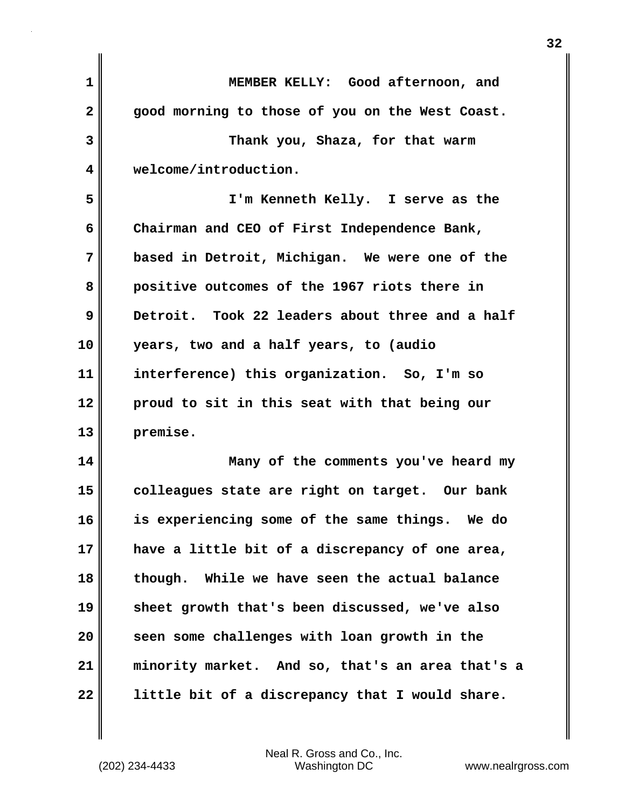| 1                       | MEMBER KELLY: Good afternoon, and                |
|-------------------------|--------------------------------------------------|
| $\overline{\mathbf{2}}$ | good morning to those of you on the West Coast.  |
| 3                       | Thank you, Shaza, for that warm                  |
| $\overline{\mathbf{4}}$ | welcome/introduction.                            |
| 5                       | I'm Kenneth Kelly. I serve as the                |
| 6                       | Chairman and CEO of First Independence Bank,     |
| 7                       | based in Detroit, Michigan. We were one of the   |
| 8                       | positive outcomes of the 1967 riots there in     |
| 9                       | Detroit. Took 22 leaders about three and a half  |
| 10                      | years, two and a half years, to (audio           |
| 11                      | interference) this organization. So, I'm so      |
| 12                      | proud to sit in this seat with that being our    |
| 13                      | premise.                                         |
| 14                      | Many of the comments you've heard my             |
| 15                      | colleagues state are right on target. Our bank   |
| 16                      | is experiencing some of the same things. We do   |
| 17                      | have a little bit of a discrepancy of one area,  |
| 18                      | though. While we have seen the actual balance    |
| 19                      | sheet growth that's been discussed, we've also   |
| 20                      | seen some challenges with loan growth in the     |
| 21                      | minority market. And so, that's an area that's a |
| 22                      | little bit of a discrepancy that I would share.  |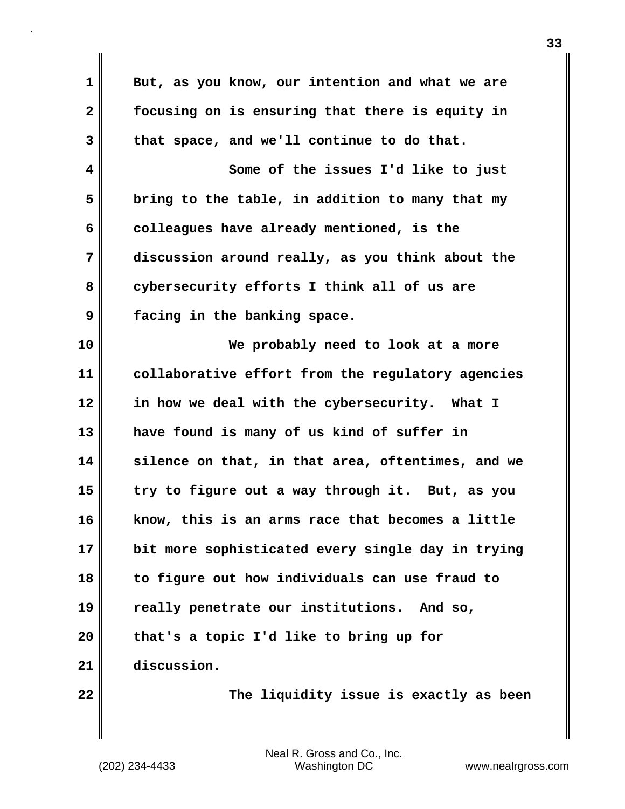| $\mathbf 1$  | But, as you know, our intention and what we are   |
|--------------|---------------------------------------------------|
| $\mathbf{2}$ | focusing on is ensuring that there is equity in   |
| 3            | that space, and we'll continue to do that.        |
| 4            | Some of the issues I'd like to just               |
| 5            | bring to the table, in addition to many that my   |
| 6            | colleagues have already mentioned, is the         |
| 7            | discussion around really, as you think about the  |
| 8            | cybersecurity efforts I think all of us are       |
| 9            | facing in the banking space.                      |
| 10           | We probably need to look at a more                |
| 11           | collaborative effort from the regulatory agencies |
| 12           | in how we deal with the cybersecurity. What I     |
| 13           | have found is many of us kind of suffer in        |
| 14           | silence on that, in that area, oftentimes, and we |
| 15           | try to figure out a way through it. But, as you   |
| 16           | know, this is an arms race that becomes a little  |
| 17           | bit more sophisticated every single day in trying |
| 18           | to figure out how individuals can use fraud to    |
| 19           | really penetrate our institutions. And so,        |
| 20           | that's a topic I'd like to bring up for           |
| 21           | discussion.                                       |
| 22           | The liquidity issue is exactly as been            |

 $\mathsf I$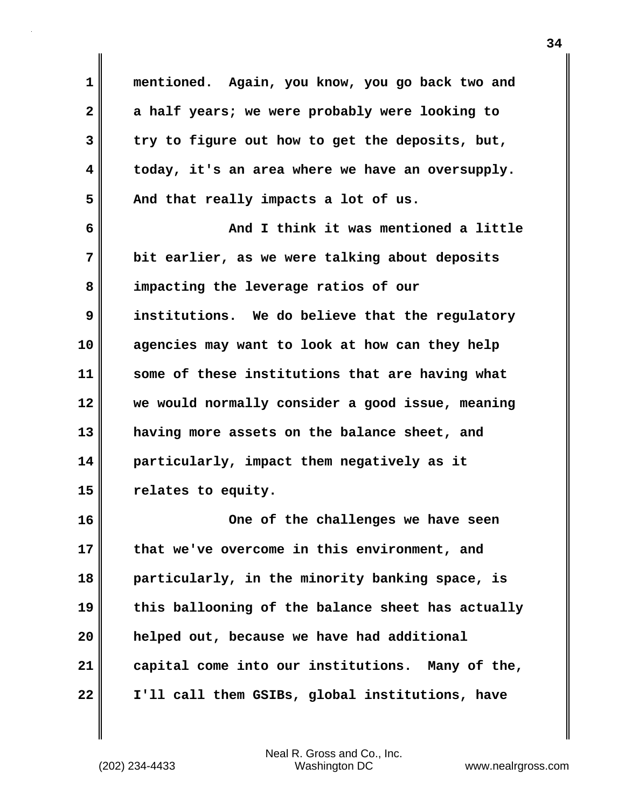**1 2 3 4 5 6 7 8 9 10 11 12 13 14 15 16 17 18 19 20 21 22 mentioned. Again, you know, you go back two and a half years; we were probably were looking to try to figure out how to get the deposits, but, today, it's an area where we have an oversupply. And that really impacts a lot of us. And I think it was mentioned a little bit earlier, as we were talking about deposits impacting the leverage ratios of our institutions. We do believe that the regulatory agencies may want to look at how can they help some of these institutions that are having what we would normally consider a good issue, meaning having more assets on the balance sheet, and particularly, impact them negatively as it relates to equity. One of the challenges we have seen that we've overcome in this environment, and particularly, in the minority banking space, is this ballooning of the balance sheet has actually helped out, because we have had additional capital come into our institutions. Many of the, I'll call them GSIBs, global institutions, have**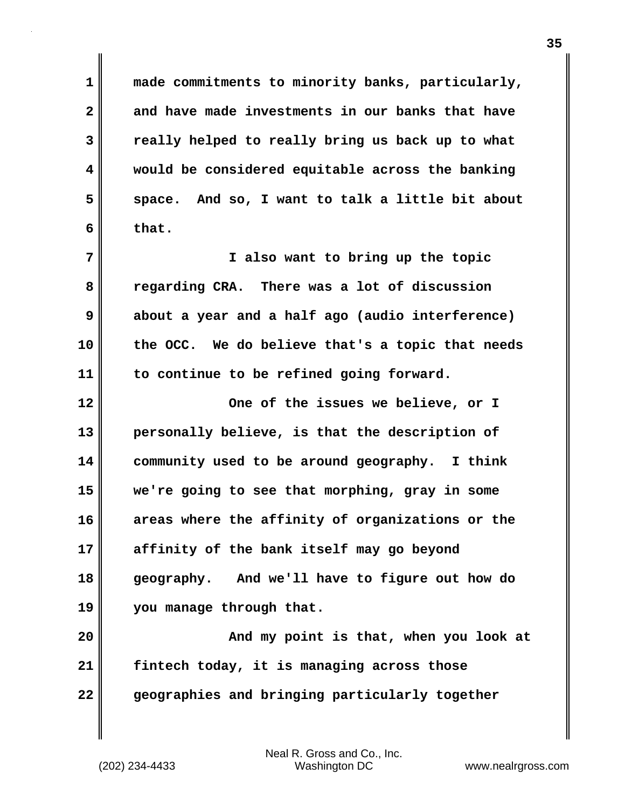**made commitments to minority banks, particularly, and have made investments in our banks that have really helped to really bring us back up to what would be considered equitable across the banking space. And so, I want to talk a little bit about that.**

**7 8 9 10 11 I also want to bring up the topic regarding CRA. There was a lot of discussion about a year and a half ago (audio interference) the OCC. We do believe that's a topic that needs to continue to be refined going forward.**

**12 13 14 15 16 17 18 19 One of the issues we believe, or I personally believe, is that the description of community used to be around geography. I think we're going to see that morphing, gray in some areas where the affinity of organizations or the affinity of the bank itself may go beyond geography. And we'll have to figure out how do you manage through that.**

**20 21 22 And my point is that, when you look at fintech today, it is managing across those geographies and bringing particularly together** 

**1** 

**2** 

**3** 

**4** 

**5**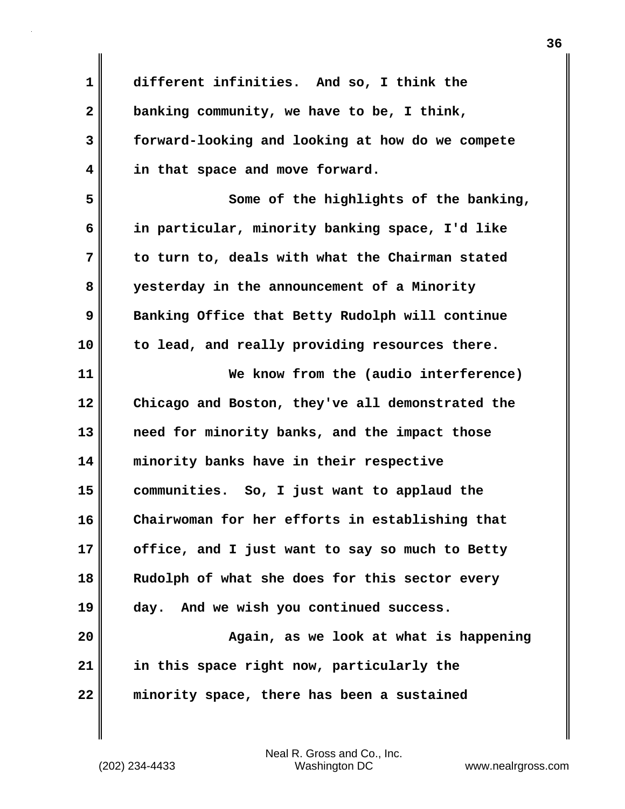**1 2 3 4 5 6 7 8 9 10 11 12 13 14 15 16 17 18 19 20 21 22 different infinities. And so, I think the banking community, we have to be, I think, forward-looking and looking at how do we compete in that space and move forward. Some of the highlights of the banking, in particular, minority banking space, I'd like to turn to, deals with what the Chairman stated yesterday in the announcement of a Minority Banking Office that Betty Rudolph will continue to lead, and really providing resources there. We know from the (audio interference) Chicago and Boston, they've all demonstrated the need for minority banks, and the impact those minority banks have in their respective communities. So, I just want to applaud the Chairwoman for her efforts in establishing that office, and I just want to say so much to Betty Rudolph of what she does for this sector every day. And we wish you continued success. Again, as we look at what is happening in this space right now, particularly the minority space, there has been a sustained**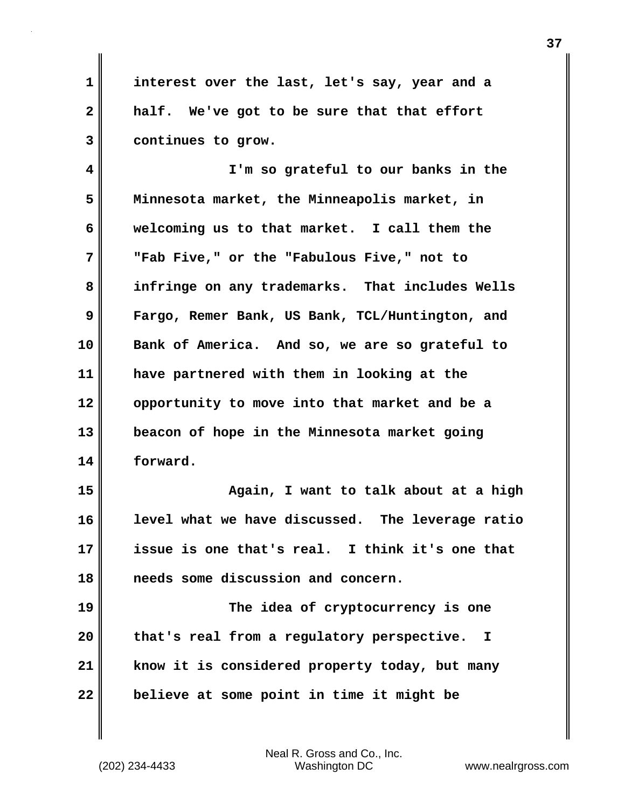**1 2 3 interest over the last, let's say, year and a half. We've got to be sure that that effort continues to grow.**

**4 5 6 7 8 9 10 11 12 13 14 I'm so grateful to our banks in the Minnesota market, the Minneapolis market, in welcoming us to that market. I call them the "Fab Five," or the "Fabulous Five," not to infringe on any trademarks. That includes Wells Fargo, Remer Bank, US Bank, TCL/Huntington, and Bank of America. And so, we are so grateful to have partnered with them in looking at the opportunity to move into that market and be a beacon of hope in the Minnesota market going forward.**

**15 16 17 18 Again, I want to talk about at a high level what we have discussed. The leverage ratio issue is one that's real. I think it's one that needs some discussion and concern.**

**19 20 21 22 The idea of cryptocurrency is one that's real from a regulatory perspective. I know it is considered property today, but many believe at some point in time it might be**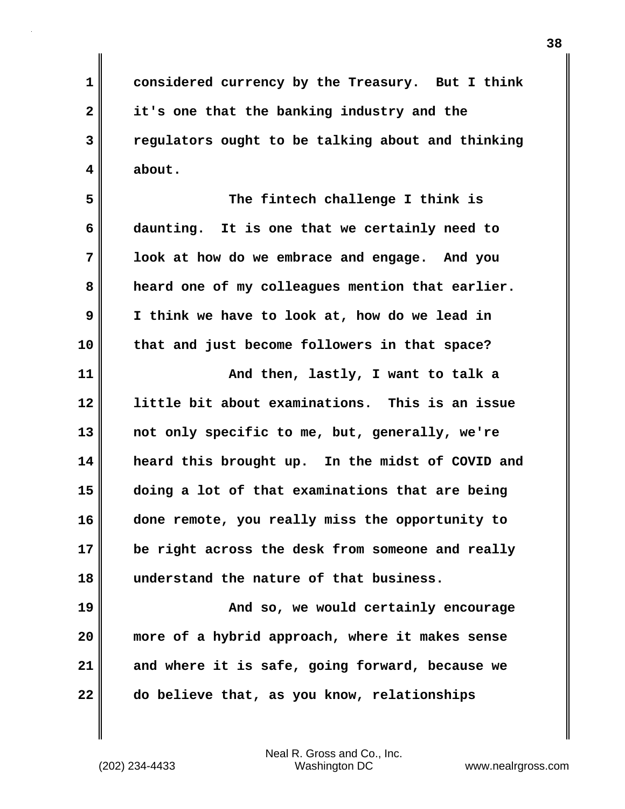**considered currency by the Treasury. But I think it's one that the banking industry and the regulators ought to be talking about and thinking about.**

**5 6 7 8 9 10 The fintech challenge I think is daunting. It is one that we certainly need to look at how do we embrace and engage. And you heard one of my colleagues mention that earlier. I think we have to look at, how do we lead in that and just become followers in that space?**

**11 12 13 14 15 16 17 18 And then, lastly, I want to talk a little bit about examinations. This is an issue not only specific to me, but, generally, we're heard this brought up. In the midst of COVID and doing a lot of that examinations that are being done remote, you really miss the opportunity to be right across the desk from someone and really understand the nature of that business.**

**19 20 21 22 And so, we would certainly encourage more of a hybrid approach, where it makes sense and where it is safe, going forward, because we do believe that, as you know, relationships** 

Neal R. Gross and Co., Inc. (202) 234-4433 Washington DC <www.nealrgross.com>

**1** 

**2** 

**3**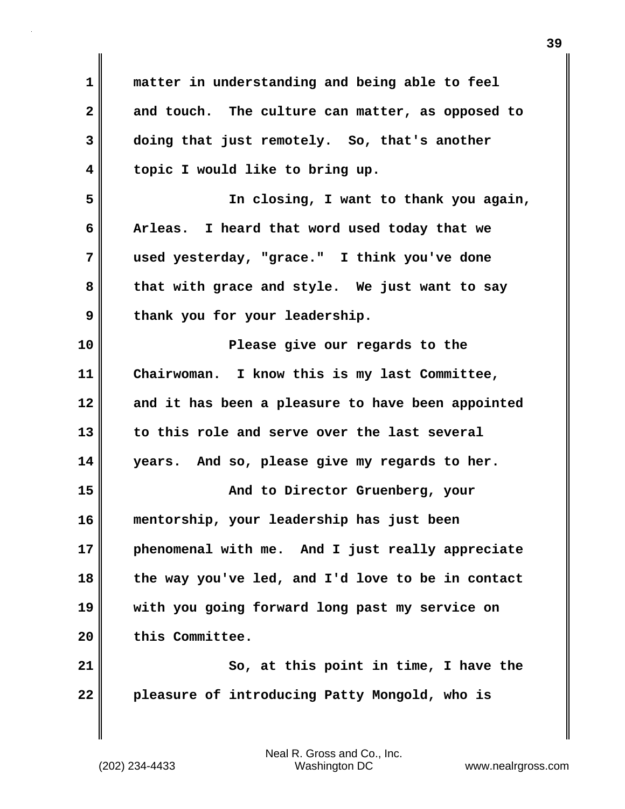| $\mathbf 1$ | matter in understanding and being able to feel    |
|-------------|---------------------------------------------------|
| 2           | and touch. The culture can matter, as opposed to  |
| 3           | doing that just remotely. So, that's another      |
| 4           | topic I would like to bring up.                   |
| 5           | In closing, I want to thank you again,            |
| 6           | Arleas. I heard that word used today that we      |
| 7           | used yesterday, "grace." I think you've done      |
| 8           | that with grace and style. We just want to say    |
| 9           | thank you for your leadership.                    |
| 10          | Please give our regards to the                    |
| 11          | Chairwoman. I know this is my last Committee,     |
| 12          | and it has been a pleasure to have been appointed |
| 13          | to this role and serve over the last several      |
| 14          | years. And so, please give my regards to her.     |
| 15          | And to Director Gruenberg, your                   |
| 16          | mentorship, your leadership has just been         |
| 17          | phenomenal with me. And I just really appreciate  |
| 18          | the way you've led, and I'd love to be in contact |
| 19          | with you going forward long past my service on    |
| 20          | this Committee.                                   |
| 21          | So, at this point in time, I have the             |
| 22          | pleasure of introducing Patty Mongold, who is     |
|             |                                                   |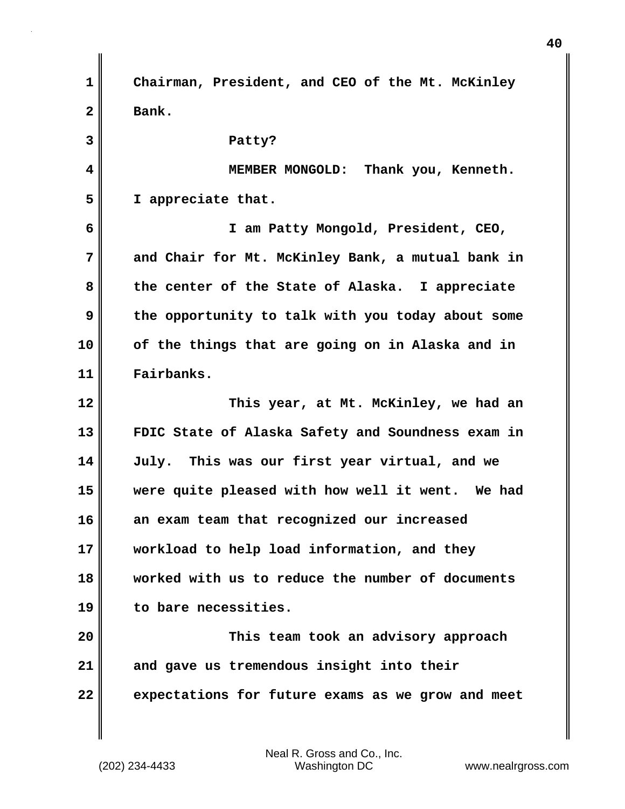**1 2 3 4 5 6 7 8 9 10 11 12 13 14 15 16 17 18 19 20 21 22 Chairman, President, and CEO of the Mt. McKinley Bank. Patty? MEMBER MONGOLD: Thank you, Kenneth. I appreciate that. I am Patty Mongold, President, CEO, and Chair for Mt. McKinley Bank, a mutual bank in the center of the State of Alaska. I appreciate the opportunity to talk with you today about some of the things that are going on in Alaska and in Fairbanks. This year, at Mt. McKinley, we had an FDIC State of Alaska Safety and Soundness exam in July. This was our first year virtual, and we were quite pleased with how well it went. We had an exam team that recognized our increased workload to help load information, and they worked with us to reduce the number of documents to bare necessities. This team took an advisory approach and gave us tremendous insight into their expectations for future exams as we grow and meet**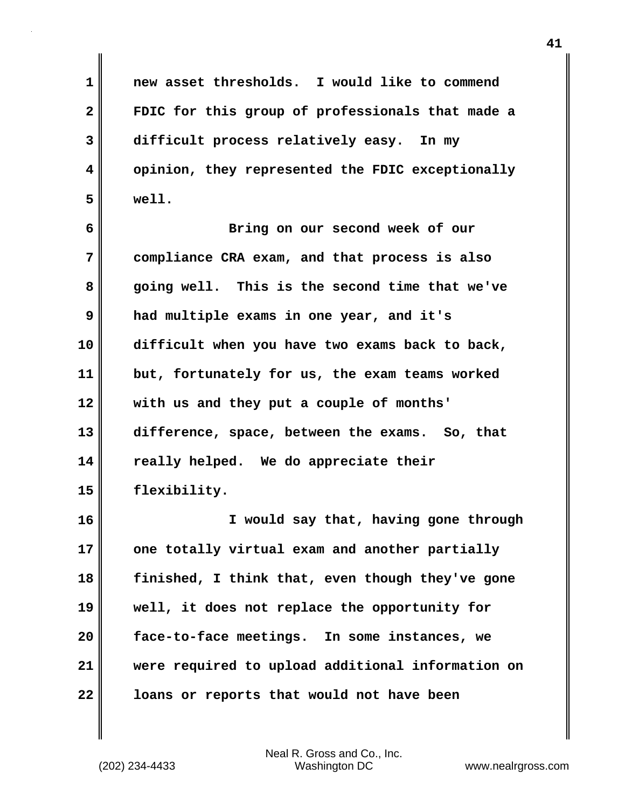**1 2 3 4 5 new asset thresholds. I would like to commend FDIC for this group of professionals that made a difficult process relatively easy. In my opinion, they represented the FDIC exceptionally well.**

**6 7 8 9 10 11 12 13 14 15 Bring on our second week of our compliance CRA exam, and that process is also going well. This is the second time that we've had multiple exams in one year, and it's difficult when you have two exams back to back, but, fortunately for us, the exam teams worked with us and they put a couple of months' difference, space, between the exams. So, that really helped. We do appreciate their flexibility.**

**16 17 18 19 20 21 22 I would say that, having gone through one totally virtual exam and another partially finished, I think that, even though they've gone well, it does not replace the opportunity for face-to-face meetings. In some instances, we were required to upload additional information on loans or reports that would not have been**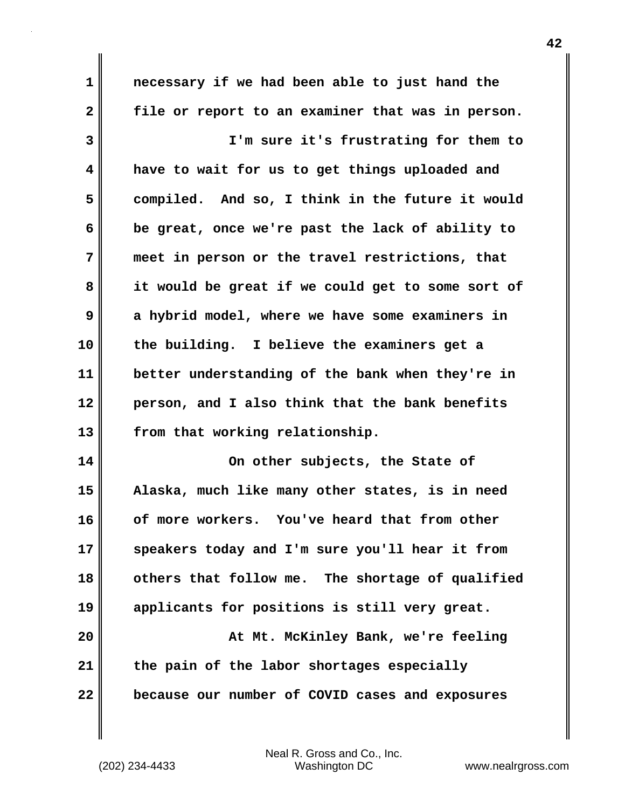**1 2 3 4 5 6 7 8 9 10 11 12 13 14 15 16 17 18 19 20 21 necessary if we had been able to just hand the file or report to an examiner that was in person. I'm sure it's frustrating for them to have to wait for us to get things uploaded and compiled. And so, I think in the future it would be great, once we're past the lack of ability to meet in person or the travel restrictions, that it would be great if we could get to some sort of a hybrid model, where we have some examiners in the building. I believe the examiners get a better understanding of the bank when they're in person, and I also think that the bank benefits from that working relationship. On other subjects, the State of Alaska, much like many other states, is in need of more workers. You've heard that from other speakers today and I'm sure you'll hear it from others that follow me. The shortage of qualified applicants for positions is still very great. At Mt. McKinley Bank, we're feeling the pain of the labor shortages especially** 

**22** 

**because our number of COVID cases and exposures**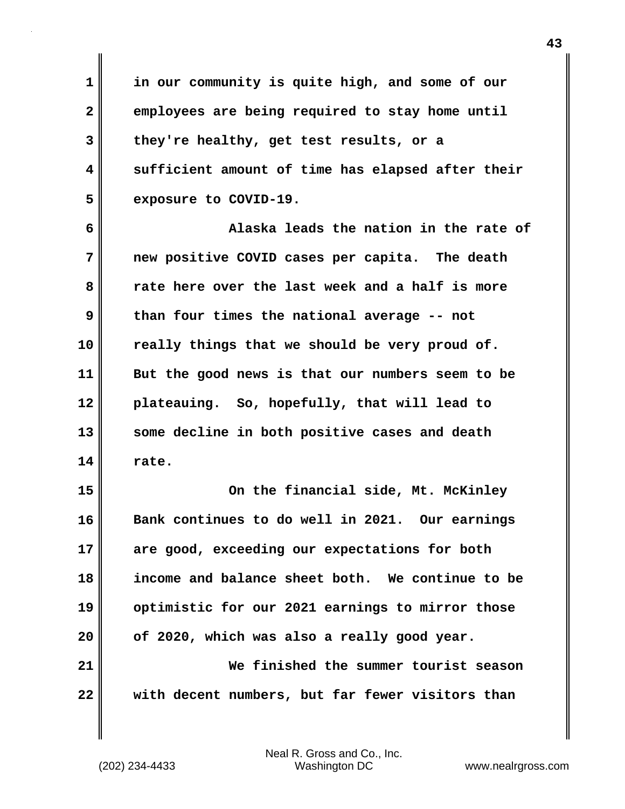**in our community is quite high, and some of our employees are being required to stay home until they're healthy, get test results, or a sufficient amount of time has elapsed after their exposure to COVID-19.**

**6 7 8 9 10 11 12 13 14 Alaska leads the nation in the rate of new positive COVID cases per capita. The death rate here over the last week and a half is more than four times the national average -- not really things that we should be very proud of. But the good news is that our numbers seem to be plateauing. So, hopefully, that will lead to some decline in both positive cases and death rate.**

**15 16 17 18 19 20 21 22 On the financial side, Mt. McKinley Bank continues to do well in 2021. Our earnings are good, exceeding our expectations for both income and balance sheet both. We continue to be optimistic for our 2021 earnings to mirror those of 2020, which was also a really good year. We finished the summer tourist season with decent numbers, but far fewer visitors than** 

Neal R. Gross and Co., Inc. (202) 234-4433 Washington DC <www.nealrgross.com>

**1** 

**2** 

**3** 

**4**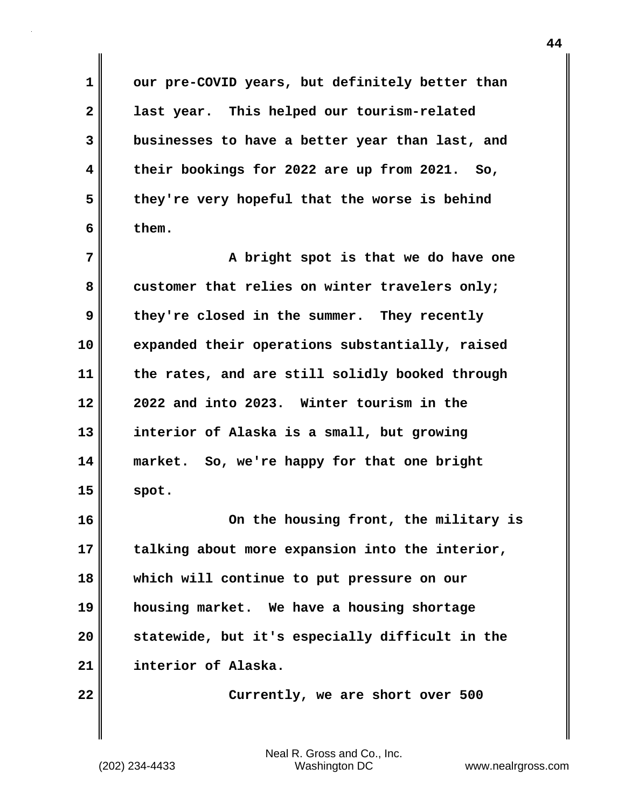**our pre-COVID years, but definitely better than last year. This helped our tourism-related businesses to have a better year than last, and their bookings for 2022 are up from 2021. So, they're very hopeful that the worse is behind them.**

**7 8 9 10 11 12 13 14 15 A bright spot is that we do have one customer that relies on winter travelers only; they're closed in the summer. They recently expanded their operations substantially, raised the rates, and are still solidly booked through 2022 and into 2023. Winter tourism in the interior of Alaska is a small, but growing market. So, we're happy for that one bright spot.**

**16 17 18 19 20 21 On the housing front, the military is talking about more expansion into the interior, which will continue to put pressure on our housing market. We have a housing shortage statewide, but it's especially difficult in the interior of Alaska.**

 **Currently, we are short over 500** 

Neal R. Gross and Co., Inc. (202) 234-4433 Washington DC <www.nealrgross.com>

**22** 

**1** 

**2** 

**3** 

**4** 

**5**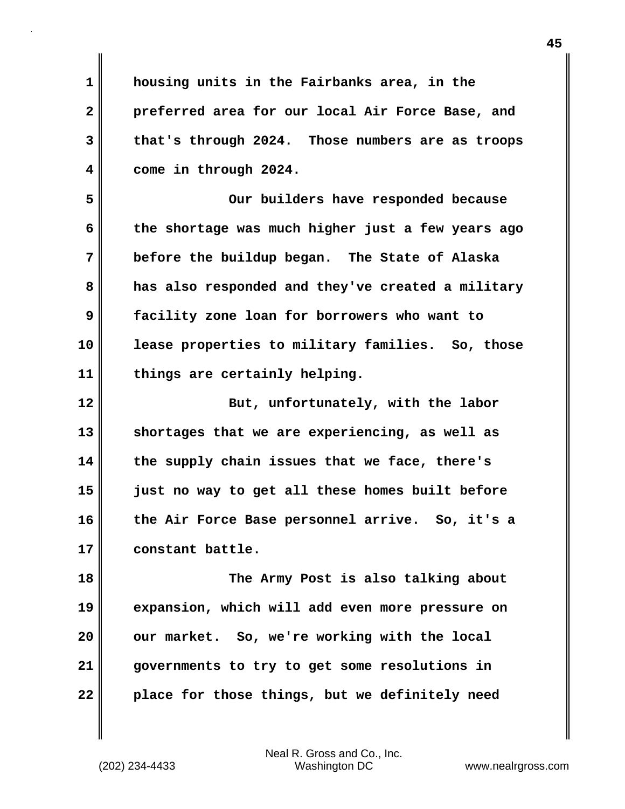**1 2 3 4 housing units in the Fairbanks area, in the preferred area for our local Air Force Base, and that's through 2024. Those numbers are as troops come in through 2024.**

**5 6 7 8 9 10 11 Our builders have responded because the shortage was much higher just a few years ago before the buildup began. The State of Alaska has also responded and they've created a military facility zone loan for borrowers who want to lease properties to military families. So, those things are certainly helping.**

**12 13 14 15 16 17 But, unfortunately, with the labor shortages that we are experiencing, as well as the supply chain issues that we face, there's just no way to get all these homes built before the Air Force Base personnel arrive. So, it's a constant battle.**

**18 19 20 21 22 The Army Post is also talking about expansion, which will add even more pressure on our market. So, we're working with the local governments to try to get some resolutions in place for those things, but we definitely need**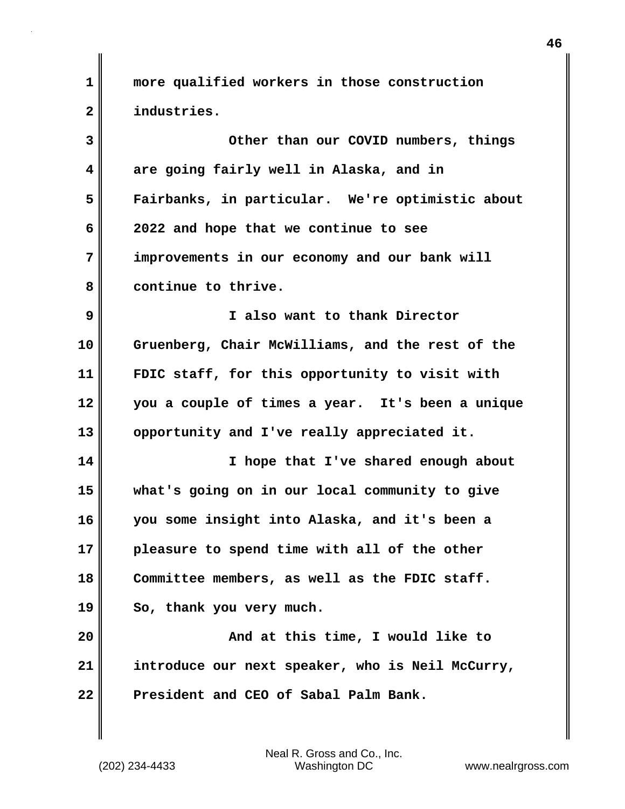**1 2 3 4 5 6 7 8 9 10 11 12 13 14 15 16 17 18 19 20 21 22 more qualified workers in those construction industries. Other than our COVID numbers, things are going fairly well in Alaska, and in Fairbanks, in particular. We're optimistic about 2022 and hope that we continue to see improvements in our economy and our bank will continue to thrive. I also want to thank Director Gruenberg, Chair McWilliams, and the rest of the FDIC staff, for this opportunity to visit with you a couple of times a year. It's been a unique opportunity and I've really appreciated it. I hope that I've shared enough about what's going on in our local community to give you some insight into Alaska, and it's been a pleasure to spend time with all of the other Committee members, as well as the FDIC staff. So, thank you very much. And at this time, I would like to introduce our next speaker, who is Neil McCurry, President and CEO of Sabal Palm Bank.**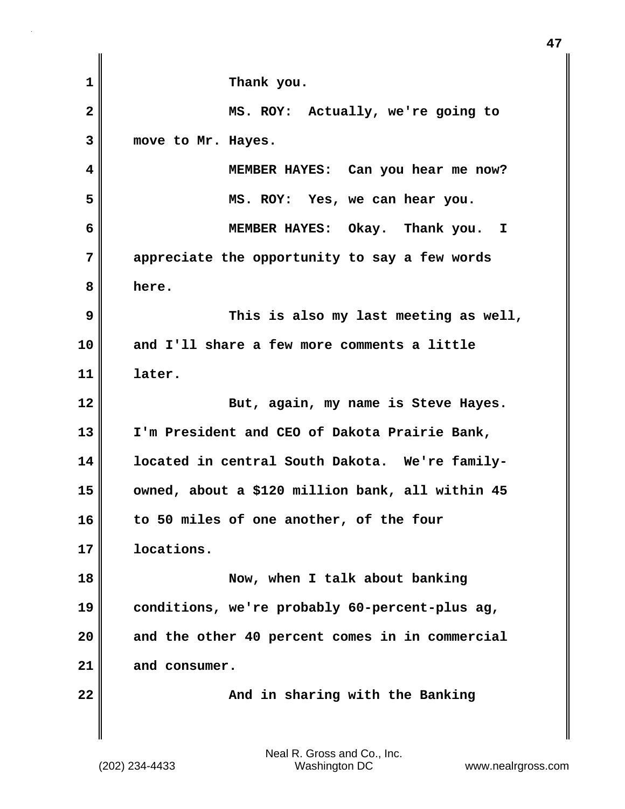| $\mathbf 1$    | Thank you.                                       |
|----------------|--------------------------------------------------|
| $\overline{2}$ | MS. ROY: Actually, we're going to                |
| 3              | move to Mr. Hayes.                               |
| 4              | MEMBER HAYES: Can you hear me now?               |
| 5              | MS. ROY: Yes, we can hear you.                   |
| 6              | MEMBER HAYES: Okay. Thank you. I                 |
| 7              | appreciate the opportunity to say a few words    |
| 8              | here.                                            |
| 9              | This is also my last meeting as well,            |
| 10             | and I'll share a few more comments a little      |
| 11             | later.                                           |
| 12             | But, again, my name is Steve Hayes.              |
| 13             | I'm President and CEO of Dakota Prairie Bank,    |
| 14             | located in central South Dakota. We're family-   |
| 15             | owned, about a \$120 million bank, all within 45 |
| 16             | to 50 miles of one another, of the four          |
| 17             | locations.                                       |
| 18             | Now, when I talk about banking                   |
| 19             | conditions, we're probably 60-percent-plus ag,   |
| 20             | and the other 40 percent comes in in commercial  |
| 21             | and consumer.                                    |
| 22             | And in sharing with the Banking                  |
|                |                                                  |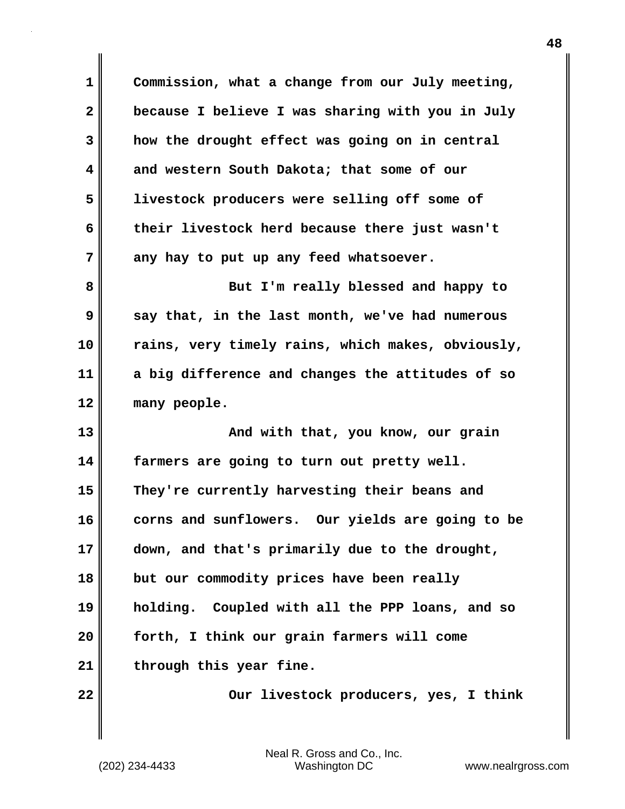**1 2 3 4 5 6 7 8 9 10 11 12 13 14 15 16 17 18 19 20 21 22 Commission, what a change from our July meeting, because I believe I was sharing with you in July how the drought effect was going on in central and western South Dakota; that some of our livestock producers were selling off some of their livestock herd because there just wasn't any hay to put up any feed whatsoever. But I'm really blessed and happy to say that, in the last month, we've had numerous rains, very timely rains, which makes, obviously, a big difference and changes the attitudes of so many people. And with that, you know, our grain farmers are going to turn out pretty well. They're currently harvesting their beans and corns and sunflowers. Our yields are going to be down, and that's primarily due to the drought, but our commodity prices have been really holding. Coupled with all the PPP loans, and so forth, I think our grain farmers will come through this year fine. Our livestock producers, yes, I think**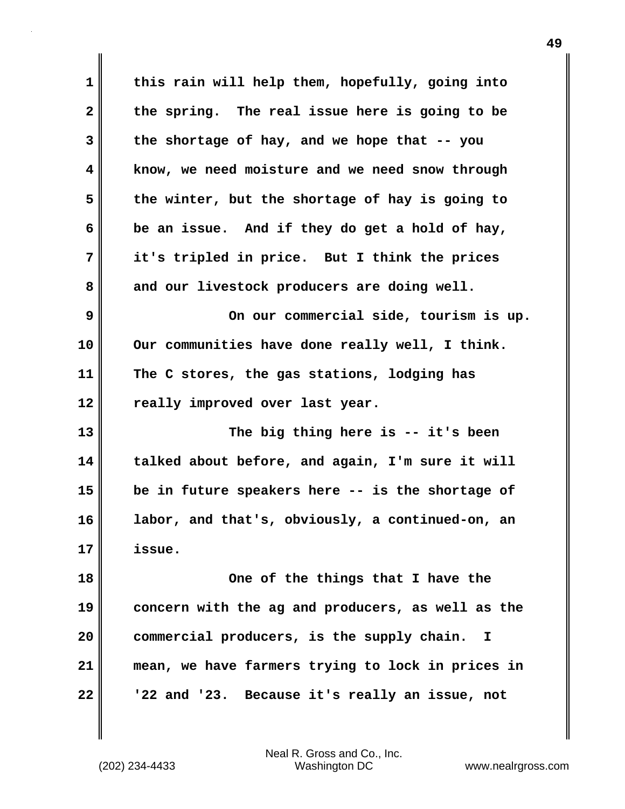| 1            | this rain will help them, hopefully, going into            |
|--------------|------------------------------------------------------------|
| $\mathbf{2}$ | the spring. The real issue here is going to be             |
| 3            | the shortage of hay, and we hope that -- you               |
| 4            | know, we need moisture and we need snow through            |
| 5            | the winter, but the shortage of hay is going to            |
| 6            | be an issue. And if they do get a hold of hay,             |
| 7            | it's tripled in price. But I think the prices              |
| 8            | and our livestock producers are doing well.                |
| 9            | On our commercial side, tourism is up.                     |
| 10           | Our communities have done really well, I think.            |
| 11           | The C stores, the gas stations, lodging has                |
| 12           | really improved over last year.                            |
| 13           | The big thing here is -- it's been                         |
| 14           | talked about before, and again, I'm sure it will           |
| 15           | be in future speakers here -- is the shortage of           |
| 16           | labor, and that's, obviously, a continued-on, an           |
| 17           | issue.                                                     |
| 18           | One of the things that I have the                          |
| 19           | concern with the ag and producers, as well as the          |
| 20           | commercial producers, is the supply chain.<br>$\mathbf{I}$ |
| 21           | mean, we have farmers trying to lock in prices in          |
| 22           | '22 and '23. Because it's really an issue, not             |
|              |                                                            |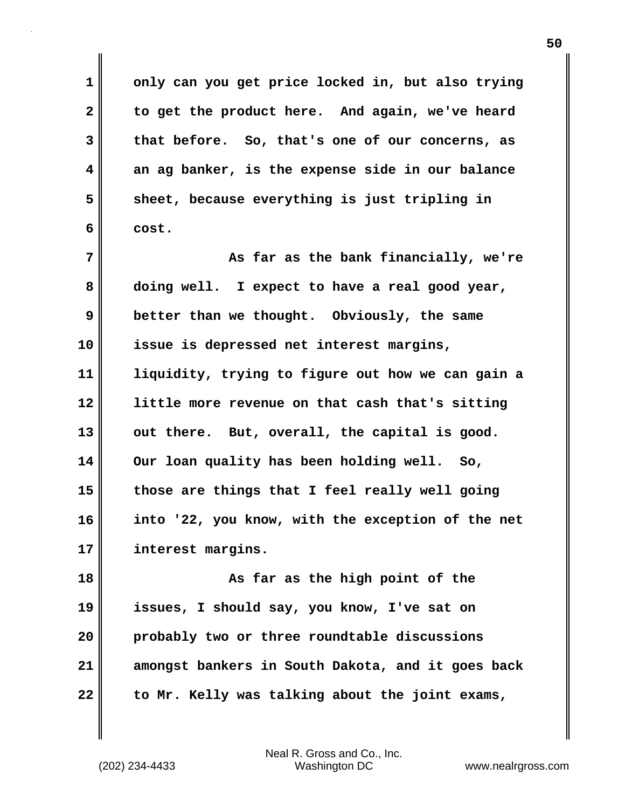**only can you get price locked in, but also trying to get the product here. And again, we've heard that before. So, that's one of our concerns, as an ag banker, is the expense side in our balance sheet, because everything is just tripling in cost.**

**7 8 9 10 11 12 13 14 15 16 17 As far as the bank financially, we're doing well. I expect to have a real good year, better than we thought. Obviously, the same issue is depressed net interest margins, liquidity, trying to figure out how we can gain a little more revenue on that cash that's sitting out there. But, overall, the capital is good. Our loan quality has been holding well. So, those are things that I feel really well going into '22, you know, with the exception of the net interest margins.**

**18 19 20 21 22 As far as the high point of the issues, I should say, you know, I've sat on probably two or three roundtable discussions amongst bankers in South Dakota, and it goes back to Mr. Kelly was talking about the joint exams,** 

**1** 

**2** 

**3** 

**4** 

**5**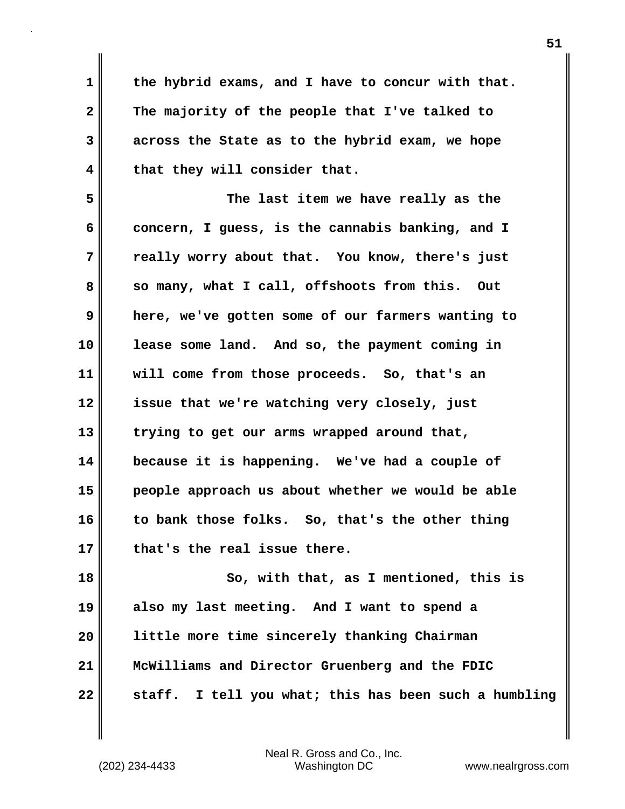**1 2 3 4 the hybrid exams, and I have to concur with that. The majority of the people that I've talked to across the State as to the hybrid exam, we hope that they will consider that.**

**5 6 7 8 9 10 11 12 13 14 15 16 17 The last item we have really as the concern, I guess, is the cannabis banking, and I really worry about that. You know, there's just so many, what I call, offshoots from this. Out here, we've gotten some of our farmers wanting to lease some land. And so, the payment coming in will come from those proceeds. So, that's an issue that we're watching very closely, just trying to get our arms wrapped around that, because it is happening. We've had a couple of people approach us about whether we would be able to bank those folks. So, that's the other thing that's the real issue there.**

**18 19 20 21 22 So, with that, as I mentioned, this is also my last meeting. And I want to spend a little more time sincerely thanking Chairman McWilliams and Director Gruenberg and the FDIC staff. I tell you what; this has been such a humbling**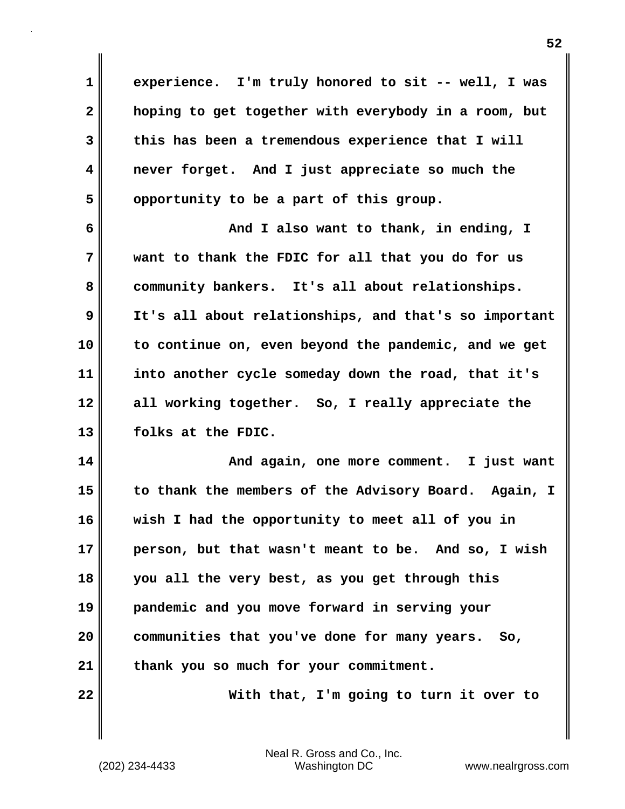**experience. I'm truly honored to sit -- well, I was hoping to get together with everybody in a room, but this has been a tremendous experience that I will never forget. And I just appreciate so much the opportunity to be a part of this group.**

**6 7 8 9 10 11 12 13 And I also want to thank, in ending, I want to thank the FDIC for all that you do for us community bankers. It's all about relationships. It's all about relationships, and that's so important to continue on, even beyond the pandemic, and we get into another cycle someday down the road, that it's all working together. So, I really appreciate the folks at the FDIC.**

**14 15 16 17 18 19 20 21 And again, one more comment. I just want to thank the members of the Advisory Board. Again, I wish I had the opportunity to meet all of you in person, but that wasn't meant to be. And so, I wish you all the very best, as you get through this pandemic and you move forward in serving your communities that you've done for many years. So, thank you so much for your commitment.**

**22** 

**1** 

**2** 

**3** 

**4** 

**5** 

 **With that, I'm going to turn it over to**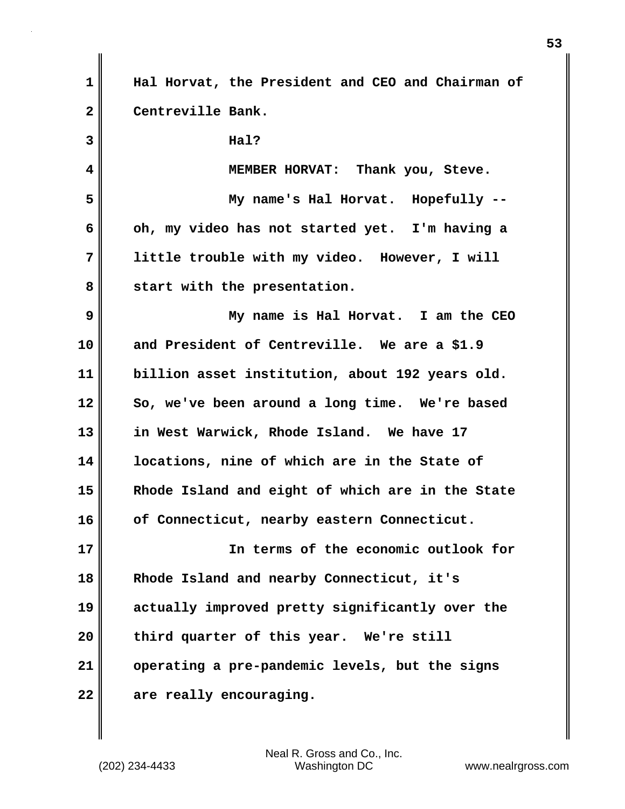| 1            | Hal Horvat, the President and CEO and Chairman of |
|--------------|---------------------------------------------------|
| $\mathbf{2}$ | Centreville Bank.                                 |
| 3            | Hal?                                              |
| 4            | MEMBER HORVAT: Thank you, Steve.                  |
| 5            | My name's Hal Horvat. Hopefully --                |
| 6            | oh, my video has not started yet. I'm having a    |
| 7            | little trouble with my video. However, I will     |
| 8            | start with the presentation.                      |
| 9            | My name is Hal Horvat. I am the CEO               |
| 10           | and President of Centreville. We are a \$1.9      |
| 11           | billion asset institution, about 192 years old.   |
| 12           | So, we've been around a long time. We're based    |
| 13           | in West Warwick, Rhode Island. We have 17         |
| 14           | locations, nine of which are in the State of      |
| 15           | Rhode Island and eight of which are in the State  |
| 16           | of Connecticut, nearby eastern Connecticut.       |
| 17           | In terms of the economic outlook for              |
| 18           | Rhode Island and nearby Connecticut, it's         |
| 19           | actually improved pretty significantly over the   |
| 20           | third quarter of this year. We're still           |
| 21           | operating a pre-pandemic levels, but the signs    |
| 22           | are really encouraging.                           |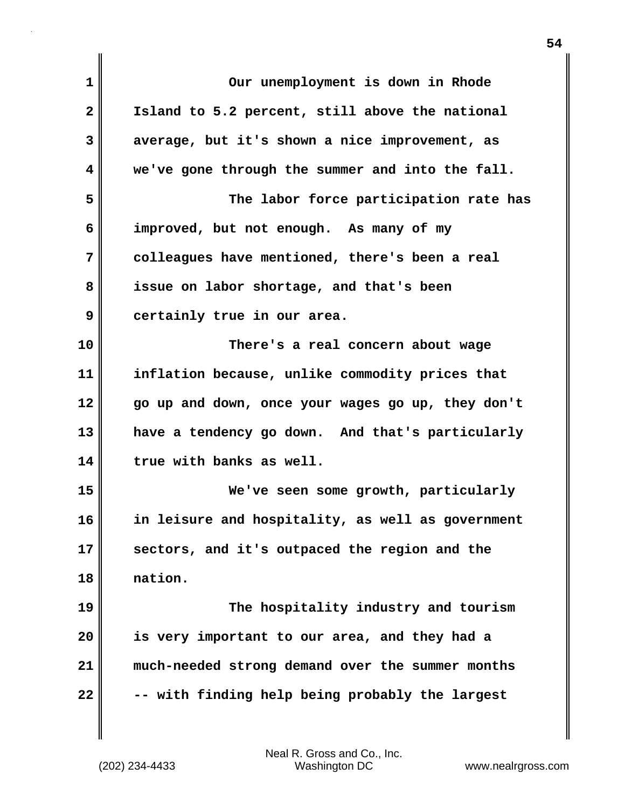| $\mathbf 1$  | Our unemployment is down in Rhode                 |
|--------------|---------------------------------------------------|
| $\mathbf{2}$ | Island to 5.2 percent, still above the national   |
| 3            | average, but it's shown a nice improvement, as    |
| 4            | we've gone through the summer and into the fall.  |
| 5            | The labor force participation rate has            |
| 6            | improved, but not enough. As many of my           |
| 7            | colleagues have mentioned, there's been a real    |
| 8            | issue on labor shortage, and that's been          |
| 9            | certainly true in our area.                       |
| 10           | There's a real concern about wage                 |
| 11           | inflation because, unlike commodity prices that   |
| 12           | go up and down, once your wages go up, they don't |
| 13           | have a tendency go down. And that's particularly  |
| 14           | true with banks as well.                          |
| 15           | We've seen some growth, particularly              |
| 16           | in leisure and hospitality, as well as government |
| 17           | sectors, and it's outpaced the region and the     |
| 18           | nation.                                           |
| 19           | The hospitality industry and tourism              |
| 20           | is very important to our area, and they had a     |
| 21           | much-needed strong demand over the summer months  |
| 22           | -- with finding help being probably the largest   |
|              |                                                   |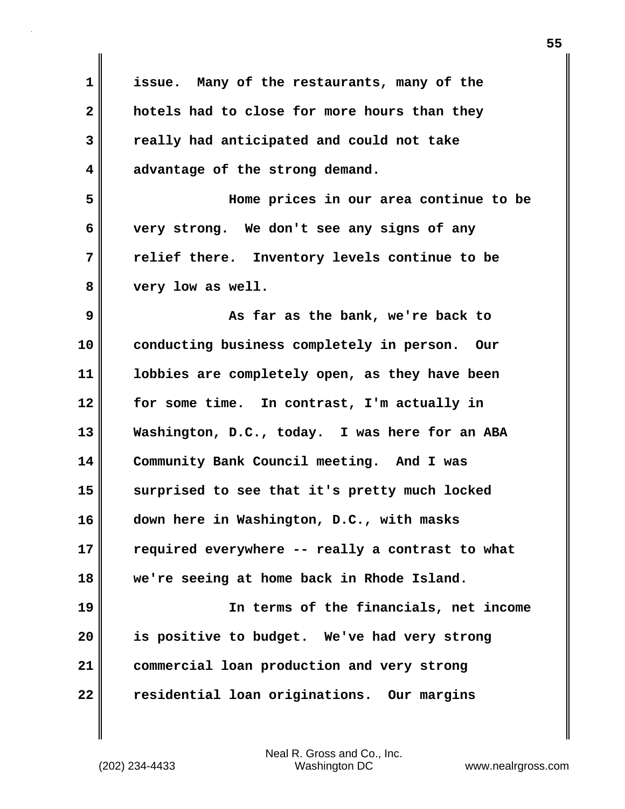| $\mathbf 1$  | issue. Many of the restaurants, many of the      |
|--------------|--------------------------------------------------|
| $\mathbf{2}$ | hotels had to close for more hours than they     |
| 3            | really had anticipated and could not take        |
| 4            | advantage of the strong demand.                  |
| 5            | Home prices in our area continue to be           |
| 6            | very strong. We don't see any signs of any       |
| 7            | relief there. Inventory levels continue to be    |
| 8            | very low as well.                                |
| 9            | As far as the bank, we're back to                |
| 10           | conducting business completely in person. Our    |
| 11           | lobbies are completely open, as they have been   |
| 12           | for some time. In contrast, I'm actually in      |
| 13           | Washington, D.C., today. I was here for an ABA   |
| 14           | Community Bank Council meeting. And I was        |
| 15           | surprised to see that it's pretty much locked    |
| 16           | down here in Washington, D.C., with masks        |
| 17           | required everywhere -- really a contrast to what |
| 18           | we're seeing at home back in Rhode Island.       |
| 19           | In terms of the financials, net income           |
| 20           | is positive to budget. We've had very strong     |
| 21           | commercial loan production and very strong       |
| 22           | residential loan originations. Our margins       |

Neal R. Gross and Co., Inc. (202) 234-4433 Washington DC <www.nealrgross.com>

 $\mathbf{l}$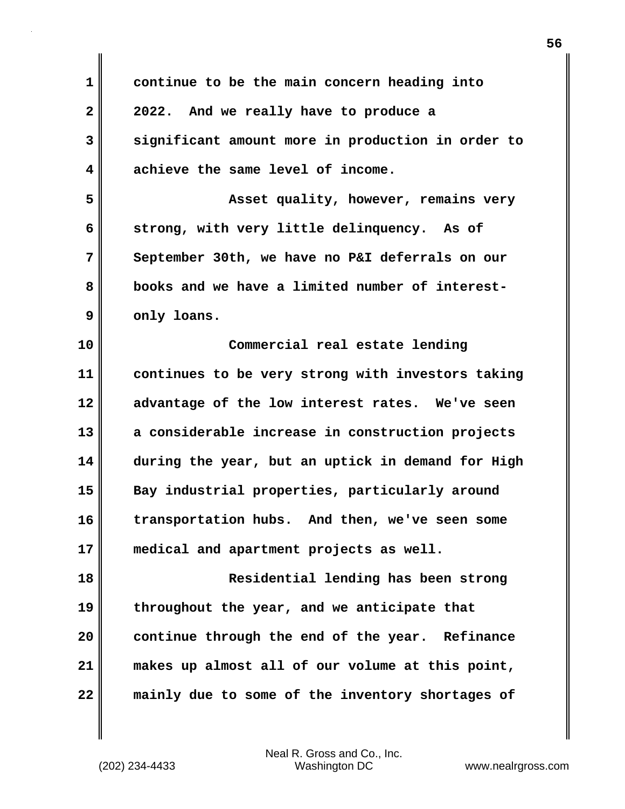| $\mathbf 1$  | continue to be the main concern heading into      |
|--------------|---------------------------------------------------|
| $\mathbf{2}$ | 2022. And we really have to produce a             |
| 3            | significant amount more in production in order to |
| 4            | achieve the same level of income.                 |
| 5            | Asset quality, however, remains very              |
| 6            | strong, with very little delinquency. As of       |
| 7            | September 30th, we have no P&I deferrals on our   |
| 8            | books and we have a limited number of interest-   |
| 9            | only loans.                                       |
| 10           | Commercial real estate lending                    |
| 11           | continues to be very strong with investors taking |
| 12           | advantage of the low interest rates. We've seen   |
| 13           | a considerable increase in construction projects  |
| 14           | during the year, but an uptick in demand for High |
| 15           | Bay industrial properties, particularly around    |
| 16           | transportation hubs.<br>And then, we've seen some |
| 17           | medical and apartment projects as well.           |
| 18           | Residential lending has been strong               |
| 19           | throughout the year, and we anticipate that       |
| 20           | continue through the end of the year. Refinance   |
| 21           | makes up almost all of our volume at this point,  |
| 22           | mainly due to some of the inventory shortages of  |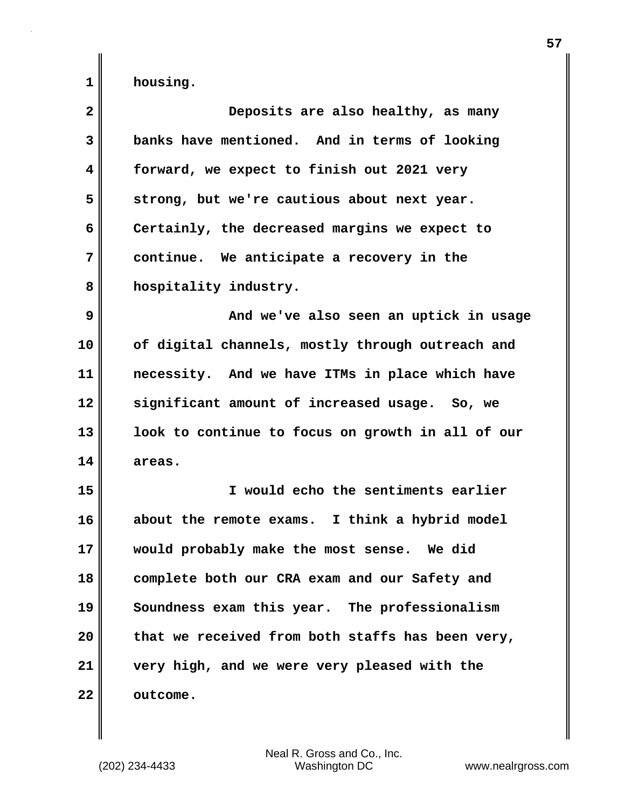| $\mathbf{2}$ | Deposits are also healthy, as many                |
|--------------|---------------------------------------------------|
| 3            | banks have mentioned. And in terms of looking     |
| 4            | forward, we expect to finish out 2021 very        |
| 5            | strong, but we're cautious about next year.       |
| 6            | Certainly, the decreased margins we expect to     |
| 7            | continue. We anticipate a recovery in the         |
| 8            | hospitality industry.                             |
| 9            | And we've also seen an uptick in usage            |
| 10           | of digital channels, mostly through outreach and  |
| 11           | necessity. And we have ITMs in place which have   |
| 12           | significant amount of increased usage. So, we     |
| 13           | look to continue to focus on growth in all of our |
| 14           | areas.                                            |
| 15           | I would echo the sentiments earlier               |
| 16           | about the remote exams. I think a hybrid model    |
| 17           | would probably make the most sense. We did        |
| 18           | complete both our CRA exam and our Safety and     |
| 19           | Soundness exam this year. The professionalism     |
| 20           | that we received from both staffs has been very,  |
| 21           | very high, and we were very pleased with the      |
| 22           | outcome.                                          |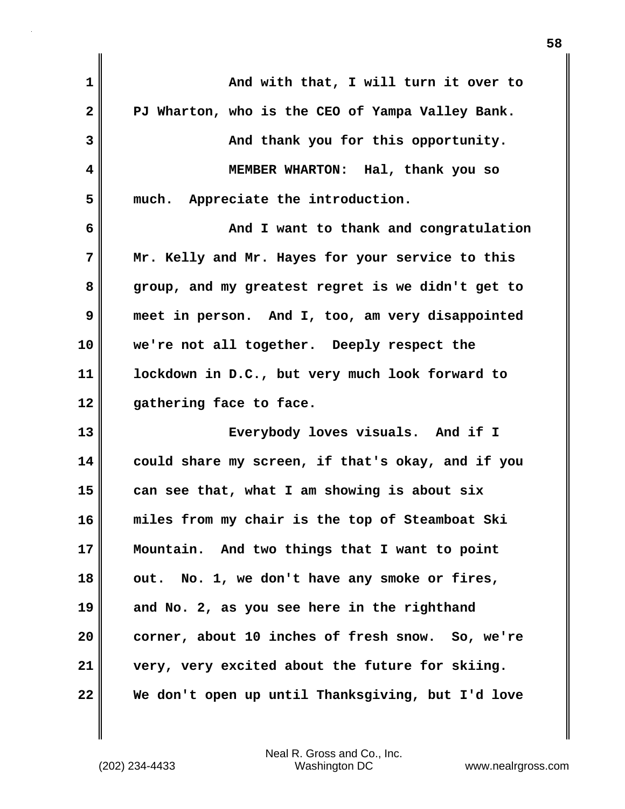| 1            | And with that, I will turn it over to             |
|--------------|---------------------------------------------------|
| $\mathbf{2}$ | PJ Wharton, who is the CEO of Yampa Valley Bank.  |
| 3            | And thank you for this opportunity.               |
| 4            | MEMBER WHARTON: Hal, thank you so                 |
| 5            | Appreciate the introduction.<br>much.             |
| 6            | And I want to thank and congratulation            |
| 7            | Mr. Kelly and Mr. Hayes for your service to this  |
| 8            | group, and my greatest regret is we didn't get to |
| 9            | meet in person. And I, too, am very disappointed  |
| 10           | we're not all together. Deeply respect the        |
| 11           | lockdown in D.C., but very much look forward to   |
| 12           | gathering face to face.                           |
| 13           | Everybody loves visuals. And if I                 |
| 14           | could share my screen, if that's okay, and if you |
| 15           | can see that, what I am showing is about six      |
| 16           | miles from my chair is the top of Steamboat Ski   |
| 17           | Mountain. And two things that I want to point     |
| 18           | out. No. 1, we don't have any smoke or fires,     |
| 19           | and No. 2, as you see here in the righthand       |
| 20           | corner, about 10 inches of fresh snow. So, we're  |
| 21           | very, very excited about the future for skiing.   |
| 22           | We don't open up until Thanksgiving, but I'd love |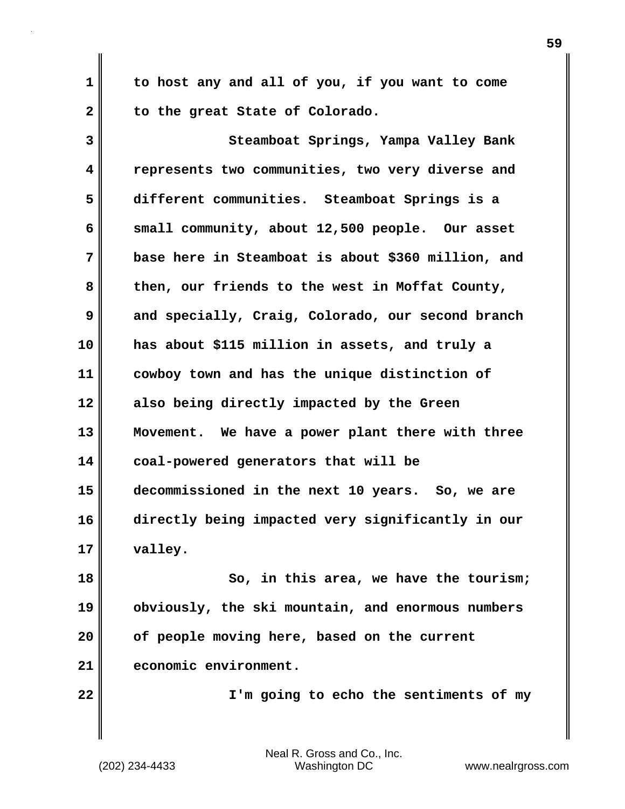**to host any and all of you, if you want to come to the great State of Colorado.**

**3 4 5 6 7 8 9 10 11 12 13 14 15 16 17 Steamboat Springs, Yampa Valley Bank represents two communities, two very diverse and different communities. Steamboat Springs is a small community, about 12,500 people. Our asset base here in Steamboat is about \$360 million, and then, our friends to the west in Moffat County, and specially, Craig, Colorado, our second branch has about \$115 million in assets, and truly a cowboy town and has the unique distinction of also being directly impacted by the Green Movement. We have a power plant there with three coal-powered generators that will be decommissioned in the next 10 years. So, we are directly being impacted very significantly in our valley.**

**18 19 20 21 So, in this area, we have the tourism; obviously, the ski mountain, and enormous numbers of people moving here, based on the current economic environment.**

**22** 

**1** 

**2** 

 **I'm going to echo the sentiments of my**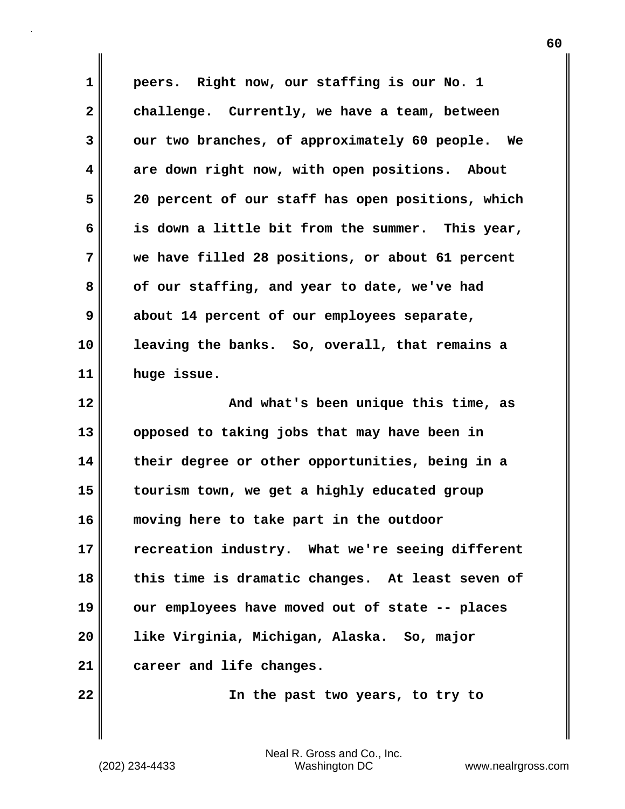**1 2 3 4 5 6 7 8 9 10 11 12 13 14 15 16 17 18 19 20 21 22 peers. Right now, our staffing is our No. 1 challenge. Currently, we have a team, between our two branches, of approximately 60 people. We are down right now, with open positions. About 20 percent of our staff has open positions, which is down a little bit from the summer. This year, we have filled 28 positions, or about 61 percent of our staffing, and year to date, we've had about 14 percent of our employees separate, leaving the banks. So, overall, that remains a huge issue. And what's been unique this time, as opposed to taking jobs that may have been in their degree or other opportunities, being in a tourism town, we get a highly educated group moving here to take part in the outdoor recreation industry. What we're seeing different this time is dramatic changes. At least seven of our employees have moved out of state -- places like Virginia, Michigan, Alaska. So, major career and life changes. In the past two years, to try to**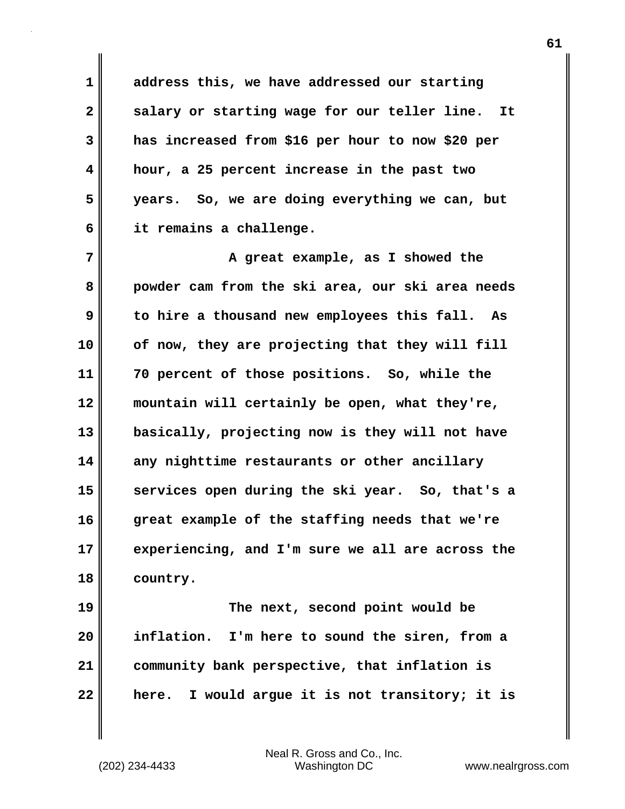**address this, we have addressed our starting salary or starting wage for our teller line. It has increased from \$16 per hour to now \$20 per hour, a 25 percent increase in the past two years. So, we are doing everything we can, but it remains a challenge.**

**7 8 9 10 11 12 13 14 15 16 17 18 A great example, as I showed the powder cam from the ski area, our ski area needs to hire a thousand new employees this fall. As of now, they are projecting that they will fill 70 percent of those positions. So, while the mountain will certainly be open, what they're, basically, projecting now is they will not have any nighttime restaurants or other ancillary services open during the ski year. So, that's a great example of the staffing needs that we're experiencing, and I'm sure we all are across the country.**

**19 20 21 22 The next, second point would be inflation. I'm here to sound the siren, from a community bank perspective, that inflation is here. I would argue it is not transitory; it is** 

Neal R. Gross and Co., Inc. (202) 234-4433 Washington DC <www.nealrgross.com>

**1** 

**2** 

**3** 

**4** 

**5**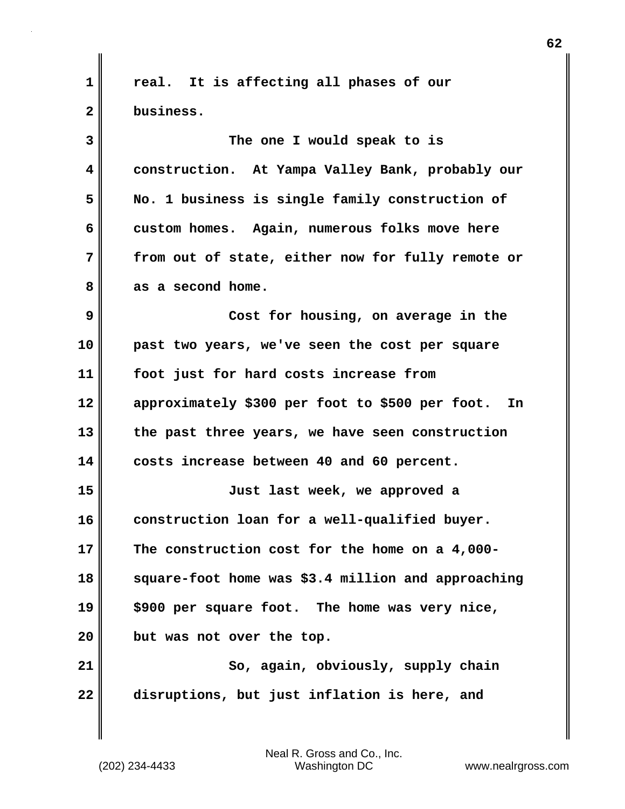**1 2 3 4 5 6 7 8 9 10 11 12 13 14 15 16 17 18 19 20 21 22 real. It is affecting all phases of our business. The one I would speak to is construction. At Yampa Valley Bank, probably our No. 1 business is single family construction of custom homes. Again, numerous folks move here from out of state, either now for fully remote or as a second home. Cost for housing, on average in the past two years, we've seen the cost per square foot just for hard costs increase from approximately \$300 per foot to \$500 per foot. In the past three years, we have seen construction costs increase between 40 and 60 percent. Just last week, we approved a construction loan for a well-qualified buyer. The construction cost for the home on a 4,000 square-foot home was \$3.4 million and approaching \$900 per square foot. The home was very nice, but was not over the top. So, again, obviously, supply chain disruptions, but just inflation is here, and**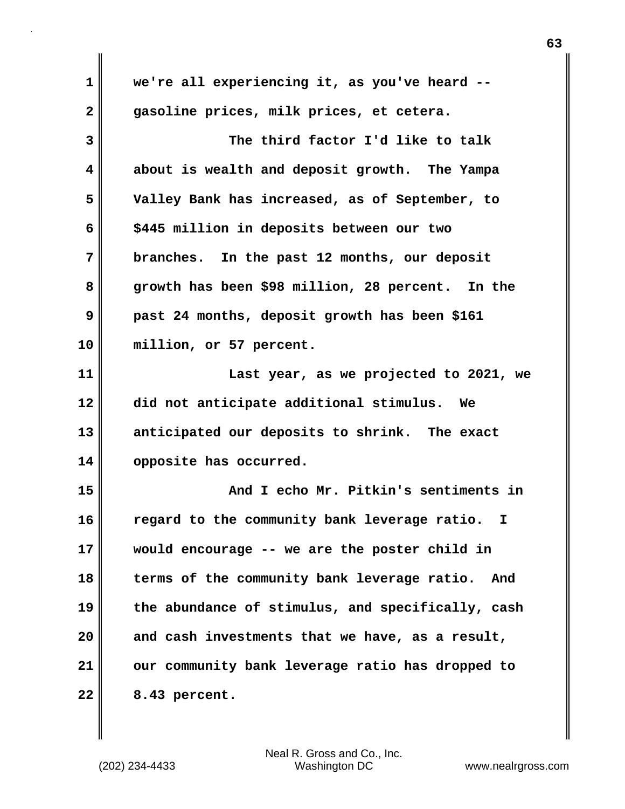| 1            | we're all experiencing it, as you've heard --      |
|--------------|----------------------------------------------------|
| $\mathbf{2}$ | gasoline prices, milk prices, et cetera.           |
| 3            | The third factor I'd like to talk                  |
| 4            | about is wealth and deposit growth. The Yampa      |
| 5            | Valley Bank has increased, as of September, to     |
| 6            | \$445 million in deposits between our two          |
| 7            | branches. In the past 12 months, our deposit       |
| 8            | growth has been \$98 million, 28 percent. In the   |
| 9            | past 24 months, deposit growth has been \$161      |
| 10           | million, or 57 percent.                            |
| 11           | Last year, as we projected to 2021, we             |
| 12           | did not anticipate additional stimulus. We         |
| 13           | anticipated our deposits to shrink. The exact      |
| 14           | opposite has occurred.                             |
| 15           | And I echo Mr. Pitkin's sentiments in              |
| 16           |                                                    |
|              | regard to the community bank leverage ratio.<br>I. |
|              | would encourage -- we are the poster child in      |
| 17<br>18     | terms of the community bank leverage ratio.<br>And |
|              | the abundance of stimulus, and specifically, cash  |
| 19<br>20     | and cash investments that we have, as a result,    |
| 21           | our community bank leverage ratio has dropped to   |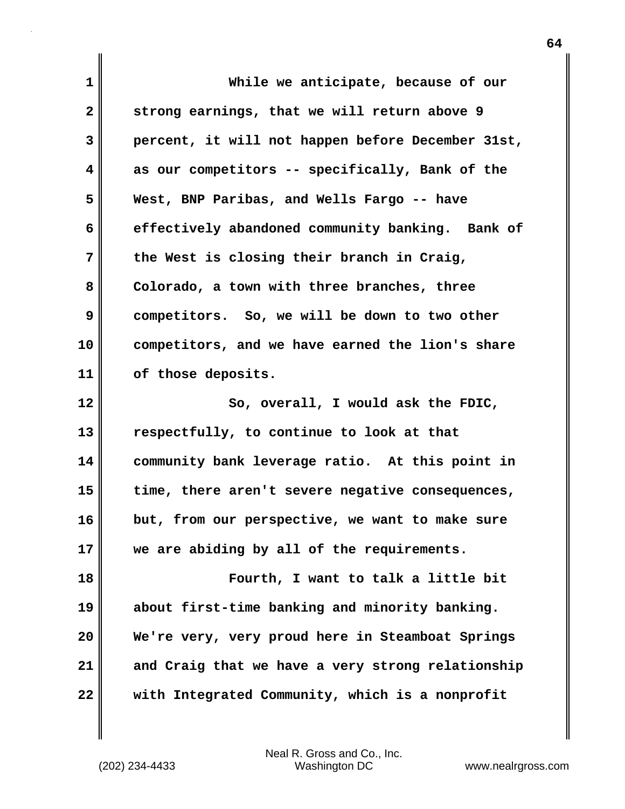| 1            | While we anticipate, because of our               |
|--------------|---------------------------------------------------|
| $\mathbf{2}$ | strong earnings, that we will return above 9      |
| 3            | percent, it will not happen before December 31st, |
| 4            | as our competitors -- specifically, Bank of the   |
| 5            | West, BNP Paribas, and Wells Fargo -- have        |
| 6            | effectively abandoned community banking. Bank of  |
| 7            | the West is closing their branch in Craig,        |
| 8            | Colorado, a town with three branches, three       |
| 9            | competitors. So, we will be down to two other     |
| 10           | competitors, and we have earned the lion's share  |
| 11           | of those deposits.                                |
|              |                                                   |
| 12           | So, overall, I would ask the FDIC,                |
| 13           | respectfully, to continue to look at that         |
| 14           | community bank leverage ratio. At this point in   |
| 15           | time, there aren't severe negative consequences,  |
| 16           | but, from our perspective, we want to make sure   |
| 17           | we are abiding by all of the requirements.        |
| 18           | Fourth, I want to talk a little bit               |
| 19           | about first-time banking and minority banking.    |
| 20           | We're very, very proud here in Steamboat Springs  |
| 21           | and Craig that we have a very strong relationship |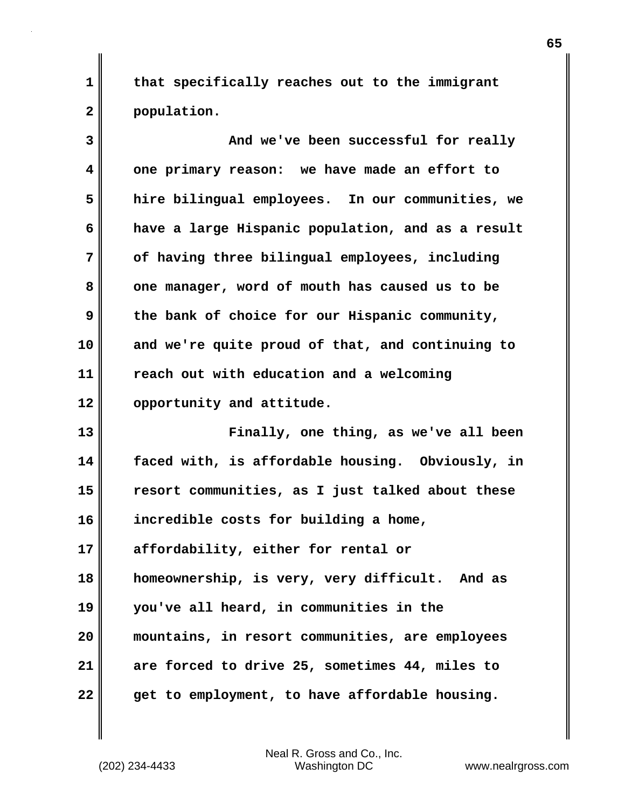**that specifically reaches out to the immigrant population.**

| 3  | And we've been successful for really              |
|----|---------------------------------------------------|
| 4  | one primary reason: we have made an effort to     |
| 5  | hire bilingual employees. In our communities, we  |
| 6  | have a large Hispanic population, and as a result |
| 7  | of having three bilingual employees, including    |
| 8  | one manager, word of mouth has caused us to be    |
| 9  | the bank of choice for our Hispanic community,    |
| 10 | and we're quite proud of that, and continuing to  |
| 11 | reach out with education and a welcoming          |
| 12 | opportunity and attitude.                         |
| 13 | Finally, one thing, as we've all been             |
|    |                                                   |
| 14 | faced with, is affordable housing. Obviously, in  |
| 15 | resort communities, as I just talked about these  |
| 16 | incredible costs for building a home,             |
| 17 | affordability, either for rental or               |
| 18 | homeownership, is very, very difficult. And as    |
| 19 | you've all heard, in communities in the           |
| 20 | mountains, in resort communities, are employees   |
| 21 | are forced to drive 25, sometimes 44, miles to    |

Neal R. Gross and Co., Inc.<br>Washington DC (202) 234-4433 Washington DC <www.nealrgross.com>

**1**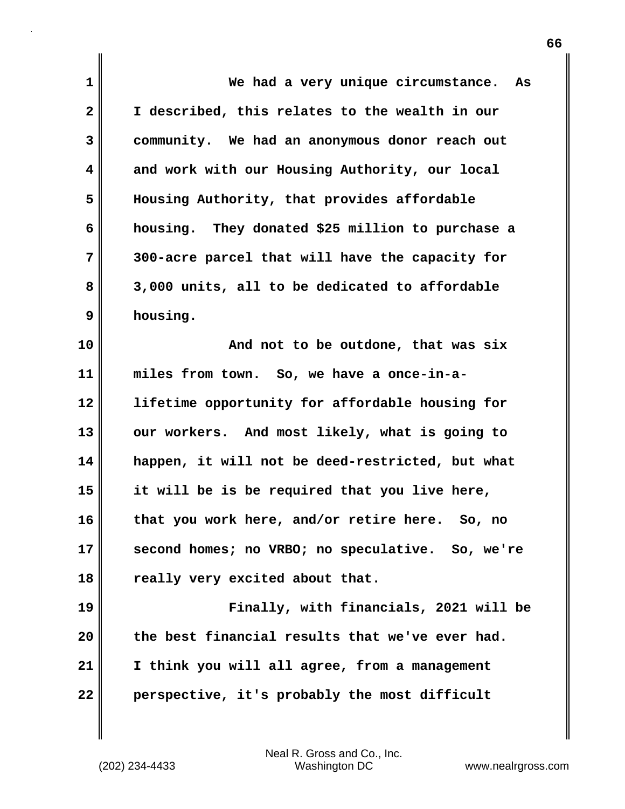| 1            | We had a very unique circumstance.<br>As         |
|--------------|--------------------------------------------------|
| $\mathbf{2}$ | I described, this relates to the wealth in our   |
| 3            | community. We had an anonymous donor reach out   |
| 4            | and work with our Housing Authority, our local   |
| 5            | Housing Authority, that provides affordable      |
| 6            | housing. They donated \$25 million to purchase a |
| 7            | 300-acre parcel that will have the capacity for  |
| 8            | 3,000 units, all to be dedicated to affordable   |
| 9            | housing.                                         |
| 10           | And not to be outdone, that was six              |
| 11           | miles from town. So, we have a once-in-a-        |
| 12           | lifetime opportunity for affordable housing for  |
| 13           | our workers. And most likely, what is going to   |
| 14           | happen, it will not be deed-restricted, but what |
| 15           | it will be is be required that you live here,    |
| 16           | that you work here, and/or retire here. So, no   |
| 17           | second homes; no VRBO; no speculative. So, we're |
| 18           | really very excited about that.                  |
| 19           | Finally, with financials, 2021 will be           |
| 20           | the best financial results that we've ever had.  |
| 21           | I think you will all agree, from a management    |
| 22           | perspective, it's probably the most difficult    |

Neal R. Gross and Co., Inc. (202) 234-4433 Washington DC <www.nealrgross.com>

 $\mathbf{l}$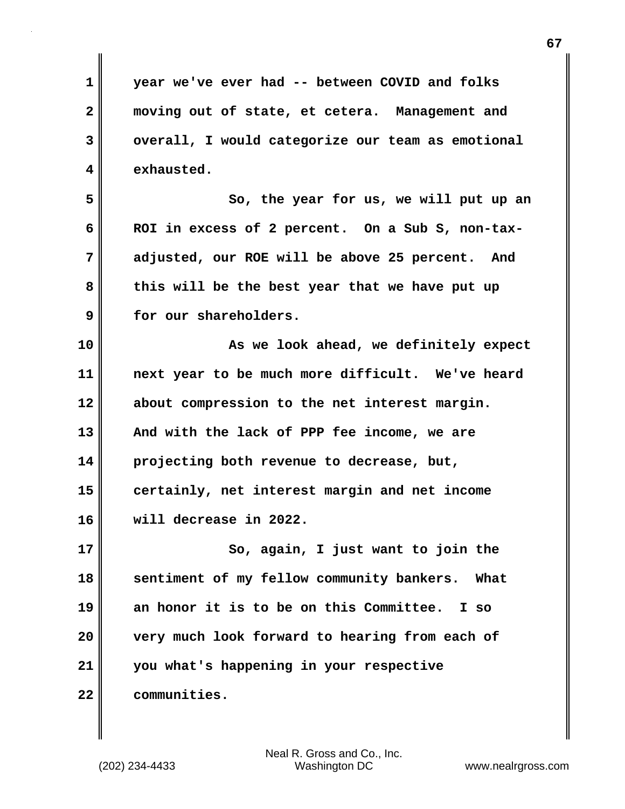**1 2 3 4 5 6 7 8 9 10 11 12 13 14 15 16 17 18 19 20 21 22 year we've ever had -- between COVID and folks moving out of state, et cetera. Management and overall, I would categorize our team as emotional exhausted. So, the year for us, we will put up an ROI in excess of 2 percent. On a Sub S, non-taxadjusted, our ROE will be above 25 percent. And this will be the best year that we have put up for our shareholders. As we look ahead, we definitely expect next year to be much more difficult. We've heard about compression to the net interest margin. And with the lack of PPP fee income, we are projecting both revenue to decrease, but, certainly, net interest margin and net income will decrease in 2022. So, again, I just want to join the sentiment of my fellow community bankers. What an honor it is to be on this Committee. I so very much look forward to hearing from each of you what's happening in your respective communities.**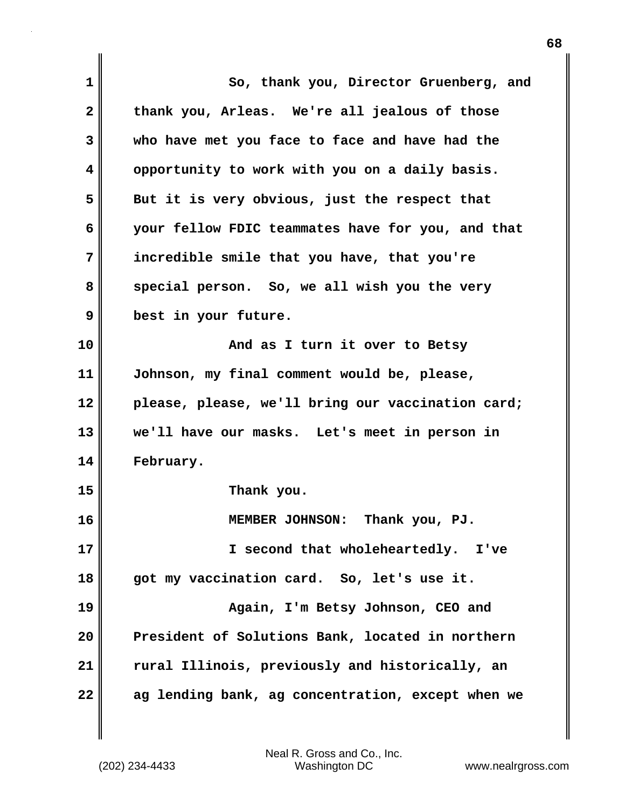| 1            | So, thank you, Director Gruenberg, and            |
|--------------|---------------------------------------------------|
| $\mathbf{2}$ | thank you, Arleas. We're all jealous of those     |
| 3            | who have met you face to face and have had the    |
| 4            | opportunity to work with you on a daily basis.    |
| 5            | But it is very obvious, just the respect that     |
| 6            | your fellow FDIC teammates have for you, and that |
| 7            | incredible smile that you have, that you're       |
| 8            | special person. So, we all wish you the very      |
| 9            | best in your future.                              |
| 10           | And as I turn it over to Betsy                    |
| 11           | Johnson, my final comment would be, please,       |
| 12           | please, please, we'll bring our vaccination card; |
| 13           | we'll have our masks. Let's meet in person in     |
| 14           | February.                                         |
| 15           | Thank you.                                        |
| 16           | Thank you, PJ.<br>MEMBER JOHNSON:                 |
| 17           | I second that wholeheartedly. I've                |
| 18           | got my vaccination card. So, let's use it.        |
| 19           | Again, I'm Betsy Johnson, CEO and                 |
| 20           | President of Solutions Bank, located in northern  |
| 21           | rural Illinois, previously and historically, an   |
| 22           | ag lending bank, ag concentration, except when we |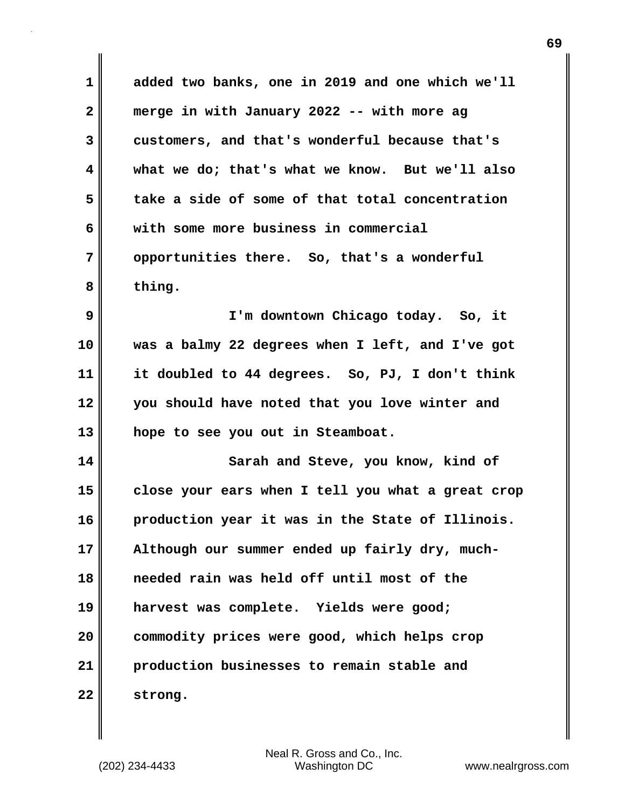| $\mathbf 1$             | added two banks, one in 2019 and one which we'll  |
|-------------------------|---------------------------------------------------|
| $\mathbf{2}$            | merge in with January 2022 -- with more ag        |
| 3                       | customers, and that's wonderful because that's    |
| $\overline{\mathbf{4}}$ | what we do; that's what we know. But we'll also   |
| 5                       | take a side of some of that total concentration   |
| 6                       | with some more business in commercial             |
| 7                       | opportunities there. So, that's a wonderful       |
| 8                       | thing.                                            |
| 9                       | I'm downtown Chicago today. So, it                |
| 10                      | was a balmy 22 degrees when I left, and I've got  |
| 11                      | it doubled to 44 degrees. So, PJ, I don't think   |
| 12                      | you should have noted that you love winter and    |
| 13                      | hope to see you out in Steamboat.                 |
| 14                      | Sarah and Steve, you know, kind of                |
| 15                      | close your ears when I tell you what a great crop |
| 16                      | production year it was in the State of Illinois.  |
| 17                      | Although our summer ended up fairly dry, much-    |
| 18                      | needed rain was held off until most of the        |
| 19                      | harvest was complete. Yields were good;           |
| 20                      | commodity prices were good, which helps crop      |
| 21                      | production businesses to remain stable and        |
| 22                      | strong.                                           |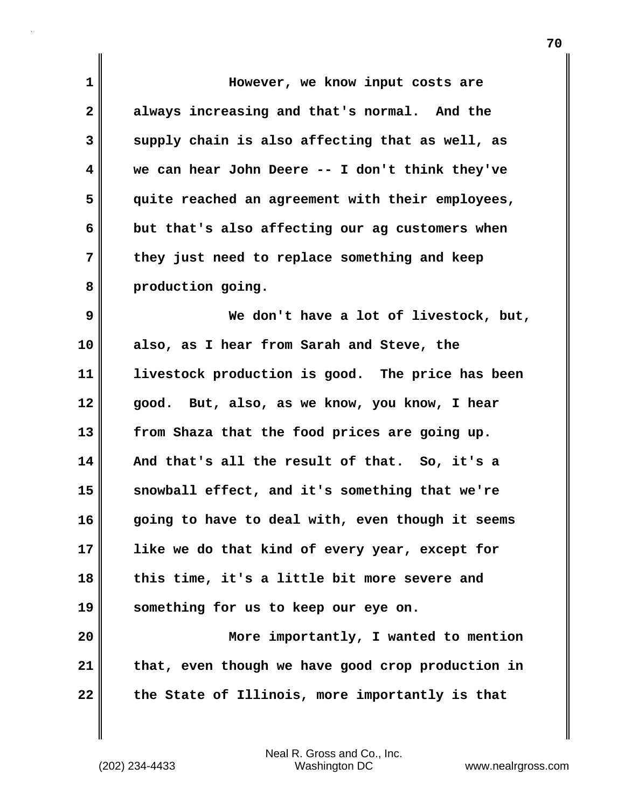| 1  | However, we know input costs are                  |
|----|---------------------------------------------------|
| 2  | always increasing and that's normal. And the      |
| 3  | supply chain is also affecting that as well, as   |
| 4  | we can hear John Deere -- I don't think they've   |
| 5  | quite reached an agreement with their employees,  |
| 6  | but that's also affecting our ag customers when   |
| 7  | they just need to replace something and keep      |
| 8  | production going.                                 |
| 9  | We don't have a lot of livestock, but,            |
| 10 | also, as I hear from Sarah and Steve, the         |
| 11 | livestock production is good. The price has been  |
| 12 | good. But, also, as we know, you know, I hear     |
| 13 | from Shaza that the food prices are going up.     |
| 14 | And that's all the result of that. So, it's a     |
| 15 | snowball effect, and it's something that we're    |
| 16 | going to have to deal with, even though it seems  |
| 17 | like we do that kind of every year, except for    |
| 18 | this time, it's a little bit more severe and      |
| 19 | something for us to keep our eye on.              |
| 20 | More importantly, I wanted to mention             |
| 21 | that, even though we have good crop production in |
| 22 | the State of Illinois, more importantly is that   |

Neal R. Gross and Co., Inc. (202) 234-4433 Washington DC <www.nealrgross.com>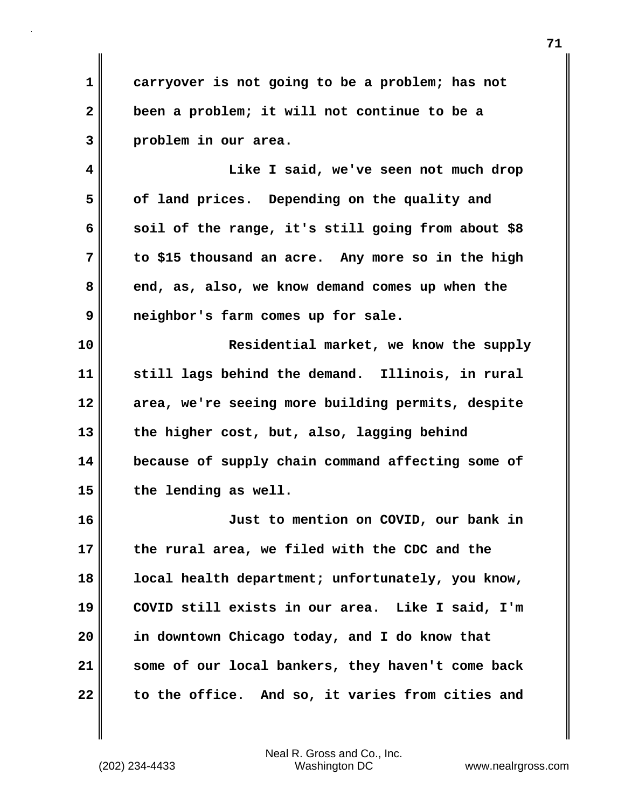**1 2 3 carryover is not going to be a problem; has not been a problem; it will not continue to be a problem in our area.**

**4 5 6 7 8 9 Like I said, we've seen not much drop of land prices. Depending on the quality and soil of the range, it's still going from about \$8 to \$15 thousand an acre. Any more so in the high end, as, also, we know demand comes up when the neighbor's farm comes up for sale.**

**10 11 12 13 14 15 Residential market, we know the supply still lags behind the demand. Illinois, in rural area, we're seeing more building permits, despite the higher cost, but, also, lagging behind because of supply chain command affecting some of the lending as well.**

**16 17 18 19 20 21 22 Just to mention on COVID, our bank in the rural area, we filed with the CDC and the local health department; unfortunately, you know, COVID still exists in our area. Like I said, I'm in downtown Chicago today, and I do know that some of our local bankers, they haven't come back to the office. And so, it varies from cities and**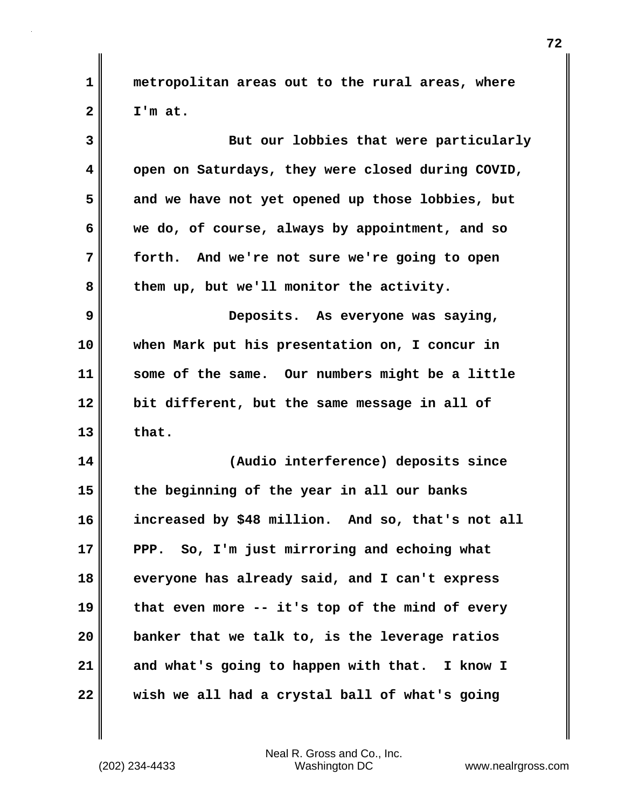**metropolitan areas out to the rural areas, where I'm at.**

| 3  | But our lobbies that were particularly            |
|----|---------------------------------------------------|
| 4  | open on Saturdays, they were closed during COVID, |
| 5  | and we have not yet opened up those lobbies, but  |
| 6  | we do, of course, always by appointment, and so   |
| 7  | forth. And we're not sure we're going to open     |
| 8  | them up, but we'll monitor the activity.          |
| 9  | Deposits. As everyone was saying,                 |
| 10 | when Mark put his presentation on, I concur in    |
| 11 | some of the same. Our numbers might be a little   |
| 12 | bit different, but the same message in all of     |
| 13 | that.                                             |
| 14 | (Audio interference) deposits since               |
| 15 | the beginning of the year in all our banks        |
| 16 | increased by \$48 million. And so, that's not all |
| 17 | PPP. So, I'm just mirroring and echoing what      |
| 18 | everyone has already said, and I can't express    |
| 19 | that even more -- it's top of the mind of every   |
| 20 | banker that we talk to, is the leverage ratios    |
| 21 | and what's going to happen with that. I know I    |
| 22 | wish we all had a crystal ball of what's going    |

Neal R. Gross and Co., Inc.<br>Washington DC (202) 234-4433 Washington DC <www.nealrgross.com>

**1**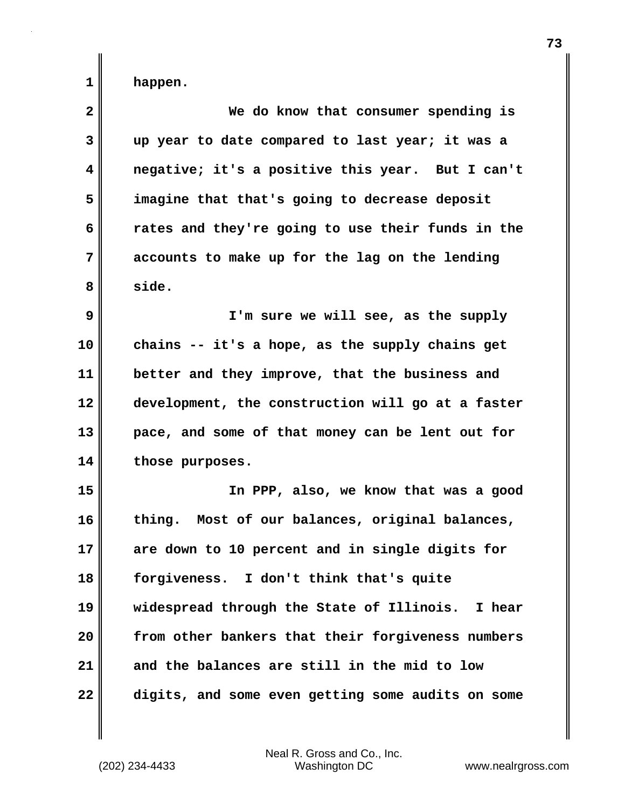**happen.**

**1** 

| $\overline{\mathbf{2}}$ | We do know that consumer spending is              |
|-------------------------|---------------------------------------------------|
| 3                       | up year to date compared to last year; it was a   |
| 4                       | negative; it's a positive this year. But I can't  |
| 5                       | imagine that that's going to decrease deposit     |
| 6                       | rates and they're going to use their funds in the |
| 7                       | accounts to make up for the lag on the lending    |
| 8                       | side.                                             |
| 9                       | I'm sure we will see, as the supply               |
| 10                      | chains -- it's a hope, as the supply chains get   |
| 11                      | better and they improve, that the business and    |
| 12                      | development, the construction will go at a faster |
| 13                      | pace, and some of that money can be lent out for  |
| 14                      | those purposes.                                   |
| 15                      | In PPP, also, we know that was a good             |
| 16                      | thing. Most of our balances, original balances,   |
| 17                      | are down to 10 percent and in single digits for   |
| 18                      | forgiveness. I don't think that's quite           |
| 19                      | widespread through the State of Illinois. I hear  |
| 20                      | from other bankers that their forgiveness numbers |
| 21                      | and the balances are still in the mid to low      |
| 22                      | digits, and some even getting some audits on some |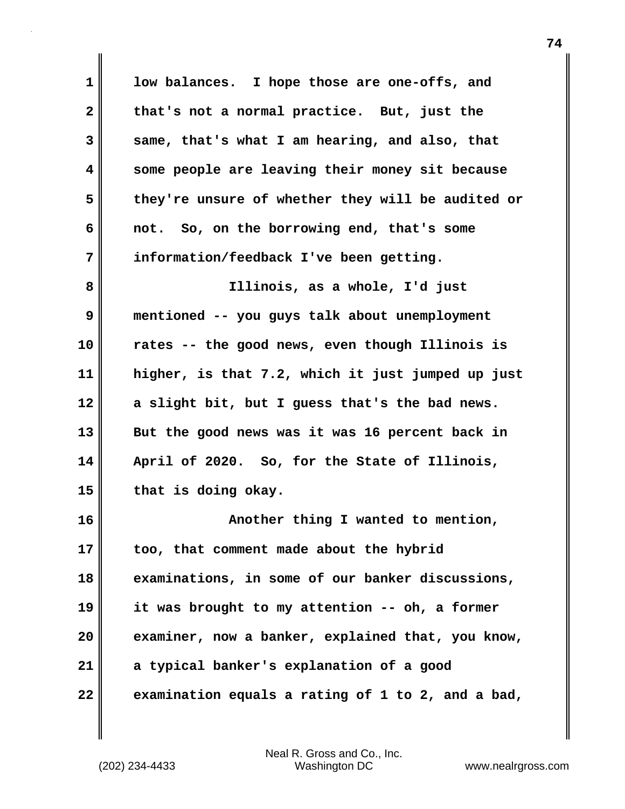| $\mathbf{1}$ | low balances. I hope those are one-offs, and      |
|--------------|---------------------------------------------------|
| $\mathbf{2}$ | that's not a normal practice. But, just the       |
| 3            | same, that's what I am hearing, and also, that    |
| 4            | some people are leaving their money sit because   |
| 5            | they're unsure of whether they will be audited or |
| 6            | not. So, on the borrowing end, that's some        |
| 7            | information/feedback I've been getting.           |
| 8            | Illinois, as a whole, I'd just                    |
| 9            | mentioned -- you guys talk about unemployment     |
| 10           | rates -- the good news, even though Illinois is   |
| 11           | higher, is that 7.2, which it just jumped up just |
| 12           | a slight bit, but I guess that's the bad news.    |
| 13           | But the good news was it was 16 percent back in   |
| 14           | April of 2020. So, for the State of Illinois,     |
| 15           | that is doing okay.                               |
| 16           | Another thing I wanted to mention,                |
| 17           | too, that comment made about the hybrid           |
| 18           | examinations, in some of our banker discussions,  |
| 19           | it was brought to my attention -- oh, a former    |
| 20           | examiner, now a banker, explained that, you know, |
| 21           | a typical banker's explanation of a good          |
| 22           | examination equals a rating of 1 to 2, and a bad, |

 $\mathbf{l}$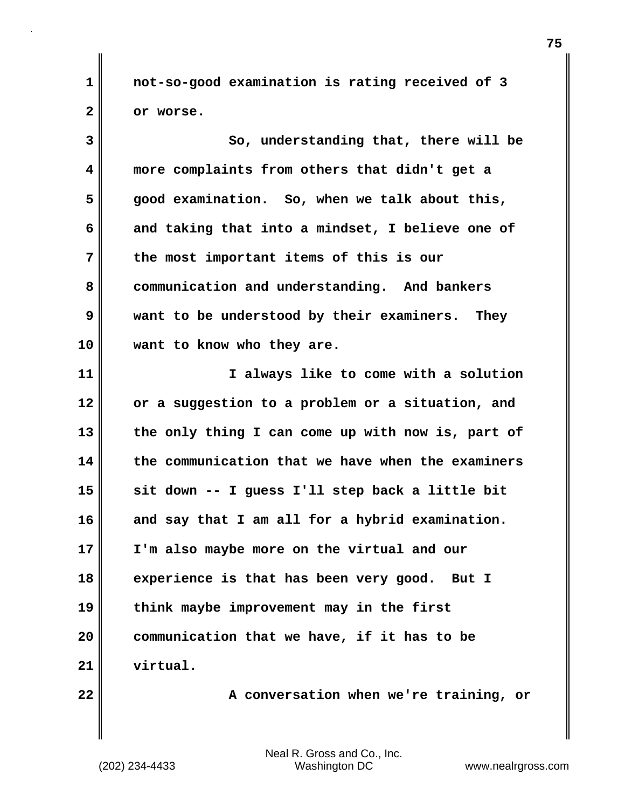**not-so-good examination is rating received of 3 or worse.**

**3 4 5 6 7 8 9 10 11 12 13 14 15 16 17 18 19 20 21 So, understanding that, there will be more complaints from others that didn't get a good examination. So, when we talk about this, and taking that into a mindset, I believe one of the most important items of this is our communication and understanding. And bankers want to be understood by their examiners. They want to know who they are. I always like to come with a solution or a suggestion to a problem or a situation, and the only thing I can come up with now is, part of the communication that we have when the examiners sit down -- I guess I'll step back a little bit and say that I am all for a hybrid examination. I'm also maybe more on the virtual and our experience is that has been very good. But I think maybe improvement may in the first communication that we have, if it has to be virtual.**

**22** 

**1** 

**2** 

 **A conversation when we're training, or**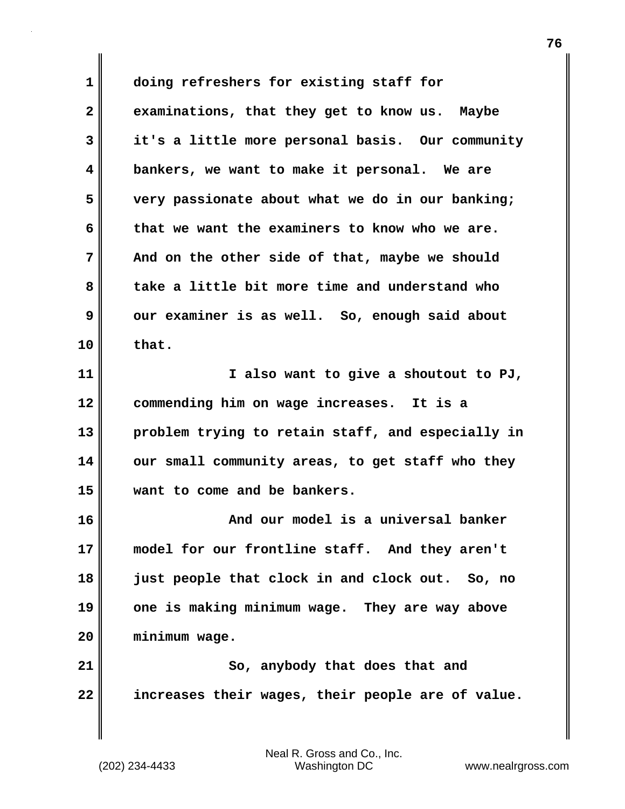**1 2 3 4 5 6 7 8 9 10 11 12 13 14 15 16 17 18 19 20 21 22 doing refreshers for existing staff for examinations, that they get to know us. Maybe it's a little more personal basis. Our community bankers, we want to make it personal. We are very passionate about what we do in our banking; that we want the examiners to know who we are. And on the other side of that, maybe we should take a little bit more time and understand who our examiner is as well. So, enough said about that. I also want to give a shoutout to PJ, commending him on wage increases. It is a problem trying to retain staff, and especially in our small community areas, to get staff who they want to come and be bankers. And our model is a universal banker model for our frontline staff. And they aren't just people that clock in and clock out. So, no one is making minimum wage. They are way above minimum wage. So, anybody that does that and increases their wages, their people are of value.**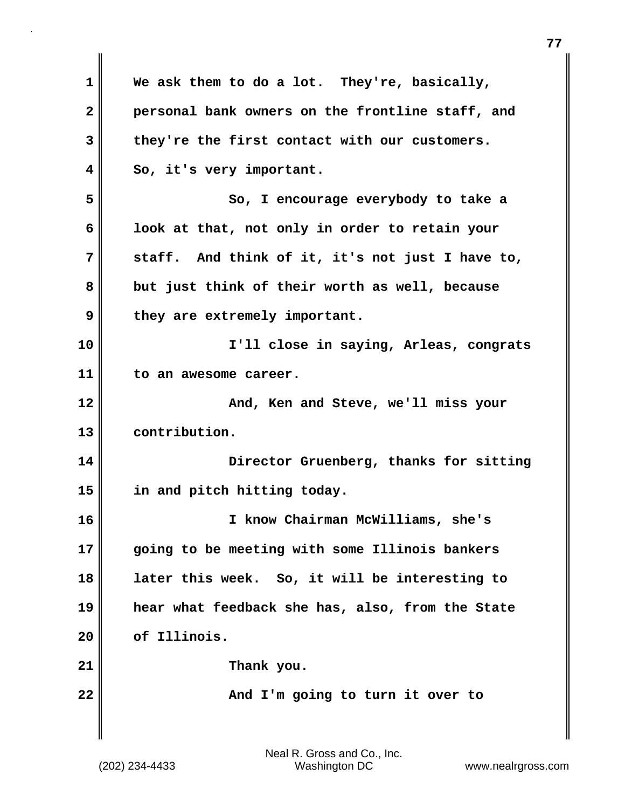| 1            | We ask them to do a lot. They're, basically,     |
|--------------|--------------------------------------------------|
| $\mathbf{2}$ | personal bank owners on the frontline staff, and |
| 3            | they're the first contact with our customers.    |
| 4            | So, it's very important.                         |
| 5            | So, I encourage everybody to take a              |
| 6            | look at that, not only in order to retain your   |
| 7            | staff. And think of it, it's not just I have to, |
| 8            | but just think of their worth as well, because   |
| 9            | they are extremely important.                    |
| 10           | I'll close in saying, Arleas, congrats           |
| 11           | to an awesome career.                            |
| 12           | And, Ken and Steve, we'll miss your              |
| 13           | contribution.                                    |
| 14           | Director Gruenberg, thanks for sitting           |
| 15           | in and pitch hitting today.                      |
| 16           | I know Chairman McWilliams, she's                |
| 17           | going to be meeting with some Illinois bankers   |
| 18           | later this week. So, it will be interesting to   |
| 19           | hear what feedback she has, also, from the State |
| 20           | of Illinois.                                     |
| 21           | Thank you.                                       |
| 22           | And I'm going to turn it over to                 |
|              |                                                  |

 $\mathbf{I}$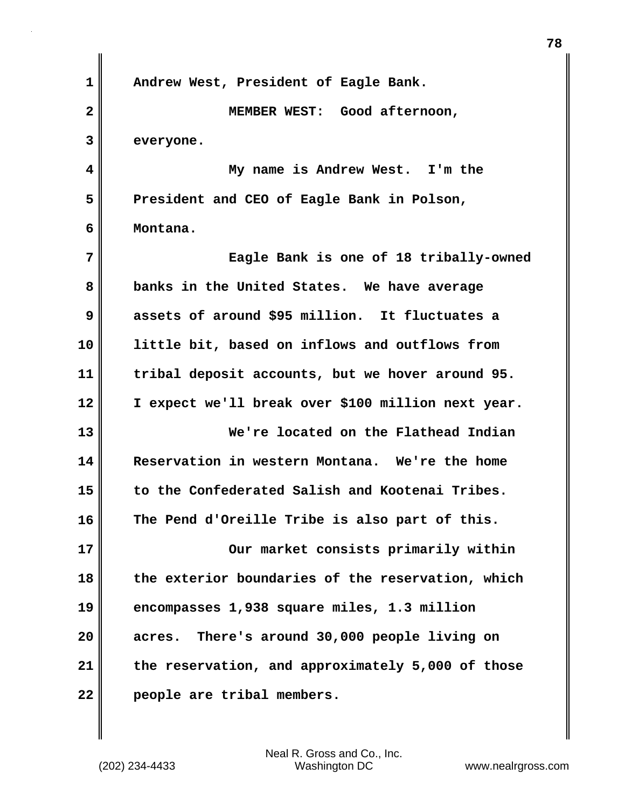| 1            | Andrew West, President of Eagle Bank.              |
|--------------|----------------------------------------------------|
| $\mathbf{2}$ | MEMBER WEST: Good afternoon,                       |
| 3            | everyone.                                          |
| 4            | My name is Andrew West. I'm the                    |
| 5            | President and CEO of Eagle Bank in Polson,         |
| 6            | Montana.                                           |
| 7            | Eagle Bank is one of 18 tribally-owned             |
| 8            | banks in the United States. We have average        |
| 9            | assets of around \$95 million. It fluctuates a     |
| 10           | little bit, based on inflows and outflows from     |
| 11           | tribal deposit accounts, but we hover around 95.   |
| 12           | I expect we'll break over \$100 million next year. |
| 13           | We're located on the Flathead Indian               |
| 14           | Reservation in western Montana. We're the home     |
| 15           | to the Confederated Salish and Kootenai Tribes.    |
| 16           | The Pend d'Oreille Tribe is also part of this.     |
| 17           | Our market consists primarily within               |
| 18           | the exterior boundaries of the reservation, which  |
| 19           | encompasses 1,938 square miles, 1.3 million        |
| 20           | acres. There's around 30,000 people living on      |
| 21           | the reservation, and approximately 5,000 of those  |
| 22           | people are tribal members.                         |

 $\mathbf{I}$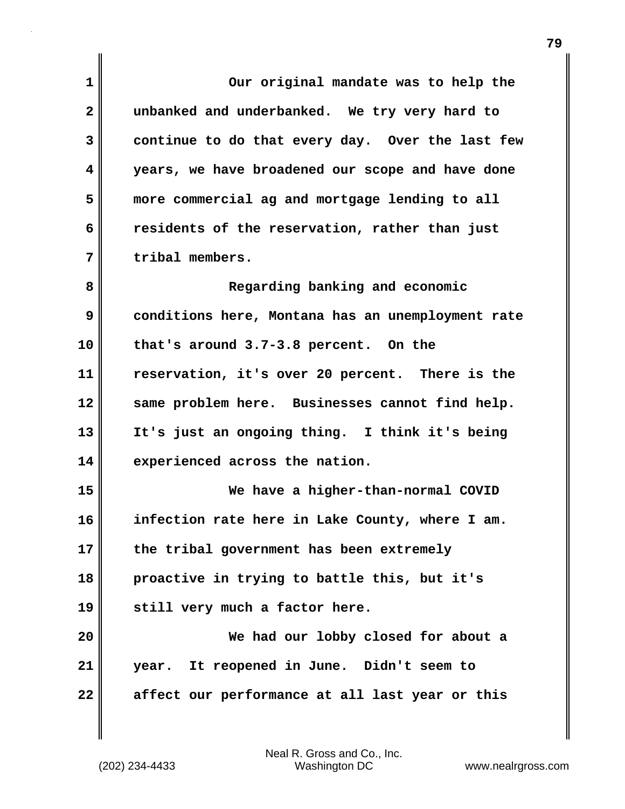| 1            | Our original mandate was to help the              |
|--------------|---------------------------------------------------|
| $\mathbf{2}$ | unbanked and underbanked. We try very hard to     |
| 3            | continue to do that every day. Over the last few  |
| 4            | years, we have broadened our scope and have done  |
| 5            | more commercial ag and mortgage lending to all    |
| 6            | residents of the reservation, rather than just    |
| 7            | tribal members.                                   |
| 8            | Regarding banking and economic                    |
| 9            | conditions here, Montana has an unemployment rate |
| 10           | that's around 3.7-3.8 percent. On the             |
| 11           | reservation, it's over 20 percent. There is the   |
| 12           | same problem here. Businesses cannot find help.   |
| 13           | It's just an ongoing thing. I think it's being    |
| 14           | experienced across the nation.                    |
| 15           | We have a higher-than-normal COVID                |
| 16           | infection rate here in Lake County, where I am.   |
| 17           | the tribal government has been extremely          |
| 18           | proactive in trying to battle this, but it's      |
| 19           | still very much a factor here.                    |
| 20           | We had our lobby closed for about a               |
| 21           | year. It reopened in June. Didn't seem to         |
| 22           | affect our performance at all last year or this   |

 $\mathbf{I}$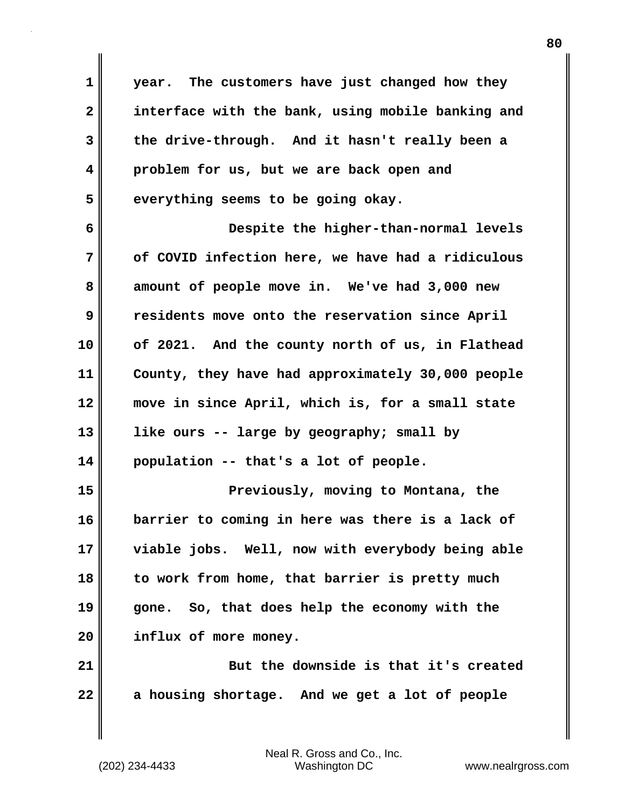**1 2 3 4 5 year. The customers have just changed how they interface with the bank, using mobile banking and the drive-through. And it hasn't really been a problem for us, but we are back open and everything seems to be going okay.**

**6 7 8 9 10 11 12 13 14 Despite the higher-than-normal levels of COVID infection here, we have had a ridiculous amount of people move in. We've had 3,000 new residents move onto the reservation since April of 2021. And the county north of us, in Flathead County, they have had approximately 30,000 people move in since April, which is, for a small state like ours -- large by geography; small by population -- that's a lot of people.**

**15 16 17 18 19 20 Previously, moving to Montana, the barrier to coming in here was there is a lack of viable jobs. Well, now with everybody being able to work from home, that barrier is pretty much gone. So, that does help the economy with the influx of more money.**

**21 22 But the downside is that it's created a housing shortage. And we get a lot of people**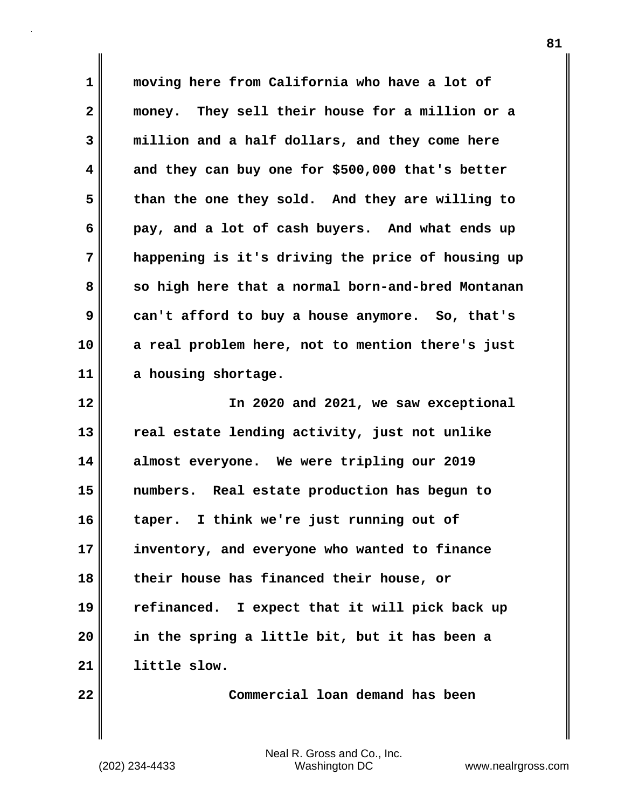**1 2 3 4 5 6 7 8 9 10 11 moving here from California who have a lot of money. They sell their house for a million or a million and a half dollars, and they come here and they can buy one for \$500,000 that's better than the one they sold. And they are willing to pay, and a lot of cash buyers. And what ends up happening is it's driving the price of housing up so high here that a normal born-and-bred Montanan can't afford to buy a house anymore. So, that's a real problem here, not to mention there's just a housing shortage.**

**12 13 14 15 16 17 18 19 20 21 In 2020 and 2021, we saw exceptional real estate lending activity, just not unlike almost everyone. We were tripling our 2019 numbers. Real estate production has begun to taper. I think we're just running out of inventory, and everyone who wanted to finance their house has financed their house, or refinanced. I expect that it will pick back up in the spring a little bit, but it has been a little slow.**

**22** 

 **Commercial loan demand has been**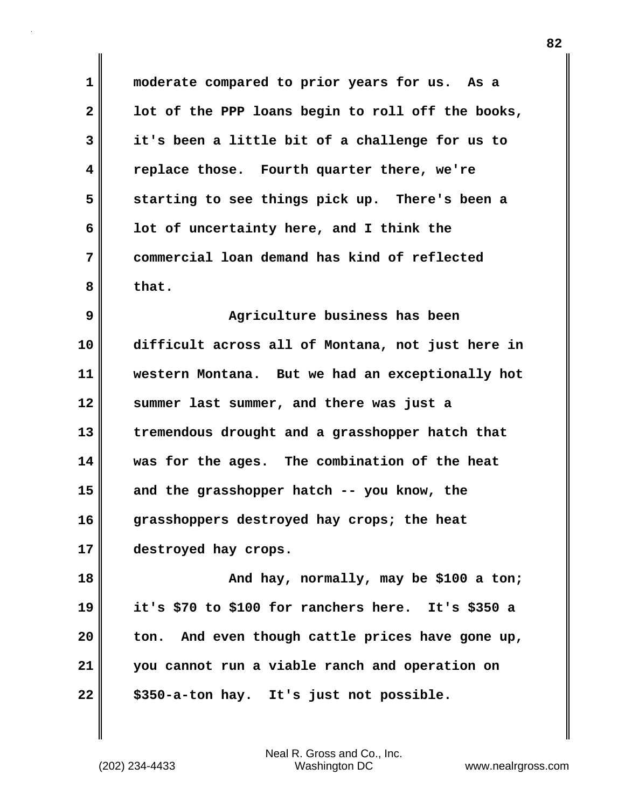**1 2 3 4 5 6 7 8 moderate compared to prior years for us. As a lot of the PPP loans begin to roll off the books, it's been a little bit of a challenge for us to replace those. Fourth quarter there, we're starting to see things pick up. There's been a lot of uncertainty here, and I think the commercial loan demand has kind of reflected that.**

**9 10 11 12 13 14 15 16 17 Agriculture business has been difficult across all of Montana, not just here in western Montana. But we had an exceptionally hot summer last summer, and there was just a tremendous drought and a grasshopper hatch that was for the ages. The combination of the heat and the grasshopper hatch -- you know, the grasshoppers destroyed hay crops; the heat destroyed hay crops.**

**18 19 20 21 22 And hay, normally, may be \$100 a ton; it's \$70 to \$100 for ranchers here. It's \$350 a ton. And even though cattle prices have gone up, you cannot run a viable ranch and operation on \$350-a-ton hay. It's just not possible.**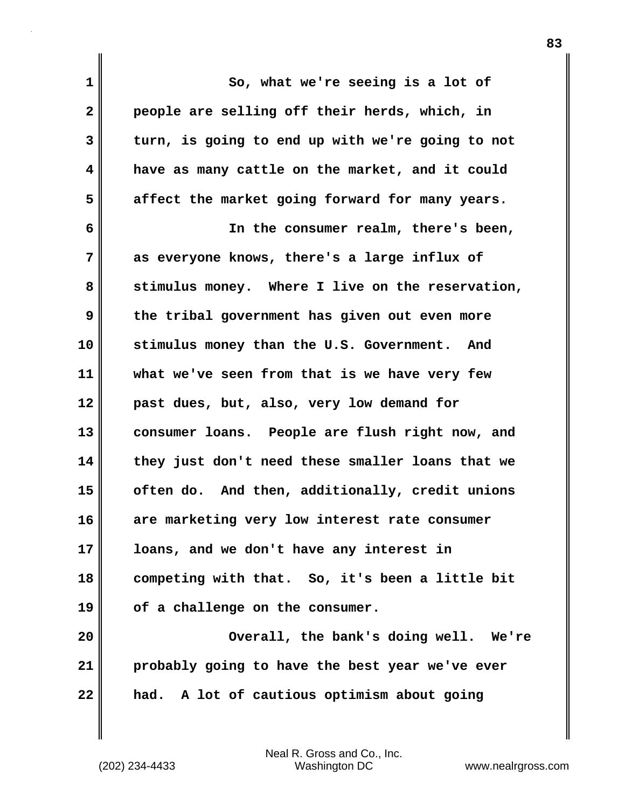**1 2 3 4 5 6 7 8 9 10 11 12 13 14 15 16 17 18 19 20 21 22 So, what we're seeing is a lot of people are selling off their herds, which, in turn, is going to end up with we're going to not have as many cattle on the market, and it could affect the market going forward for many years. In the consumer realm, there's been, as everyone knows, there's a large influx of stimulus money. Where I live on the reservation, the tribal government has given out even more stimulus money than the U.S. Government. And what we've seen from that is we have very few past dues, but, also, very low demand for consumer loans. People are flush right now, and they just don't need these smaller loans that we often do. And then, additionally, credit unions are marketing very low interest rate consumer loans, and we don't have any interest in competing with that. So, it's been a little bit of a challenge on the consumer. Overall, the bank's doing well. We're probably going to have the best year we've ever had. A lot of cautious optimism about going**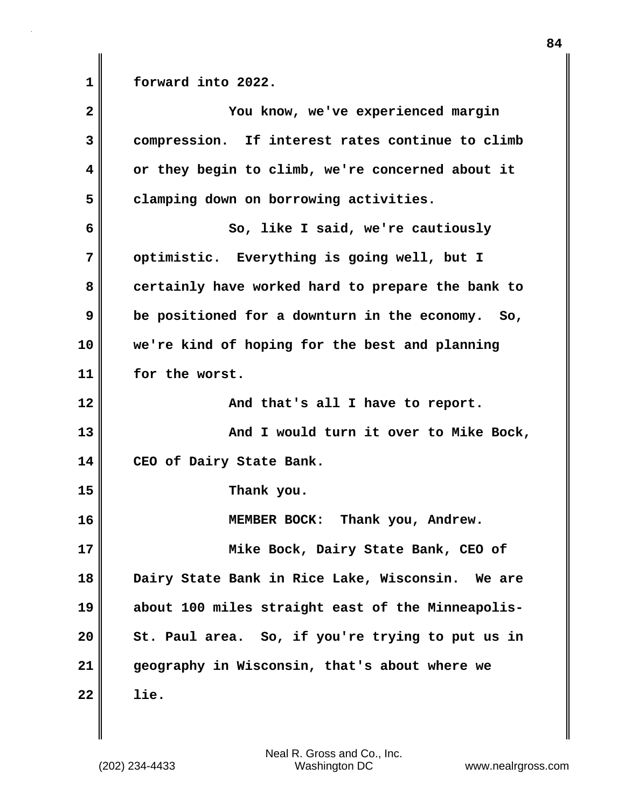**1** 

**forward into 2022.**

| $\overline{\mathbf{2}}$ | You know, we've experienced margin                |
|-------------------------|---------------------------------------------------|
| 3                       | compression. If interest rates continue to climb  |
| 4                       | or they begin to climb, we're concerned about it  |
| 5                       | clamping down on borrowing activities.            |
| 6                       | So, like I said, we're cautiously                 |
| 7                       | optimistic. Everything is going well, but I       |
| 8                       | certainly have worked hard to prepare the bank to |
| 9                       | be positioned for a downturn in the economy. So,  |
| 10                      | we're kind of hoping for the best and planning    |
| 11                      | for the worst.                                    |
| 12                      | And that's all I have to report.                  |
| 13                      | And I would turn it over to Mike Bock,            |
| 14                      | CEO of Dairy State Bank.                          |
| 15                      | Thank you.                                        |
| 16                      | MEMBER BOCK: Thank you, Andrew.                   |
| 17                      | Mike Bock, Dairy State Bank, CEO of               |
| 18                      | Dairy State Bank in Rice Lake, Wisconsin. We are  |
| 19                      | about 100 miles straight east of the Minneapolis- |
| 20                      | St. Paul area. So, if you're trying to put us in  |
| 21                      | geography in Wisconsin, that's about where we     |
| 22                      | lie.                                              |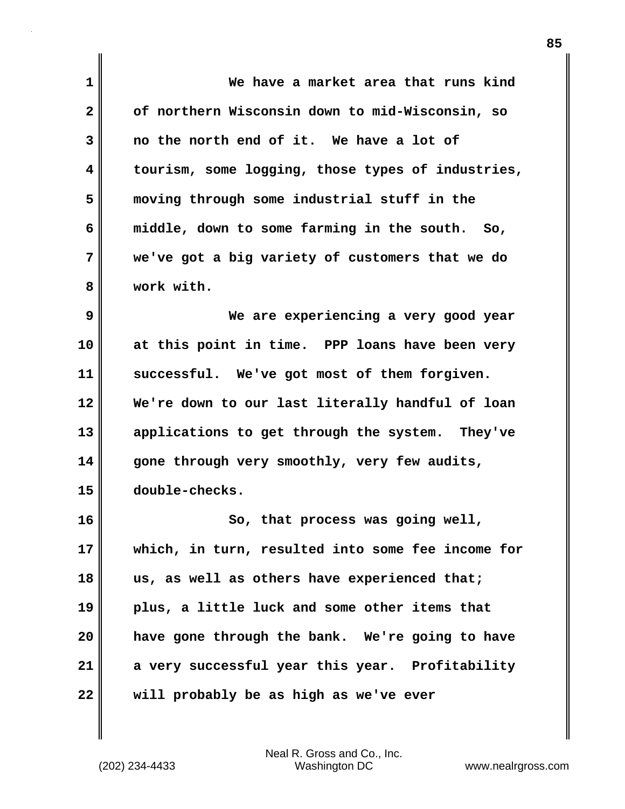| $\mathbf 1$  | We have a market area that runs kind              |
|--------------|---------------------------------------------------|
| $\mathbf{2}$ | of northern Wisconsin down to mid-Wisconsin, so   |
| 3            | no the north end of it. We have a lot of          |
| 4            | tourism, some logging, those types of industries, |
| 5            | moving through some industrial stuff in the       |
| 6            | middle, down to some farming in the south. So,    |
| 7            | we've got a big variety of customers that we do   |
| 8            | work with.                                        |
| 9            | We are experiencing a very good year              |
| 10           | at this point in time. PPP loans have been very   |
| 11           | successful. We've got most of them forgiven.      |
| 12           | We're down to our last literally handful of loan  |
| 13           | applications to get through the system. They've   |
| 14           | gone through very smoothly, very few audits,      |
| 15           | double-checks.                                    |
| 16           | So, that process was going well,                  |
| 17           | which, in turn, resulted into some fee income for |
| 18           | us, as well as others have experienced that;      |
| 19           | plus, a little luck and some other items that     |
| 20           | have gone through the bank. We're going to have   |
| 21           | a very successful year this year. Profitability   |
| 22           | will probably be as high as we've ever            |

Neal R. Gross and Co., Inc. (202) 234-4433 Washington DC <www.nealrgross.com>

 $\mathbf{I}$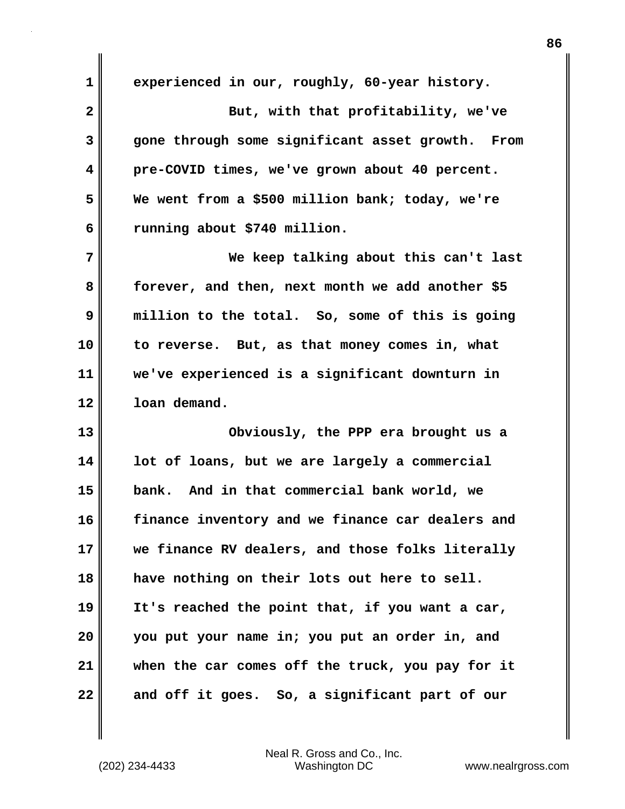**1 2 3 4 5 6 7 8 9 10 11 12 13 14 15 16 17 18 19 20 21 22 experienced in our, roughly, 60-year history. But, with that profitability, we've gone through some significant asset growth. From pre-COVID times, we've grown about 40 percent. We went from a \$500 million bank; today, we're running about \$740 million. We keep talking about this can't last forever, and then, next month we add another \$5 million to the total. So, some of this is going to reverse. But, as that money comes in, what we've experienced is a significant downturn in loan demand. Obviously, the PPP era brought us a lot of loans, but we are largely a commercial bank. And in that commercial bank world, we finance inventory and we finance car dealers and we finance RV dealers, and those folks literally have nothing on their lots out here to sell. It's reached the point that, if you want a car, you put your name in; you put an order in, and when the car comes off the truck, you pay for it and off it goes. So, a significant part of our**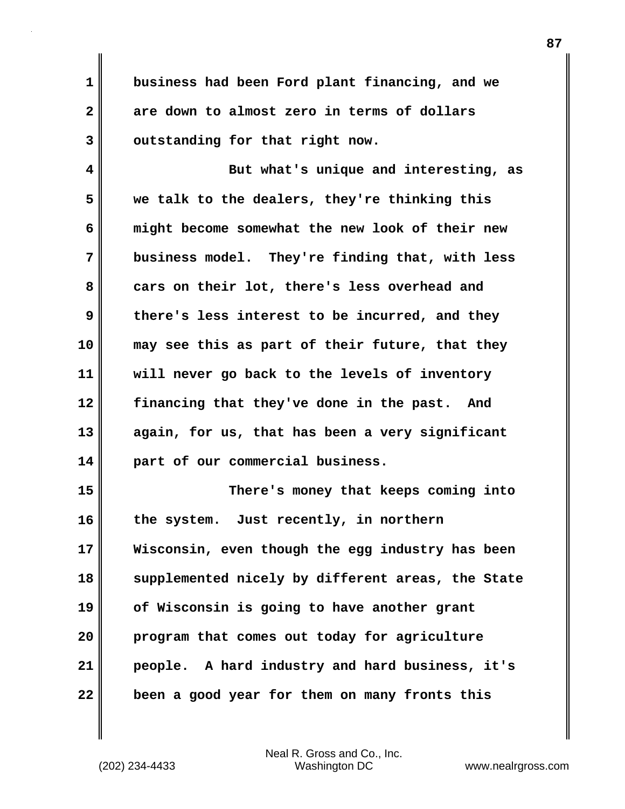**1 2 3 business had been Ford plant financing, and we are down to almost zero in terms of dollars outstanding for that right now.**

**4 5 6 7 8 9 10 11 12 13 14 But what's unique and interesting, as we talk to the dealers, they're thinking this might become somewhat the new look of their new business model. They're finding that, with less cars on their lot, there's less overhead and there's less interest to be incurred, and they may see this as part of their future, that they will never go back to the levels of inventory financing that they've done in the past. And again, for us, that has been a very significant part of our commercial business.**

**15 16 17 18 19 20 21 22 There's money that keeps coming into the system. Just recently, in northern Wisconsin, even though the egg industry has been supplemented nicely by different areas, the State of Wisconsin is going to have another grant program that comes out today for agriculture people. A hard industry and hard business, it's been a good year for them on many fronts this**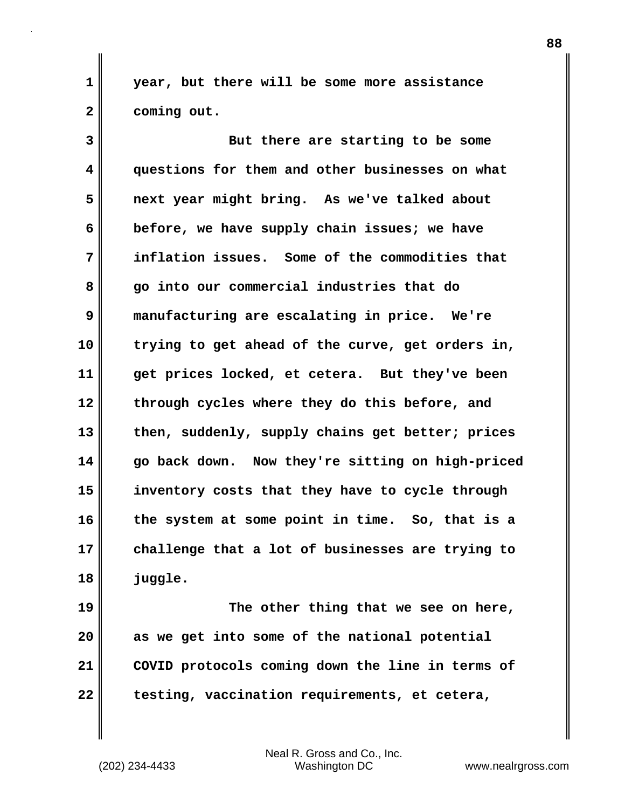**year, but there will be some more assistance coming out.**

**3 4 5 6 7 8 9 10 11 12 13 14 15 16 17 18 But there are starting to be some questions for them and other businesses on what next year might bring. As we've talked about before, we have supply chain issues; we have inflation issues. Some of the commodities that go into our commercial industries that do manufacturing are escalating in price. We're trying to get ahead of the curve, get orders in, get prices locked, et cetera. But they've been through cycles where they do this before, and then, suddenly, supply chains get better; prices go back down. Now they're sitting on high-priced inventory costs that they have to cycle through the system at some point in time. So, that is a challenge that a lot of businesses are trying to juggle.**

**19 20 21 22 The other thing that we see on here, as we get into some of the national potential COVID protocols coming down the line in terms of testing, vaccination requirements, et cetera,** 

Neal R. Gross and Co., Inc. (202) 234-4433 Washington DC <www.nealrgross.com>

**1** 

**2**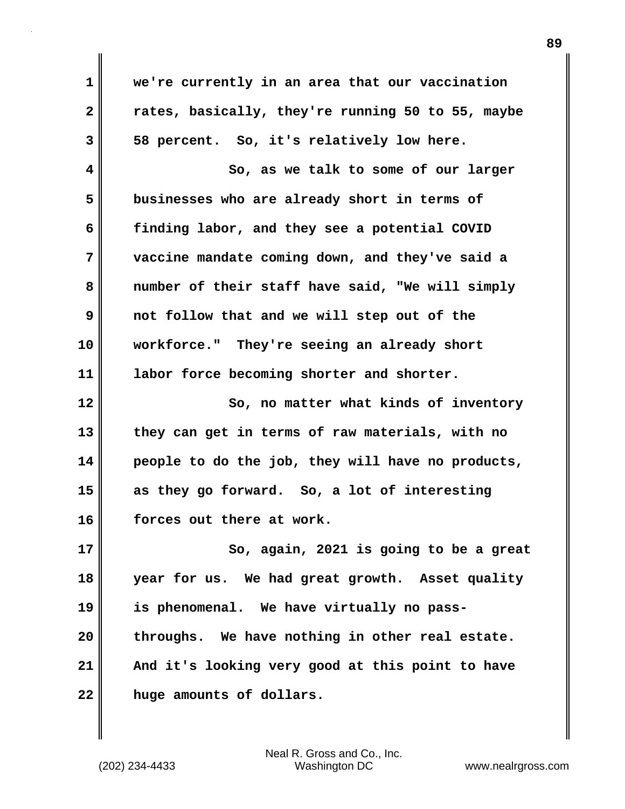**1 2 3 4 5 6 7 8 9 10 11 12 13 14 15 16 17 18 19 20 21 we're currently in an area that our vaccination rates, basically, they're running 50 to 55, maybe 58 percent. So, it's relatively low here. So, as we talk to some of our larger businesses who are already short in terms of finding labor, and they see a potential COVID vaccine mandate coming down, and they've said a number of their staff have said, "We will simply not follow that and we will step out of the workforce." They're seeing an already short labor force becoming shorter and shorter. So, no matter what kinds of inventory they can get in terms of raw materials, with no people to do the job, they will have no products, as they go forward. So, a lot of interesting forces out there at work. So, again, 2021 is going to be a great year for us. We had great growth. Asset quality is phenomenal. We have virtually no passthroughs. We have nothing in other real estate. And it's looking very good at this point to have** 

**22** 

Neal R. Gross and Co., Inc. (202) 234-4433 Washington DC <www.nealrgross.com>

**huge amounts of dollars.**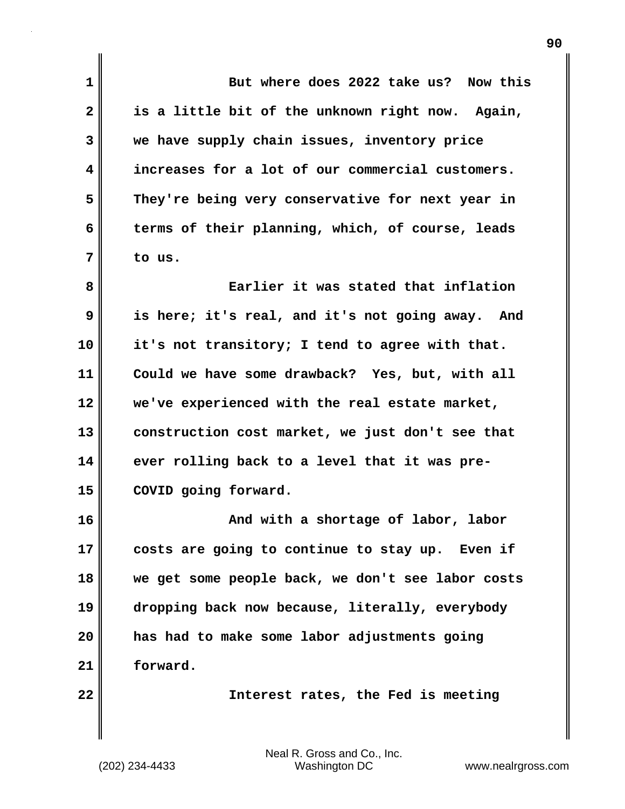**1 2 3 4 5 6 7 8 9 10 11 12 13 14 15 16 17 18 19 20 21 22 But where does 2022 take us? Now this is a little bit of the unknown right now. Again, we have supply chain issues, inventory price increases for a lot of our commercial customers. They're being very conservative for next year in terms of their planning, which, of course, leads to us. Earlier it was stated that inflation is here; it's real, and it's not going away. And it's not transitory; I tend to agree with that. Could we have some drawback? Yes, but, with all we've experienced with the real estate market, construction cost market, we just don't see that ever rolling back to a level that it was pre-COVID going forward. And with a shortage of labor, labor costs are going to continue to stay up. Even if we get some people back, we don't see labor costs dropping back now because, literally, everybody has had to make some labor adjustments going forward. Interest rates, the Fed is meeting**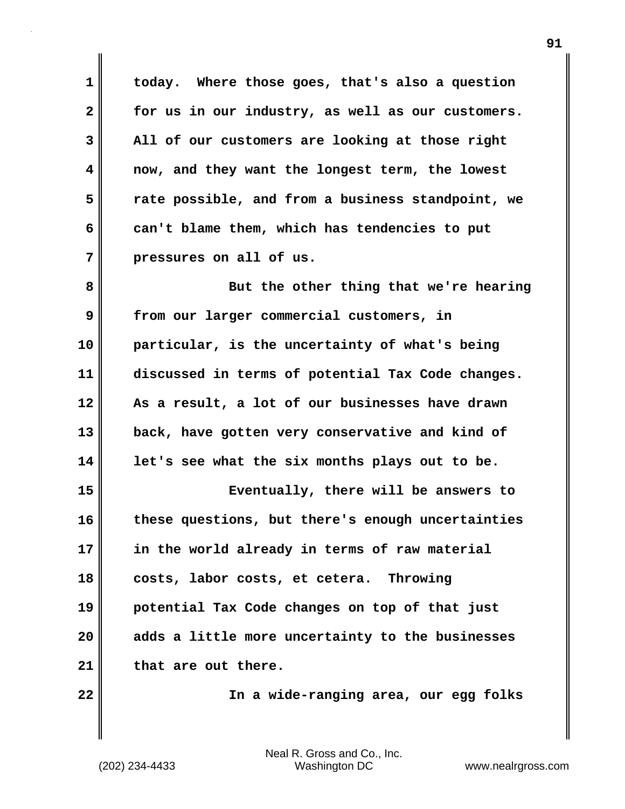**1 2 3 4 5 6 7 today. Where those goes, that's also a question for us in our industry, as well as our customers. All of our customers are looking at those right now, and they want the longest term, the lowest rate possible, and from a business standpoint, we can't blame them, which has tendencies to put pressures on all of us.**

**8 9 10 11 12 13 14 15 16 17 18 But the other thing that we're hearing from our larger commercial customers, in particular, is the uncertainty of what's being discussed in terms of potential Tax Code changes. As a result, a lot of our businesses have drawn back, have gotten very conservative and kind of let's see what the six months plays out to be. Eventually, there will be answers to these questions, but there's enough uncertainties in the world already in terms of raw material costs, labor costs, et cetera. Throwing** 

**19 20 21 potential Tax Code changes on top of that just adds a little more uncertainty to the businesses that are out there.**

**22** 

 **In a wide-ranging area, our egg folks**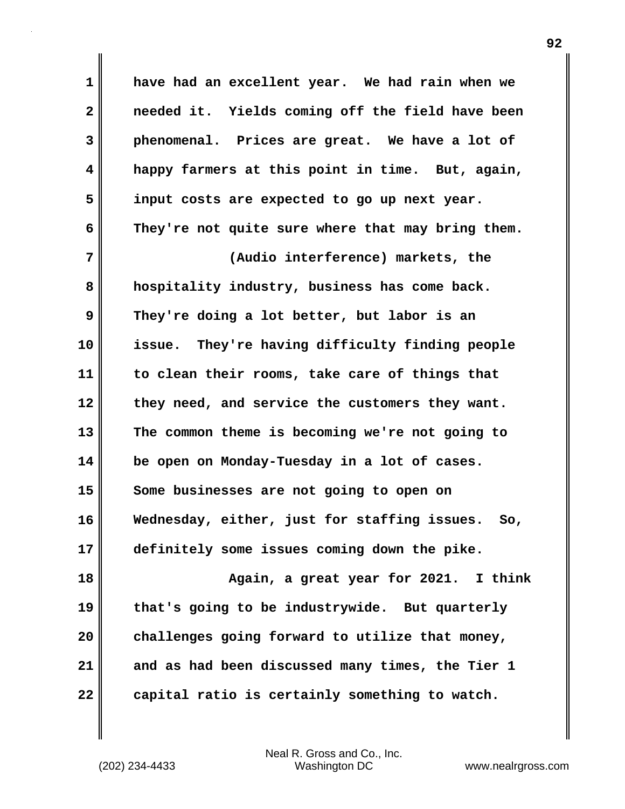**1 2 3 4 5 6 7 have had an excellent year. We had rain when we needed it. Yields coming off the field have been phenomenal. Prices are great. We have a lot of happy farmers at this point in time. But, again, input costs are expected to go up next year. They're not quite sure where that may bring them. (Audio interference) markets, the** 

**8 9 10 11 12 13 14 15 16 17 hospitality industry, business has come back. They're doing a lot better, but labor is an issue. They're having difficulty finding people to clean their rooms, take care of things that they need, and service the customers they want. The common theme is becoming we're not going to be open on Monday-Tuesday in a lot of cases. Some businesses are not going to open on Wednesday, either, just for staffing issues. So, definitely some issues coming down the pike.**

**18 19 20 21 22 Again, a great year for 2021. I think that's going to be industrywide. But quarterly challenges going forward to utilize that money, and as had been discussed many times, the Tier 1 capital ratio is certainly something to watch.**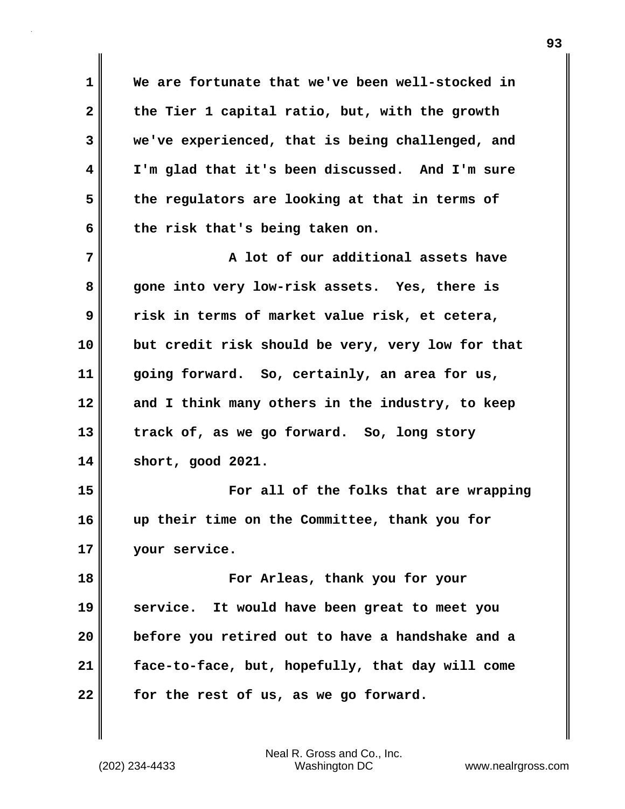**1 2 3 4 5 6 7 8 9 10 11 12 13 14 15 16 17 18 19 20 21 22 We are fortunate that we've been well-stocked in the Tier 1 capital ratio, but, with the growth we've experienced, that is being challenged, and I'm glad that it's been discussed. And I'm sure the regulators are looking at that in terms of the risk that's being taken on. A lot of our additional assets have gone into very low-risk assets. Yes, there is risk in terms of market value risk, et cetera, but credit risk should be very, very low for that going forward. So, certainly, an area for us, and I think many others in the industry, to keep track of, as we go forward. So, long story short, good 2021. For all of the folks that are wrapping up their time on the Committee, thank you for your service. For Arleas, thank you for your service. It would have been great to meet you before you retired out to have a handshake and a face-to-face, but, hopefully, that day will come for the rest of us, as we go forward.**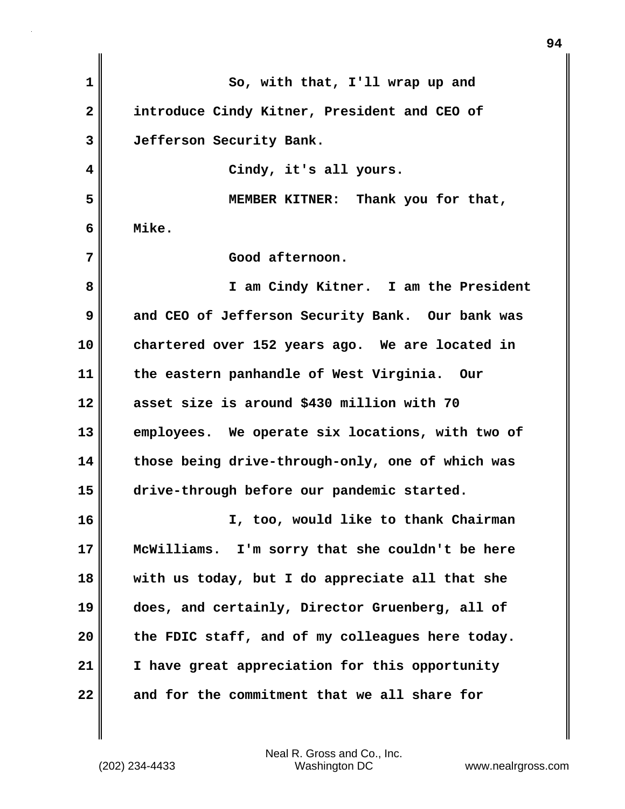**1 2 3 4 5 6 7 8 9 10 11 12 13 14 15 16 17 18 19 20 21 22 So, with that, I'll wrap up and introduce Cindy Kitner, President and CEO of Jefferson Security Bank. Cindy, it's all yours. MEMBER KITNER: Thank you for that, Mike. Good afternoon. I am Cindy Kitner. I am the President and CEO of Jefferson Security Bank. Our bank was chartered over 152 years ago. We are located in the eastern panhandle of West Virginia. Our asset size is around \$430 million with 70 employees. We operate six locations, with two of those being drive-through-only, one of which was drive-through before our pandemic started. I, too, would like to thank Chairman McWilliams. I'm sorry that she couldn't be here with us today, but I do appreciate all that she does, and certainly, Director Gruenberg, all of the FDIC staff, and of my colleagues here today. I have great appreciation for this opportunity and for the commitment that we all share for**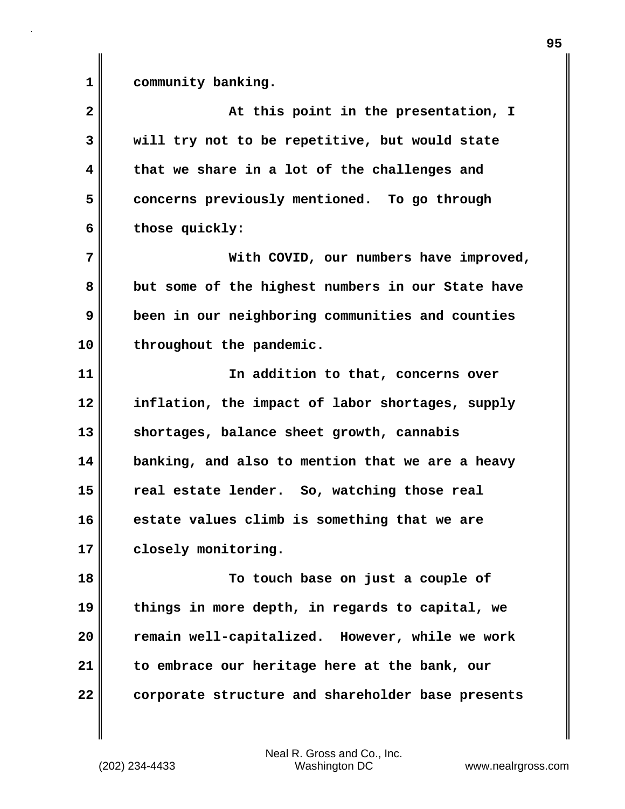**1** 

**community banking.**

**2 3 4 5 6 7 8 9 10 11 12 13 14 15 16 17 18 19 20 21 22 At this point in the presentation, I will try not to be repetitive, but would state that we share in a lot of the challenges and concerns previously mentioned. To go through those quickly: With COVID, our numbers have improved, but some of the highest numbers in our State have been in our neighboring communities and counties throughout the pandemic. In addition to that, concerns over inflation, the impact of labor shortages, supply shortages, balance sheet growth, cannabis banking, and also to mention that we are a heavy real estate lender. So, watching those real estate values climb is something that we are closely monitoring. To touch base on just a couple of things in more depth, in regards to capital, we remain well-capitalized. However, while we work to embrace our heritage here at the bank, our corporate structure and shareholder base presents**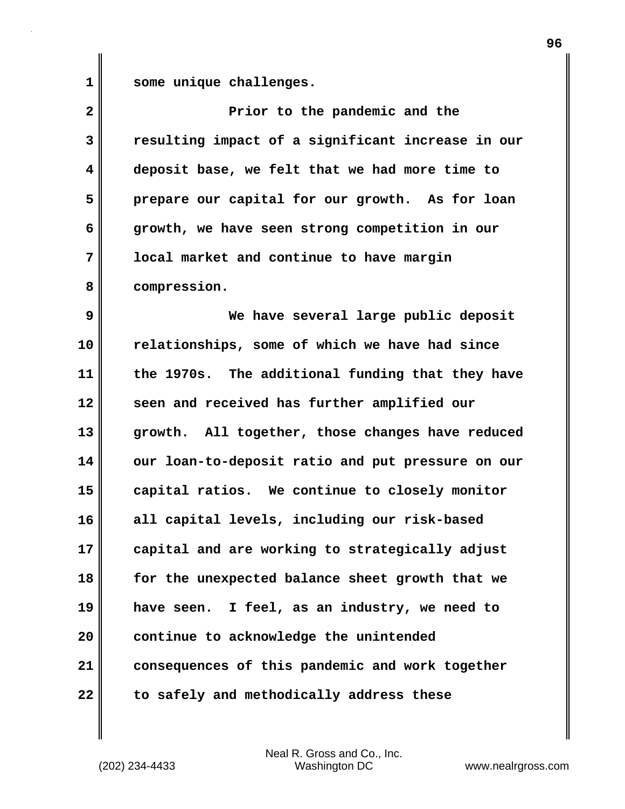**1 some unique challenges.**

| $\overline{\mathbf{2}}$ | Prior to the pandemic and the                     |
|-------------------------|---------------------------------------------------|
| 3                       | resulting impact of a significant increase in our |
| 4                       | deposit base, we felt that we had more time to    |
| 5                       | prepare our capital for our growth. As for loan   |
| 6                       | growth, we have seen strong competition in our    |
| 7                       | local market and continue to have margin          |
| 8                       | compression.                                      |
| 9                       | We have several large public deposit              |
| 10                      | relationships, some of which we have had since    |
| 11                      | the 1970s. The additional funding that they have  |
| 12                      | seen and received has further amplified our       |
| 13                      | growth. All together, those changes have reduced  |
| 14                      | our loan-to-deposit ratio and put pressure on our |
| 15                      | capital ratios. We continue to closely monitor    |
| 16                      | all capital levels, including our risk-based      |
| 17                      | capital and are working to strategically adjust   |
| 18                      | for the unexpected balance sheet growth that we   |
| 19                      | have seen. I feel, as an industry, we need to     |
| 20                      | continue to acknowledge the unintended            |
| 21                      | consequences of this pandemic and work together   |
| 22                      | to safely and methodically address these          |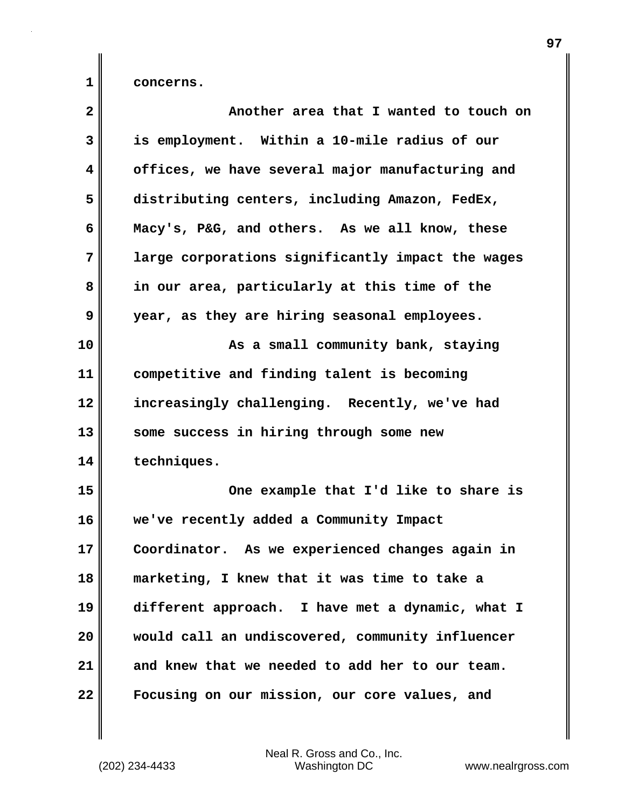**concerns.**

**1** 

| $\mathbf{2}$ | Another area that I wanted to touch on            |
|--------------|---------------------------------------------------|
| 3            | is employment. Within a 10-mile radius of our     |
| 4            | offices, we have several major manufacturing and  |
| 5            | distributing centers, including Amazon, FedEx,    |
| 6            | Macy's, P&G, and others. As we all know, these    |
| 7            | large corporations significantly impact the wages |
| 8            | in our area, particularly at this time of the     |
| 9            | year, as they are hiring seasonal employees.      |
| 10           | As a small community bank, staying                |
| 11           | competitive and finding talent is becoming        |
| 12           | increasingly challenging. Recently, we've had     |
| 13           | some success in hiring through some new           |
| 14           | techniques.                                       |
| 15           | One example that I'd like to share is             |
| 16           | we've recently added a Community Impact           |
| 17           | Coordinator. As we experienced changes again in   |
| 18           | marketing, I knew that it was time to take a      |
| 19           | different approach. I have met a dynamic, what I  |
| 20           | would call an undiscovered, community influencer  |
| 21           | and knew that we needed to add her to our team.   |
| 22           | Focusing on our mission, our core values, and     |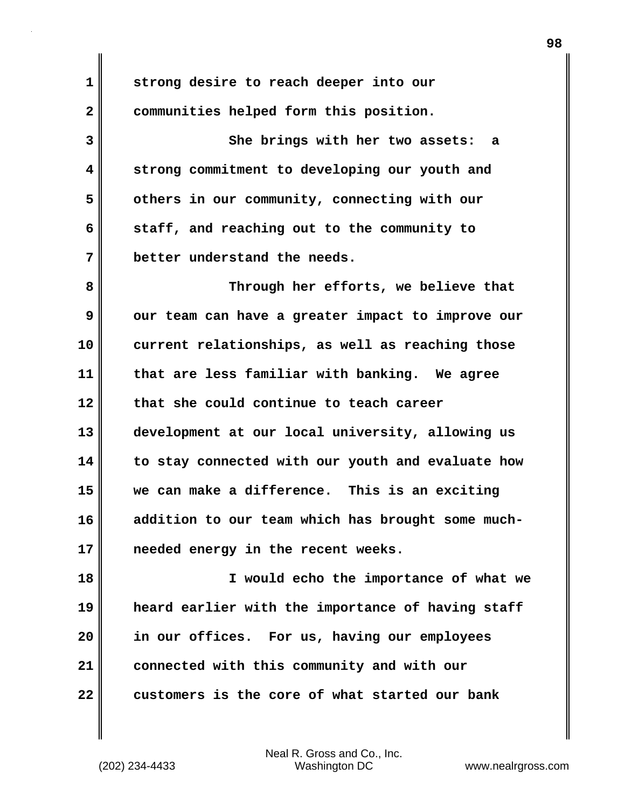**1 2 3 4 5 6 7 8 9 10 11 12 13 14 15 16 17 18 19 20 strong desire to reach deeper into our communities helped form this position. She brings with her two assets: a strong commitment to developing our youth and others in our community, connecting with our staff, and reaching out to the community to better understand the needs. Through her efforts, we believe that our team can have a greater impact to improve our current relationships, as well as reaching those that are less familiar with banking. We agree that she could continue to teach career development at our local university, allowing us to stay connected with our youth and evaluate how we can make a difference. This is an exciting addition to our team which has brought some muchneeded energy in the recent weeks. I would echo the importance of what we heard earlier with the importance of having staff in our offices. For us, having our employees** 

**22** 

**21** 

Neal R. Gross and Co., Inc. (202) 234-4433 Washington DC <www.nealrgross.com>

**connected with this community and with our** 

**customers is the core of what started our bank**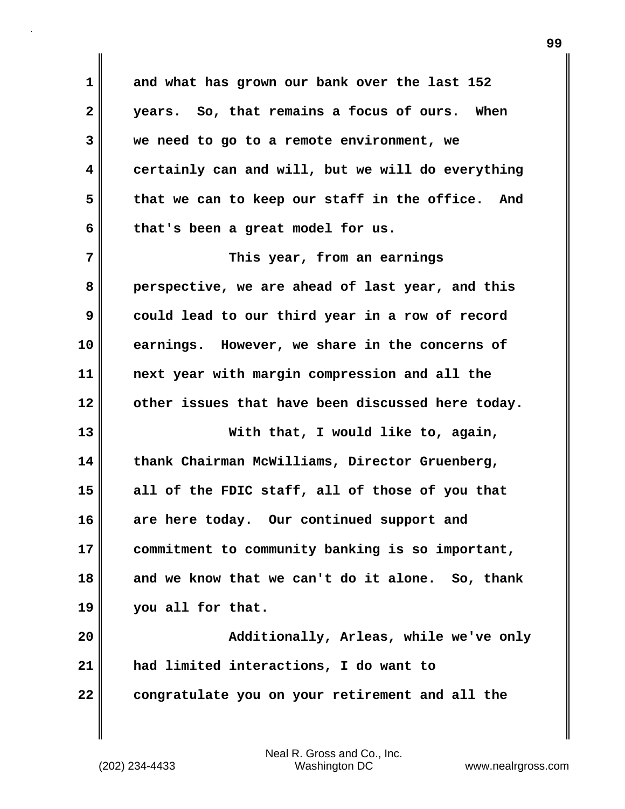**1 2 3 4 5 6 7 8 9 10 11 12 13 14 15 16 17 18 19 20 21 22 and what has grown our bank over the last 152 years. So, that remains a focus of ours. When we need to go to a remote environment, we certainly can and will, but we will do everything that we can to keep our staff in the office. And that's been a great model for us. This year, from an earnings perspective, we are ahead of last year, and this could lead to our third year in a row of record earnings. However, we share in the concerns of next year with margin compression and all the other issues that have been discussed here today. With that, I would like to, again, thank Chairman McWilliams, Director Gruenberg, all of the FDIC staff, all of those of you that are here today. Our continued support and commitment to community banking is so important, and we know that we can't do it alone. So, thank you all for that. Additionally, Arleas, while we've only had limited interactions, I do want to congratulate you on your retirement and all the**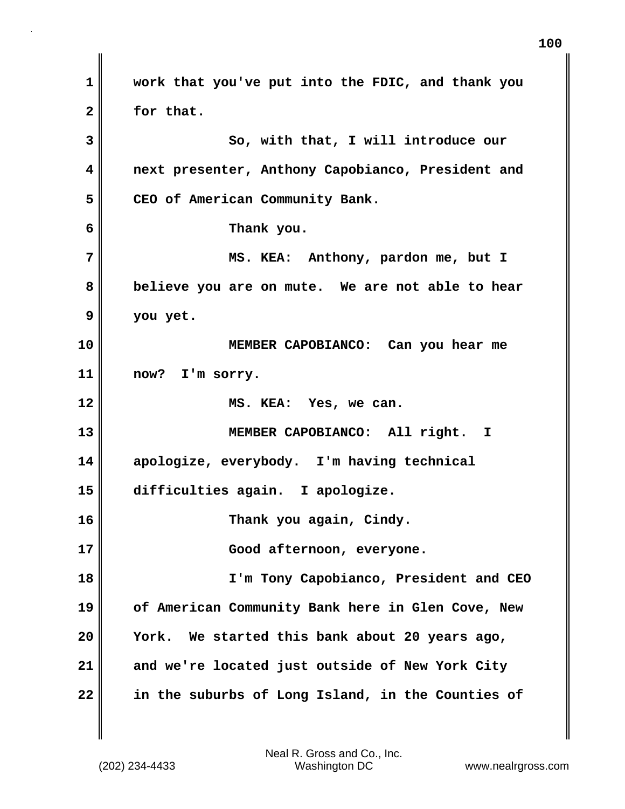**1 2 3 4 5 6 7 8 9 10 11 12 13 14 15 16 17 18 19 20 21 22 work that you've put into the FDIC, and thank you for that. So, with that, I will introduce our next presenter, Anthony Capobianco, President and CEO of American Community Bank. Thank you. MS. KEA: Anthony, pardon me, but I believe you are on mute. We are not able to hear you yet. MEMBER CAPOBIANCO: Can you hear me now? I'm sorry. MS. KEA: Yes, we can. MEMBER CAPOBIANCO: All right. I apologize, everybody. I'm having technical difficulties again. I apologize. Thank you again, Cindy. Good afternoon, everyone. I'm Tony Capobianco, President and CEO of American Community Bank here in Glen Cove, New York. We started this bank about 20 years ago, and we're located just outside of New York City in the suburbs of Long Island, in the Counties of**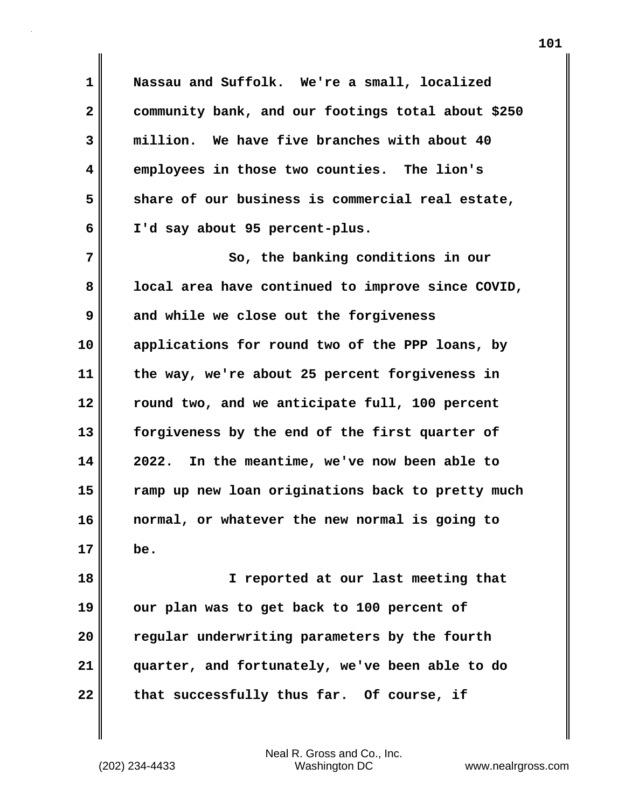**1 2 3 4 5 6 7 Nassau and Suffolk. We're a small, localized community bank, and our footings total about \$250 million. We have five branches with about 40 employees in those two counties. The lion's share of our business is commercial real estate, I'd say about 95 percent-plus. So, the banking conditions in our** 

**8 9 10 11 12 13 14 15 16 17 local area have continued to improve since COVID, and while we close out the forgiveness applications for round two of the PPP loans, by the way, we're about 25 percent forgiveness in round two, and we anticipate full, 100 percent forgiveness by the end of the first quarter of 2022. In the meantime, we've now been able to ramp up new loan originations back to pretty much normal, or whatever the new normal is going to be.**

**18 19 20 21 22 I reported at our last meeting that our plan was to get back to 100 percent of regular underwriting parameters by the fourth quarter, and fortunately, we've been able to do that successfully thus far. Of course, if**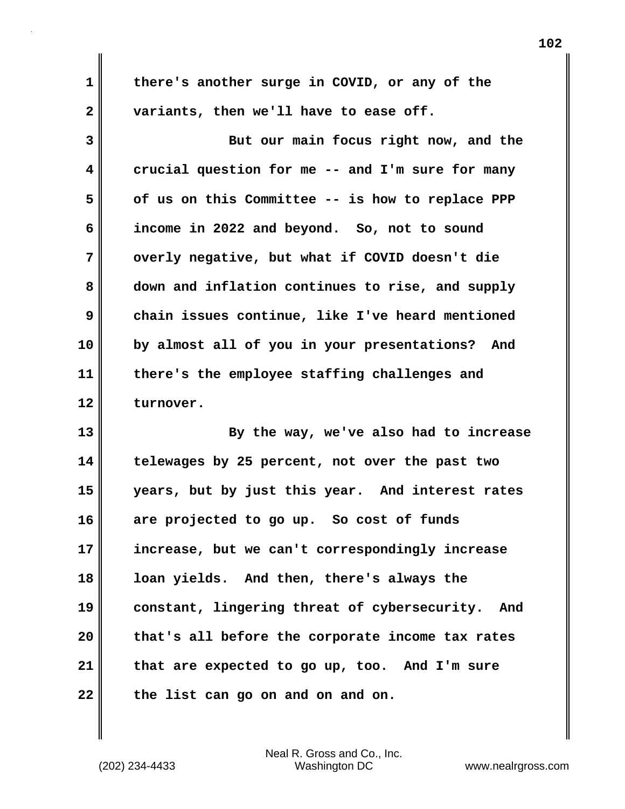**there's another surge in COVID, or any of the variants, then we'll have to ease off.**

**3 4 5 6 7 8 9 10 11 12 But our main focus right now, and the crucial question for me -- and I'm sure for many of us on this Committee -- is how to replace PPP income in 2022 and beyond. So, not to sound overly negative, but what if COVID doesn't die down and inflation continues to rise, and supply chain issues continue, like I've heard mentioned by almost all of you in your presentations? And there's the employee staffing challenges and turnover.**

**13 14 15 16 17 18 19 20 21 22 By the way, we've also had to increase telewages by 25 percent, not over the past two years, but by just this year. And interest rates are projected to go up. So cost of funds increase, but we can't correspondingly increase loan yields. And then, there's always the constant, lingering threat of cybersecurity. And that's all before the corporate income tax rates that are expected to go up, too. And I'm sure the list can go on and on and on.** 

Neal R. Gross and Co., Inc. (202) 234-4433 Washington DC <www.nealrgross.com>

**1** 

**2**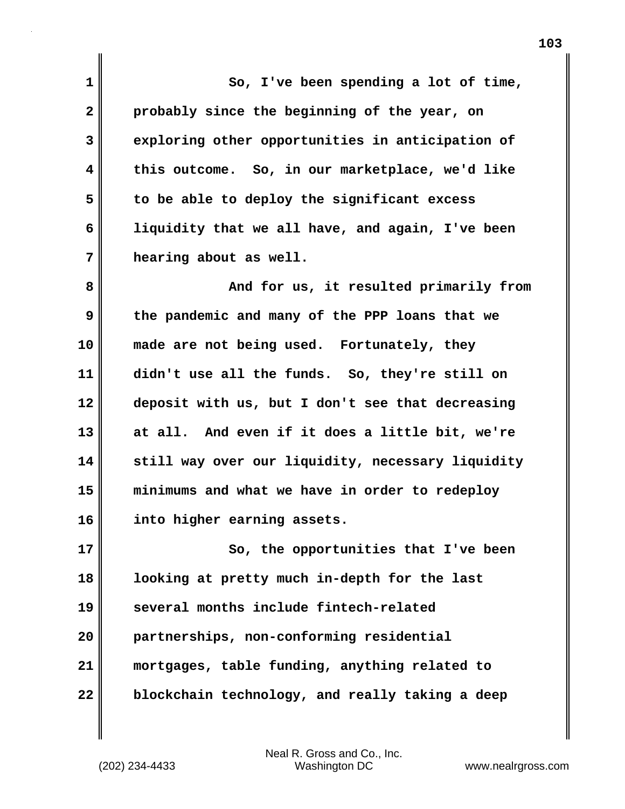**1 2 3 4 5 6 7 8 9 10 11 12 13 14 15 16 17 18 19 20 21 22 So, I've been spending a lot of time, probably since the beginning of the year, on exploring other opportunities in anticipation of this outcome. So, in our marketplace, we'd like to be able to deploy the significant excess liquidity that we all have, and again, I've been hearing about as well. And for us, it resulted primarily from the pandemic and many of the PPP loans that we made are not being used. Fortunately, they didn't use all the funds. So, they're still on deposit with us, but I don't see that decreasing at all. And even if it does a little bit, we're still way over our liquidity, necessary liquidity minimums and what we have in order to redeploy into higher earning assets. So, the opportunities that I've been looking at pretty much in-depth for the last several months include fintech-related partnerships, non-conforming residential mortgages, table funding, anything related to blockchain technology, and really taking a deep**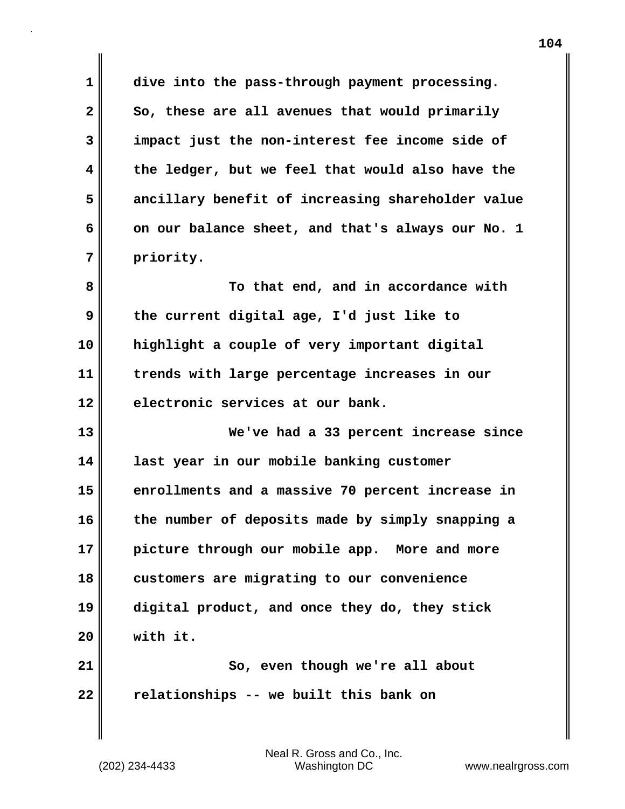**1 2 3 4 5 6 7 dive into the pass-through payment processing. So, these are all avenues that would primarily impact just the non-interest fee income side of the ledger, but we feel that would also have the ancillary benefit of increasing shareholder value on our balance sheet, and that's always our No. 1 priority.**

**8 9 10 11 12 To that end, and in accordance with the current digital age, I'd just like to highlight a couple of very important digital trends with large percentage increases in our electronic services at our bank.**

**13 14 15 16 17 18 19 20 21 22 We've had a 33 percent increase since last year in our mobile banking customer enrollments and a massive 70 percent increase in the number of deposits made by simply snapping a picture through our mobile app. More and more customers are migrating to our convenience digital product, and once they do, they stick with it. So, even though we're all about relationships -- we built this bank on**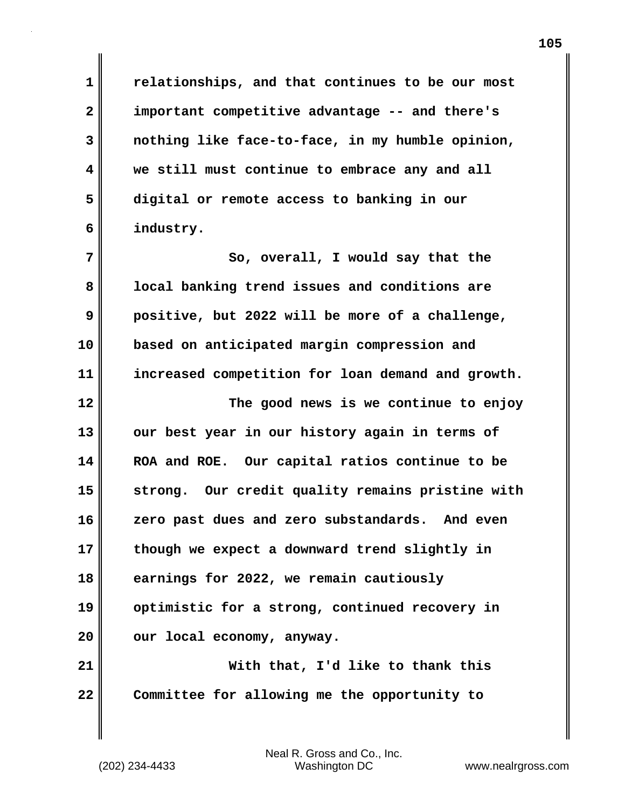**relationships, and that continues to be our most important competitive advantage -- and there's nothing like face-to-face, in my humble opinion, we still must continue to embrace any and all digital or remote access to banking in our industry.**

**7 8 9 10 11 12 13 14 15 16 17 18 19 20 21 22 So, overall, I would say that the local banking trend issues and conditions are positive, but 2022 will be more of a challenge, based on anticipated margin compression and increased competition for loan demand and growth. The good news is we continue to enjoy our best year in our history again in terms of ROA and ROE. Our capital ratios continue to be strong. Our credit quality remains pristine with zero past dues and zero substandards. And even though we expect a downward trend slightly in earnings for 2022, we remain cautiously optimistic for a strong, continued recovery in our local economy, anyway. With that, I'd like to thank this Committee for allowing me the opportunity to** 

Neal R. Gross and Co., Inc. (202) 234-4433 Washington DC <www.nealrgross.com>

**1** 

**2** 

**3** 

**4** 

**5** 

**6**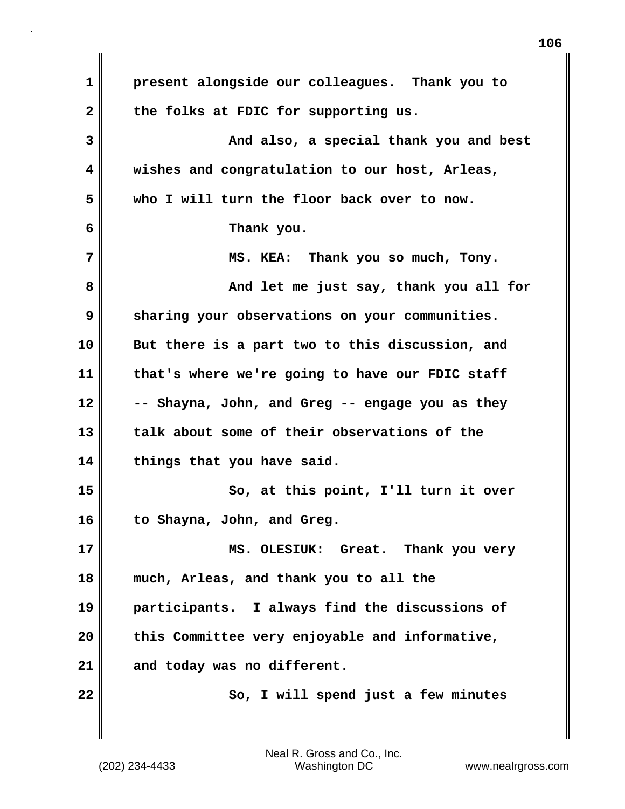**1 2 3 4 5 6 7 8 9 10 11 12 13 14 15 16 17 18 19 20 21 22 present alongside our colleagues. Thank you to the folks at FDIC for supporting us. And also, a special thank you and best wishes and congratulation to our host, Arleas, who I will turn the floor back over to now. Thank you. MS. KEA: Thank you so much, Tony. And let me just say, thank you all for sharing your observations on your communities. But there is a part two to this discussion, and that's where we're going to have our FDIC staff -- Shayna, John, and Greg -- engage you as they talk about some of their observations of the things that you have said. So, at this point, I'll turn it over to Shayna, John, and Greg. MS. OLESIUK: Great. Thank you very much, Arleas, and thank you to all the participants. I always find the discussions of this Committee very enjoyable and informative, and today was no different. So, I will spend just a few minutes**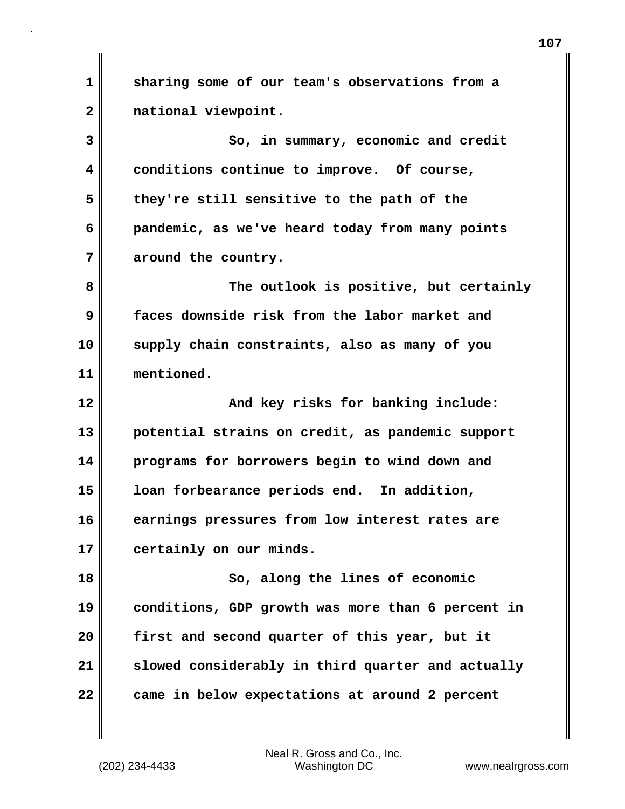**1 2 3 4 5 6 7 8 9 10 11 12 13 14 15 16 17 18 19 20 21 22 sharing some of our team's observations from a national viewpoint. So, in summary, economic and credit conditions continue to improve. Of course, they're still sensitive to the path of the pandemic, as we've heard today from many points around the country. The outlook is positive, but certainly faces downside risk from the labor market and supply chain constraints, also as many of you mentioned. And key risks for banking include: potential strains on credit, as pandemic support programs for borrowers begin to wind down and loan forbearance periods end. In addition, earnings pressures from low interest rates are certainly on our minds. So, along the lines of economic conditions, GDP growth was more than 6 percent in first and second quarter of this year, but it slowed considerably in third quarter and actually came in below expectations at around 2 percent**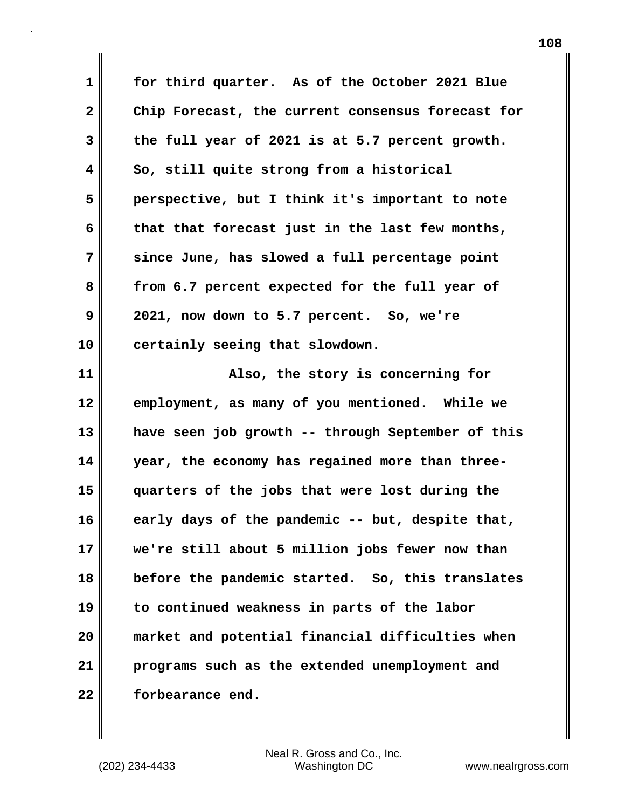**1 2 3 4 5 6 7 8 9 10 for third quarter. As of the October 2021 Blue Chip Forecast, the current consensus forecast for the full year of 2021 is at 5.7 percent growth. So, still quite strong from a historical perspective, but I think it's important to note that that forecast just in the last few months, since June, has slowed a full percentage point from 6.7 percent expected for the full year of 2021, now down to 5.7 percent. So, we're certainly seeing that slowdown.**

**11 12 13 14 15 16 17 18 19 20 21 22 Also, the story is concerning for employment, as many of you mentioned. While we have seen job growth -- through September of this year, the economy has regained more than threequarters of the jobs that were lost during the early days of the pandemic -- but, despite that, we're still about 5 million jobs fewer now than before the pandemic started. So, this translates to continued weakness in parts of the labor market and potential financial difficulties when programs such as the extended unemployment and forbearance end.**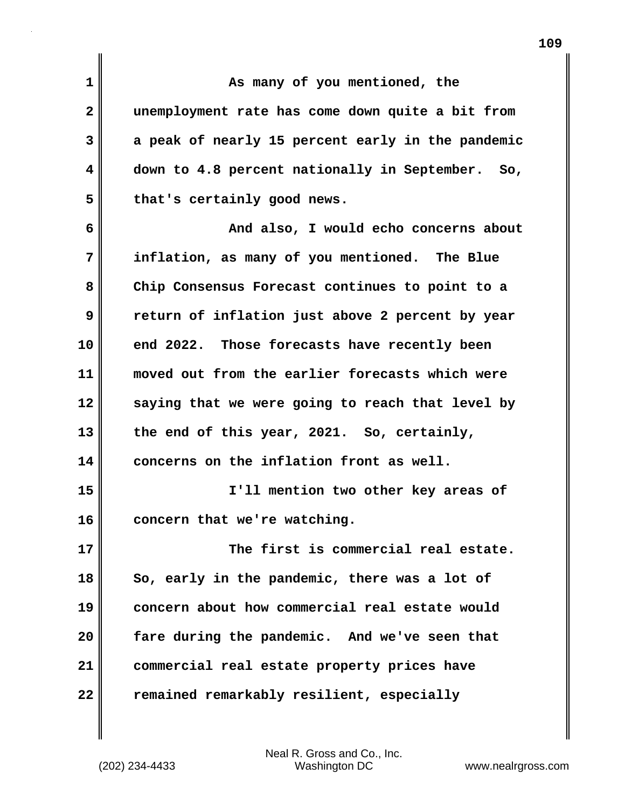**1 2 3 4 5 6 7 8 9 10 11 12 13 14 15 16 17 18 19 20 21 22 As many of you mentioned, the unemployment rate has come down quite a bit from a peak of nearly 15 percent early in the pandemic down to 4.8 percent nationally in September. So, that's certainly good news. And also, I would echo concerns about inflation, as many of you mentioned. The Blue Chip Consensus Forecast continues to point to a return of inflation just above 2 percent by year end 2022. Those forecasts have recently been moved out from the earlier forecasts which were saying that we were going to reach that level by the end of this year, 2021. So, certainly, concerns on the inflation front as well. I'll mention two other key areas of concern that we're watching. The first is commercial real estate. So, early in the pandemic, there was a lot of concern about how commercial real estate would fare during the pandemic. And we've seen that commercial real estate property prices have remained remarkably resilient, especially**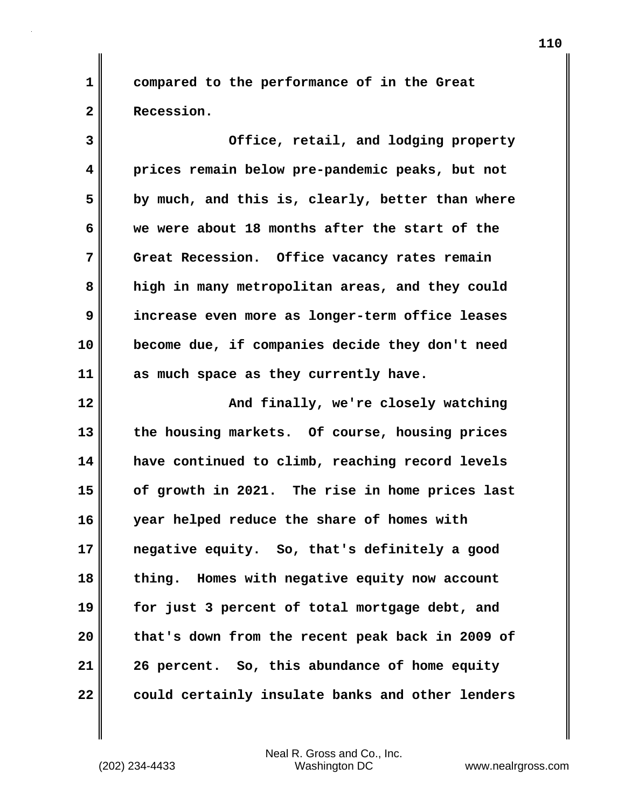**compared to the performance of in the Great Recession.**

**3 4 5 6 7 8 9 10 11 12 Office, retail, and lodging property prices remain below pre-pandemic peaks, but not by much, and this is, clearly, better than where we were about 18 months after the start of the Great Recession. Office vacancy rates remain high in many metropolitan areas, and they could increase even more as longer-term office leases become due, if companies decide they don't need as much space as they currently have. And finally, we're closely watching** 

**13 14 15 16 17 18 19 20 21 22 the housing markets. Of course, housing prices have continued to climb, reaching record levels of growth in 2021. The rise in home prices last year helped reduce the share of homes with negative equity. So, that's definitely a good thing. Homes with negative equity now account for just 3 percent of total mortgage debt, and that's down from the recent peak back in 2009 of 26 percent. So, this abundance of home equity could certainly insulate banks and other lenders** 

Neal R. Gross and Co., Inc. (202) 234-4433 Washington DC <www.nealrgross.com>

**1**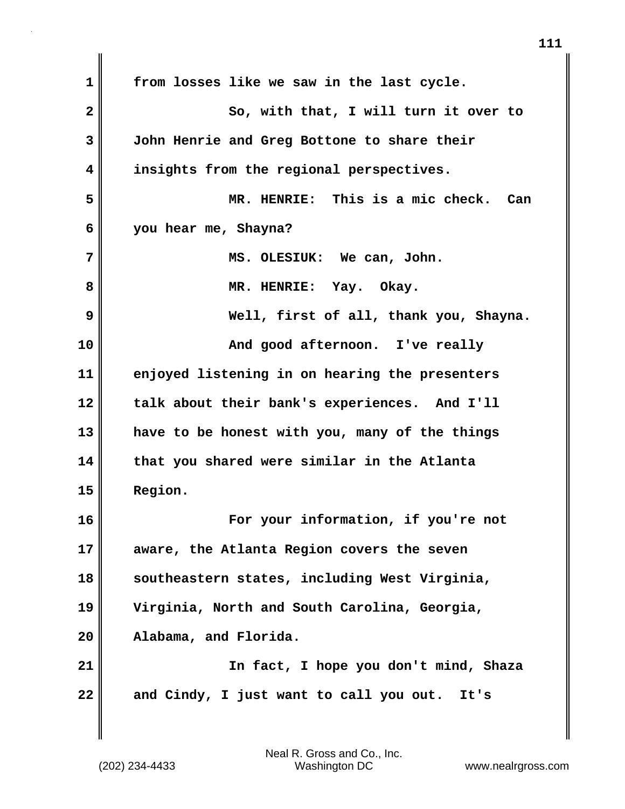**1 2 3 4 5 6 7 8 9 10 11 12 13 14 15 16 17 18 19 20 21 22 from losses like we saw in the last cycle. So, with that, I will turn it over to John Henrie and Greg Bottone to share their insights from the regional perspectives. MR. HENRIE: This is a mic check. Can you hear me, Shayna? MS. OLESIUK: We can, John. MR. HENRIE: Yay. Okay. Well, first of all, thank you, Shayna. And good afternoon. I've really enjoyed listening in on hearing the presenters talk about their bank's experiences. And I'll have to be honest with you, many of the things that you shared were similar in the Atlanta Region. For your information, if you're not aware, the Atlanta Region covers the seven southeastern states, including West Virginia, Virginia, North and South Carolina, Georgia, Alabama, and Florida. In fact, I hope you don't mind, Shaza and Cindy, I just want to call you out. It's**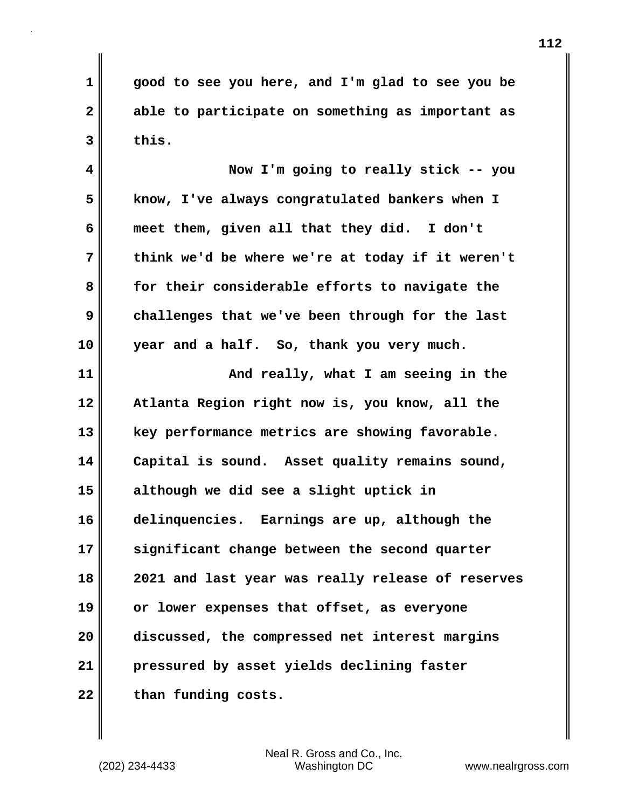**1 2 3 good to see you here, and I'm glad to see you be able to participate on something as important as this.**

**4 5 6 7 8 9 10 Now I'm going to really stick -- you know, I've always congratulated bankers when I meet them, given all that they did. I don't think we'd be where we're at today if it weren't for their considerable efforts to navigate the challenges that we've been through for the last year and a half. So, thank you very much.**

**11 12 13 14 15 16 17 18 19 20 21 22 And really, what I am seeing in the Atlanta Region right now is, you know, all the key performance metrics are showing favorable. Capital is sound. Asset quality remains sound, although we did see a slight uptick in delinquencies. Earnings are up, although the significant change between the second quarter 2021 and last year was really release of reserves or lower expenses that offset, as everyone discussed, the compressed net interest margins pressured by asset yields declining faster than funding costs.**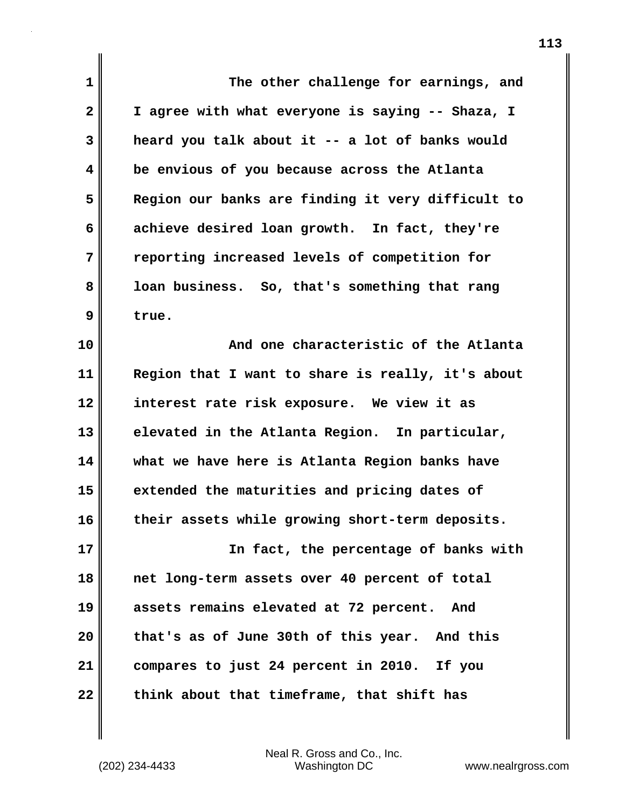| 1                       | The other challenge for earnings, and             |
|-------------------------|---------------------------------------------------|
| $\mathbf{2}$            | I agree with what everyone is saying -- Shaza, I  |
|                         |                                                   |
| 3                       | heard you talk about it -- a lot of banks would   |
| $\overline{\mathbf{4}}$ | be envious of you because across the Atlanta      |
| 5                       | Region our banks are finding it very difficult to |
| 6                       | achieve desired loan growth. In fact, they're     |
| 7                       | reporting increased levels of competition for     |
| 8                       | loan business. So, that's something that rang     |
| 9                       | true.                                             |
| 10                      | And one characteristic of the Atlanta             |
| 11                      | Region that I want to share is really, it's about |
| 12                      | interest rate risk exposure. We view it as        |
| 13                      | elevated in the Atlanta Region. In particular,    |
| 14                      | what we have here is Atlanta Region banks have    |
| 15                      | extended the maturities and pricing dates of      |
| 16                      | their assets while growing short-term deposits.   |
| 17                      | In fact, the percentage of banks with             |
| 18                      | net long-term assets over 40 percent of total     |
| 19                      | assets remains elevated at 72 percent.<br>And     |
| 20                      | that's as of June 30th of this year. And this     |
| 21                      | compares to just 24 percent in 2010. If you       |
| 22                      | think about that timeframe, that shift has        |

 $\mathbf{I}$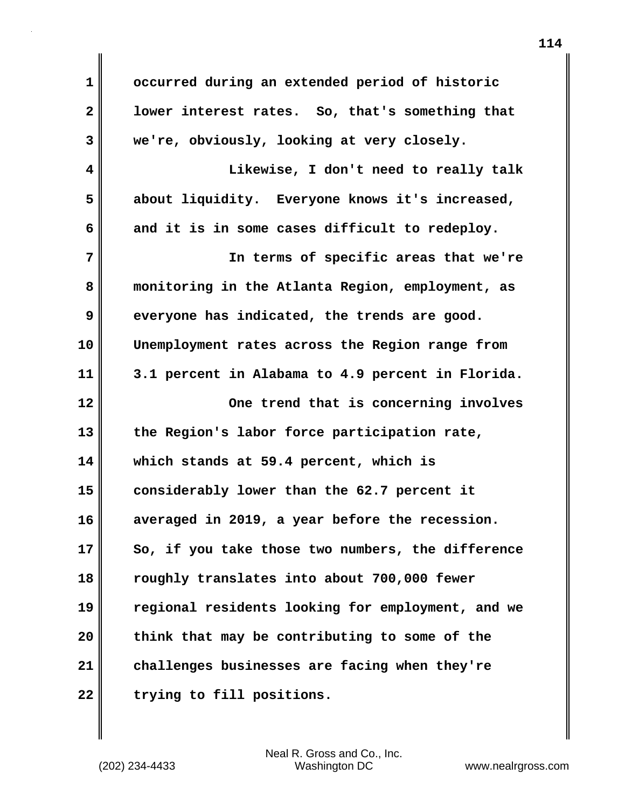**1 2 3 4 5 6 7 8 9 10 11 12 13 14 15 16 17 18 19 20 21 22 occurred during an extended period of historic lower interest rates. So, that's something that we're, obviously, looking at very closely. Likewise, I don't need to really talk about liquidity. Everyone knows it's increased, and it is in some cases difficult to redeploy. In terms of specific areas that we're monitoring in the Atlanta Region, employment, as everyone has indicated, the trends are good. Unemployment rates across the Region range from 3.1 percent in Alabama to 4.9 percent in Florida. One trend that is concerning involves the Region's labor force participation rate, which stands at 59.4 percent, which is considerably lower than the 62.7 percent it averaged in 2019, a year before the recession. So, if you take those two numbers, the difference roughly translates into about 700,000 fewer regional residents looking for employment, and we think that may be contributing to some of the challenges businesses are facing when they're trying to fill positions.**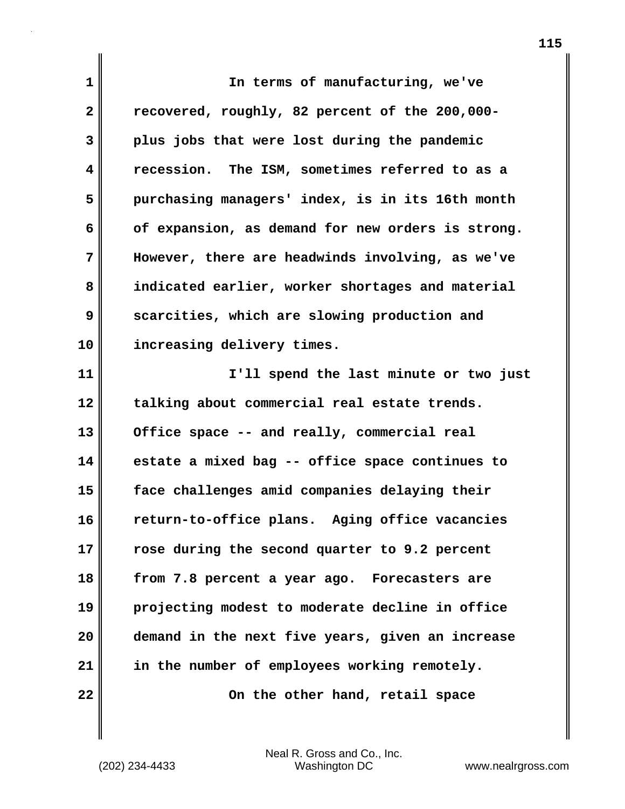**1 2 3 4 5 6 7 8 9 10 11 12 13 14 15 16 17 18 19 20 21 22 In terms of manufacturing, we've recovered, roughly, 82 percent of the 200,000 plus jobs that were lost during the pandemic recession. The ISM, sometimes referred to as a purchasing managers' index, is in its 16th month of expansion, as demand for new orders is strong. However, there are headwinds involving, as we've indicated earlier, worker shortages and material scarcities, which are slowing production and increasing delivery times. I'll spend the last minute or two just talking about commercial real estate trends. Office space -- and really, commercial real estate a mixed bag -- office space continues to face challenges amid companies delaying their return-to-office plans. Aging office vacancies rose during the second quarter to 9.2 percent from 7.8 percent a year ago. Forecasters are projecting modest to moderate decline in office demand in the next five years, given an increase in the number of employees working remotely. On the other hand, retail space**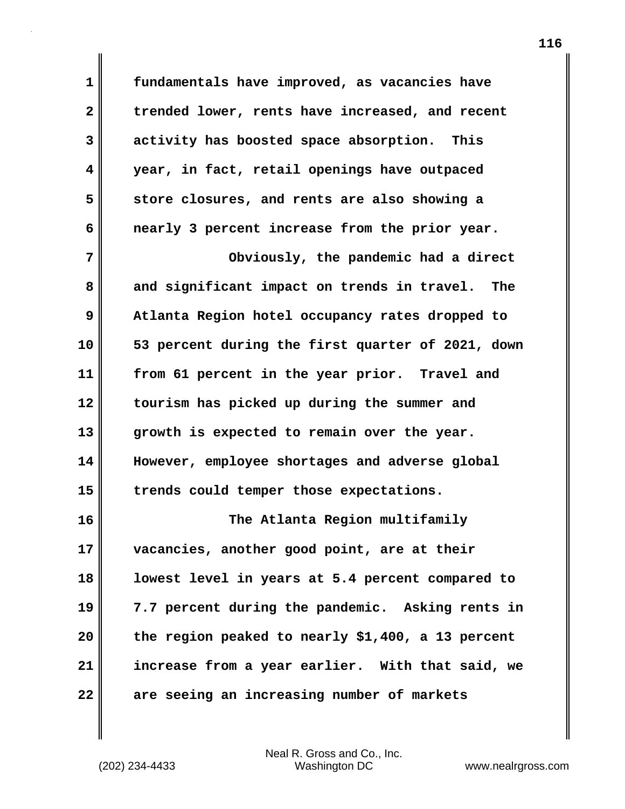**1 2 3 4 5 6 7 8 9 10 11 12 13 14 15 16 17 18 19 20 21 22 fundamentals have improved, as vacancies have trended lower, rents have increased, and recent activity has boosted space absorption. This year, in fact, retail openings have outpaced store closures, and rents are also showing a nearly 3 percent increase from the prior year. Obviously, the pandemic had a direct and significant impact on trends in travel. The Atlanta Region hotel occupancy rates dropped to 53 percent during the first quarter of 2021, down from 61 percent in the year prior. Travel and tourism has picked up during the summer and growth is expected to remain over the year. However, employee shortages and adverse global trends could temper those expectations. The Atlanta Region multifamily vacancies, another good point, are at their lowest level in years at 5.4 percent compared to 7.7 percent during the pandemic. Asking rents in the region peaked to nearly \$1,400, a 13 percent increase from a year earlier. With that said, we are seeing an increasing number of markets**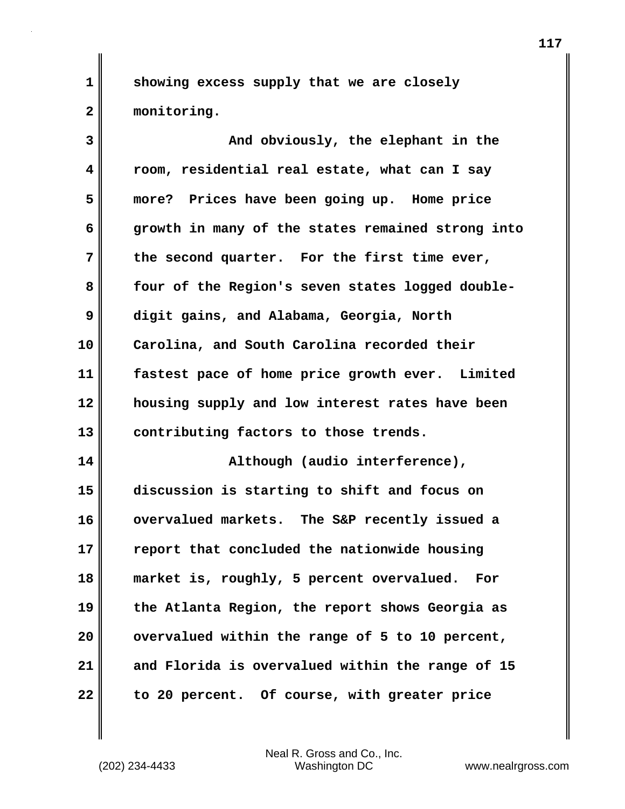**showing excess supply that we are closely monitoring.**

**3 4 5 6 7 8 9 10 11 12 13 14 15 16 17 18 19 20 21 22 And obviously, the elephant in the room, residential real estate, what can I say more? Prices have been going up. Home price growth in many of the states remained strong into the second quarter. For the first time ever, four of the Region's seven states logged doubledigit gains, and Alabama, Georgia, North Carolina, and South Carolina recorded their fastest pace of home price growth ever. Limited housing supply and low interest rates have been contributing factors to those trends. Although (audio interference), discussion is starting to shift and focus on overvalued markets. The S&P recently issued a report that concluded the nationwide housing market is, roughly, 5 percent overvalued. For the Atlanta Region, the report shows Georgia as overvalued within the range of 5 to 10 percent, and Florida is overvalued within the range of 15 to 20 percent. Of course, with greater price** 

**1**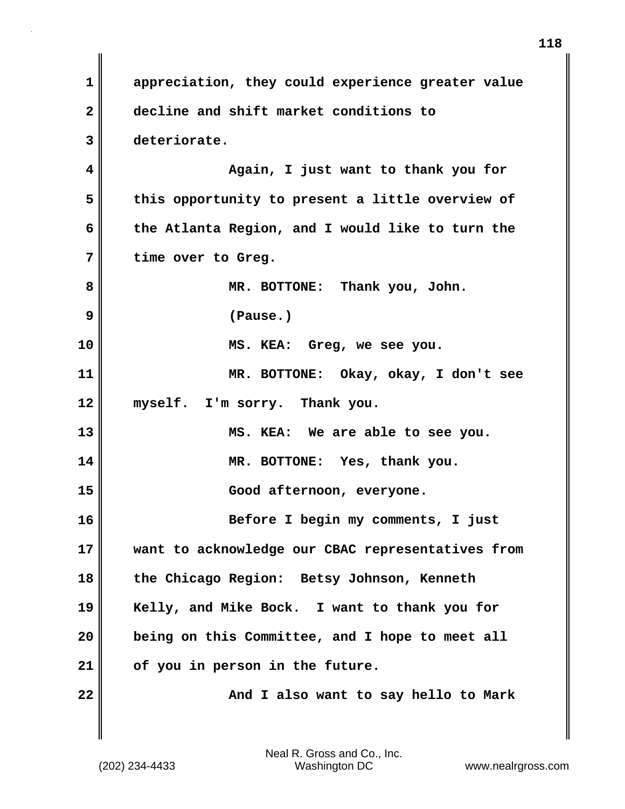**1 2 3 4 5 6 7 8 9 10 11 12 13 14 15 16 17 18 19 20 21 22 appreciation, they could experience greater value decline and shift market conditions to deteriorate. Again, I just want to thank you for this opportunity to present a little overview of the Atlanta Region, and I would like to turn the time over to Greg. MR. BOTTONE: Thank you, John. (Pause.) MS. KEA: Greg, we see you. MR. BOTTONE: Okay, okay, I don't see myself. I'm sorry. Thank you. MS. KEA: We are able to see you. MR. BOTTONE: Yes, thank you. Good afternoon, everyone. Before I begin my comments, I just want to acknowledge our CBAC representatives from the Chicago Region: Betsy Johnson, Kenneth Kelly, and Mike Bock. I want to thank you for being on this Committee, and I hope to meet all of you in person in the future. And I also want to say hello to Mark**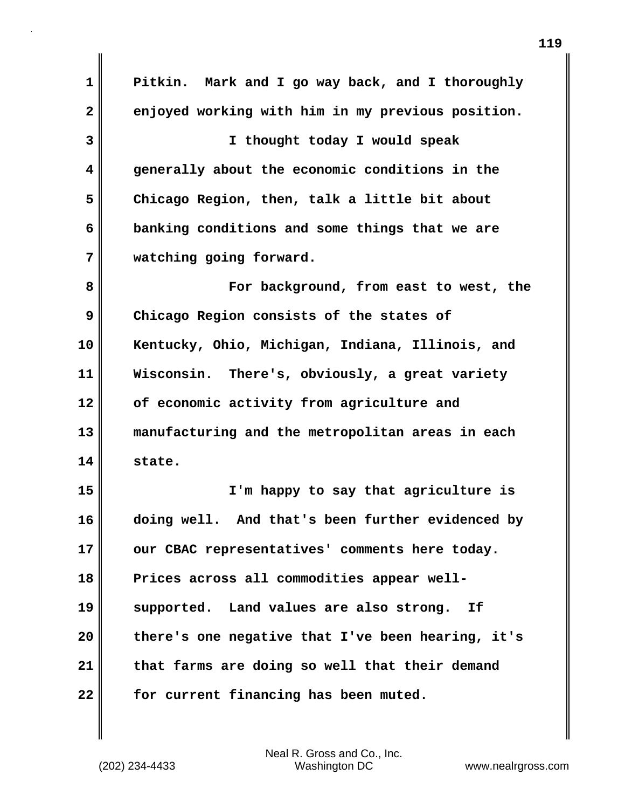**1 2 3 4 5 6 7 8 9 10 11 12 13 14 15 16 17 18 19 20 21 22 Pitkin. Mark and I go way back, and I thoroughly enjoyed working with him in my previous position. I thought today I would speak generally about the economic conditions in the Chicago Region, then, talk a little bit about banking conditions and some things that we are watching going forward. For background, from east to west, the Chicago Region consists of the states of Kentucky, Ohio, Michigan, Indiana, Illinois, and Wisconsin. There's, obviously, a great variety of economic activity from agriculture and manufacturing and the metropolitan areas in each state. I'm happy to say that agriculture is doing well. And that's been further evidenced by our CBAC representatives' comments here today. Prices across all commodities appear wellsupported. Land values are also strong. If there's one negative that I've been hearing, it's that farms are doing so well that their demand for current financing has been muted.**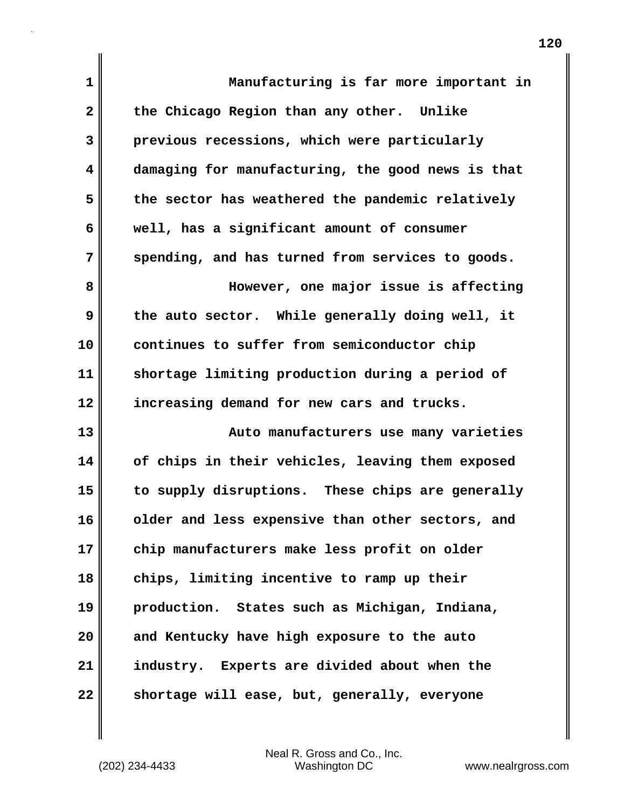| 1  | Manufacturing is far more important in            |
|----|---------------------------------------------------|
| 2  | the Chicago Region than any other. Unlike         |
| 3  | previous recessions, which were particularly      |
| 4  | damaging for manufacturing, the good news is that |
| 5  | the sector has weathered the pandemic relatively  |
| 6  | well, has a significant amount of consumer        |
| 7  | spending, and has turned from services to goods.  |
| 8  | However, one major issue is affecting             |
| 9  | the auto sector. While generally doing well, it   |
| 10 | continues to suffer from semiconductor chip       |
| 11 | shortage limiting production during a period of   |
| 12 | increasing demand for new cars and trucks.        |
| 13 | Auto manufacturers use many varieties             |
| 14 | of chips in their vehicles, leaving them exposed  |
| 15 | to supply disruptions. These chips are generally  |
| 16 | older and less expensive than other sectors, and  |
| 17 | chip manufacturers make less profit on older      |
| 18 | chips, limiting incentive to ramp up their        |
| 19 | production. States such as Michigan, Indiana,     |
| 20 | and Kentucky have high exposure to the auto       |
| 21 | industry. Experts are divided about when the      |
| 22 | shortage will ease, but, generally, everyone      |

 $\mathbf{I}$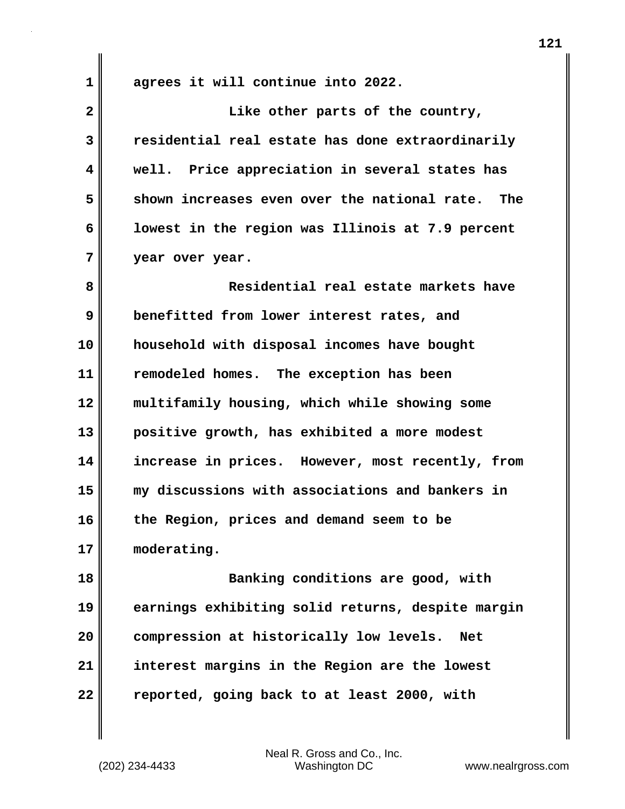**1** 

**agrees it will continue into 2022.**

**2 3 4 5 6 7 8 9 10 11 12 13 14 15 16 17 18 Like other parts of the country, residential real estate has done extraordinarily well. Price appreciation in several states has shown increases even over the national rate. The lowest in the region was Illinois at 7.9 percent year over year. Residential real estate markets have benefitted from lower interest rates, and household with disposal incomes have bought remodeled homes. The exception has been multifamily housing, which while showing some positive growth, has exhibited a more modest increase in prices. However, most recently, from my discussions with associations and bankers in the Region, prices and demand seem to be moderating. Banking conditions are good, with** 

**19 20 21 22 earnings exhibiting solid returns, despite margin compression at historically low levels. Net interest margins in the Region are the lowest reported, going back to at least 2000, with**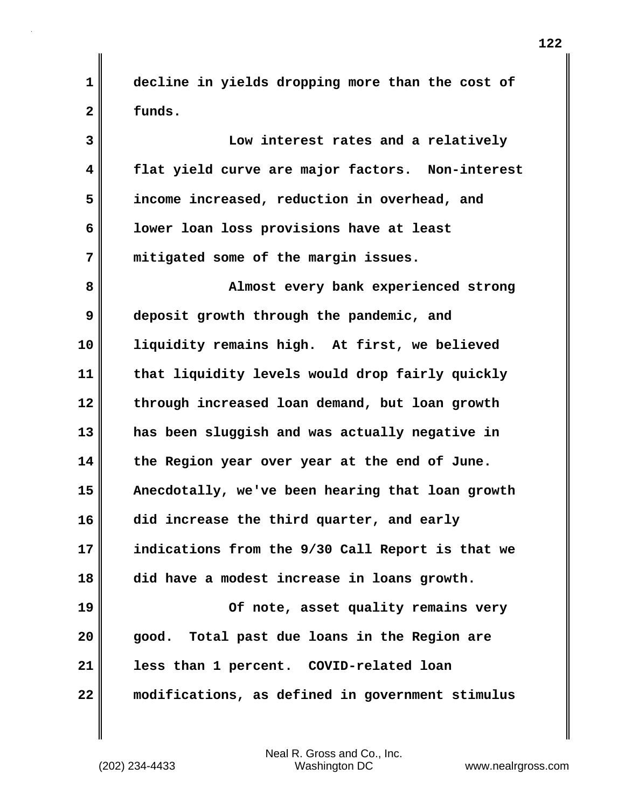**decline in yields dropping more than the cost of funds.**

**3 4 5 6 7 8 9 10 11 12 13 14 15 16 17 18 19 20 21 22 Low interest rates and a relatively flat yield curve are major factors. Non-interest income increased, reduction in overhead, and lower loan loss provisions have at least mitigated some of the margin issues. Almost every bank experienced strong deposit growth through the pandemic, and liquidity remains high. At first, we believed that liquidity levels would drop fairly quickly through increased loan demand, but loan growth has been sluggish and was actually negative in the Region year over year at the end of June. Anecdotally, we've been hearing that loan growth did increase the third quarter, and early indications from the 9/30 Call Report is that we did have a modest increase in loans growth. Of note, asset quality remains very good. Total past due loans in the Region are less than 1 percent. COVID-related loan modifications, as defined in government stimulus** 

**1**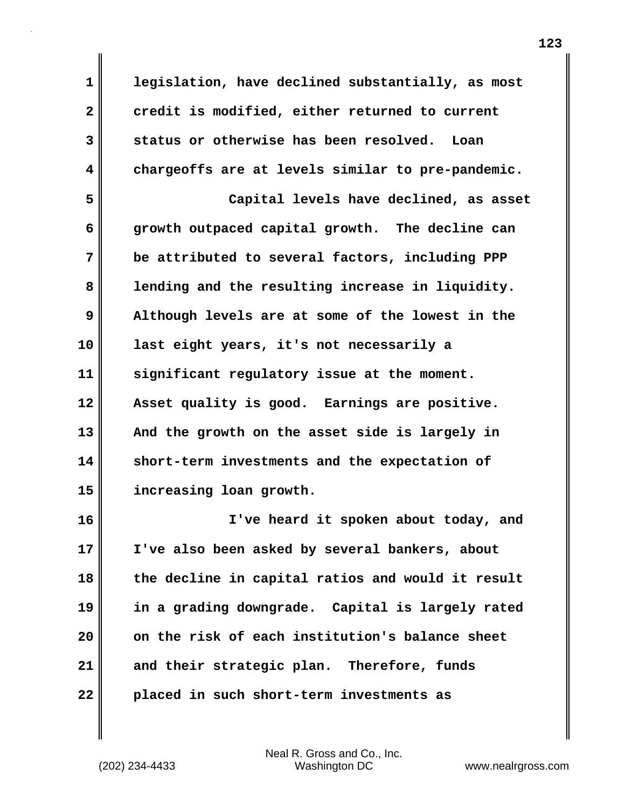**legislation, have declined substantially, as most credit is modified, either returned to current status or otherwise has been resolved. Loan chargeoffs are at levels similar to pre-pandemic.**

**5 6 7 8 9 10 11 12 13 14 15 Capital levels have declined, as asset growth outpaced capital growth. The decline can be attributed to several factors, including PPP lending and the resulting increase in liquidity. Although levels are at some of the lowest in the last eight years, it's not necessarily a significant regulatory issue at the moment. Asset quality is good. Earnings are positive. And the growth on the asset side is largely in short-term investments and the expectation of increasing loan growth.**

**16 17 18 19 20 21 22 I've heard it spoken about today, and I've also been asked by several bankers, about the decline in capital ratios and would it result in a grading downgrade. Capital is largely rated on the risk of each institution's balance sheet and their strategic plan. Therefore, funds placed in such short-term investments as** 

Neal R. Gross and Co., Inc. (202) 234-4433 Washington DC <www.nealrgross.com>

**1** 

**2** 

**3**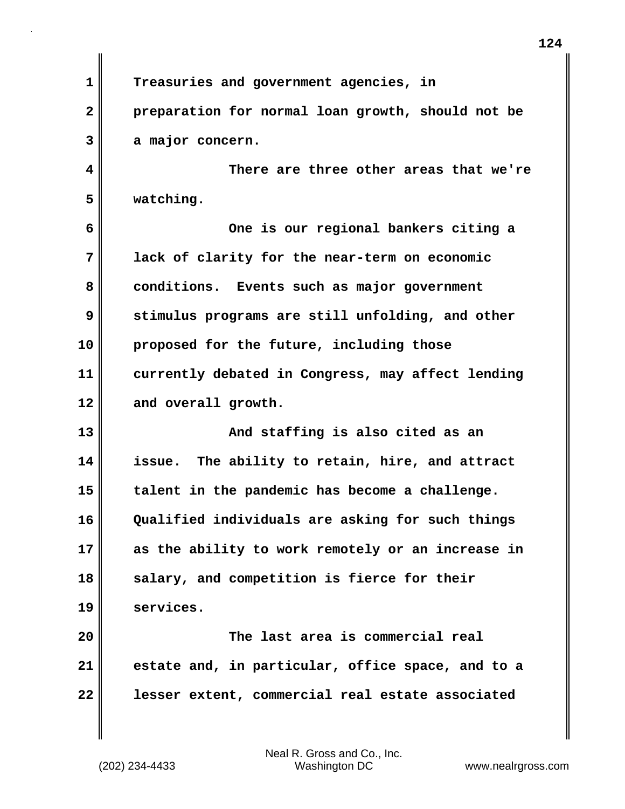**1 2 Treasuries and government agencies, in preparation for normal loan growth, should not be** 

**a major concern.**

**3** 

**4** 

**5** 

 **There are three other areas that we're watching.**

**6 7 8 9 10 11 12 One is our regional bankers citing a lack of clarity for the near-term on economic conditions. Events such as major government stimulus programs are still unfolding, and other proposed for the future, including those currently debated in Congress, may affect lending and overall growth.**

**13 14 15 16 17 18 19 And staffing is also cited as an issue. The ability to retain, hire, and attract talent in the pandemic has become a challenge. Qualified individuals are asking for such things as the ability to work remotely or an increase in salary, and competition is fierce for their services.**

**20 21 22 The last area is commercial real estate and, in particular, office space, and to a lesser extent, commercial real estate associated**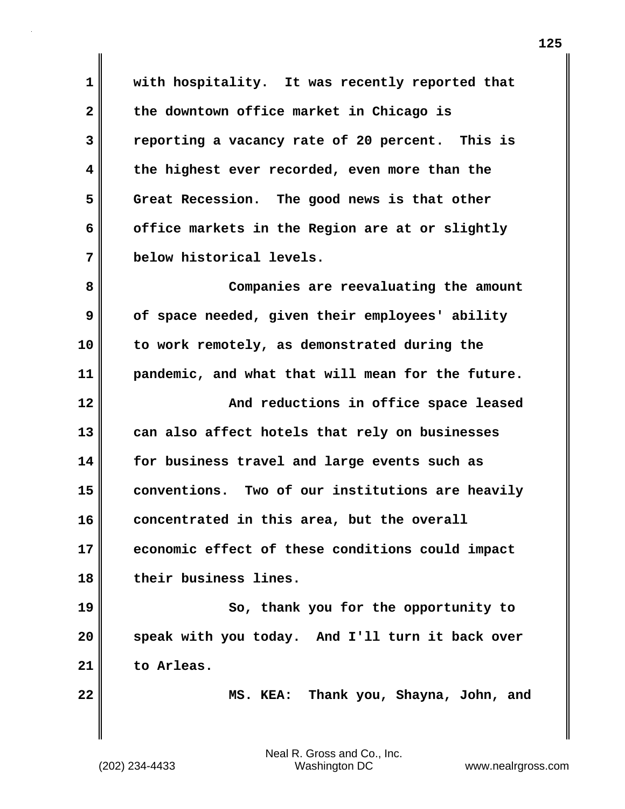**1 2 3 4 5 6 7 with hospitality. It was recently reported that the downtown office market in Chicago is reporting a vacancy rate of 20 percent. This is the highest ever recorded, even more than the Great Recession. The good news is that other office markets in the Region are at or slightly below historical levels.**

**8 9 10 11 12 13 14 15 16 17 18 Companies are reevaluating the amount of space needed, given their employees' ability to work remotely, as demonstrated during the pandemic, and what that will mean for the future. And reductions in office space leased can also affect hotels that rely on businesses for business travel and large events such as conventions. Two of our institutions are heavily concentrated in this area, but the overall economic effect of these conditions could impact their business lines.**

**19 20 21 So, thank you for the opportunity to speak with you today. And I'll turn it back over to Arleas.**

**22** 

 **MS. KEA: Thank you, Shayna, John, and**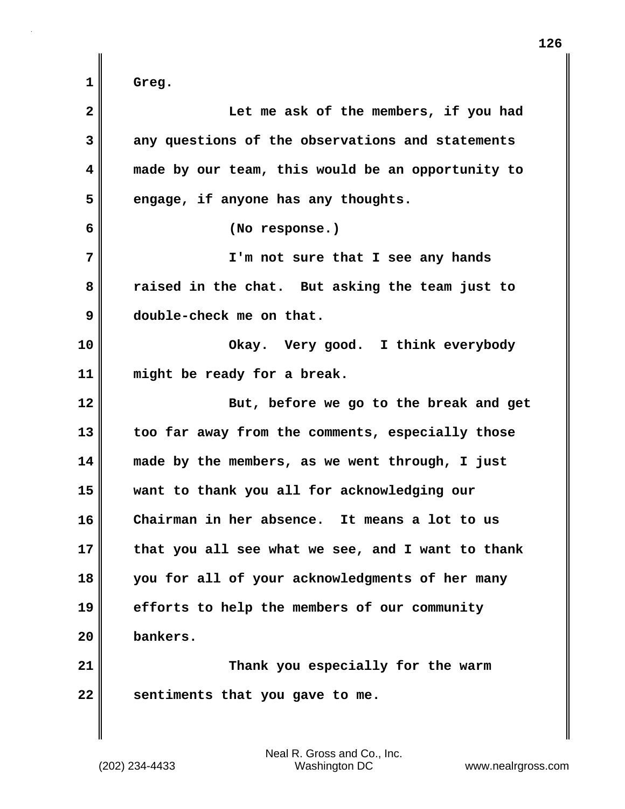**1 2 3 4 5 6 7 8 9 10 11 12 13 14 15 16 17 18 19 20 21 22 Greg. Let me ask of the members, if you had any questions of the observations and statements made by our team, this would be an opportunity to engage, if anyone has any thoughts. (No response.) I'm not sure that I see any hands raised in the chat. But asking the team just to double-check me on that. Okay. Very good. I think everybody might be ready for a break. But, before we go to the break and get too far away from the comments, especially those made by the members, as we went through, I just want to thank you all for acknowledging our Chairman in her absence. It means a lot to us that you all see what we see, and I want to thank you for all of your acknowledgments of her many efforts to help the members of our community bankers. Thank you especially for the warm sentiments that you gave to me.**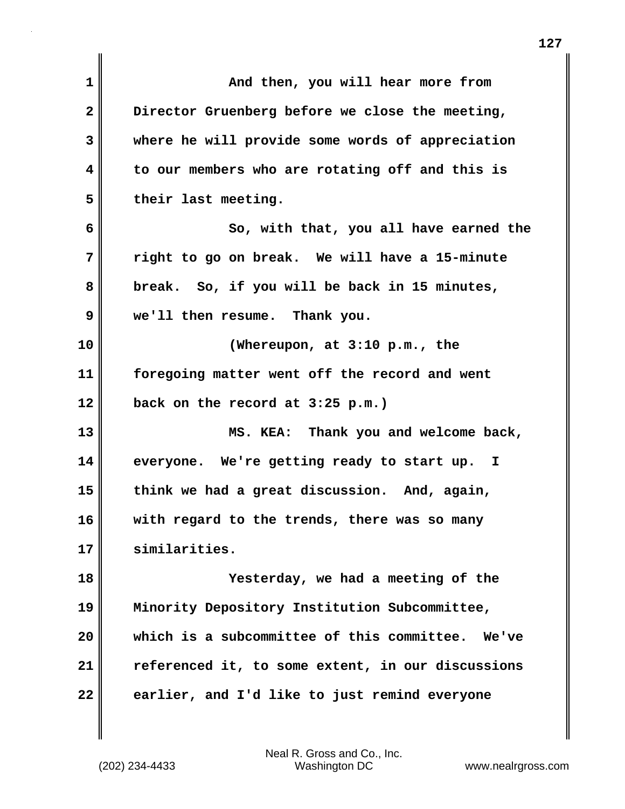| $\mathbf{1}$ | And then, you will hear more from                   |
|--------------|-----------------------------------------------------|
| $\mathbf{2}$ | Director Gruenberg before we close the meeting,     |
| 3            | where he will provide some words of appreciation    |
| 4            | to our members who are rotating off and this is     |
| 5            | their last meeting.                                 |
| 6            | So, with that, you all have earned the              |
| 7            | right to go on break. We will have a 15-minute      |
| 8            | break. So, if you will be back in 15 minutes,       |
| 9            | we'll then resume. Thank you.                       |
| 10           | (Whereupon, at $3:10$ p.m., the                     |
| 11           | foregoing matter went off the record and went       |
| 12           | back on the record at 3:25 p.m.)                    |
| 13           | MS. KEA: Thank you and welcome back,                |
| 14           | everyone. We're getting ready to start up. I        |
| 15           | think we had a great discussion. And, again,        |
| 16           | with regard to the trends, there was so many        |
| 17           | similarities.                                       |
| 18           | Yesterday, we had a meeting of the                  |
| 19           | Minority Depository Institution Subcommittee,       |
| 20           | which is a subcommittee of this committee.<br>We've |
| 21           | referenced it, to some extent, in our discussions   |
| 22           | earlier, and I'd like to just remind everyone       |
|              |                                                     |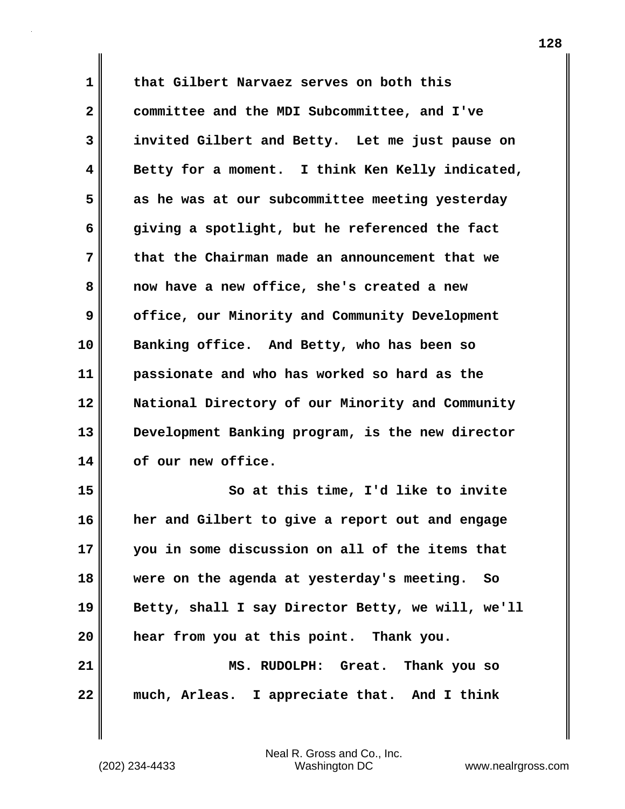**1 2 3 4 5 6 7 8 9 10 11 12 13 14 15 16 17 18 19 20 21 22 that Gilbert Narvaez serves on both this committee and the MDI Subcommittee, and I've invited Gilbert and Betty. Let me just pause on Betty for a moment. I think Ken Kelly indicated, as he was at our subcommittee meeting yesterday giving a spotlight, but he referenced the fact that the Chairman made an announcement that we now have a new office, she's created a new office, our Minority and Community Development Banking office. And Betty, who has been so passionate and who has worked so hard as the National Directory of our Minority and Community Development Banking program, is the new director of our new office. So at this time, I'd like to invite her and Gilbert to give a report out and engage you in some discussion on all of the items that were on the agenda at yesterday's meeting. So Betty, shall I say Director Betty, we will, we'll hear from you at this point. Thank you. MS. RUDOLPH: Great. Thank you so much, Arleas. I appreciate that. And I think**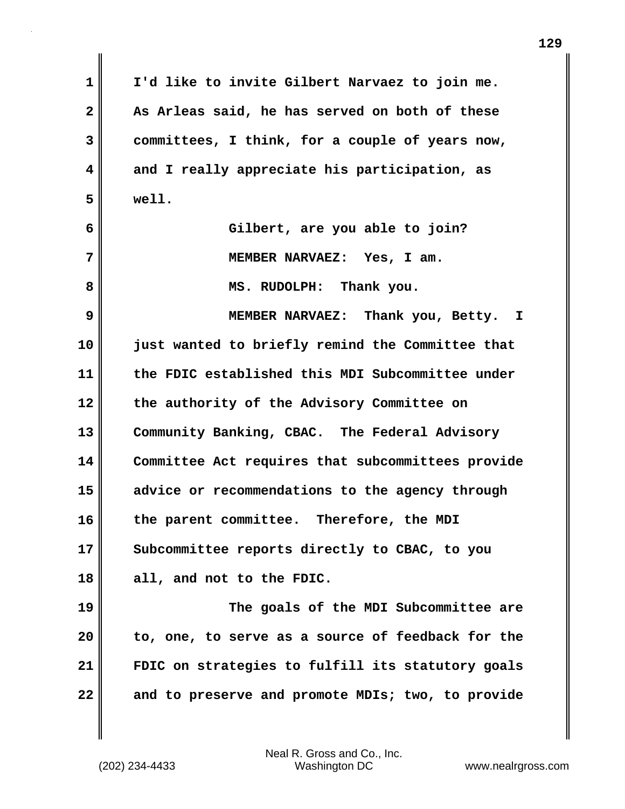| 1  | I'd like to invite Gilbert Narvaez to join me.    |
|----|---------------------------------------------------|
| 2  | As Arleas said, he has served on both of these    |
| 3  | committees, I think, for a couple of years now,   |
| 4  | and I really appreciate his participation, as     |
| 5  | well.                                             |
| 6  | Gilbert, are you able to join?                    |
| 7  | MEMBER NARVAEZ: Yes, I am.                        |
| 8  | MS. RUDOLPH: Thank you.                           |
| 9  | MEMBER NARVAEZ: Thank you, Betty. I               |
| 10 | just wanted to briefly remind the Committee that  |
| 11 | the FDIC established this MDI Subcommittee under  |
| 12 | the authority of the Advisory Committee on        |
| 13 | Community Banking, CBAC. The Federal Advisory     |
| 14 | Committee Act requires that subcommittees provide |
| 15 | advice or recommendations to the agency through   |
| 16 | the parent committee. Therefore, the MDI          |
| 17 | Subcommittee reports directly to CBAC, to you     |
| 18 | all, and not to the FDIC.                         |
| 19 | The goals of the MDI Subcommittee are             |
| 20 | to, one, to serve as a source of feedback for the |
| 21 | FDIC on strategies to fulfill its statutory goals |
| 22 | and to preserve and promote MDIs; two, to provide |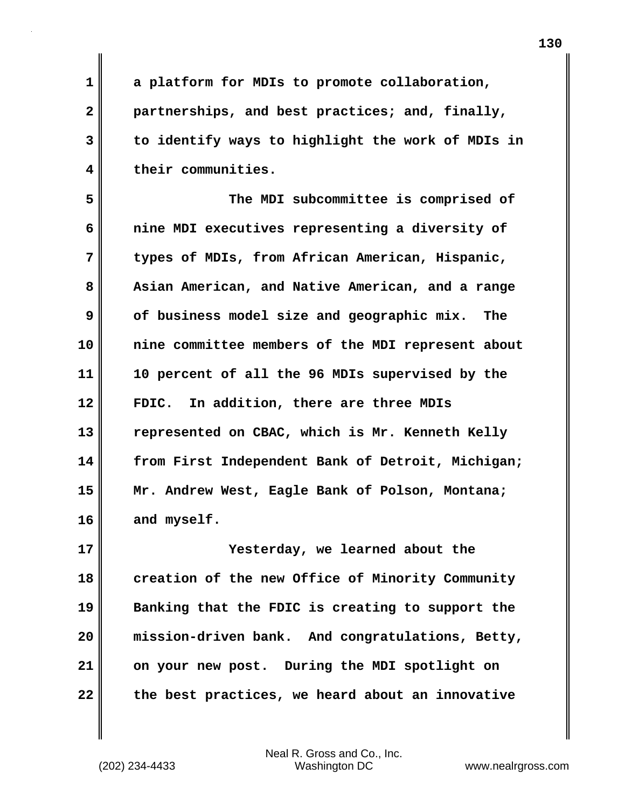**a platform for MDIs to promote collaboration, partnerships, and best practices; and, finally, to identify ways to highlight the work of MDIs in their communities.**

**5 6 7 8 9 10 11 12 13 14 15 16 The MDI subcommittee is comprised of nine MDI executives representing a diversity of types of MDIs, from African American, Hispanic, Asian American, and Native American, and a range of business model size and geographic mix. The nine committee members of the MDI represent about 10 percent of all the 96 MDIs supervised by the FDIC. In addition, there are three MDIs represented on CBAC, which is Mr. Kenneth Kelly from First Independent Bank of Detroit, Michigan; Mr. Andrew West, Eagle Bank of Polson, Montana; and myself.**

**17 18 19 20 21 22 Yesterday, we learned about the creation of the new Office of Minority Community Banking that the FDIC is creating to support the mission-driven bank. And congratulations, Betty, on your new post. During the MDI spotlight on the best practices, we heard about an innovative** 

Neal R. Gross and Co., Inc. (202) 234-4433 Washington DC <www.nealrgross.com>

**1** 

**2** 

**3**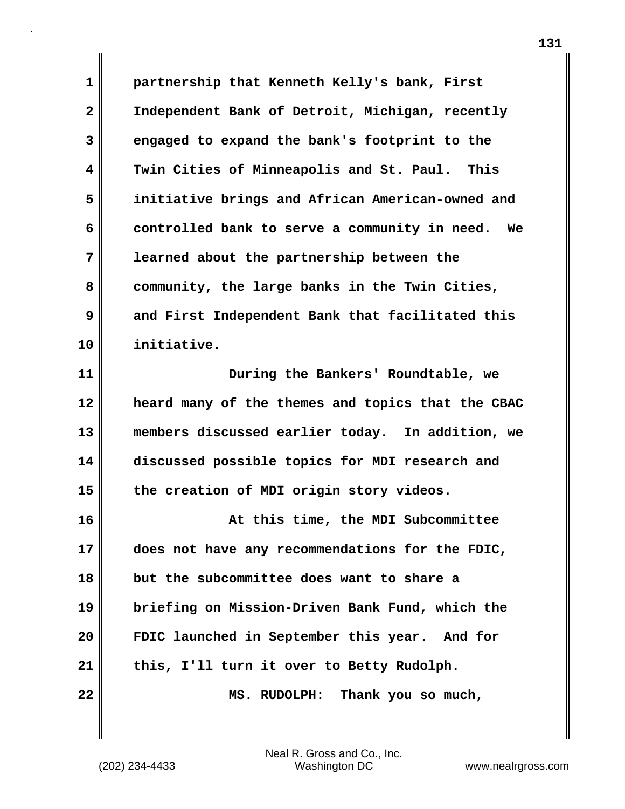**1 2 3 4 5 6 7 8 9 10 partnership that Kenneth Kelly's bank, First Independent Bank of Detroit, Michigan, recently engaged to expand the bank's footprint to the Twin Cities of Minneapolis and St. Paul. This initiative brings and African American-owned and controlled bank to serve a community in need. We learned about the partnership between the community, the large banks in the Twin Cities, and First Independent Bank that facilitated this initiative.**

**11 12 13 14 15 During the Bankers' Roundtable, we heard many of the themes and topics that the CBAC members discussed earlier today. In addition, we discussed possible topics for MDI research and the creation of MDI origin story videos.**

**16 17 18 19 20 21 22 At this time, the MDI Subcommittee does not have any recommendations for the FDIC, but the subcommittee does want to share a briefing on Mission-Driven Bank Fund, which the FDIC launched in September this year. And for this, I'll turn it over to Betty Rudolph. MS. RUDOLPH: Thank you so much,**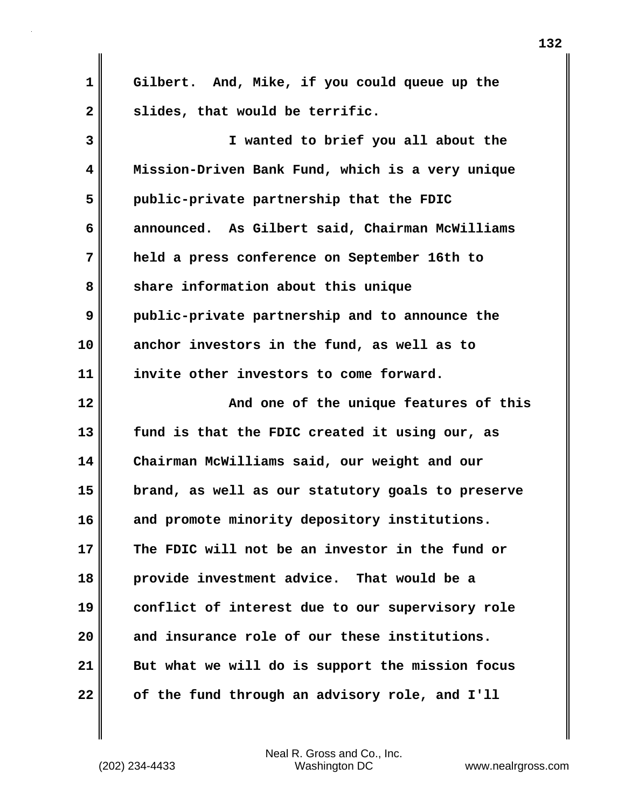| 1            | Gilbert. And, Mike, if you could queue up the     |
|--------------|---------------------------------------------------|
| $\mathbf{2}$ | slides, that would be terrific.                   |
| 3            | I wanted to brief you all about the               |
| 4            | Mission-Driven Bank Fund, which is a very unique  |
| 5            | public-private partnership that the FDIC          |
| 6            | announced. As Gilbert said, Chairman McWilliams   |
| 7            | held a press conference on September 16th to      |
| 8            | share information about this unique               |
| 9            | public-private partnership and to announce the    |
| 10           | anchor investors in the fund, as well as to       |
| 11           | invite other investors to come forward.           |
| 12           | And one of the unique features of this            |
| 13           | fund is that the FDIC created it using our, as    |
| 14           | Chairman McWilliams said, our weight and our      |
| 15           | brand, as well as our statutory goals to preserve |
| 16           | and promote minority depository institutions.     |
| 17           | The FDIC will not be an investor in the fund or   |
| 18           | provide investment advice. That would be a        |
| 19           | conflict of interest due to our supervisory role  |
| 20           | and insurance role of our these institutions.     |
| 21           | But what we will do is support the mission focus  |
| 22           | of the fund through an advisory role, and I'll    |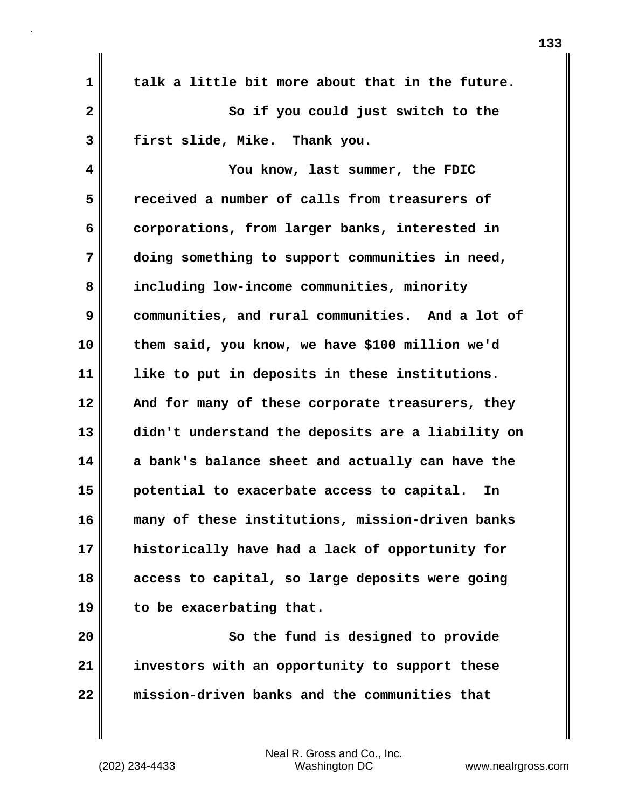| 1            | talk a little bit more about that in the future.  |
|--------------|---------------------------------------------------|
| $\mathbf{2}$ | So if you could just switch to the                |
| 3            | first slide, Mike. Thank you.                     |
| 4            | You know, last summer, the FDIC                   |
| 5            | received a number of calls from treasurers of     |
| 6            | corporations, from larger banks, interested in    |
| 7            | doing something to support communities in need,   |
| 8            | including low-income communities, minority        |
| 9            | communities, and rural communities. And a lot of  |
| 10           | them said, you know, we have \$100 million we'd   |
| 11           | like to put in deposits in these institutions.    |
| 12           | And for many of these corporate treasurers, they  |
| 13           | didn't understand the deposits are a liability on |
| 14           | a bank's balance sheet and actually can have the  |
| 15           | potential to exacerbate access to capital.<br>In  |
| 16           | many of these institutions, mission-driven banks  |
| 17           | historically have had a lack of opportunity for   |
| 18           | access to capital, so large deposits were going   |
| 19           | to be exacerbating that.                          |
| 20           | So the fund is designed to provide                |
| 21           | investors with an opportunity to support these    |
| 22           | mission-driven banks and the communities that     |

 $\mathbf{I}$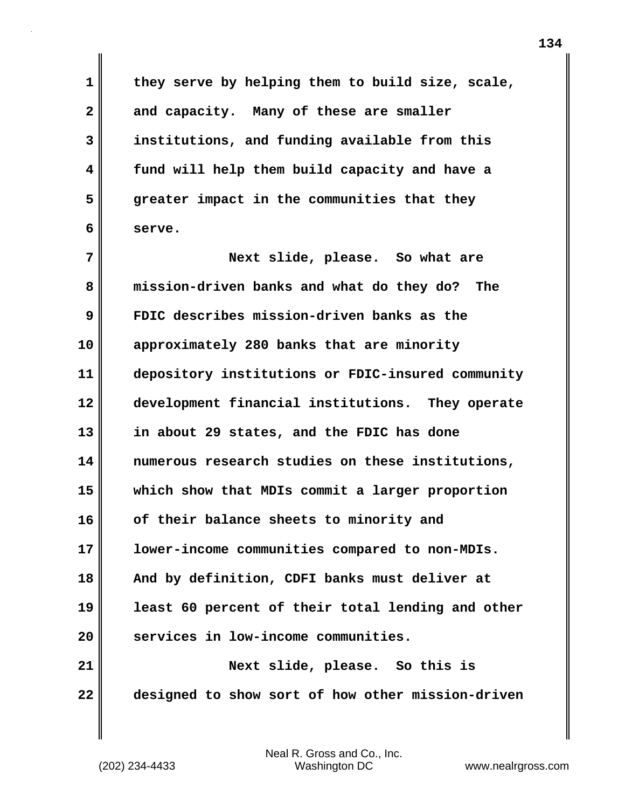**they serve by helping them to build size, scale, and capacity. Many of these are smaller institutions, and funding available from this fund will help them build capacity and have a greater impact in the communities that they serve.**

**7 8 9 10 11 12 13 14 15 16 17 18 19 20 21 22 Next slide, please. So what are mission-driven banks and what do they do? The FDIC describes mission-driven banks as the approximately 280 banks that are minority depository institutions or FDIC-insured community development financial institutions. They operate in about 29 states, and the FDIC has done numerous research studies on these institutions, which show that MDIs commit a larger proportion of their balance sheets to minority and lower-income communities compared to non-MDIs. And by definition, CDFI banks must deliver at least 60 percent of their total lending and other services in low-income communities. Next slide, please. So this is designed to show sort of how other mission-driven** 

**1** 

**2** 

**3** 

**4** 

**5**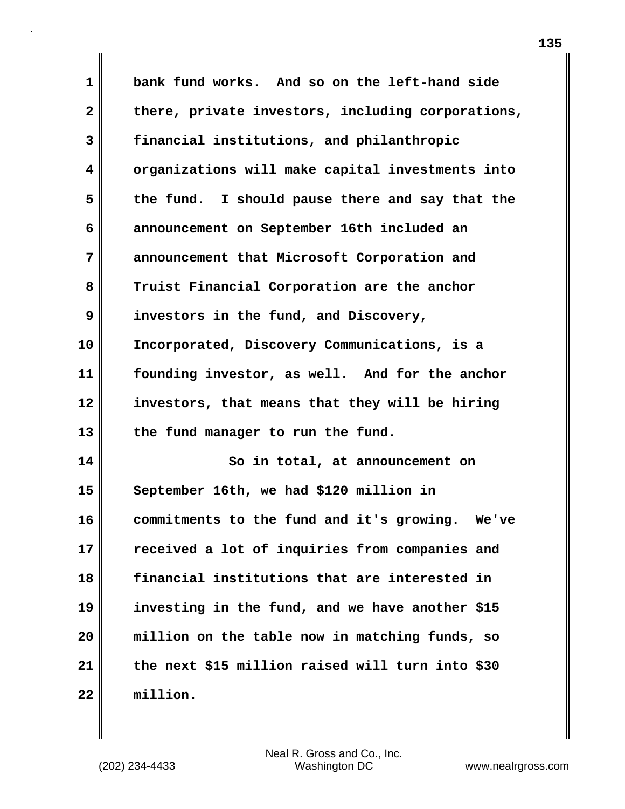**1 2 3 4 5 6 7 8 9 10 11 12 13 14 15 16 17 18 19 20 21 22 bank fund works. And so on the left-hand side there, private investors, including corporations, financial institutions, and philanthropic organizations will make capital investments into the fund. I should pause there and say that the announcement on September 16th included an announcement that Microsoft Corporation and Truist Financial Corporation are the anchor investors in the fund, and Discovery, Incorporated, Discovery Communications, is a founding investor, as well. And for the anchor investors, that means that they will be hiring the fund manager to run the fund. So in total, at announcement on September 16th, we had \$120 million in commitments to the fund and it's growing. We've received a lot of inquiries from companies and financial institutions that are interested in investing in the fund, and we have another \$15 million on the table now in matching funds, so the next \$15 million raised will turn into \$30 million.**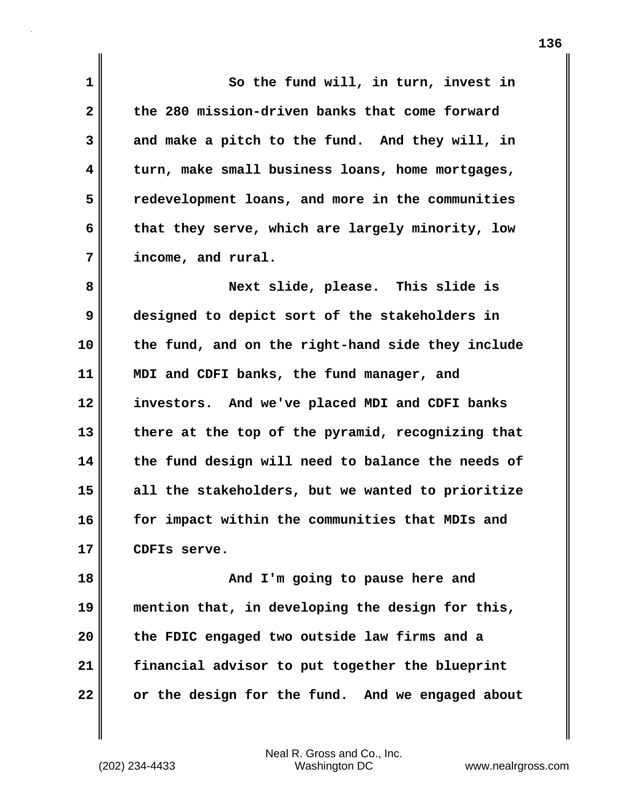**1 2 3 4 5 6 7 8 9 10 11 12 13 14 15 16 17 18 19 20 So the fund will, in turn, invest in the 280 mission-driven banks that come forward and make a pitch to the fund. And they will, in turn, make small business loans, home mortgages, redevelopment loans, and more in the communities that they serve, which are largely minority, low income, and rural. Next slide, please. This slide is designed to depict sort of the stakeholders in the fund, and on the right-hand side they include MDI and CDFI banks, the fund manager, and investors. And we've placed MDI and CDFI banks there at the top of the pyramid, recognizing that the fund design will need to balance the needs of all the stakeholders, but we wanted to prioritize for impact within the communities that MDIs and CDFIs serve. And I'm going to pause here and mention that, in developing the design for this, the FDIC engaged two outside law firms and a** 

**22** 

**21** 

Neal R. Gross and Co., Inc. (202) 234-4433 Washington DC <www.nealrgross.com>

**financial advisor to put together the blueprint** 

**or the design for the fund. And we engaged about**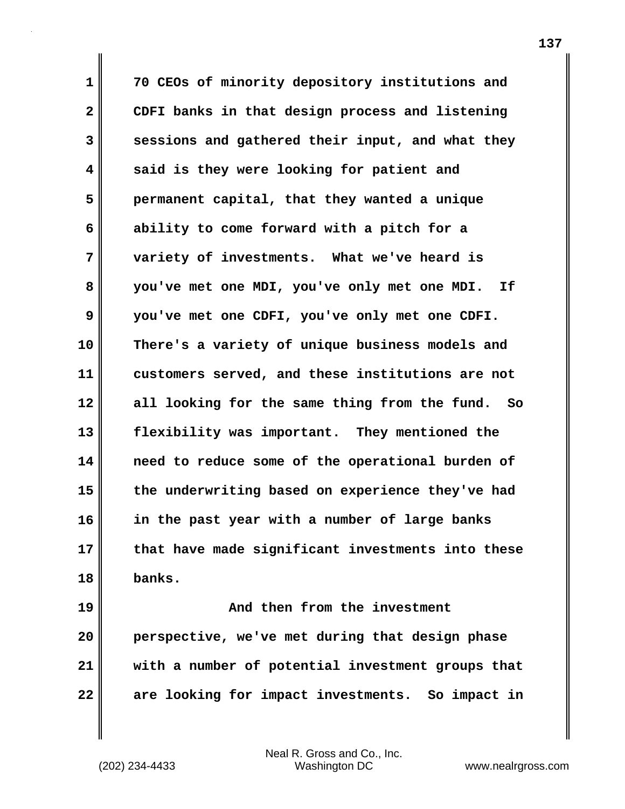**1 2 3 4 5 6 7 8 9 10 11 12 13 14 15 16 17 18 19 20 70 CEOs of minority depository institutions and CDFI banks in that design process and listening sessions and gathered their input, and what they said is they were looking for patient and permanent capital, that they wanted a unique ability to come forward with a pitch for a variety of investments. What we've heard is you've met one MDI, you've only met one MDI. If you've met one CDFI, you've only met one CDFI. There's a variety of unique business models and customers served, and these institutions are not all looking for the same thing from the fund. So flexibility was important. They mentioned the need to reduce some of the operational burden of the underwriting based on experience they've had in the past year with a number of large banks that have made significant investments into these banks. And then from the investment perspective, we've met during that design phase** 

**22** 

**21** 

Neal R. Gross and Co., Inc. (202) 234-4433 Washington DC <www.nealrgross.com>

**with a number of potential investment groups that** 

**are looking for impact investments. So impact in**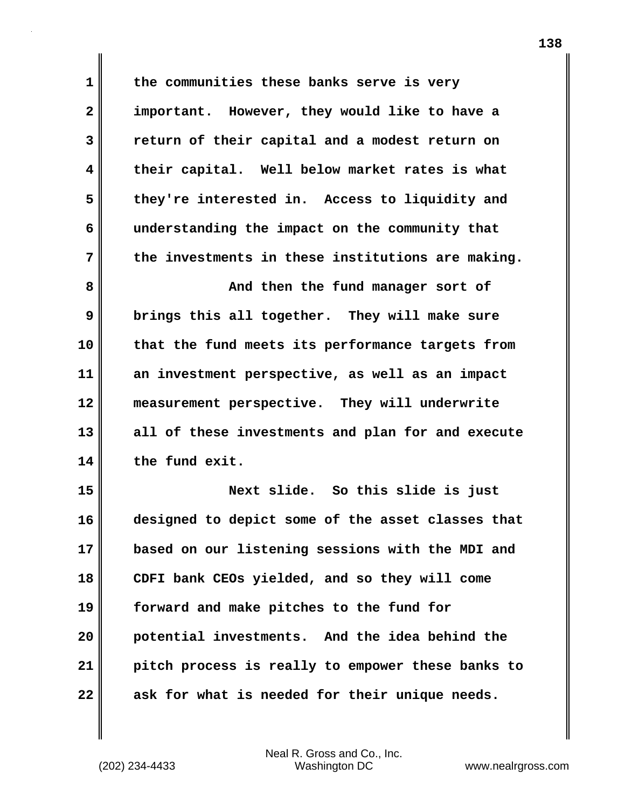**1 2 3 4 5 6 7 8 9 the communities these banks serve is very important. However, they would like to have a return of their capital and a modest return on their capital. Well below market rates is what they're interested in. Access to liquidity and understanding the impact on the community that the investments in these institutions are making. And then the fund manager sort of brings this all together. They will make sure that the fund meets its performance targets from** 

**10 11 12 13 14 an investment perspective, as well as an impact measurement perspective. They will underwrite all of these investments and plan for and execute the fund exit.**

**15 16 17 18 19 20 21 22 Next slide. So this slide is just designed to depict some of the asset classes that based on our listening sessions with the MDI and CDFI bank CEOs yielded, and so they will come forward and make pitches to the fund for potential investments. And the idea behind the pitch process is really to empower these banks to ask for what is needed for their unique needs.**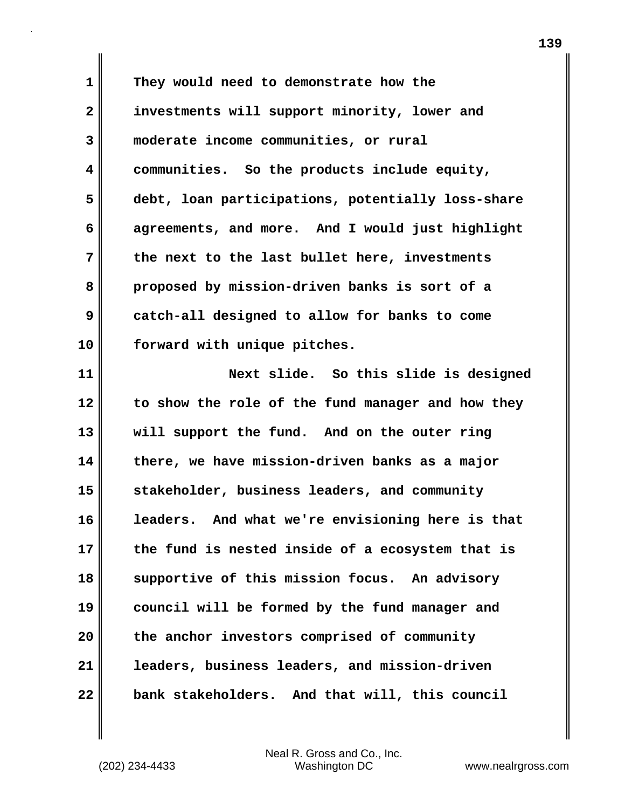**1 2 3 4 5 6 7 8 9 10 They would need to demonstrate how the investments will support minority, lower and moderate income communities, or rural communities. So the products include equity, debt, loan participations, potentially loss-share agreements, and more. And I would just highlight the next to the last bullet here, investments proposed by mission-driven banks is sort of a catch-all designed to allow for banks to come forward with unique pitches.**

**11 12 13 14 15 16 17 18 19 20 21 22 Next slide. So this slide is designed to show the role of the fund manager and how they will support the fund. And on the outer ring there, we have mission-driven banks as a major stakeholder, business leaders, and community leaders. And what we're envisioning here is that the fund is nested inside of a ecosystem that is supportive of this mission focus. An advisory council will be formed by the fund manager and the anchor investors comprised of community leaders, business leaders, and mission-driven bank stakeholders. And that will, this council**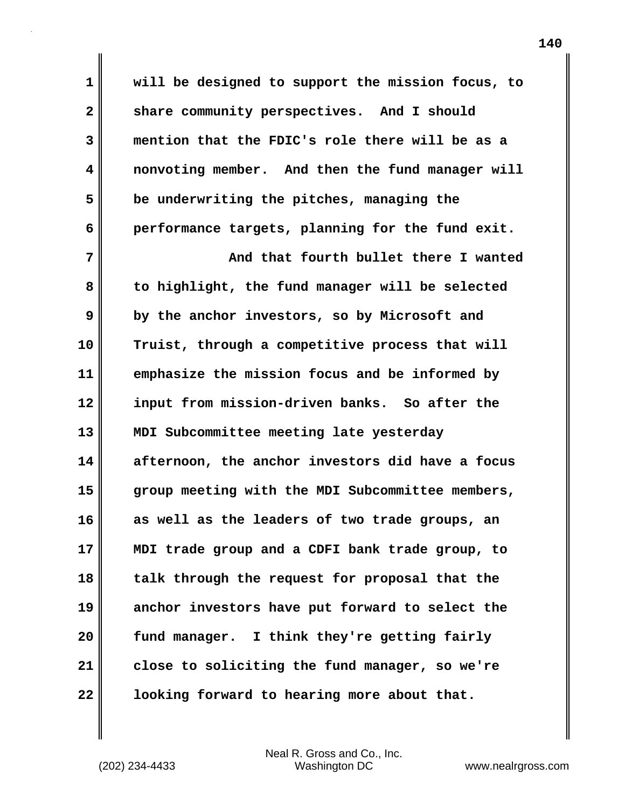**1 2 3 4 5 6 will be designed to support the mission focus, to share community perspectives. And I should mention that the FDIC's role there will be as a nonvoting member. And then the fund manager will be underwriting the pitches, managing the performance targets, planning for the fund exit.** 

**7 8 9 10 11 12 13 14 15 16 17 18 19 20 21 22 And that fourth bullet there I wanted to highlight, the fund manager will be selected by the anchor investors, so by Microsoft and Truist, through a competitive process that will emphasize the mission focus and be informed by input from mission-driven banks. So after the MDI Subcommittee meeting late yesterday afternoon, the anchor investors did have a focus group meeting with the MDI Subcommittee members, as well as the leaders of two trade groups, an MDI trade group and a CDFI bank trade group, to talk through the request for proposal that the anchor investors have put forward to select the fund manager. I think they're getting fairly close to soliciting the fund manager, so we're looking forward to hearing more about that.**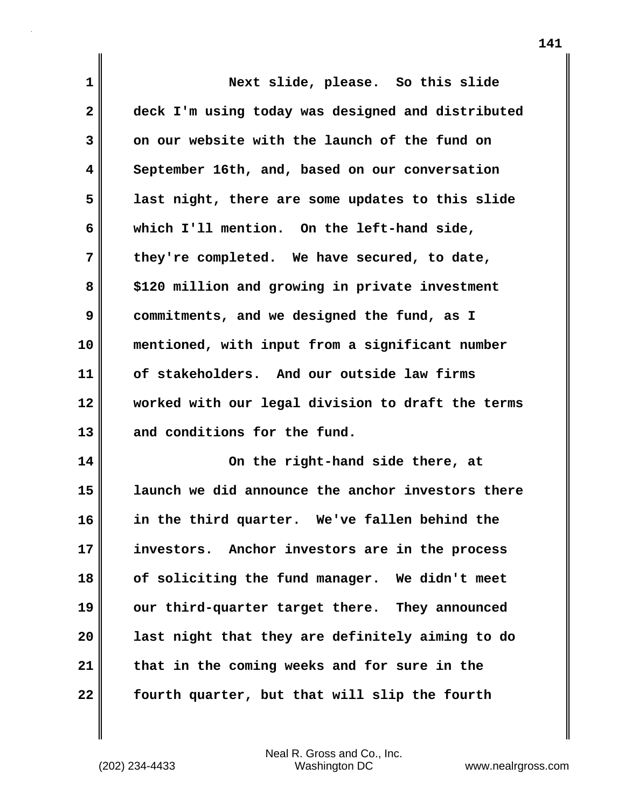| $\mathbf 1$  | Next slide, please. So this slide                 |
|--------------|---------------------------------------------------|
| $\mathbf{2}$ | deck I'm using today was designed and distributed |
| 3            | on our website with the launch of the fund on     |
| 4            | September 16th, and, based on our conversation    |
| 5            | last night, there are some updates to this slide  |
| 6            | which I'll mention. On the left-hand side,        |
| 7            | they're completed. We have secured, to date,      |
| 8            | \$120 million and growing in private investment   |
| 9            | commitments, and we designed the fund, as I       |
| 10           | mentioned, with input from a significant number   |
| 11           | of stakeholders. And our outside law firms        |
| 12           | worked with our legal division to draft the terms |
| 13           | and conditions for the fund.                      |
| 14           | On the right-hand side there, at                  |
| 15           | launch we did announce the anchor investors there |
| 16           | in the third quarter. We've fallen behind the     |
| 17           | investors. Anchor investors are in the process    |
| 18           | of soliciting the fund manager. We didn't meet    |
| 19           | our third-quarter target there. They announced    |
| 20           | last night that they are definitely aiming to do  |
| 21           | that in the coming weeks and for sure in the      |
| 22           | fourth quarter, but that will slip the fourth     |

Neal R. Gross and Co., Inc. (202) 234-4433 Washington DC <www.nealrgross.com>

 $\mathbf{l}$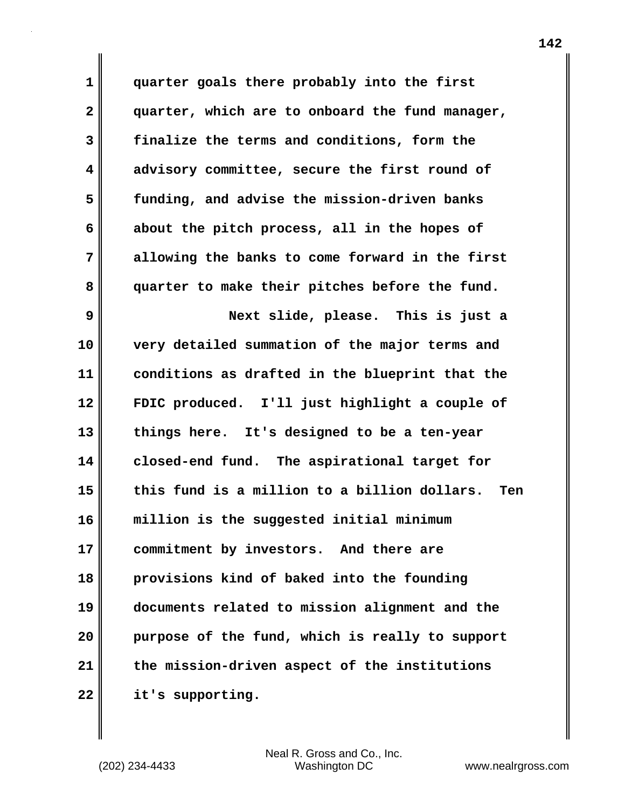**1 2 3 4 5 6 7 8 9 10 11 12 13 14 15 quarter goals there probably into the first quarter, which are to onboard the fund manager, finalize the terms and conditions, form the advisory committee, secure the first round of funding, and advise the mission-driven banks about the pitch process, all in the hopes of allowing the banks to come forward in the first quarter to make their pitches before the fund. Next slide, please. This is just a very detailed summation of the major terms and conditions as drafted in the blueprint that the FDIC produced. I'll just highlight a couple of things here. It's designed to be a ten-year closed-end fund. The aspirational target for this fund is a million to a billion dollars. Ten** 

**16 17 18 19 20 21 22 million is the suggested initial minimum commitment by investors. And there are provisions kind of baked into the founding documents related to mission alignment and the purpose of the fund, which is really to support the mission-driven aspect of the institutions it's supporting.**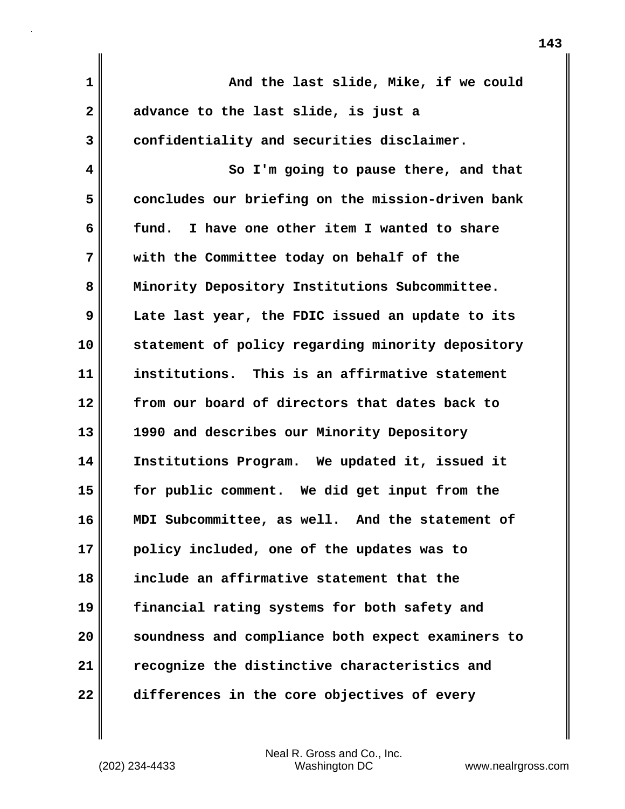**1 2 3 4 5 6 7 8 9 10 11 12 13 14 15 16 17 18 19 20 21 22 And the last slide, Mike, if we could advance to the last slide, is just a confidentiality and securities disclaimer. So I'm going to pause there, and that concludes our briefing on the mission-driven bank fund. I have one other item I wanted to share with the Committee today on behalf of the Minority Depository Institutions Subcommittee. Late last year, the FDIC issued an update to its statement of policy regarding minority depository institutions. This is an affirmative statement from our board of directors that dates back to 1990 and describes our Minority Depository Institutions Program. We updated it, issued it for public comment. We did get input from the MDI Subcommittee, as well. And the statement of policy included, one of the updates was to include an affirmative statement that the financial rating systems for both safety and soundness and compliance both expect examiners to recognize the distinctive characteristics and differences in the core objectives of every**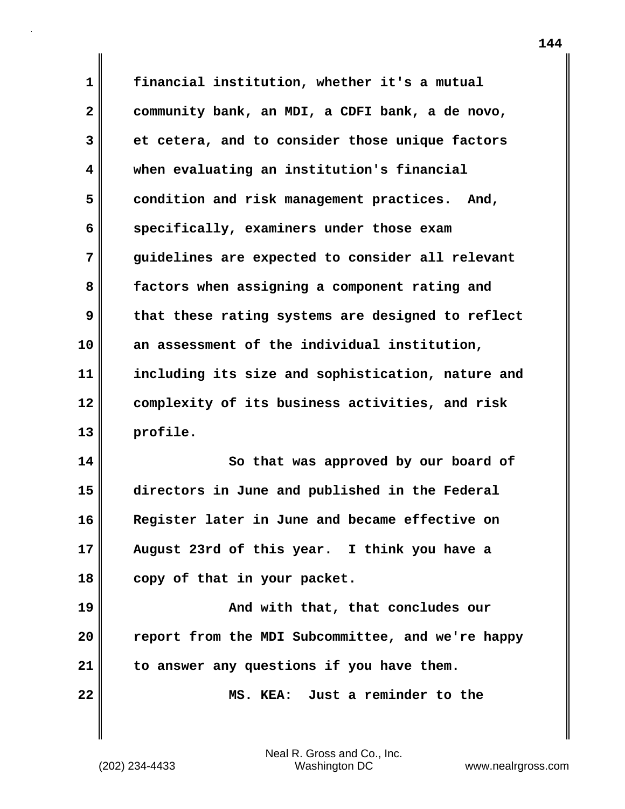**1 2 3 4 5 6 7 8 9 10 11 12 13 financial institution, whether it's a mutual community bank, an MDI, a CDFI bank, a de novo, et cetera, and to consider those unique factors when evaluating an institution's financial condition and risk management practices. And, specifically, examiners under those exam guidelines are expected to consider all relevant factors when assigning a component rating and that these rating systems are designed to reflect an assessment of the individual institution, including its size and sophistication, nature and complexity of its business activities, and risk profile.**

**14 15 16 17 18 So that was approved by our board of directors in June and published in the Federal Register later in June and became effective on August 23rd of this year. I think you have a copy of that in your packet.**

**19 20 21 And with that, that concludes our report from the MDI Subcommittee, and we're happy to answer any questions if you have them.**

 **MS. KEA: Just a reminder to the** 

Neal R. Gross and Co., Inc. (202) 234-4433 Washington DC <www.nealrgross.com>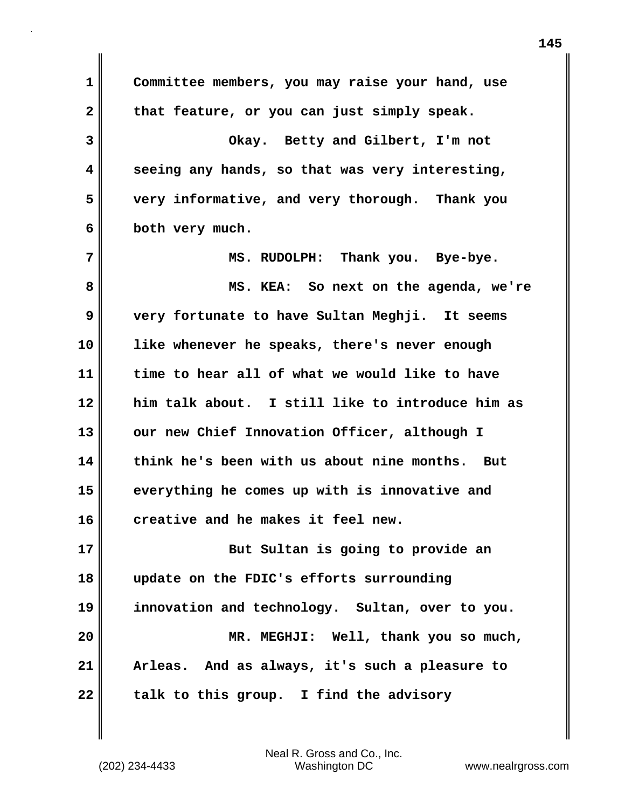**1 2 3 4 5 6 7 8 9 10 11 12 13 14 15 16 17 18 19 20 21 22 Committee members, you may raise your hand, use that feature, or you can just simply speak. Okay. Betty and Gilbert, I'm not seeing any hands, so that was very interesting, very informative, and very thorough. Thank you both very much. MS. RUDOLPH: Thank you. Bye-bye. MS. KEA: So next on the agenda, we're very fortunate to have Sultan Meghji. It seems like whenever he speaks, there's never enough time to hear all of what we would like to have him talk about. I still like to introduce him as our new Chief Innovation Officer, although I think he's been with us about nine months. But everything he comes up with is innovative and creative and he makes it feel new. But Sultan is going to provide an update on the FDIC's efforts surrounding innovation and technology. Sultan, over to you. MR. MEGHJI: Well, thank you so much, Arleas. And as always, it's such a pleasure to talk to this group. I find the advisory**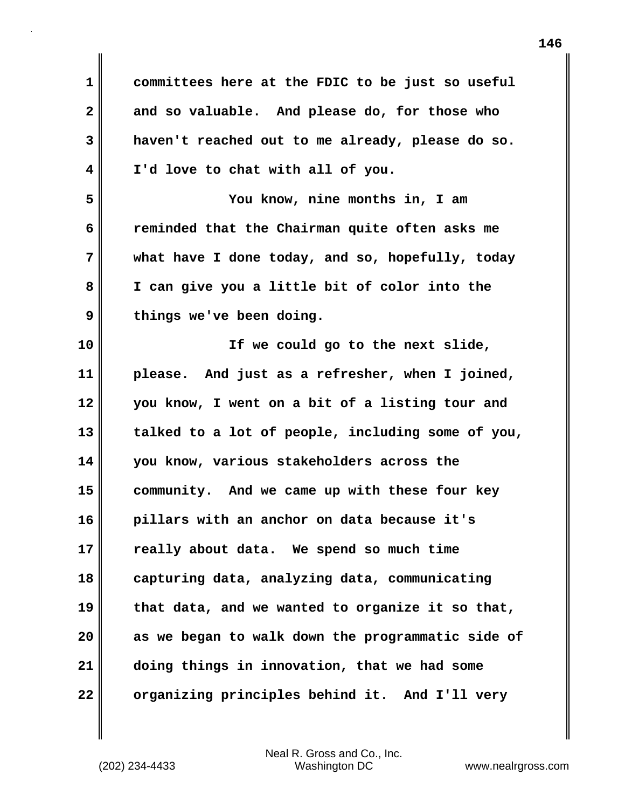| 1                       | committees here at the FDIC to be just so useful  |
|-------------------------|---------------------------------------------------|
| $\overline{\mathbf{2}}$ | and so valuable. And please do, for those who     |
| 3                       | haven't reached out to me already, please do so.  |
| 4                       | I'd love to chat with all of you.                 |
| 5                       | You know, nine months in, I am                    |
| 6                       | reminded that the Chairman quite often asks me    |
| 7                       | what have I done today, and so, hopefully, today  |
| 8                       | I can give you a little bit of color into the     |
| 9                       | things we've been doing.                          |
| 10                      | If we could go to the next slide,                 |
| 11                      | please. And just as a refresher, when I joined,   |
| 12                      | you know, I went on a bit of a listing tour and   |
| 13                      | talked to a lot of people, including some of you, |
| 14                      | you know, various stakeholders across the         |
| 15                      | community. And we came up with these four key     |
| 16                      | pillars with an anchor on data because it's       |
| 17                      | really about data. We spend so much time          |
| 18                      | capturing data, analyzing data, communicating     |
| 19                      | that data, and we wanted to organize it so that,  |
| 20                      | as we began to walk down the programmatic side of |
| 21                      | doing things in innovation, that we had some      |
| 22                      | organizing principles behind it. And I'll very    |

 $\mathbf{I}$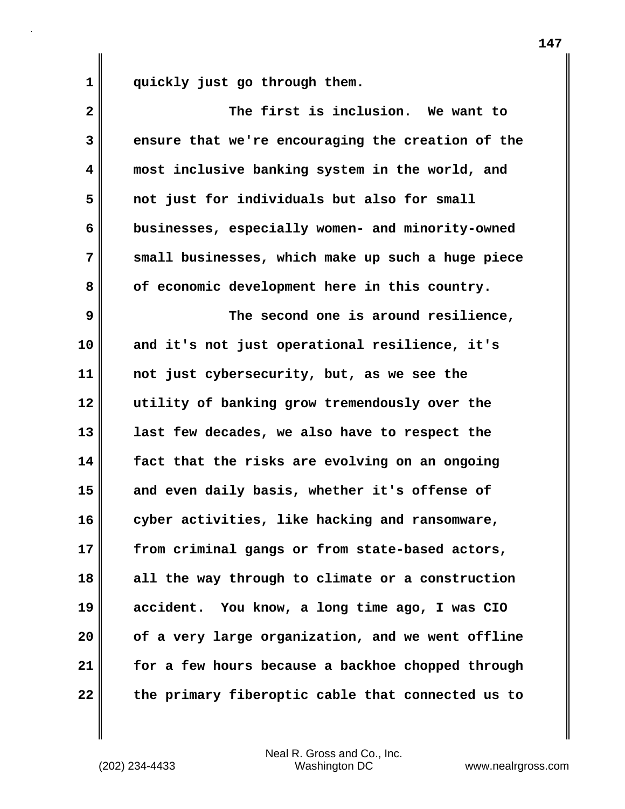**1 quickly just go through them.**

| $\mathbf{2}$ | The first is inclusion. We want to                |
|--------------|---------------------------------------------------|
| 3            | ensure that we're encouraging the creation of the |
| 4            | most inclusive banking system in the world, and   |
| 5            | not just for individuals but also for small       |
| 6            | businesses, especially women- and minority-owned  |
| 7            | small businesses, which make up such a huge piece |
| 8            | of economic development here in this country.     |
| 9            | The second one is around resilience,              |
| 10           | and it's not just operational resilience, it's    |
| 11           | not just cybersecurity, but, as we see the        |
| 12           | utility of banking grow tremendously over the     |
| 13           | last few decades, we also have to respect the     |
| 14           | fact that the risks are evolving on an ongoing    |
| 15           | and even daily basis, whether it's offense of     |
| 16           | cyber activities, like hacking and ransomware,    |
| 17           | from criminal gangs or from state-based actors,   |
| 18           | all the way through to climate or a construction  |
| 19           | accident. You know, a long time ago, I was CIO    |
| 20           | of a very large organization, and we went offline |
| 21           | for a few hours because a backhoe chopped through |
| 22           | the primary fiberoptic cable that connected us to |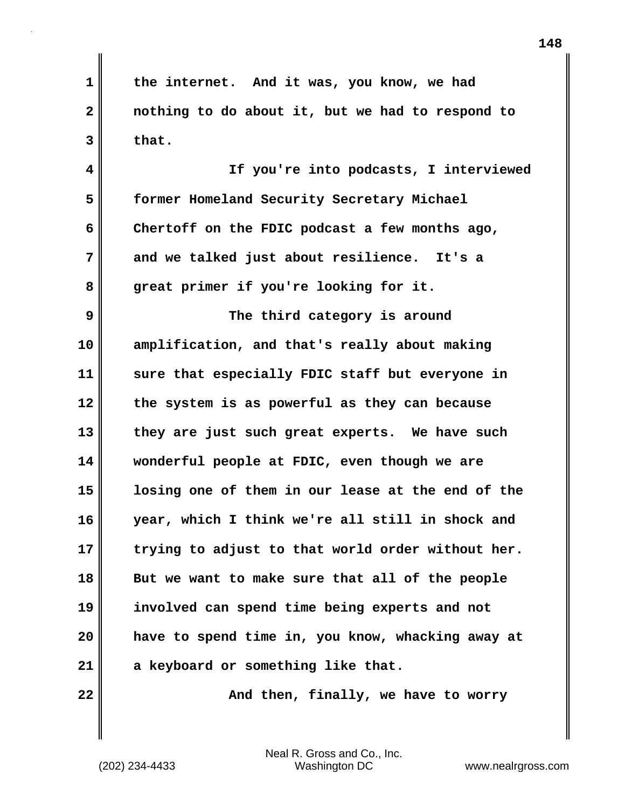**1 2 3 the internet. And it was, you know, we had nothing to do about it, but we had to respond to that.**

**4 5 6 7 8 If you're into podcasts, I interviewed former Homeland Security Secretary Michael Chertoff on the FDIC podcast a few months ago, and we talked just about resilience. It's a great primer if you're looking for it.**

**9 10 11 12 13 14 15 16 17 18 19 20 21 The third category is around amplification, and that's really about making sure that especially FDIC staff but everyone in the system is as powerful as they can because they are just such great experts. We have such wonderful people at FDIC, even though we are losing one of them in our lease at the end of the year, which I think we're all still in shock and trying to adjust to that world order without her. But we want to make sure that all of the people involved can spend time being experts and not have to spend time in, you know, whacking away at a keyboard or something like that.**

**22** 

 **And then, finally, we have to worry**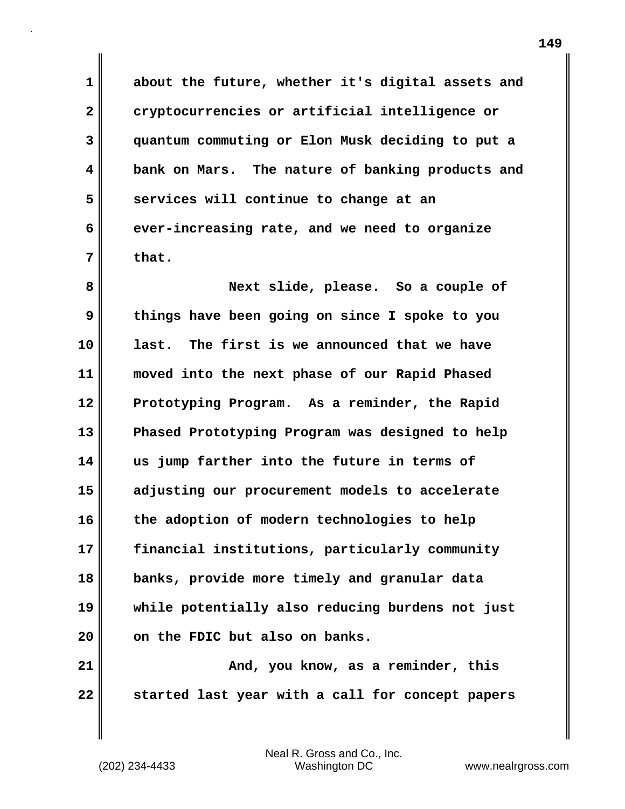**about the future, whether it's digital assets and cryptocurrencies or artificial intelligence or quantum commuting or Elon Musk deciding to put a bank on Mars. The nature of banking products and services will continue to change at an ever-increasing rate, and we need to organize that.**

**8 9 10 11 12 13 14 15 16 17 18 19 20 Next slide, please. So a couple of things have been going on since I spoke to you last. The first is we announced that we have moved into the next phase of our Rapid Phased Prototyping Program. As a reminder, the Rapid Phased Prototyping Program was designed to help us jump farther into the future in terms of adjusting our procurement models to accelerate the adoption of modern technologies to help financial institutions, particularly community banks, provide more timely and granular data while potentially also reducing burdens not just on the FDIC but also on banks.**

**21 22 And, you know, as a reminder, this started last year with a call for concept papers** 

Neal R. Gross and Co., Inc. (202) 234-4433 Washington DC <www.nealrgross.com>

**1** 

**2** 

**3** 

**4** 

**5** 

**6**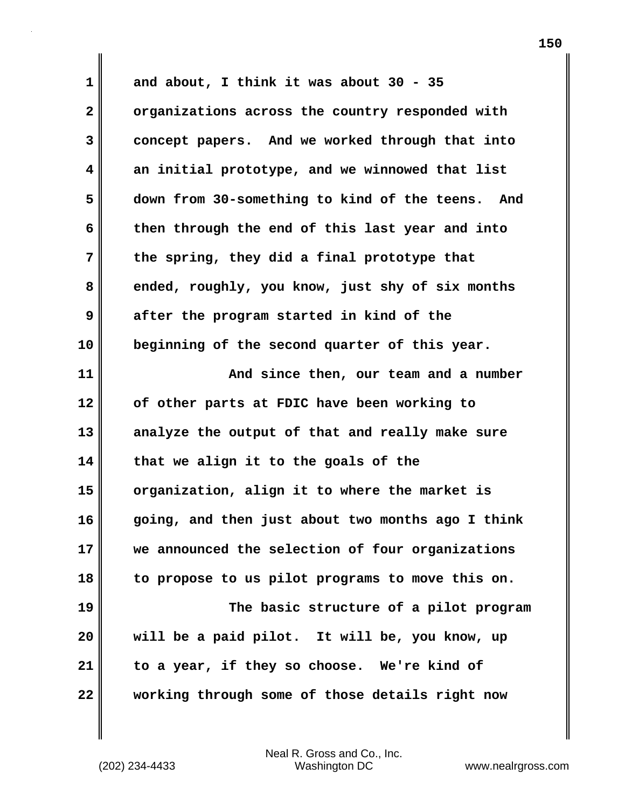**1 2 3 4 5 6 7 8 9 10 11 12 13 14 15 16 17 18 19 20 21 22 and about, I think it was about 30 - 35 organizations across the country responded with concept papers. And we worked through that into an initial prototype, and we winnowed that list down from 30-something to kind of the teens. And then through the end of this last year and into the spring, they did a final prototype that ended, roughly, you know, just shy of six months after the program started in kind of the beginning of the second quarter of this year. And since then, our team and a number of other parts at FDIC have been working to analyze the output of that and really make sure that we align it to the goals of the organization, align it to where the market is going, and then just about two months ago I think we announced the selection of four organizations to propose to us pilot programs to move this on. The basic structure of a pilot program will be a paid pilot. It will be, you know, up to a year, if they so choose. We're kind of working through some of those details right now**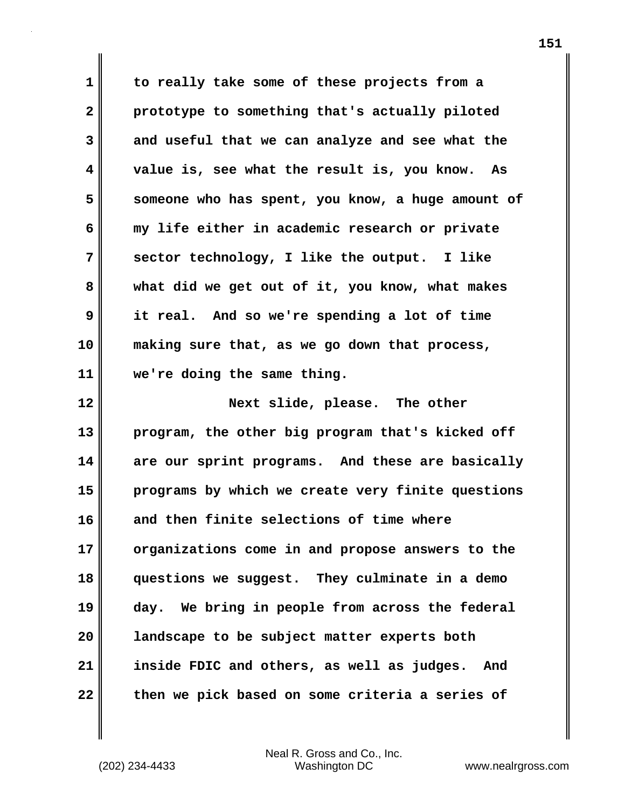**1 2 3 4 5 6 7 8 9 10 11 to really take some of these projects from a prototype to something that's actually piloted and useful that we can analyze and see what the value is, see what the result is, you know. As someone who has spent, you know, a huge amount of my life either in academic research or private sector technology, I like the output. I like what did we get out of it, you know, what makes it real. And so we're spending a lot of time making sure that, as we go down that process, we're doing the same thing.**

**12 13 14 15 16 17 18 19 20 21 22 Next slide, please. The other program, the other big program that's kicked off are our sprint programs. And these are basically programs by which we create very finite questions and then finite selections of time where organizations come in and propose answers to the questions we suggest. They culminate in a demo day. We bring in people from across the federal landscape to be subject matter experts both inside FDIC and others, as well as judges. And then we pick based on some criteria a series of**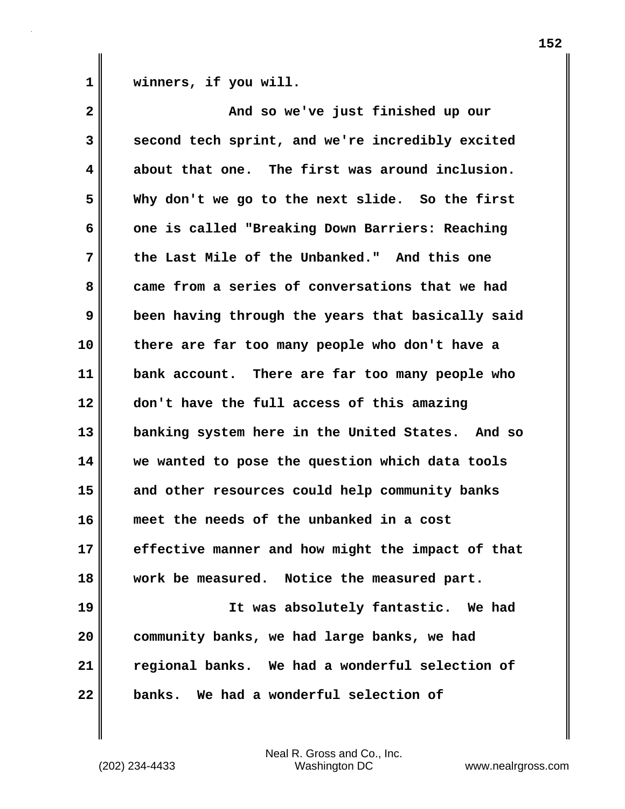**1 winners, if you will.**

| $\mathbf{2}$            | And so we've just finished up our                 |
|-------------------------|---------------------------------------------------|
| 3                       | second tech sprint, and we're incredibly excited  |
| $\overline{\mathbf{4}}$ | about that one. The first was around inclusion.   |
| 5                       | Why don't we go to the next slide. So the first   |
| 6                       | one is called "Breaking Down Barriers: Reaching   |
| 7                       | the Last Mile of the Unbanked." And this one      |
| 8                       | came from a series of conversations that we had   |
| 9                       | been having through the years that basically said |
| 10                      | there are far too many people who don't have a    |
| 11                      | bank account. There are far too many people who   |
| 12                      | don't have the full access of this amazing        |
| 13                      | banking system here in the United States. And so  |
| 14                      | we wanted to pose the question which data tools   |
| 15                      | and other resources could help community banks    |
| 16                      | meet the needs of the unbanked in a cost          |
| 17                      | effective manner and how might the impact of that |
| 18                      | work be measured. Notice the measured part.       |
| 19                      | It was absolutely fantastic. We had               |
| 20                      | community banks, we had large banks, we had       |
| 21                      | regional banks. We had a wonderful selection of   |
| 22                      | banks. We had a wonderful selection of            |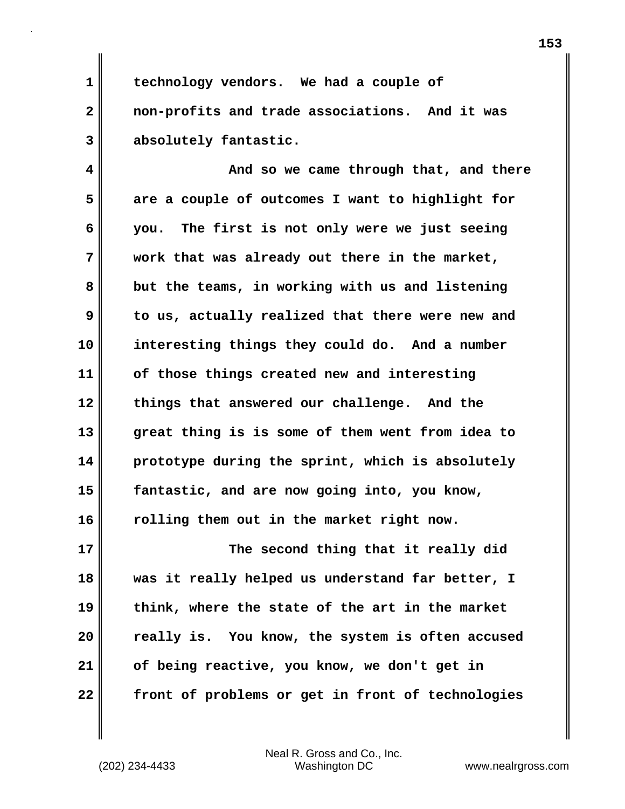**1 2 3 technology vendors. We had a couple of non-profits and trade associations. And it was absolutely fantastic.**

**4 5 6 7 8 9 10 11 12 13 14 15 16 And so we came through that, and there are a couple of outcomes I want to highlight for you. The first is not only were we just seeing work that was already out there in the market, but the teams, in working with us and listening to us, actually realized that there were new and interesting things they could do. And a number of those things created new and interesting things that answered our challenge. And the great thing is is some of them went from idea to prototype during the sprint, which is absolutely fantastic, and are now going into, you know, rolling them out in the market right now.**

**17 18 19 20 21 22 The second thing that it really did was it really helped us understand far better, I think, where the state of the art in the market really is. You know, the system is often accused of being reactive, you know, we don't get in front of problems or get in front of technologies**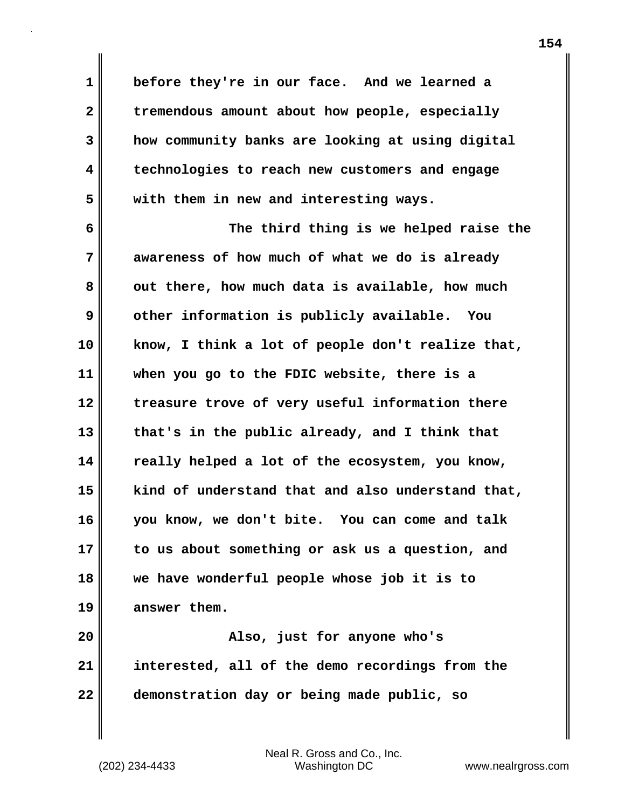**1 2 3 4 5 6 7 8 9 10 11 12 13 14 15 16 17 18 before they're in our face. And we learned a tremendous amount about how people, especially how community banks are looking at using digital technologies to reach new customers and engage with them in new and interesting ways. The third thing is we helped raise the awareness of how much of what we do is already out there, how much data is available, how much other information is publicly available. You know, I think a lot of people don't realize that, when you go to the FDIC website, there is a treasure trove of very useful information there that's in the public already, and I think that really helped a lot of the ecosystem, you know, kind of understand that and also understand that, you know, we don't bite. You can come and talk to us about something or ask us a question, and we have wonderful people whose job it is to** 

**20 21 22 Also, just for anyone who's interested, all of the demo recordings from the demonstration day or being made public, so** 

Neal R. Gross and Co., Inc. (202) 234-4433 Washington DC <www.nealrgross.com>

**answer them.**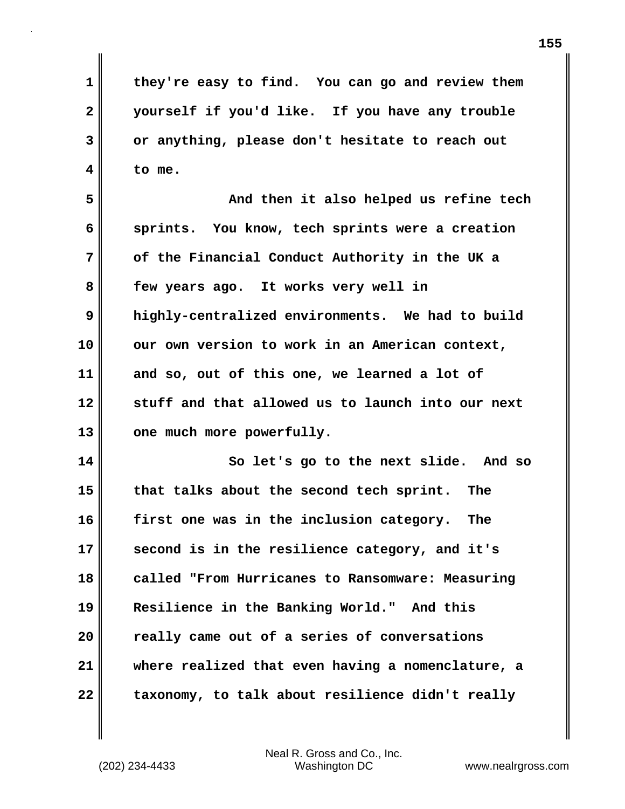**they're easy to find. You can go and review them yourself if you'd like. If you have any trouble or anything, please don't hesitate to reach out to me.**

**5 6 7 8 9 10 11 12 13 And then it also helped us refine tech sprints. You know, tech sprints were a creation of the Financial Conduct Authority in the UK a few years ago. It works very well in highly-centralized environments. We had to build our own version to work in an American context, and so, out of this one, we learned a lot of stuff and that allowed us to launch into our next one much more powerfully.**

**14 15 16 17 18 19 20 21 22 So let's go to the next slide. And so that talks about the second tech sprint. The first one was in the inclusion category. The second is in the resilience category, and it's called "From Hurricanes to Ransomware: Measuring Resilience in the Banking World." And this really came out of a series of conversations where realized that even having a nomenclature, a taxonomy, to talk about resilience didn't really** 

Neal R. Gross and Co., Inc. (202) 234-4433 Washington DC <www.nealrgross.com>

**1** 

**2** 

**3**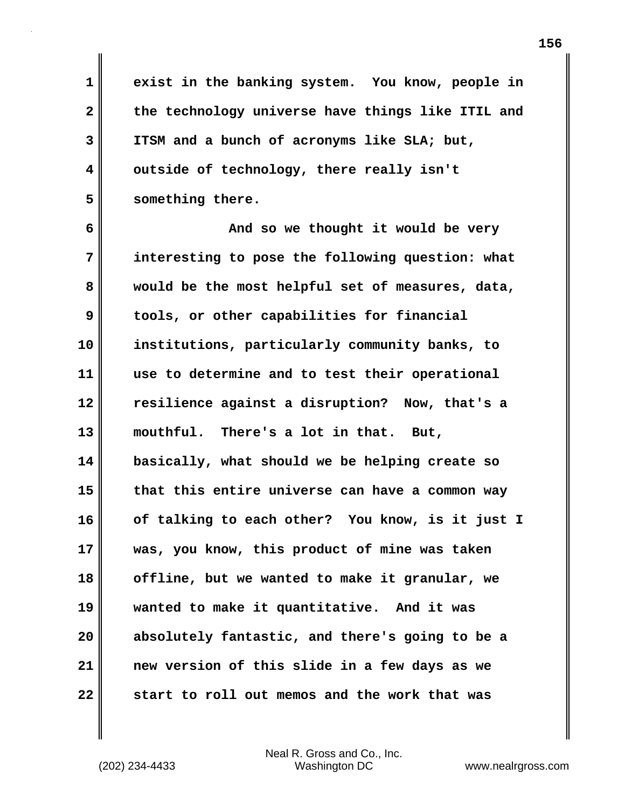**exist in the banking system. You know, people in the technology universe have things like ITIL and ITSM and a bunch of acronyms like SLA; but, outside of technology, there really isn't something there.**

**6 7 8 9 10 11 12 13 14 15 16 17 18 19 20 21 22 And so we thought it would be very interesting to pose the following question: what would be the most helpful set of measures, data, tools, or other capabilities for financial institutions, particularly community banks, to use to determine and to test their operational resilience against a disruption? Now, that's a mouthful. There's a lot in that. But, basically, what should we be helping create so that this entire universe can have a common way of talking to each other? You know, is it just I was, you know, this product of mine was taken offline, but we wanted to make it granular, we wanted to make it quantitative. And it was absolutely fantastic, and there's going to be a new version of this slide in a few days as we start to roll out memos and the work that was** 

**1** 

**2** 

**3** 

**4**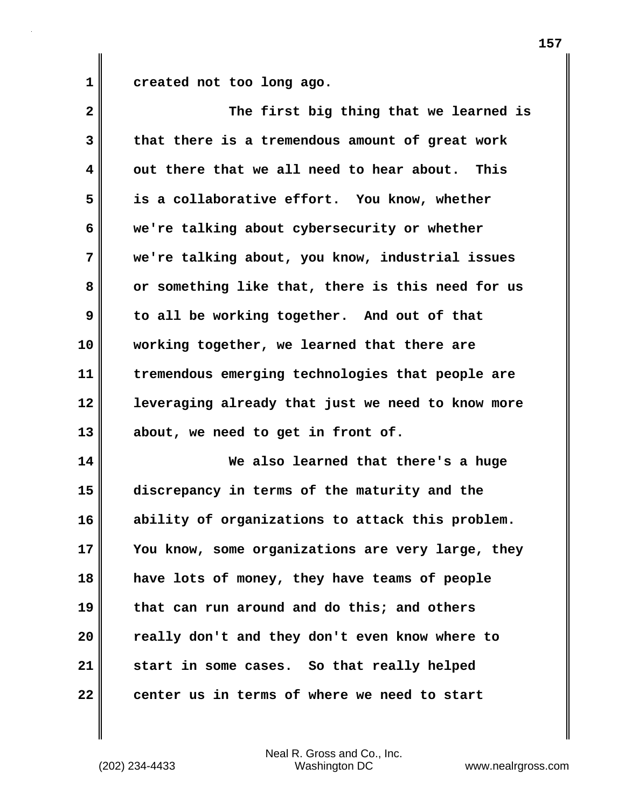**1 created not too long ago.**

| 2  | The first big thing that we learned is            |
|----|---------------------------------------------------|
| 3  | that there is a tremendous amount of great work   |
| 4  | out there that we all need to hear about. This    |
| 5  | is a collaborative effort. You know, whether      |
| 6  | we're talking about cybersecurity or whether      |
| 7  | we're talking about, you know, industrial issues  |
| 8  | or something like that, there is this need for us |
| 9  | to all be working together. And out of that       |
| 10 | working together, we learned that there are       |
| 11 | tremendous emerging technologies that people are  |
| 12 | leveraging already that just we need to know more |
| 13 | about, we need to get in front of.                |
| 14 | We also learned that there's a huge               |
| 15 | discrepancy in terms of the maturity and the      |
| 16 | ability of organizations to attack this problem.  |
| 17 | You know, some organizations are very large, they |
| 18 | have lots of money, they have teams of people     |
| 19 | that can run around and do this; and others       |
| 20 | really don't and they don't even know where to    |
| 21 | start in some cases. So that really helped        |
| 22 | center us in terms of where we need to start      |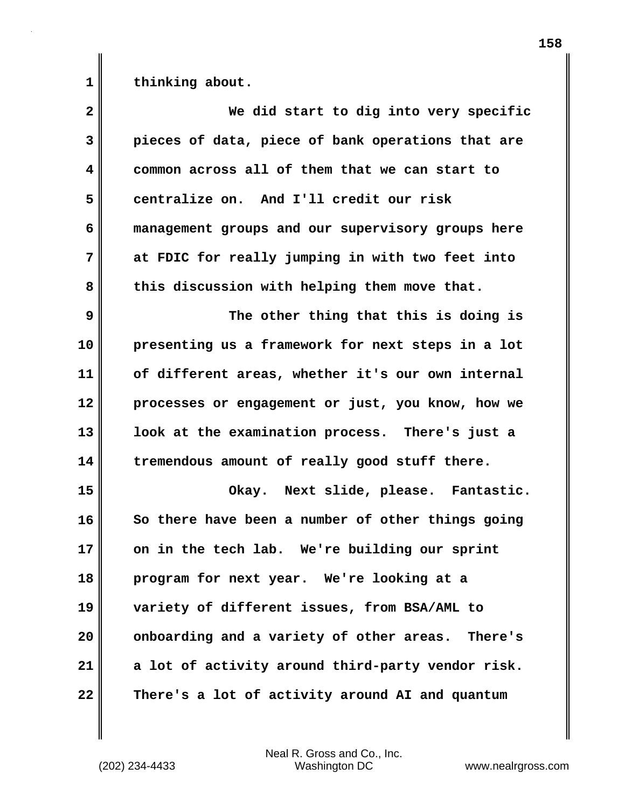**1 thinking about.**

| $\overline{\mathbf{2}}$ | We did start to dig into very specific            |
|-------------------------|---------------------------------------------------|
| 3                       | pieces of data, piece of bank operations that are |
| 4                       | common across all of them that we can start to    |
| 5                       | centralize on. And I'll credit our risk           |
| 6                       | management groups and our supervisory groups here |
| 7                       | at FDIC for really jumping in with two feet into  |
| 8                       | this discussion with helping them move that.      |
| 9                       | The other thing that this is doing is             |
| 10                      | presenting us a framework for next steps in a lot |
| 11                      | of different areas, whether it's our own internal |
| 12                      | processes or engagement or just, you know, how we |
| 13                      | look at the examination process. There's just a   |
| 14                      | tremendous amount of really good stuff there.     |
| 15                      | Okay. Next slide, please. Fantastic.              |
| 16                      | So there have been a number of other things going |
| 17                      | on in the tech lab. We're building our sprint     |
| 18                      | program for next year. We're looking at a         |
| 19                      | variety of different issues, from BSA/AML to      |
| 20                      | onboarding and a variety of other areas. There's  |
| 21                      | a lot of activity around third-party vendor risk. |
| 22                      | There's a lot of activity around AI and quantum   |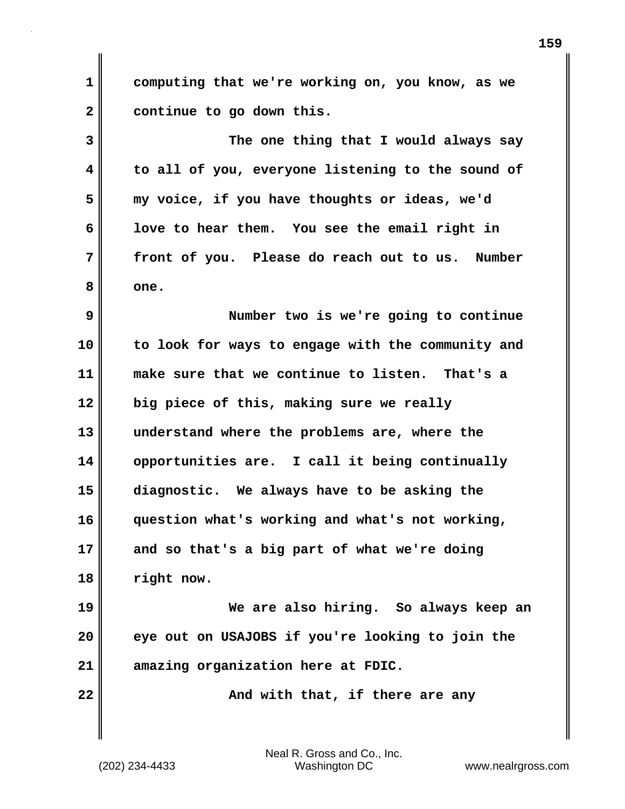**1 2 computing that we're working on, you know, as we continue to go down this.**

**3 4 5 6 7 8 The one thing that I would always say to all of you, everyone listening to the sound of my voice, if you have thoughts or ideas, we'd love to hear them. You see the email right in front of you. Please do reach out to us. Number one.**

**9 10 11 12 13 14 15 16 17 18 19 Number two is we're going to continue to look for ways to engage with the community and make sure that we continue to listen. That's a big piece of this, making sure we really understand where the problems are, where the opportunities are. I call it being continually diagnostic. We always have to be asking the question what's working and what's not working, and so that's a big part of what we're doing right now. We are also hiring. So always keep an** 

**20 21 eye out on USAJOBS if you're looking to join the amazing organization here at FDIC.**

 **And with that, if there are any** 

Neal R. Gross and Co., Inc. (202) 234-4433 Washington DC <www.nealrgross.com>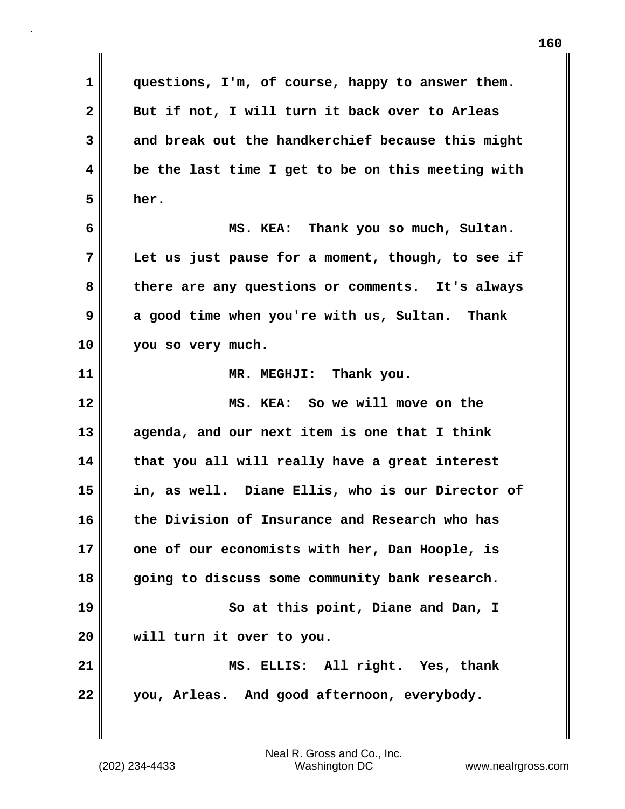**1 2 3 4 5 6 7 8 9 10 11 12 13 14 15 16 17 18 19 20 21 22 questions, I'm, of course, happy to answer them. But if not, I will turn it back over to Arleas and break out the handkerchief because this might be the last time I get to be on this meeting with her. MS. KEA: Thank you so much, Sultan. Let us just pause for a moment, though, to see if there are any questions or comments. It's always a good time when you're with us, Sultan. Thank you so very much. MR. MEGHJI: Thank you. MS. KEA: So we will move on the agenda, and our next item is one that I think that you all will really have a great interest in, as well. Diane Ellis, who is our Director of the Division of Insurance and Research who has one of our economists with her, Dan Hoople, is going to discuss some community bank research. So at this point, Diane and Dan, I will turn it over to you. MS. ELLIS: All right. Yes, thank you, Arleas. And good afternoon, everybody.**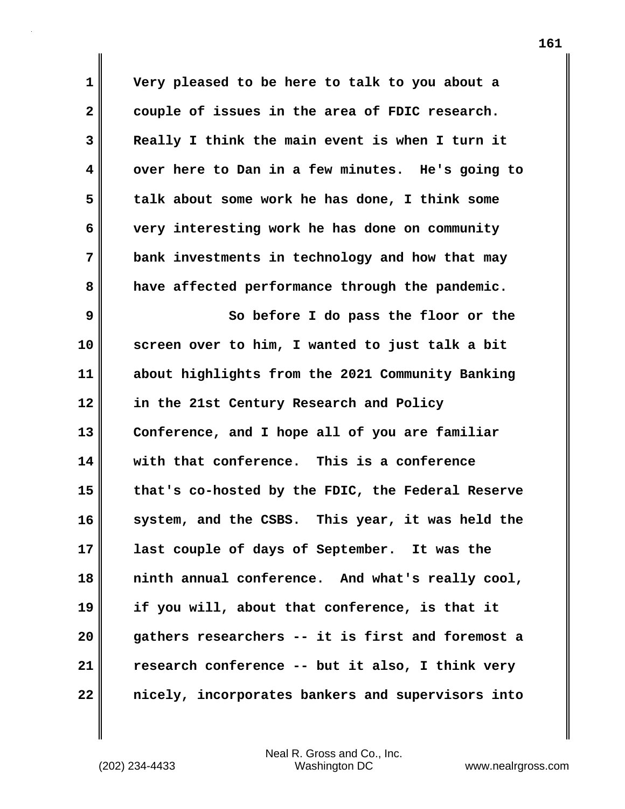**1 2 3 4 5 6 7 8 Very pleased to be here to talk to you about a couple of issues in the area of FDIC research. Really I think the main event is when I turn it over here to Dan in a few minutes. He's going to talk about some work he has done, I think some very interesting work he has done on community bank investments in technology and how that may have affected performance through the pandemic.**

**9 10 11 12 13 14 15 16 17 18 19 20 21 22 So before I do pass the floor or the screen over to him, I wanted to just talk a bit about highlights from the 2021 Community Banking in the 21st Century Research and Policy Conference, and I hope all of you are familiar with that conference. This is a conference that's co-hosted by the FDIC, the Federal Reserve system, and the CSBS. This year, it was held the last couple of days of September. It was the ninth annual conference. And what's really cool, if you will, about that conference, is that it gathers researchers -- it is first and foremost a research conference -- but it also, I think very nicely, incorporates bankers and supervisors into**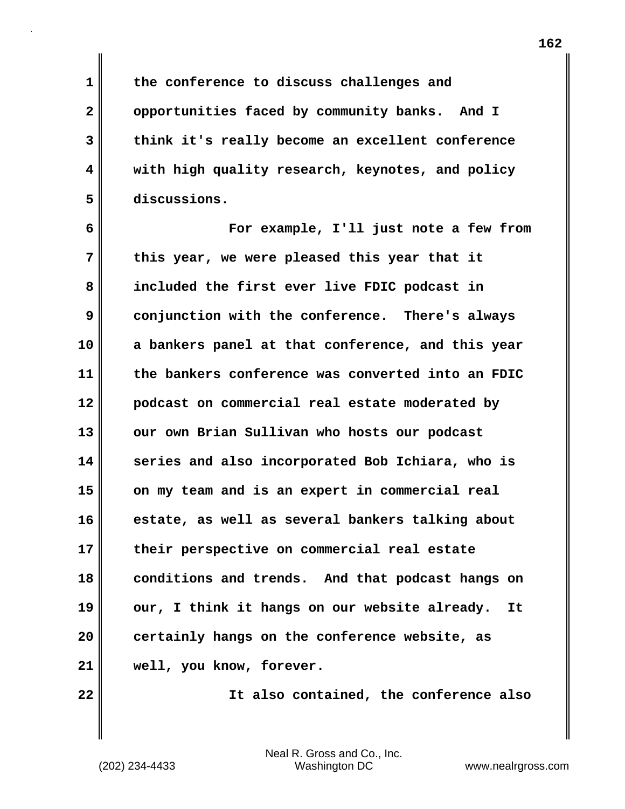**the conference to discuss challenges and opportunities faced by community banks. And I think it's really become an excellent conference with high quality research, keynotes, and policy** 

**discussions.**

**1** 

**2** 

**3** 

**4** 

**5** 

**6 7 8 9 10 11 12 13 14 15 16 17 18 19 20 21 For example, I'll just note a few from this year, we were pleased this year that it included the first ever live FDIC podcast in conjunction with the conference. There's always a bankers panel at that conference, and this year the bankers conference was converted into an FDIC podcast on commercial real estate moderated by our own Brian Sullivan who hosts our podcast series and also incorporated Bob Ichiara, who is on my team and is an expert in commercial real estate, as well as several bankers talking about their perspective on commercial real estate conditions and trends. And that podcast hangs on our, I think it hangs on our website already. It certainly hangs on the conference website, as well, you know, forever.**

**22** 

 **It also contained, the conference also**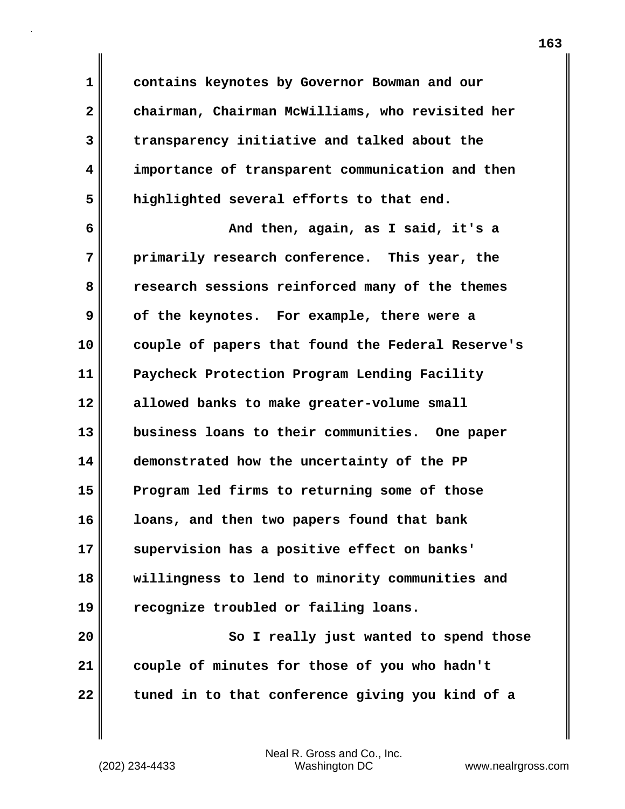**1 2 3 4 5 6 7 8 9 10 11 12 contains keynotes by Governor Bowman and our chairman, Chairman McWilliams, who revisited her transparency initiative and talked about the importance of transparent communication and then highlighted several efforts to that end. And then, again, as I said, it's a primarily research conference. This year, the research sessions reinforced many of the themes of the keynotes. For example, there were a couple of papers that found the Federal Reserve's Paycheck Protection Program Lending Facility allowed banks to make greater-volume small** 

**13 14 15 16 17 18 19 business loans to their communities. One paper demonstrated how the uncertainty of the PP Program led firms to returning some of those loans, and then two papers found that bank supervision has a positive effect on banks' willingness to lend to minority communities and recognize troubled or failing loans.**

**20 21 22 So I really just wanted to spend those couple of minutes for those of you who hadn't tuned in to that conference giving you kind of a**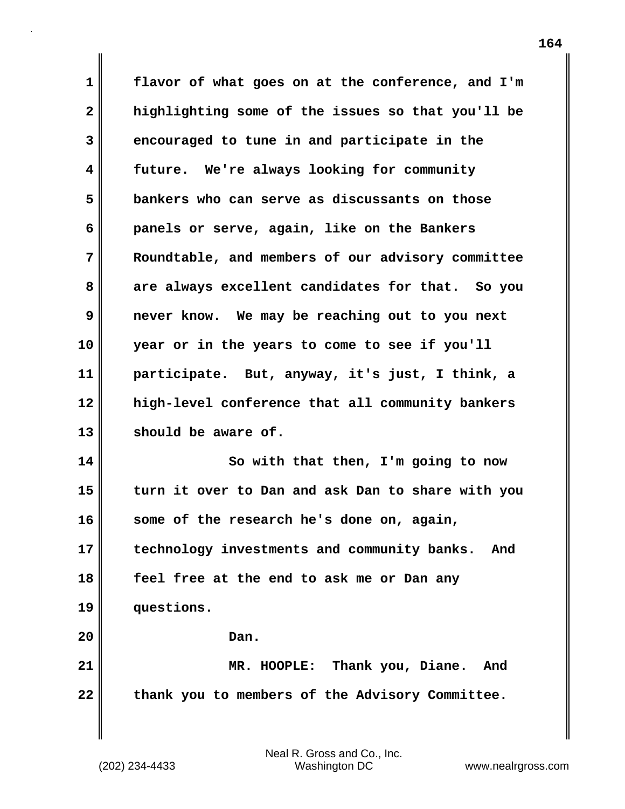**1 2 3 4 5 6 7 8 9 10 11 12 13 14 15 16 17 18 flavor of what goes on at the conference, and I'm highlighting some of the issues so that you'll be encouraged to tune in and participate in the future. We're always looking for community bankers who can serve as discussants on those panels or serve, again, like on the Bankers Roundtable, and members of our advisory committee are always excellent candidates for that. So you never know. We may be reaching out to you next year or in the years to come to see if you'll participate. But, anyway, it's just, I think, a high-level conference that all community bankers should be aware of. So with that then, I'm going to now turn it over to Dan and ask Dan to share with you some of the research he's done on, again, technology investments and community banks. And feel free at the end to ask me or Dan any** 

**questions.**

**19** 

**20** 

 **Dan.**

**21 22 MR. HOOPLE: Thank you, Diane. And thank you to members of the Advisory Committee.**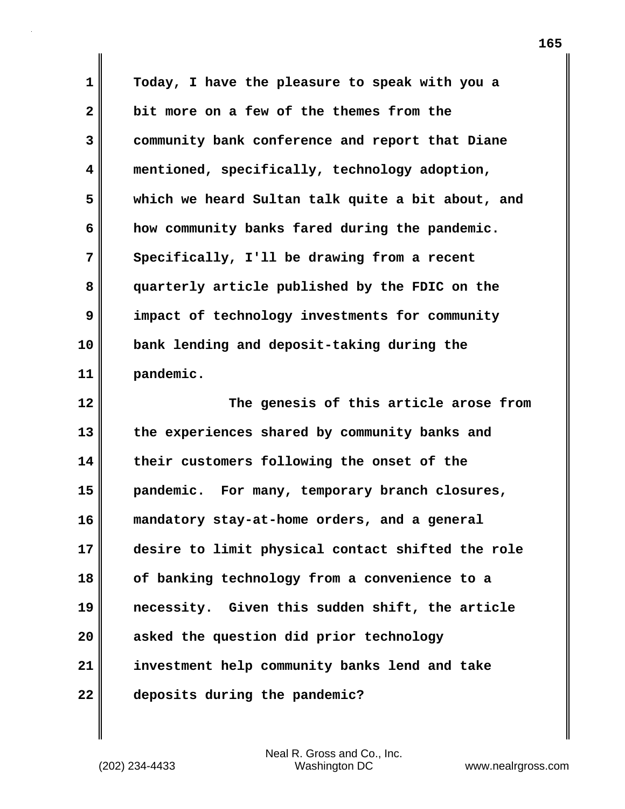**1 2 3 4 5 6 7 8 9 10 11 12 13 14 15 16 17 18 19 20 21 22 Today, I have the pleasure to speak with you a bit more on a few of the themes from the community bank conference and report that Diane mentioned, specifically, technology adoption, which we heard Sultan talk quite a bit about, and how community banks fared during the pandemic. Specifically, I'll be drawing from a recent quarterly article published by the FDIC on the impact of technology investments for community bank lending and deposit-taking during the pandemic. The genesis of this article arose from the experiences shared by community banks and their customers following the onset of the pandemic. For many, temporary branch closures, mandatory stay-at-home orders, and a general desire to limit physical contact shifted the role of banking technology from a convenience to a necessity. Given this sudden shift, the article asked the question did prior technology investment help community banks lend and take deposits during the pandemic?**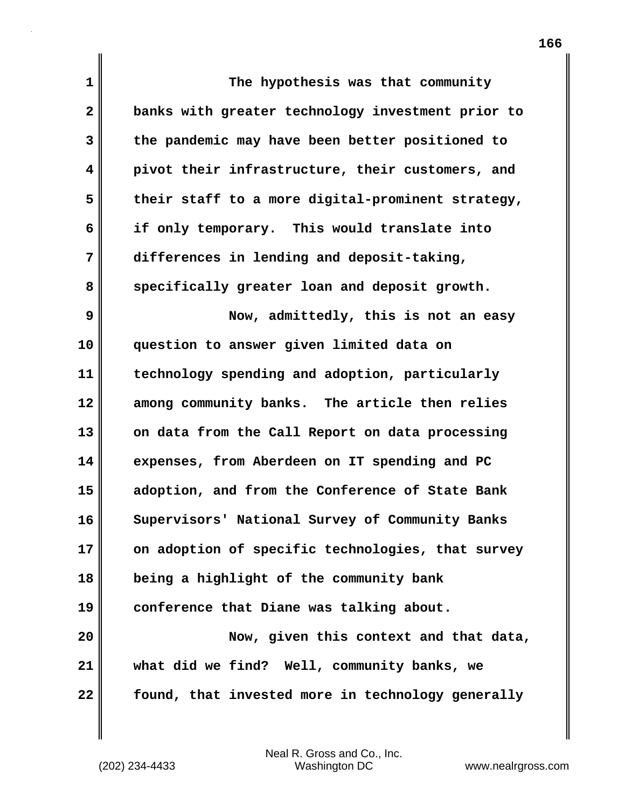| 1                       | The hypothesis was that community                 |
|-------------------------|---------------------------------------------------|
| $\overline{\mathbf{2}}$ | banks with greater technology investment prior to |
| 3                       | the pandemic may have been better positioned to   |
| 4                       | pivot their infrastructure, their customers, and  |
| 5                       | their staff to a more digital-prominent strategy, |
| 6                       | if only temporary. This would translate into      |
| 7                       | differences in lending and deposit-taking,        |
| 8                       | specifically greater loan and deposit growth.     |
| 9                       | Now, admittedly, this is not an easy              |
| 10                      | question to answer given limited data on          |
| 11                      | technology spending and adoption, particularly    |
| 12                      | among community banks. The article then relies    |
| 13                      | on data from the Call Report on data processing   |
| 14                      | expenses, from Aberdeen on IT spending and PC     |
| 15                      | adoption, and from the Conference of State Bank   |
| 16                      | Supervisors' National Survey of Community Banks   |
| 17                      | on adoption of specific technologies, that survey |
| 18                      | being a highlight of the community bank           |
| 19                      | conference that Diane was talking about.          |
| 20                      | Now, given this context and that data,            |
| 21                      | what did we find? Well, community banks, we       |
| 22                      | found, that invested more in technology generally |

 $\mathbf{I}$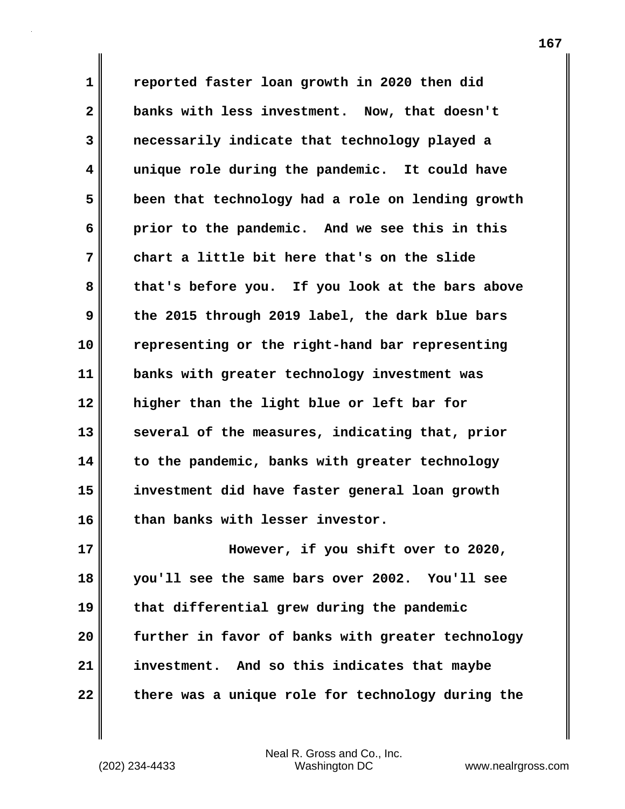**1 2 3 4 5 6 7 8 9 10 11 12 13 14 15 16 reported faster loan growth in 2020 then did banks with less investment. Now, that doesn't necessarily indicate that technology played a unique role during the pandemic. It could have been that technology had a role on lending growth prior to the pandemic. And we see this in this chart a little bit here that's on the slide that's before you. If you look at the bars above the 2015 through 2019 label, the dark blue bars representing or the right-hand bar representing banks with greater technology investment was higher than the light blue or left bar for several of the measures, indicating that, prior to the pandemic, banks with greater technology investment did have faster general loan growth than banks with lesser investor.**

**17 18 19 20 21 22 However, if you shift over to 2020, you'll see the same bars over 2002. You'll see that differential grew during the pandemic further in favor of banks with greater technology investment. And so this indicates that maybe there was a unique role for technology during the**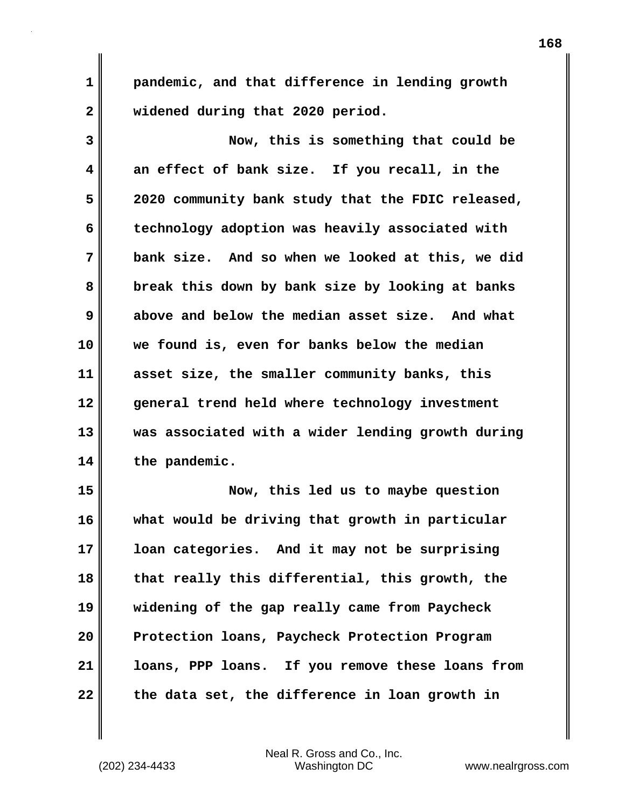**pandemic, and that difference in lending growth widened during that 2020 period.**

**3 4 5 6 7 8 9 10 11 12 13 14 15 Now, this is something that could be an effect of bank size. If you recall, in the 2020 community bank study that the FDIC released, technology adoption was heavily associated with bank size. And so when we looked at this, we did break this down by bank size by looking at banks above and below the median asset size. And what we found is, even for banks below the median asset size, the smaller community banks, this general trend held where technology investment was associated with a wider lending growth during the pandemic. Now, this led us to maybe question** 

**16 17 18 19 20 21 22 what would be driving that growth in particular loan categories. And it may not be surprising that really this differential, this growth, the widening of the gap really came from Paycheck Protection loans, Paycheck Protection Program loans, PPP loans. If you remove these loans from the data set, the difference in loan growth in** 

**1**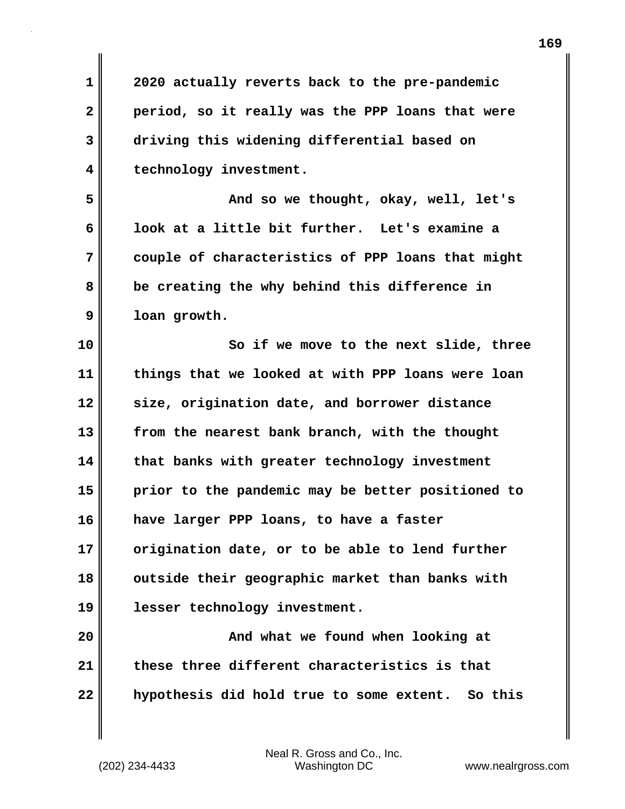**2020 actually reverts back to the pre-pandemic period, so it really was the PPP loans that were driving this widening differential based on technology investment.**

**5 6 7 8 9 And so we thought, okay, well, let's look at a little bit further. Let's examine a couple of characteristics of PPP loans that might be creating the why behind this difference in loan growth.**

**10 11 12 13 14 15 16 17 18 19 So if we move to the next slide, three things that we looked at with PPP loans were loan size, origination date, and borrower distance from the nearest bank branch, with the thought that banks with greater technology investment prior to the pandemic may be better positioned to have larger PPP loans, to have a faster origination date, or to be able to lend further outside their geographic market than banks with lesser technology investment.**

**20 21 22 And what we found when looking at these three different characteristics is that hypothesis did hold true to some extent. So this** 

**1** 

**2** 

**3**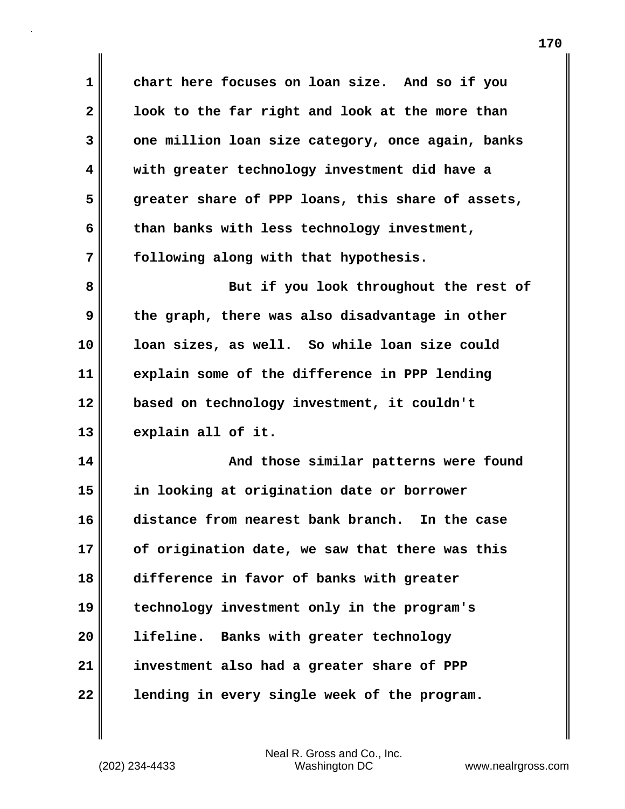**1 2 3 4 5 6 7 8 9 10 11 12 13 14 15 16 17 18 19 20 21 22 chart here focuses on loan size. And so if you look to the far right and look at the more than one million loan size category, once again, banks with greater technology investment did have a greater share of PPP loans, this share of assets, than banks with less technology investment, following along with that hypothesis. But if you look throughout the rest of the graph, there was also disadvantage in other loan sizes, as well. So while loan size could explain some of the difference in PPP lending based on technology investment, it couldn't explain all of it. And those similar patterns were found in looking at origination date or borrower distance from nearest bank branch. In the case of origination date, we saw that there was this difference in favor of banks with greater technology investment only in the program's lifeline. Banks with greater technology investment also had a greater share of PPP lending in every single week of the program.**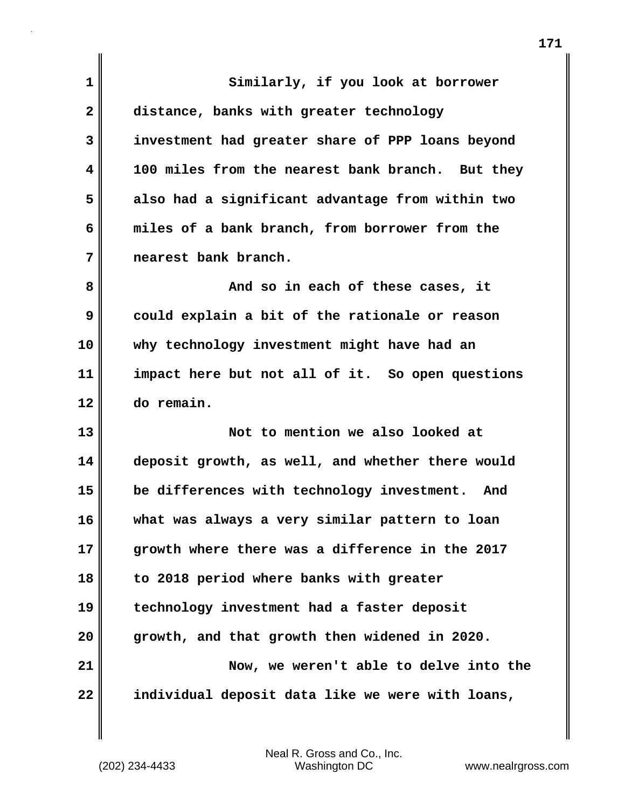| 1            | Similarly, if you look at borrower               |
|--------------|--------------------------------------------------|
| $\mathbf{2}$ | distance, banks with greater technology          |
| 3            | investment had greater share of PPP loans beyond |
| 4            | 100 miles from the nearest bank branch. But they |
| 5            | also had a significant advantage from within two |
| 6            | miles of a bank branch, from borrower from the   |
| 7            | nearest bank branch.                             |
| 8            | And so in each of these cases, it                |
| 9            | could explain a bit of the rationale or reason   |
| 10           | why technology investment might have had an      |
| 11           | impact here but not all of it. So open questions |
| 12           | do remain.                                       |
| 13           | Not to mention we also looked at                 |
| 14           | deposit growth, as well, and whether there would |
| 15           | be differences with technology investment. And   |
| 16           | what was always a very similar pattern to loan   |
| 17           | growth where there was a difference in the 2017  |
| 18           | to 2018 period where banks with greater          |
| 19           | technology investment had a faster deposit       |
| 20           | growth, and that growth then widened in 2020.    |
| 21           | Now, we weren't able to delve into the           |
| 22           | individual deposit data like we were with loans, |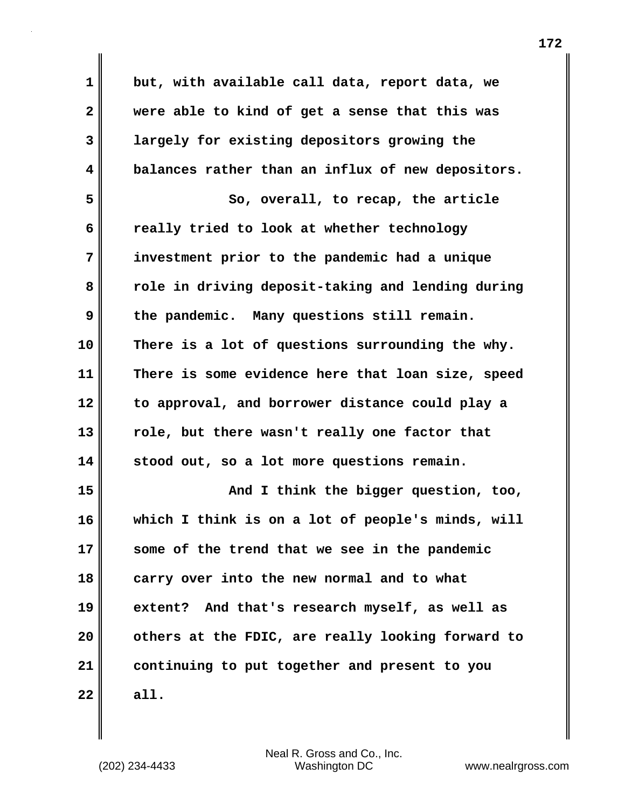**1 2 3 4 5 6 7 8 9 10 11 12 13 14 15 16 17 18 19 20 21 22 but, with available call data, report data, we were able to kind of get a sense that this was largely for existing depositors growing the balances rather than an influx of new depositors. So, overall, to recap, the article really tried to look at whether technology investment prior to the pandemic had a unique role in driving deposit-taking and lending during the pandemic. Many questions still remain. There is a lot of questions surrounding the why. There is some evidence here that loan size, speed to approval, and borrower distance could play a role, but there wasn't really one factor that stood out, so a lot more questions remain. And I think the bigger question, too, which I think is on a lot of people's minds, will some of the trend that we see in the pandemic carry over into the new normal and to what extent? And that's research myself, as well as others at the FDIC, are really looking forward to continuing to put together and present to you all.**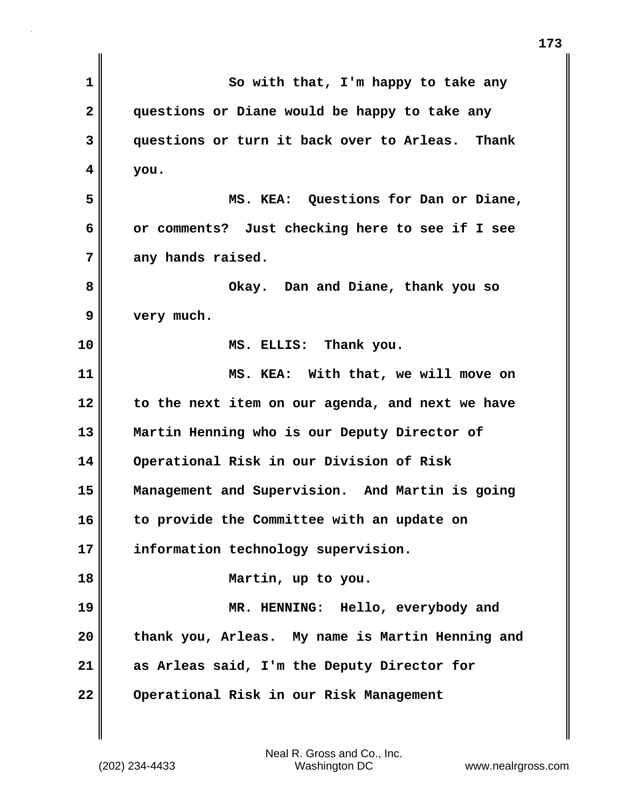| So with that, I'm happy to take any              |
|--------------------------------------------------|
| questions or Diane would be happy to take any    |
| questions or turn it back over to Arleas. Thank  |
| you.                                             |
| MS. KEA: Questions for Dan or Diane,             |
| or comments? Just checking here to see if I see  |
| any hands raised.                                |
| Okay. Dan and Diane, thank you so                |
| very much.                                       |
| MS. ELLIS: Thank you.                            |
| MS. KEA: With that, we will move on              |
| to the next item on our agenda, and next we have |
| Martin Henning who is our Deputy Director of     |
| Operational Risk in our Division of Risk         |
| Management and Supervision. And Martin is going  |
| to provide the Committee with an update on       |
| information technology supervision.              |
| Martin, up to you.                               |
| MR. HENNING: Hello, everybody and                |
| thank you, Arleas. My name is Martin Henning and |
| as Arleas said, I'm the Deputy Director for      |
| Operational Risk in our Risk Management          |
|                                                  |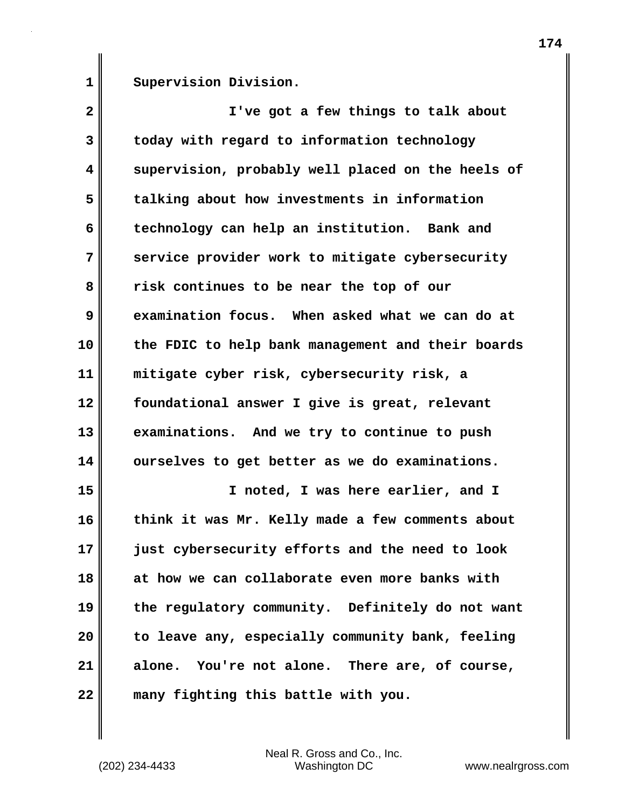**1** 

**Supervision Division.**

**2 3 4 5 6 7 8 9 10 11 12 13 14 15 16 17 18 19 20 21 22 I've got a few things to talk about today with regard to information technology supervision, probably well placed on the heels of talking about how investments in information technology can help an institution. Bank and service provider work to mitigate cybersecurity risk continues to be near the top of our examination focus. When asked what we can do at the FDIC to help bank management and their boards mitigate cyber risk, cybersecurity risk, a foundational answer I give is great, relevant examinations. And we try to continue to push ourselves to get better as we do examinations. I noted, I was here earlier, and I think it was Mr. Kelly made a few comments about just cybersecurity efforts and the need to look at how we can collaborate even more banks with the regulatory community. Definitely do not want to leave any, especially community bank, feeling alone. You're not alone. There are, of course, many fighting this battle with you.**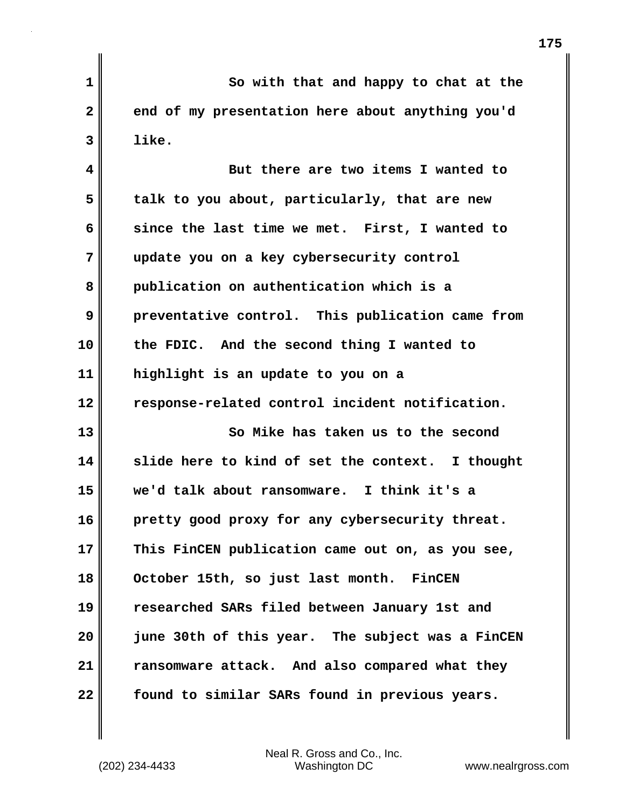**1 2 3 So with that and happy to chat at the end of my presentation here about anything you'd like.** 

**4 5 6 7 8 9 10 11 12 13 14 15 16 17 18 But there are two items I wanted to talk to you about, particularly, that are new since the last time we met. First, I wanted to update you on a key cybersecurity control publication on authentication which is a preventative control. This publication came from the FDIC. And the second thing I wanted to highlight is an update to you on a response-related control incident notification. So Mike has taken us to the second slide here to kind of set the context. I thought we'd talk about ransomware. I think it's a pretty good proxy for any cybersecurity threat. This FinCEN publication came out on, as you see, October 15th, so just last month. FinCEN** 

**19 20 21 22 researched SARs filed between January 1st and june 30th of this year. The subject was a FinCEN ransomware attack. And also compared what they found to similar SARs found in previous years.**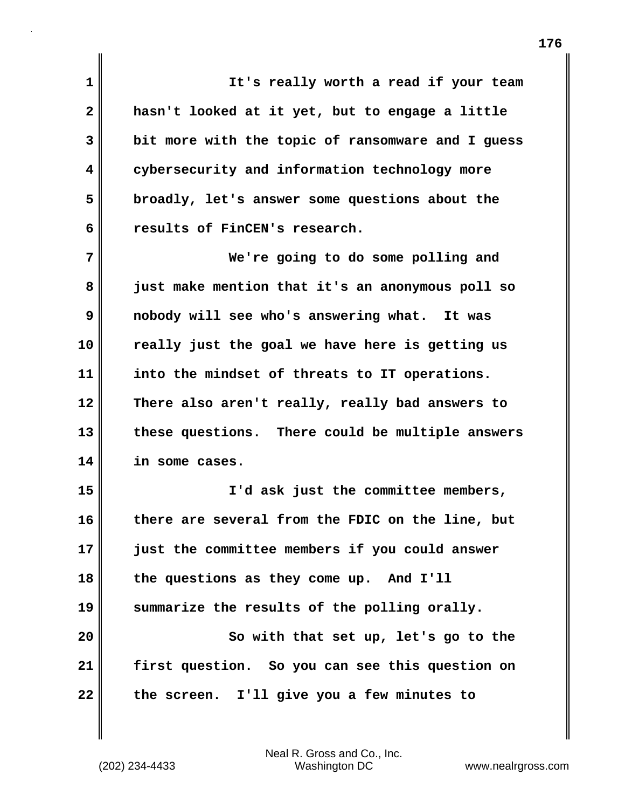**1 2 3 4 5 6 7 8 9 10 11 12 13 14 15 16 17 18 19 20 21 22 It's really worth a read if your team hasn't looked at it yet, but to engage a little bit more with the topic of ransomware and I guess cybersecurity and information technology more broadly, let's answer some questions about the results of FinCEN's research. We're going to do some polling and just make mention that it's an anonymous poll so nobody will see who's answering what. It was really just the goal we have here is getting us into the mindset of threats to IT operations. There also aren't really, really bad answers to these questions. There could be multiple answers in some cases. I'd ask just the committee members, there are several from the FDIC on the line, but just the committee members if you could answer the questions as they come up. And I'll summarize the results of the polling orally. So with that set up, let's go to the first question. So you can see this question on the screen. I'll give you a few minutes to**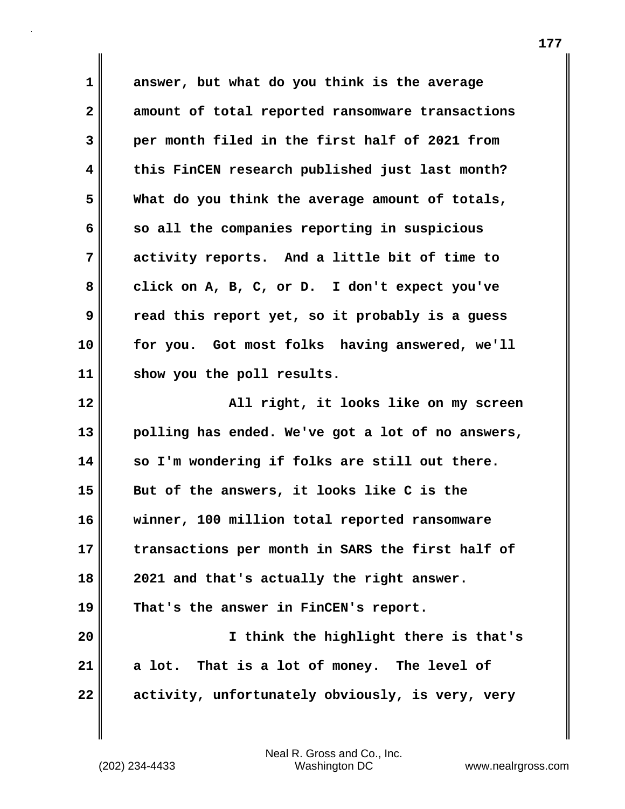**1 2 3 4 5 6 7 8 9 10 11 12 13 14 15 16 17 18 19 20 21 22 answer, but what do you think is the average amount of total reported ransomware transactions per month filed in the first half of 2021 from this FinCEN research published just last month? What do you think the average amount of totals, so all the companies reporting in suspicious activity reports. And a little bit of time to click on A, B, C, or D. I don't expect you've read this report yet, so it probably is a guess for you. Got most folks having answered, we'll show you the poll results. All right, it looks like on my screen polling has ended. We've got a lot of no answers, so I'm wondering if folks are still out there. But of the answers, it looks like C is the winner, 100 million total reported ransomware transactions per month in SARS the first half of 2021 and that's actually the right answer. That's the answer in FinCEN's report. I think the highlight there is that's a lot. That is a lot of money. The level of activity, unfortunately obviously, is very, very**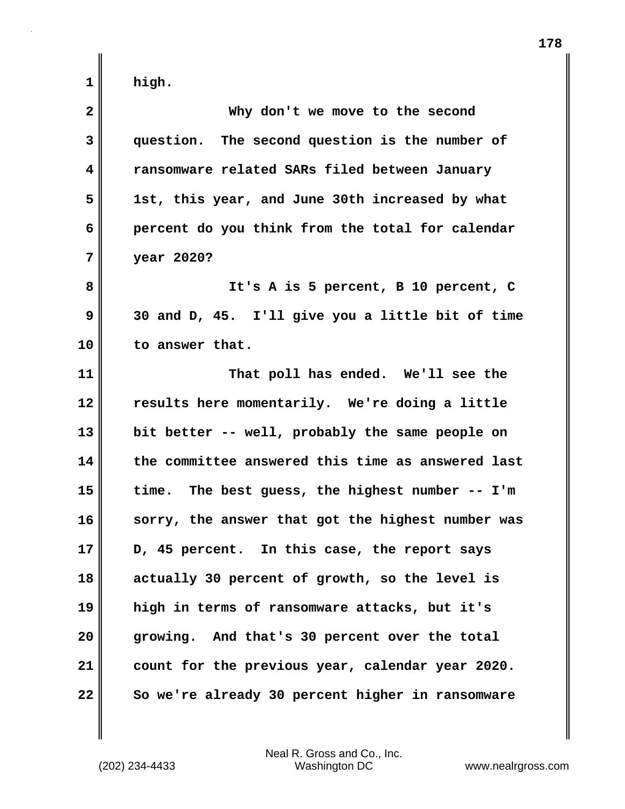**1** 

| $\mathbf{2}$ | Why don't we move to the second                   |
|--------------|---------------------------------------------------|
| 3            | question. The second question is the number of    |
| 4            | ransomware related SARs filed between January     |
| 5            | 1st, this year, and June 30th increased by what   |
| 6            | percent do you think from the total for calendar  |
| 7            | year 2020?                                        |
| 8            | It's A is 5 percent, B 10 percent, C              |
| 9            | 30 and D, 45. I'll give you a little bit of time  |
| 10           | to answer that.                                   |
| 11           | That poll has ended. We'll see the                |
| 12           | results here momentarily. We're doing a little    |
| 13           | bit better -- well, probably the same people on   |
| 14           | the committee answered this time as answered last |
| 15           | time. The best guess, the highest number -- I'm   |
| 16           | sorry, the answer that got the highest number was |
| 17           | D, 45 percent. In this case, the report says      |
| 18           | actually 30 percent of growth, so the level is    |
| 19           | high in terms of ransomware attacks, but it's     |
| 20           | growing. And that's 30 percent over the total     |
| 21           | count for the previous year, calendar year 2020.  |
| 22           | So we're already 30 percent higher in ransomware  |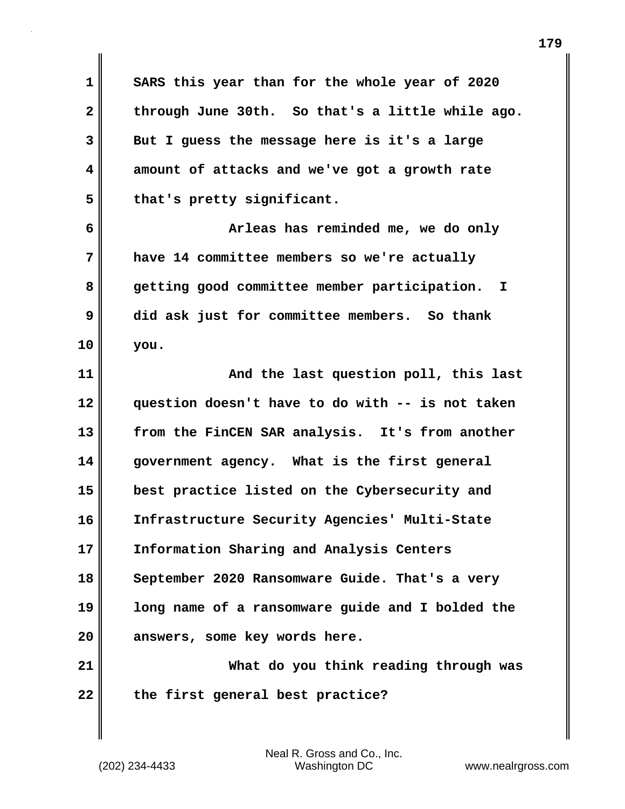**1 2 3 4 5 6 7 8 9 10 11 12 13 14 15 16 17 18 19 20 21 22 SARS this year than for the whole year of 2020 through June 30th. So that's a little while ago. But I guess the message here is it's a large amount of attacks and we've got a growth rate that's pretty significant. Arleas has reminded me, we do only have 14 committee members so we're actually getting good committee member participation. I did ask just for committee members. So thank you. And the last question poll, this last question doesn't have to do with -- is not taken from the FinCEN SAR analysis. It's from another government agency. What is the first general best practice listed on the Cybersecurity and Infrastructure Security Agencies' Multi-State Information Sharing and Analysis Centers September 2020 Ransomware Guide. That's a very long name of a ransomware guide and I bolded the answers, some key words here. What do you think reading through was the first general best practice?**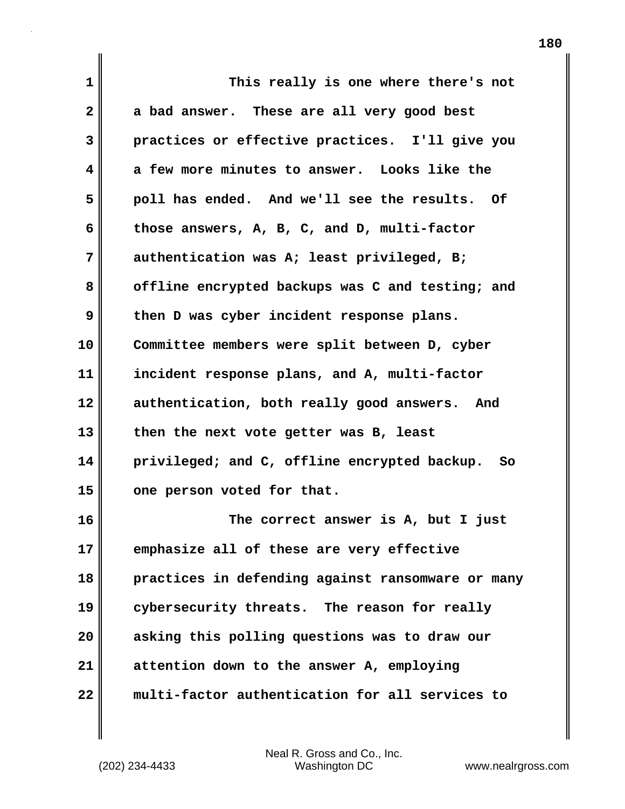| 1            | This really is one where there's not              |
|--------------|---------------------------------------------------|
| $\mathbf{2}$ | a bad answer. These are all very good best        |
| 3            | practices or effective practices. I'll give you   |
| 4            | a few more minutes to answer. Looks like the      |
| 5            | poll has ended. And we'll see the results. Of     |
| 6            | those answers, A, B, C, and D, multi-factor       |
| 7            | authentication was A; least privileged, B;        |
| 8            | offline encrypted backups was C and testing; and  |
| 9            | then D was cyber incident response plans.         |
| 10           | Committee members were split between D, cyber     |
| 11           | incident response plans, and A, multi-factor      |
| 12           | authentication, both really good answers. And     |
| 13           | then the next vote getter was B, least            |
| 14           | privileged; and C, offline encrypted backup. So   |
| 15           | one person voted for that.                        |
| 16           | The correct answer is A, but I just               |
| 17           | emphasize all of these are very effective         |
| 18           | practices in defending against ransomware or many |
| 19           | cybersecurity threats. The reason for really      |
| 20           | asking this polling questions was to draw our     |
| 21           | attention down to the answer A, employing         |
| 22           | multi-factor authentication for all services to   |

 $\mathbf{I}$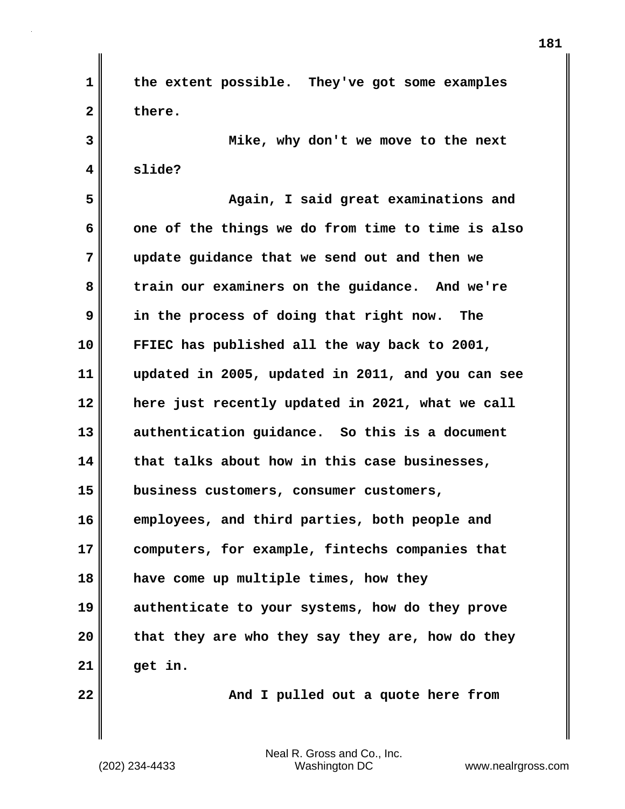**1 2 3 4 5 6 7 8 9 10 11 12 13 14 15 16 17 18 19 20 21 22 the extent possible. They've got some examples there. Mike, why don't we move to the next slide? Again, I said great examinations and one of the things we do from time to time is also update guidance that we send out and then we train our examiners on the guidance. And we're in the process of doing that right now. The FFIEC has published all the way back to 2001, updated in 2005, updated in 2011, and you can see here just recently updated in 2021, what we call authentication guidance. So this is a document that talks about how in this case businesses, business customers, consumer customers, employees, and third parties, both people and computers, for example, fintechs companies that have come up multiple times, how they authenticate to your systems, how do they prove that they are who they say they are, how do they get in. And I pulled out a quote here from**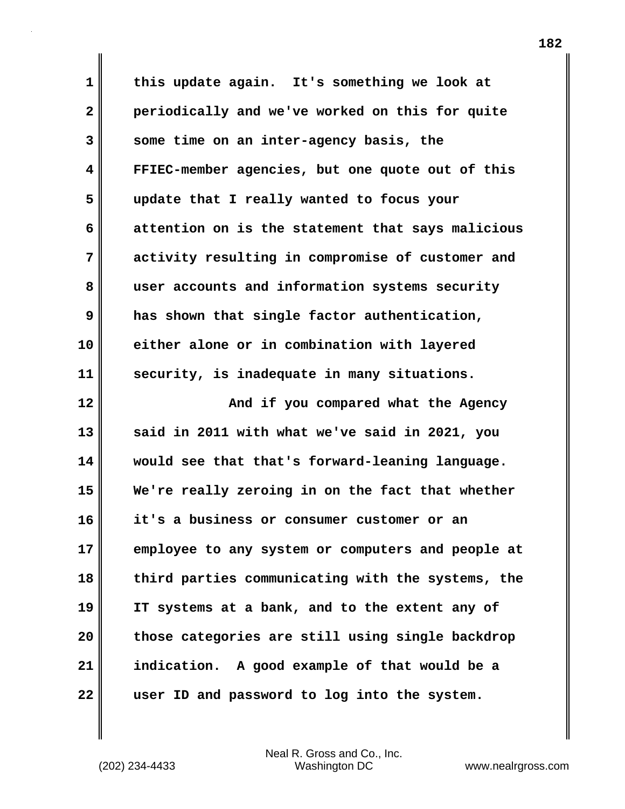**1 2 3 4 5 6 7 8 9 10 11 12 13 14 15 16 17 18 19 20 21 22 this update again. It's something we look at periodically and we've worked on this for quite some time on an inter-agency basis, the FFIEC-member agencies, but one quote out of this update that I really wanted to focus your attention on is the statement that says malicious activity resulting in compromise of customer and user accounts and information systems security has shown that single factor authentication, either alone or in combination with layered security, is inadequate in many situations. And if you compared what the Agency said in 2011 with what we've said in 2021, you would see that that's forward-leaning language. We're really zeroing in on the fact that whether it's a business or consumer customer or an employee to any system or computers and people at third parties communicating with the systems, the IT systems at a bank, and to the extent any of those categories are still using single backdrop indication. A good example of that would be a user ID and password to log into the system.**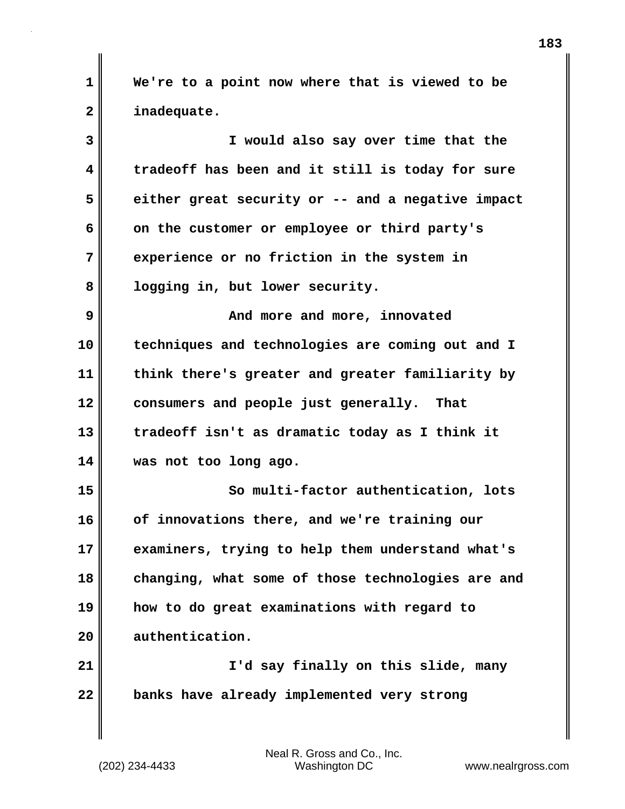**1 2 We're to a point now where that is viewed to be inadequate.** 

**3 4 5 6 7 8 9 10 11 12 13 14 15 16 17 18 19 20 21 22 I would also say over time that the tradeoff has been and it still is today for sure either great security or -- and a negative impact on the customer or employee or third party's experience or no friction in the system in logging in, but lower security. And more and more, innovated techniques and technologies are coming out and I think there's greater and greater familiarity by consumers and people just generally. That tradeoff isn't as dramatic today as I think it was not too long ago. So multi-factor authentication, lots of innovations there, and we're training our examiners, trying to help them understand what's changing, what some of those technologies are and how to do great examinations with regard to authentication. I'd say finally on this slide, many banks have already implemented very strong**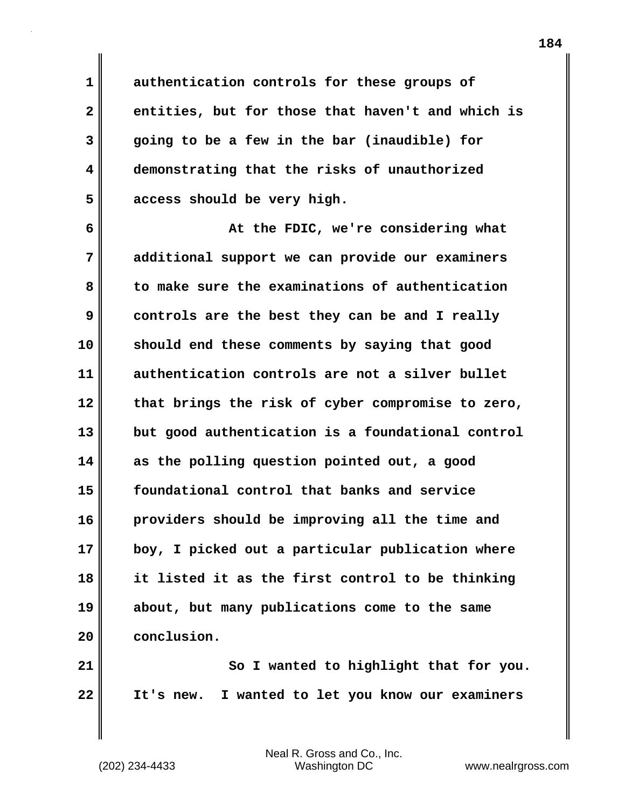**authentication controls for these groups of entities, but for those that haven't and which is going to be a few in the bar (inaudible) for demonstrating that the risks of unauthorized access should be very high.**

**6 7 8 9 10 11 12 13 14 15 16 17 18 19 20 At the FDIC, we're considering what additional support we can provide our examiners to make sure the examinations of authentication controls are the best they can be and I really should end these comments by saying that good authentication controls are not a silver bullet that brings the risk of cyber compromise to zero, but good authentication is a foundational control as the polling question pointed out, a good foundational control that banks and service providers should be improving all the time and boy, I picked out a particular publication where it listed it as the first control to be thinking about, but many publications come to the same conclusion.**

**21 22 So I wanted to highlight that for you. It's new. I wanted to let you know our examiners** 

Neal R. Gross and Co., Inc. (202) 234-4433 Washington DC <www.nealrgross.com>

**1** 

**2** 

**3** 

**4** 

**5**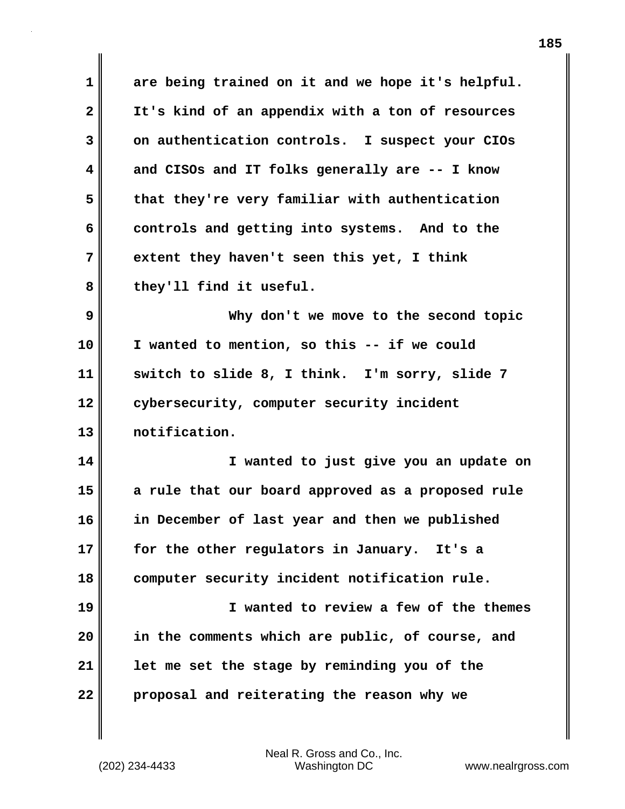**1 2 3 4 5 6 7 8 9 10 11 12 13 14 15 16 17 18 19 20 21 22 are being trained on it and we hope it's helpful. It's kind of an appendix with a ton of resources on authentication controls. I suspect your CIOs and CISOs and IT folks generally are -- I know that they're very familiar with authentication controls and getting into systems. And to the extent they haven't seen this yet, I think they'll find it useful. Why don't we move to the second topic I wanted to mention, so this -- if we could switch to slide 8, I think. I'm sorry, slide 7 cybersecurity, computer security incident notification. I wanted to just give you an update on a rule that our board approved as a proposed rule in December of last year and then we published for the other regulators in January. It's a computer security incident notification rule. I wanted to review a few of the themes in the comments which are public, of course, and let me set the stage by reminding you of the proposal and reiterating the reason why we**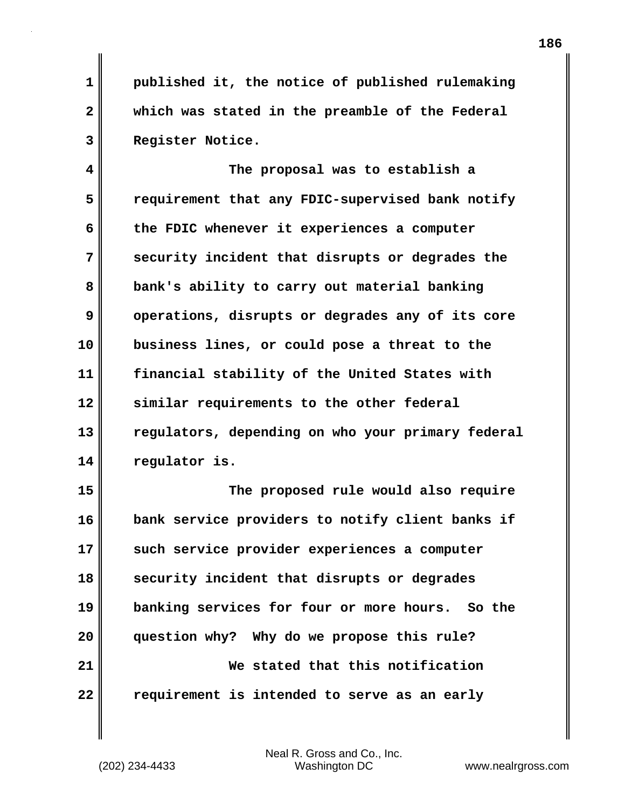**1 2 3 published it, the notice of published rulemaking which was stated in the preamble of the Federal Register Notice.** 

**4 5 6 7 8 9 10 11 12 13 14 The proposal was to establish a requirement that any FDIC-supervised bank notify the FDIC whenever it experiences a computer security incident that disrupts or degrades the bank's ability to carry out material banking operations, disrupts or degrades any of its core business lines, or could pose a threat to the financial stability of the United States with similar requirements to the other federal regulators, depending on who your primary federal regulator is.**

**15 16 17 18 19 20 21 22 The proposed rule would also require bank service providers to notify client banks if such service provider experiences a computer security incident that disrupts or degrades banking services for four or more hours. So the question why? Why do we propose this rule? We stated that this notification requirement is intended to serve as an early**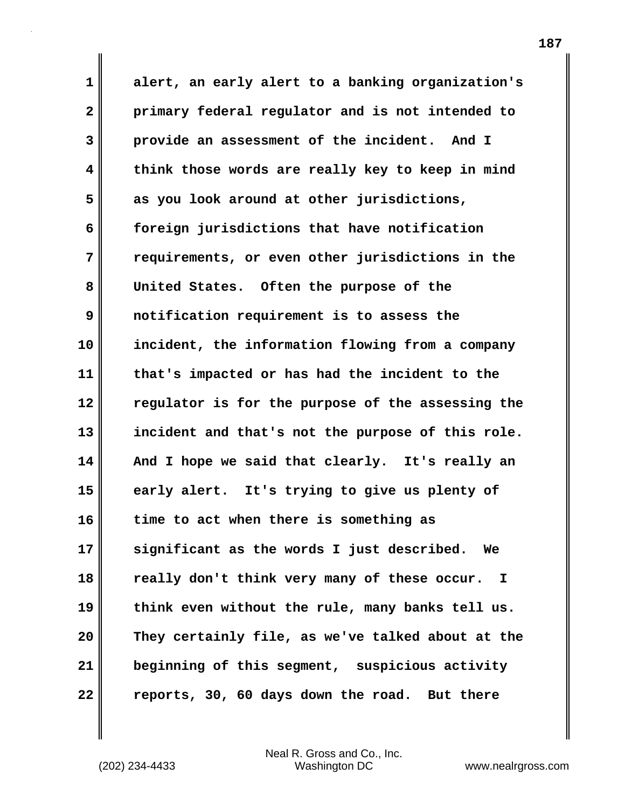**1 2 3 4 5 6 7 8 9 10 11 12 13 14 15 16 17 18 19 20 21 22 alert, an early alert to a banking organization's primary federal regulator and is not intended to provide an assessment of the incident. And I think those words are really key to keep in mind as you look around at other jurisdictions, foreign jurisdictions that have notification requirements, or even other jurisdictions in the United States. Often the purpose of the notification requirement is to assess the incident, the information flowing from a company that's impacted or has had the incident to the regulator is for the purpose of the assessing the incident and that's not the purpose of this role. And I hope we said that clearly. It's really an early alert. It's trying to give us plenty of time to act when there is something as significant as the words I just described. We really don't think very many of these occur. I think even without the rule, many banks tell us. They certainly file, as we've talked about at the beginning of this segment, suspicious activity reports, 30, 60 days down the road. But there**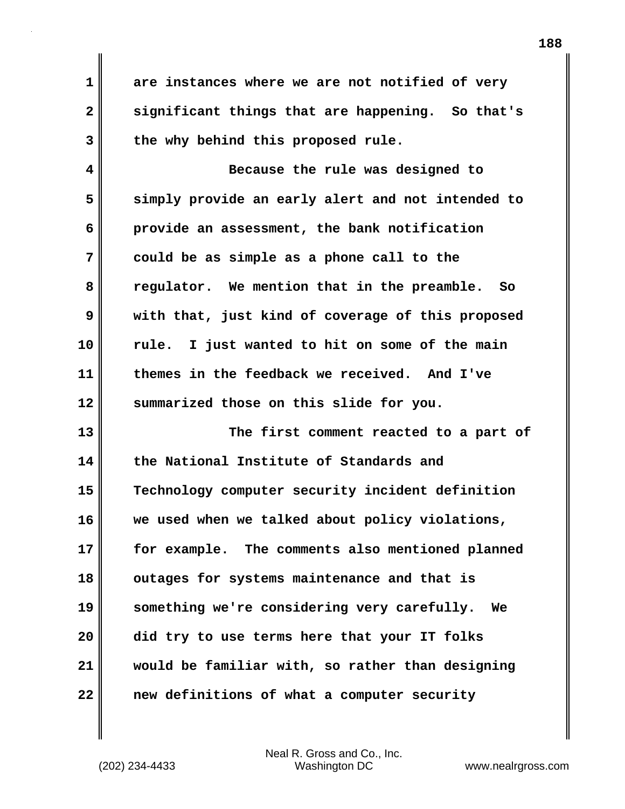**are instances where we are not notified of very significant things that are happening. So that's the why behind this proposed rule.**

**4 5 6 7 8 9 10 11 12 Because the rule was designed to simply provide an early alert and not intended to provide an assessment, the bank notification could be as simple as a phone call to the regulator. We mention that in the preamble. So with that, just kind of coverage of this proposed rule. I just wanted to hit on some of the main themes in the feedback we received. And I've summarized those on this slide for you.** 

**13 14 15 16 17 18 19 20 21 22 The first comment reacted to a part of the National Institute of Standards and Technology computer security incident definition we used when we talked about policy violations, for example. The comments also mentioned planned outages for systems maintenance and that is something we're considering very carefully. We did try to use terms here that your IT folks would be familiar with, so rather than designing new definitions of what a computer security** 

Neal R. Gross and Co., Inc. (202) 234-4433 Washington DC <www.nealrgross.com>

**1** 

**2** 

**3**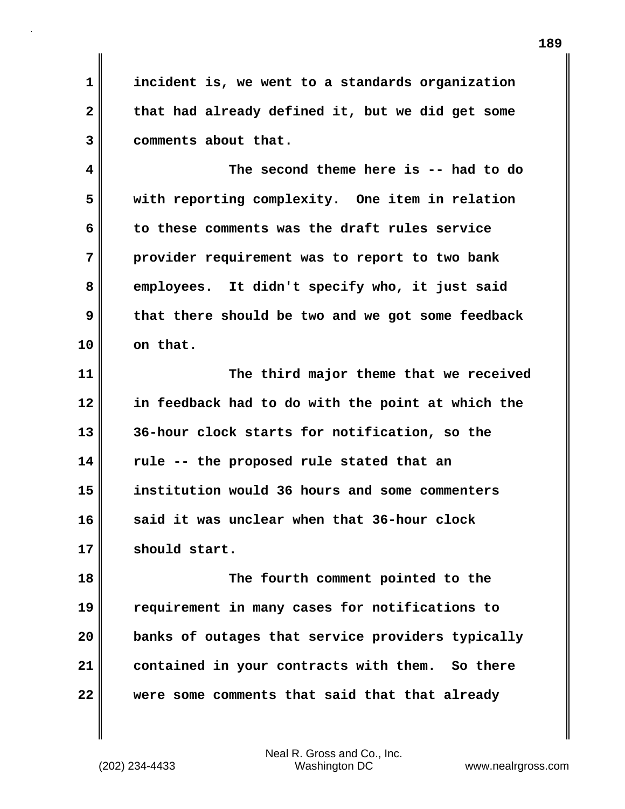**1 2 3 incident is, we went to a standards organization that had already defined it, but we did get some comments about that.**

**4 5 6 7 8 9 10 The second theme here is -- had to do with reporting complexity. One item in relation to these comments was the draft rules service provider requirement was to report to two bank employees. It didn't specify who, it just said that there should be two and we got some feedback on that.**

**11 12 13 14 15 16 17 The third major theme that we received in feedback had to do with the point at which the 36-hour clock starts for notification, so the rule -- the proposed rule stated that an institution would 36 hours and some commenters said it was unclear when that 36-hour clock should start.**

**18 19 20 21 22 The fourth comment pointed to the requirement in many cases for notifications to banks of outages that service providers typically contained in your contracts with them. So there were some comments that said that that already**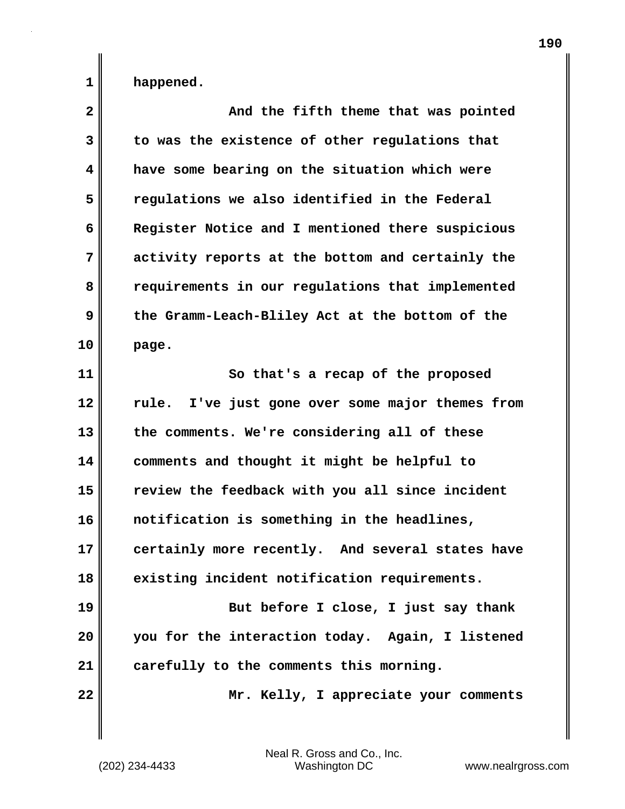**happened.**

**1** 

| $\mathbf{2}$            | And the fifth theme that was pointed             |
|-------------------------|--------------------------------------------------|
| 3                       | to was the existence of other regulations that   |
| $\overline{\mathbf{4}}$ | have some bearing on the situation which were    |
| 5                       | regulations we also identified in the Federal    |
| 6                       | Register Notice and I mentioned there suspicious |
| 7                       | activity reports at the bottom and certainly the |
| 8                       | requirements in our regulations that implemented |
| 9                       | the Gramm-Leach-Bliley Act at the bottom of the  |
| 10                      | page.                                            |
| 11                      | So that's a recap of the proposed                |
| 12                      | rule. I've just gone over some major themes from |
| 13                      | the comments. We're considering all of these     |
| 14                      | comments and thought it might be helpful to      |
| 15                      | review the feedback with you all since incident  |
| 16                      | notification is something in the headlines,      |
| 17                      | certainly more recently. And several states have |
| 18                      | existing incident notification requirements.     |
| 19                      | But before I close, I just say thank             |
| 20                      | you for the interaction today. Again, I listened |
| 21                      | carefully to the comments this morning.          |
| 22                      | Mr. Kelly, I appreciate your comments            |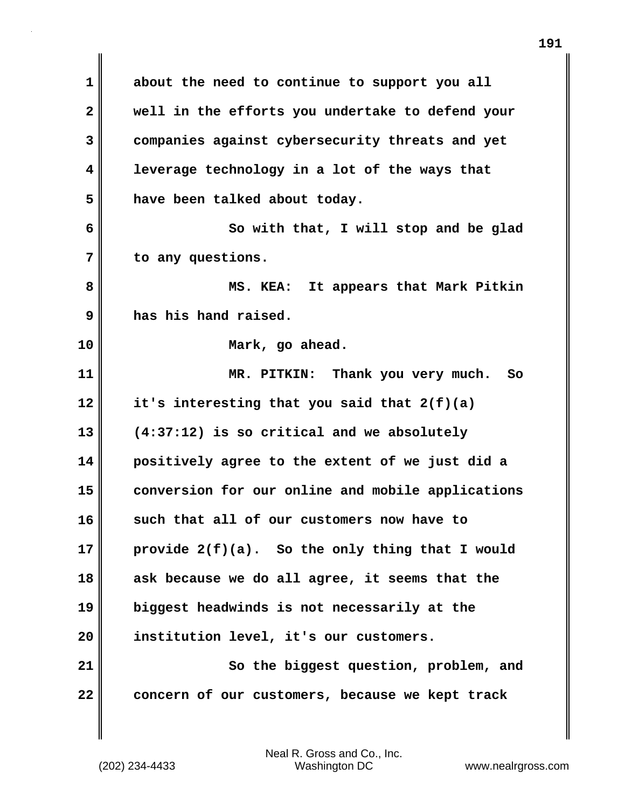**1 2 3 4 5 6 7 8 9 10 11 12 13 14 15 16 17 18 19 20 21 22 about the need to continue to support you all well in the efforts you undertake to defend your companies against cybersecurity threats and yet leverage technology in a lot of the ways that have been talked about today. So with that, I will stop and be glad to any questions. MS. KEA: It appears that Mark Pitkin has his hand raised. Mark, go ahead. MR. PITKIN: Thank you very much. So it's interesting that you said that 2(f)(a) (4:37:12) is so critical and we absolutely positively agree to the extent of we just did a conversion for our online and mobile applications such that all of our customers now have to provide 2(f)(a). So the only thing that I would ask because we do all agree, it seems that the biggest headwinds is not necessarily at the institution level, it's our customers. So the biggest question, problem, and concern of our customers, because we kept track**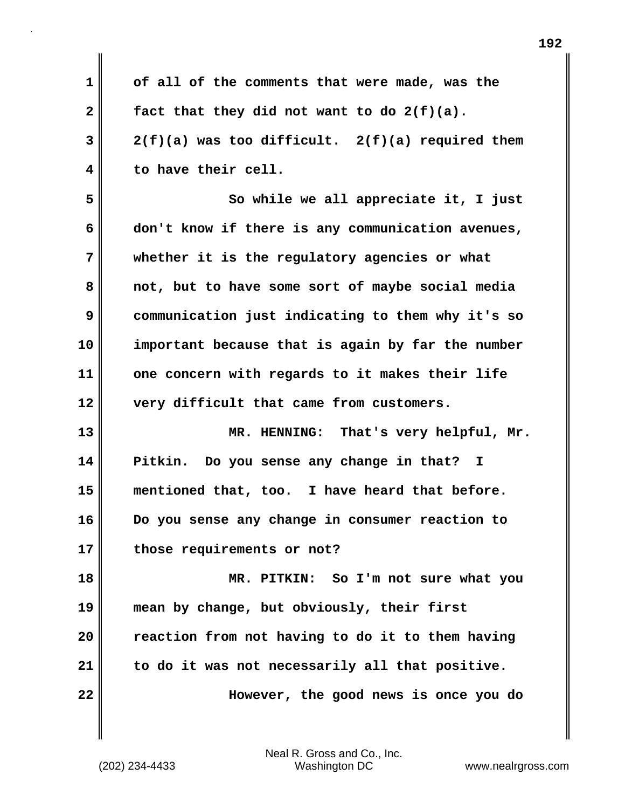**1 2 3 4 5 6 7 8 9 10 11 12 13 14 15 16 17 18 19 20 21 22 of all of the comments that were made, was the fact that they did not want to do 2(f)(a). 2(f)(a) was too difficult. 2(f)(a) required them to have their cell. So while we all appreciate it, I just don't know if there is any communication avenues, whether it is the regulatory agencies or what not, but to have some sort of maybe social media communication just indicating to them why it's so important because that is again by far the number one concern with regards to it makes their life very difficult that came from customers. MR. HENNING: That's very helpful, Mr. Pitkin. Do you sense any change in that? I mentioned that, too. I have heard that before. Do you sense any change in consumer reaction to those requirements or not? MR. PITKIN: So I'm not sure what you mean by change, but obviously, their first reaction from not having to do it to them having to do it was not necessarily all that positive. However, the good news is once you do**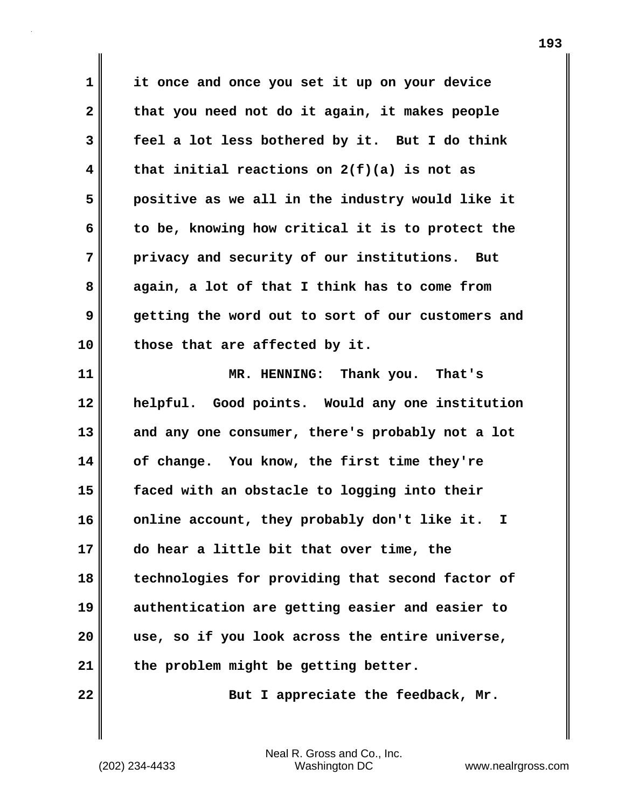**1 2 3 4 5 6 7 8 9 10 11 it once and once you set it up on your device that you need not do it again, it makes people feel a lot less bothered by it. But I do think that initial reactions on 2(f)(a) is not as positive as we all in the industry would like it to be, knowing how critical it is to protect the privacy and security of our institutions. But again, a lot of that I think has to come from getting the word out to sort of our customers and those that are affected by it. MR. HENNING: Thank you. That's** 

**12 13 14 15 16 17 18 19 20 21 helpful. Good points. Would any one institution and any one consumer, there's probably not a lot of change. You know, the first time they're faced with an obstacle to logging into their online account, they probably don't like it. I do hear a little bit that over time, the technologies for providing that second factor of authentication are getting easier and easier to use, so if you look across the entire universe, the problem might be getting better.** 

**22** 

**But I appreciate the feedback, Mr.**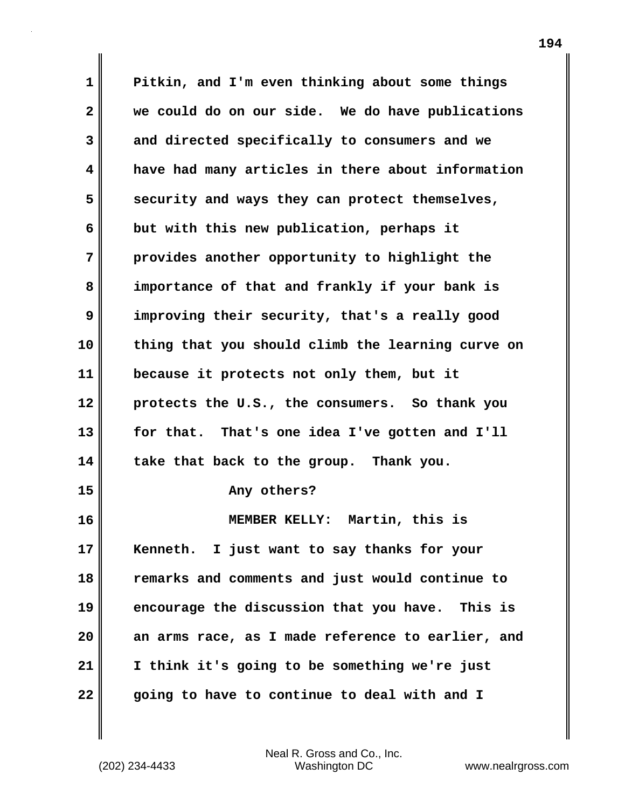**1 2 3 4 5 6 7 8 9 10 11 12 13 14 15 16 17 18 19 20 21 22 Pitkin, and I'm even thinking about some things we could do on our side. We do have publications and directed specifically to consumers and we have had many articles in there about information security and ways they can protect themselves, but with this new publication, perhaps it provides another opportunity to highlight the importance of that and frankly if your bank is improving their security, that's a really good thing that you should climb the learning curve on because it protects not only them, but it protects the U.S., the consumers. So thank you for that. That's one idea I've gotten and I'll take that back to the group. Thank you. Any others? MEMBER KELLY: Martin, this is Kenneth. I just want to say thanks for your remarks and comments and just would continue to encourage the discussion that you have. This is an arms race, as I made reference to earlier, and I think it's going to be something we're just going to have to continue to deal with and I**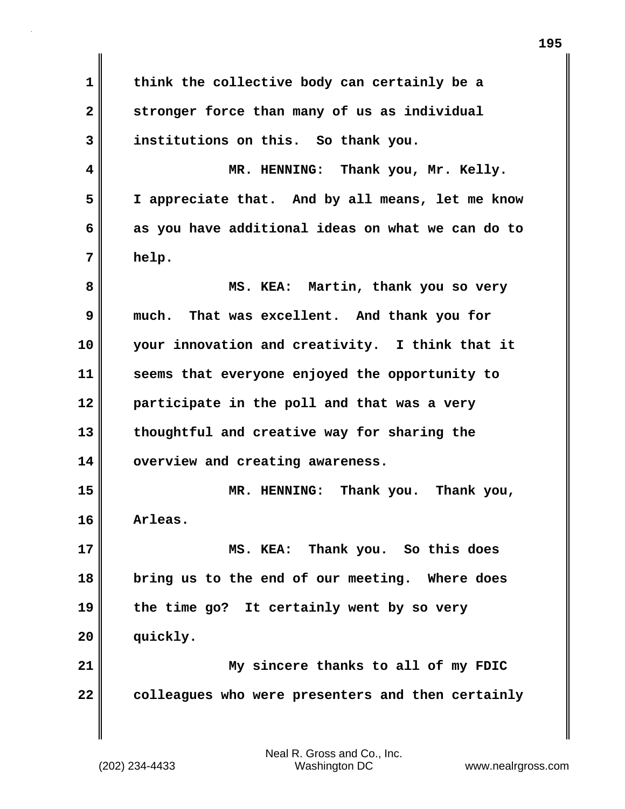**1 2 3 4 5 6 7 8 9 10 11 12 13 14 15 16 17 18 19 20 21 22 think the collective body can certainly be a stronger force than many of us as individual institutions on this. So thank you. MR. HENNING: Thank you, Mr. Kelly. I appreciate that. And by all means, let me know as you have additional ideas on what we can do to help. MS. KEA: Martin, thank you so very much. That was excellent. And thank you for your innovation and creativity. I think that it seems that everyone enjoyed the opportunity to participate in the poll and that was a very thoughtful and creative way for sharing the overview and creating awareness. MR. HENNING: Thank you. Thank you, Arleas. MS. KEA: Thank you. So this does bring us to the end of our meeting. Where does the time go? It certainly went by so very quickly. My sincere thanks to all of my FDIC colleagues who were presenters and then certainly**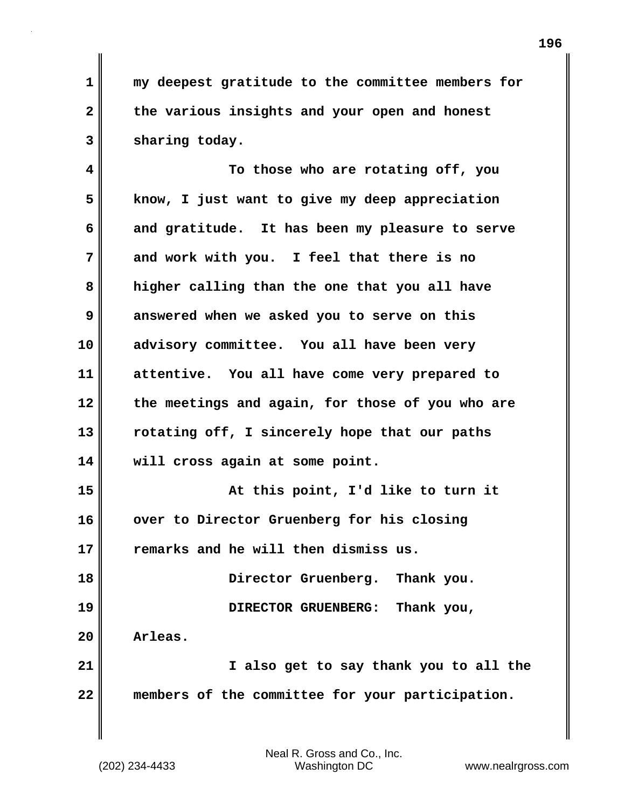**1 2 3 my deepest gratitude to the committee members for the various insights and your open and honest sharing today.**

**4 5 6 7 8 9 10 11 12 13 14 15 16 17 18 19 20 To those who are rotating off, you know, I just want to give my deep appreciation and gratitude. It has been my pleasure to serve and work with you. I feel that there is no higher calling than the one that you all have answered when we asked you to serve on this advisory committee. You all have been very attentive. You all have come very prepared to the meetings and again, for those of you who are rotating off, I sincerely hope that our paths will cross again at some point. At this point, I'd like to turn it over to Director Gruenberg for his closing remarks and he will then dismiss us. Director Gruenberg. Thank you. DIRECTOR GRUENBERG: Thank you, Arleas.** 

**21 22 I also get to say thank you to all the members of the committee for your participation.**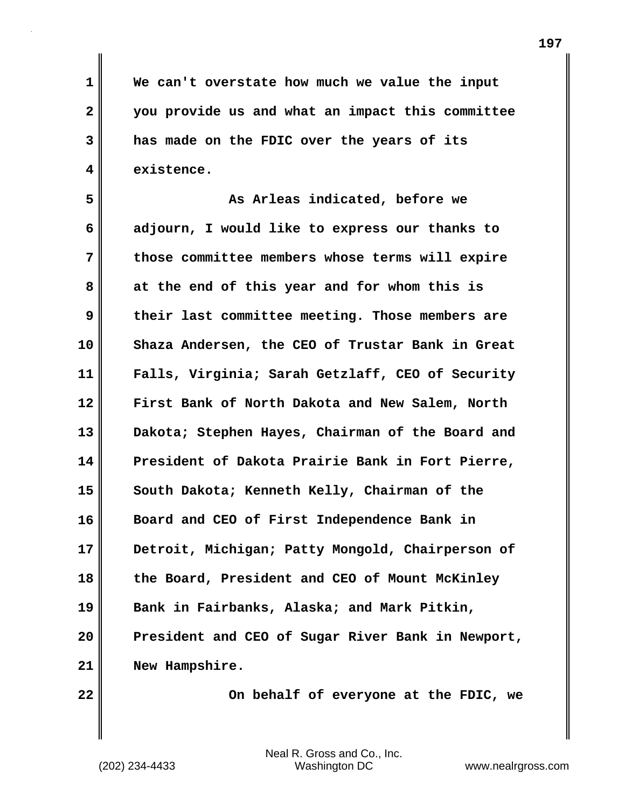**We can't overstate how much we value the input you provide us and what an impact this committee has made on the FDIC over the years of its existence.**

**5 6 7 8 9 10 11 12 13 14 15 16 17 18 19 20 21 As Arleas indicated, before we adjourn, I would like to express our thanks to those committee members whose terms will expire at the end of this year and for whom this is their last committee meeting. Those members are Shaza Andersen, the CEO of Trustar Bank in Great Falls, Virginia; Sarah Getzlaff, CEO of Security First Bank of North Dakota and New Salem, North Dakota; Stephen Hayes, Chairman of the Board and President of Dakota Prairie Bank in Fort Pierre, South Dakota; Kenneth Kelly, Chairman of the Board and CEO of First Independence Bank in Detroit, Michigan; Patty Mongold, Chairperson of the Board, President and CEO of Mount McKinley Bank in Fairbanks, Alaska; and Mark Pitkin, President and CEO of Sugar River Bank in Newport, New Hampshire.**

**22** 

**1** 

**2** 

**3** 

**4** 

 **On behalf of everyone at the FDIC, we**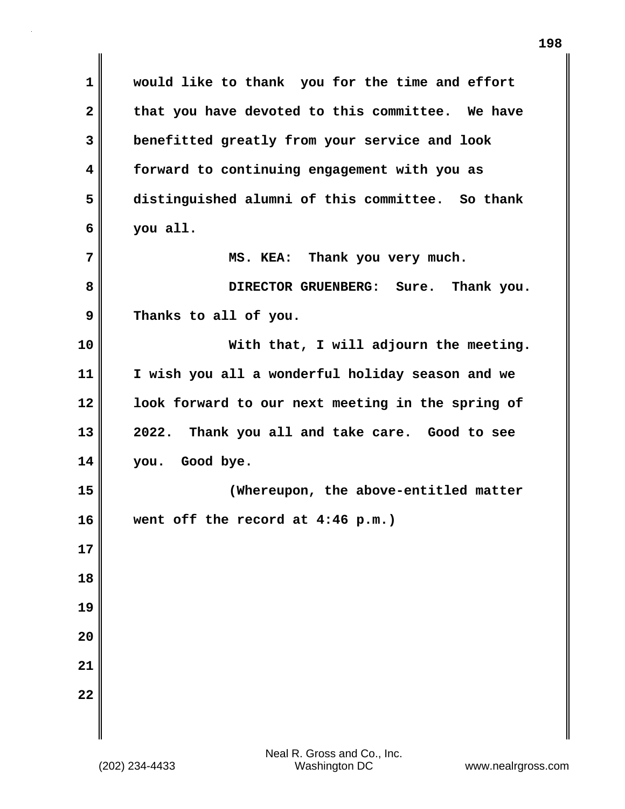**1 2 3 4 5 6 7 8 9 10 11 12 13 14 15 16 17 18 19 20 21 22 would like to thank you for the time and effort that you have devoted to this committee. We have benefitted greatly from your service and look forward to continuing engagement with you as distinguished alumni of this committee. So thank you all. MS. KEA: Thank you very much. DIRECTOR GRUENBERG: Sure. Thank you. Thanks to all of you. With that, I will adjourn the meeting. I wish you all a wonderful holiday season and we look forward to our next meeting in the spring of 2022. Thank you all and take care. Good to see you. Good bye. (Whereupon, the above-entitled matter went off the record at 4:46 p.m.)**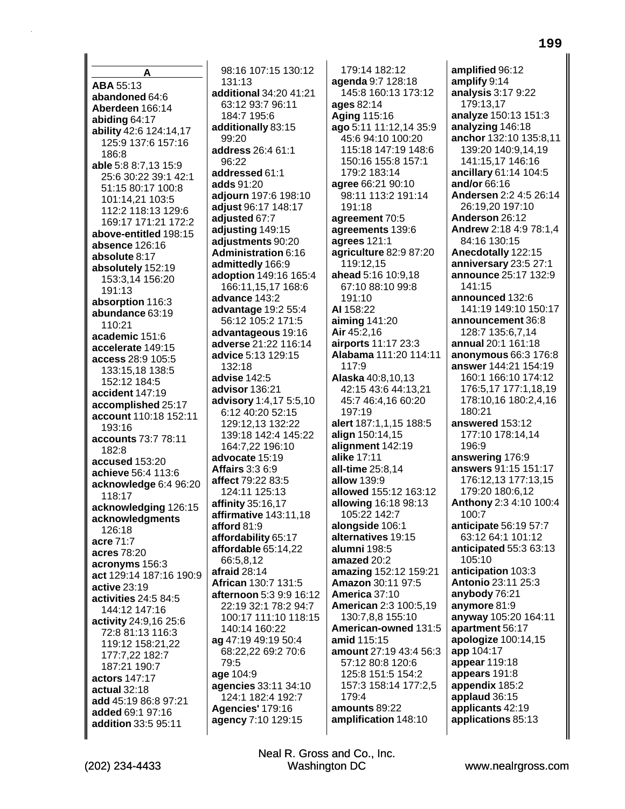A ABA 55:13 abandoned 64:6 Aberdeen 166:14 abiding 64:17 ability 42:6 124:14,17 125:9 137:6 157:16 186:8 able 5:8 8:7,13 15:9 25:6 30:22 39:1 42:1 51:15 80:17 100:8 101:14.21 103:5 112:2 118:13 129:6 169:17 171:21 172:2 above-entitled 198:15 absence 126:16 absolute 8:17 absolutely 152:19 153:3,14 156:20 191:13 absorption 116:3 abundance 63:19 110:21 academic 151:6 accelerate 149:15 access 28:9 105:5 133:15,18 138:5 152:12 184:5 accident 147:19 accomplished 25:17 account 110:18 152:11 193:16 accounts 73:7 78:11 182:8 accused 153:20 achieve 56:4 113:6 acknowledge 6:4 96:20 118:17 acknowledging 126:15 acknowledgments 126:18 acre 71:7 acres 78:20 acronyms 156:3 act 129:14 187:16 190:9 active 23:19 activities 24:5 84:5 144:12 147:16 activity 24:9,16 25:6 72:8 81:13 116:3 119:12 158:21,22 177:7.22 182:7 187:21 190:7 actors 147:17 actual 32:18 add 45:19 86:8 97:21 added 69:1 97:16 addition 33:5 95:11

(202) 234-4433

98:16 107:15 130:12  $131.13$ additional 34:20 41:21 63:12 93:7 96:11 184:7 195:6 additionally 83:15 99:20 address 26:4 61:1  $96.22$ addressed 61:1 adds 91:20 adjourn 197:6 198:10 adjust 96:17 148:17 adjusted 67:7 adjusting 149:15 adjustments 90:20 **Administration 6:16** admittedly 166:9 adoption 149:16 165:4 166:11,15,17 168:6 advance 143:2 advantage 19:2 55:4 56:12 105:2 171:5 advantageous 19:16 adverse 21:22 116:14 advice 5:13 129:15 132:18 advise 142:5 advisor 136:21 advisory 1:4,17 5:5,10 6:12 40:20 52:15 129:12,13 132:22 139:18 142:4 145:22 164:7,22 196:10 advocate 15:19 **Affairs 3:3 6:9** affect 79:22 83:5 124:11 125:13 affinity 35:16,17 affirmative 143:11,18 afford 81:9 affordability 65:17 affordable 65:14,22 66:5.8.12 afraid  $28:14$ African 130:7 131:5 afternoon 5:3 9:9 16:12 22:19 32:1 78:2 94:7 100:17 111:10 118:15 140:14 160:22 ag 47:19 49:19 50:4 68:22,22 69:2 70:6 79:5 age 104:9 agencies 33:11 34:10 124:1 182:4 192:7 Agencies' 179:16 agency 7:10 129:15

179:14 182:12 agenda 9:7 128:18 145:8 160:13 173:12 ages 82:14 Aging 115:16 ago 5:11 11:12,14 35:9 45:6 94:10 100:20 115:18 147:19 148:6 150:16 155:8 157:1 179:2 183:14 agree 66:21 90:10 98:11 113:2 191:14 191:18 agreement 70:5 agreements 139:6 agrees 121:1 agriculture 82:9 87:20 119:12,15 ahead 5:16 10:9.18 67:10 88:10 99:8 191:10 AI 158:22 aiming  $141:20$ Air 45:2,16 airports 11:17 23:3 Alabama 111:20 114:11 117:9 **Alaska 40:8.10.13** 42:15 43:6 44:13,21 45:7 46:4,16 60:20 197:19 alert 187:1.1.15 188:5 align 150:14,15 alignment 142:19 alike 17:11 all-time 25:8.14 **allow 139:9** allowed 155:12 163:12 **allowing 16:18 98:13** 105:22 142:7 alongside 106:1 alternatives 19:15 alumni 198:5 amazed 20:2 amazing 152:12 159:21 Amazon 30:11 97:5 America 37:10 American 2:3 100:5,19 130:7,8,8 155:10 American-owned 131:5 amid 115:15 amount 27:19 43:4 56:3 57:12 80:8 120:6 125:8 151:5 154:2 157:3 158:14 177:2,5 179:4 amounts 89:22 amplification 148:10

amplified 96:12 amplify 9:14 analysis 3:17 9:22 179:13,17 analyze 150:13 151:3 analyzing 146:18 anchor 132:10 135:8,11 139:20 140:9,14,19 141:15,17 146:16 ancillary 61:14 104:5 and/or 66:16 Andersen 2:2 4:5 26:14 26:19,20 197:10 Anderson 26:12 Andrew 2:18 4:9 78:1.4 84:16 130:15 Anecdotally 122:15 anniversary 23:5 27:1 announce 25:17 132:9 141:15 announced 132:6 141:19 149:10 150:17 announcement 36:8 128:7 135:6.7.14 annual 20:1 161:18 anonymous  $66:3$  176:8 answer 144:21 154:19 160:1 166:10 174:12 176:5.17 177:1.18.19 178:10,16 180:2,4,16 180:21 answered 153:12 177:10 178:14.14 196:9 answering 176:9 answers 91:15 151:17 176:12.13 177:13.15 179:20 180:6.12 Anthony 2:3 4:10 100:4 100:7 anticipate 56:19 57:7 63:12 64:1 101:12 anticipated 55:3 63:13 105:10 anticipation 103:3 Antonio 23:11 25:3 anybody 76:21 anymore 81:9 anyway 105:20 164:11 apartment 56:17 apologize 100:14,15 app 104:17 appear 119:18 appears 191:8 appendix 185:2 applaud 36:15 applicants 42:19 applications 85:13

Neal R. Gross and Co., Inc.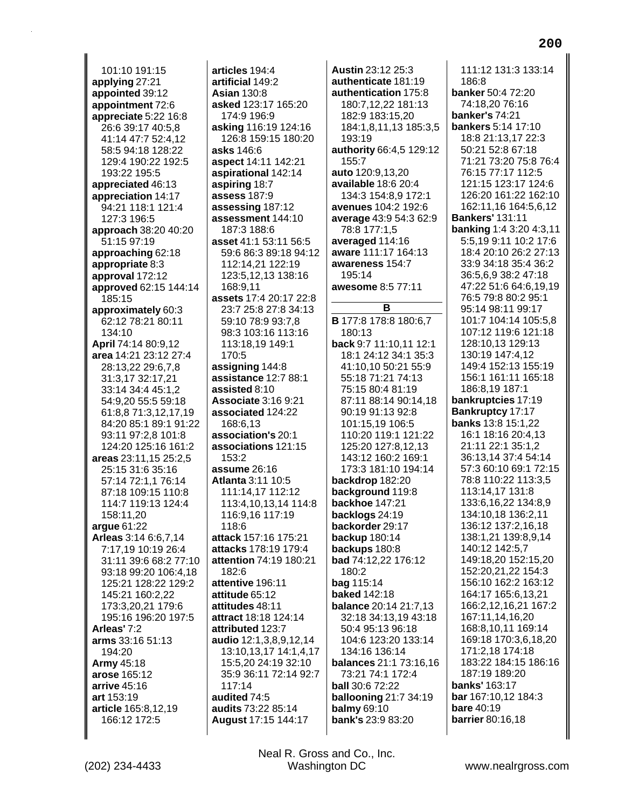101:10 191:15 **applying** 27:21 **appointed** 39:12 **appointment** 72:6 **appreciate** 5:22 16:8 26:6 39:17 40:5,8 41:14 47:7 52:4,12 58:5 94:18 128:22 129:4 190:22 192:5 193:22 195:5 **appreciated** 46:13 **appreciation** 14:17 94:21 118:1 121:4 127:3 196:5 **approach** 38:20 40:20 51:15 97:19 **approaching** 62:18 **appropriate** 8:3 **approval** 172:12 **approved** 62:15 144:14 185:15 **approximately** 60:3 62:12 78:21 80:11 134:10 **April** 74:14 80:9,12 **area** 14:21 23:12 27:4 28:13,22 29:6,7,8 31:3,17 32:17,21 33:14 34:4 45:1,2 54:9,20 55:5 59:18 61:8,8 71:3,12,17,19 84:20 85:1 89:1 91:22 93:11 97:2,8 101:8 124:20 125:16 161:2 **areas** 23:11,15 25:2,5 25:15 31:6 35:16 57:14 72:1,1 76:14 87:18 109:15 110:8 114:7 119:13 124:4 158:11,20 **argue** 61:22 **Arleas** 3:14 6:6,7,14 7:17,19 10:19 26:4 31:11 39:6 68:2 77:10 93:18 99:20 106:4,18 125:21 128:22 129:2 145:21 160:2,22 173:3,20,21 179:6 195:16 196:20 197:5 **Arleas'** 7:2 **arms** 33:16 51:13 194:20 **Army** 45:18 **arose** 165:12 **arrive** 45:16 **art** 153:19 **article** 165:8,12,19 166:12 172:5

**articles** 194:4 **artificial** 149:2 **Asian** 130:8 **asked** 123:17 165:20 174:9 196:9 **asking** 116:19 124:16 126:8 159:15 180:20 **asks** 146:6 **aspect** 14:11 142:21 **aspirational** 142:14 **aspiring** 18:7 **assess** 187:9 **assessing** 187:12 **assessment** 144:10 187:3 188:6 **asset** 41:1 53:11 56:5 59:6 86:3 89:18 94:12 112:14,21 122:19 123:5,12,13 138:16 168:9,11 **assets** 17:4 20:17 22:8 23:7 25:8 27:8 34:13 59:10 78:9 93:7,8 98:3 103:16 113:16 113:18,19 149:1 170:5 **assigning** 144:8 **assistance** 12:7 88:1 **assisted** 8:10 **Associate** 3:16 9:21 **associated** 124:22 168:6,13 **association's** 20:1 **associations** 121:15 153:2 **assume** 26:16 **Atlanta** 3:11 10:5 111:14,17 112:12 113:4,10,13,14 114:8 116:9,16 117:19 118:6 **attack** 157:16 175:21 **attacks** 178:19 179:4 **attention** 74:19 180:21 182:6 **attentive** 196:11 **attitude** 65:12 **attitudes** 48:11 **attract** 18:18 124:14 **attributed** 123:7 **audio** 12:1,3,8,9,12,14 13:10,13,17 14:1,4,17 15:5,20 24:19 32:10 35:9 36:11 72:14 92:7 117:14 **audited** 74:5 **audits** 73:22 85:14 **August** 17:15 144:17

**Austin** 23:12 25:3 **authenticate** 181:19 **authentication** 175:8 180:7,12,22 181:13 182:9 183:15,20 184:1,8,11,13 185:3,5 193:19 **authority** 66:4,5 129:12 155:7 **auto** 120:9,13,20 **available** 18:6 20:4 134:3 154:8,9 172:1 **avenues** 104:2 192:6 **average** 43:9 54:3 62:9 78:8 177:1,5 **averaged** 114:16 **aware** 111:17 164:13 **awareness** 154:7 195:14 **awesome** 8:5 77:11 **B B** 177:8 178:8 180:6,7 180:13 **back** 9:7 11:10,11 12:1 18:1 24:12 34:1 35:3 41:10,10 50:21 55:9 55:18 71:21 74:13 75:15 80:4 81:19 87:11 88:14 90:14,18 90:19 91:13 92:8 101:15,19 106:5 110:20 119:1 121:22 125:20 127:8,12,13 143:12 160:2 169:1 173:3 181:10 194:14 **backdrop** 182:20 **background** 119:8 **backhoe** 147:21 **backlogs** 24:19 **backorder** 29:17 **backup** 180:14 **backups** 180:8 **bad** 74:12,22 176:12 180:2 **bag** 115:14 **baked** 142:18 **balance** 20:14 21:7,13 32:18 34:13,19 43:18 50:4 95:13 96:18 104:6 123:20 133:14 134:16 136:14 **balances** 21:1 73:16,16 73:21 74:1 172:4 **ball** 30:6 72:22 **ballooning** 21:7 34:19 **balmy** 69:10 **bank's** 23:9 83:20

111:12 131:3 133:14 186:8 **banker** 50:4 72:20 74:18,20 76:16 **banker's** 74:21 **bankers** 5:14 17:10 18:8 21:13,17 22:3 50:21 52:8 67:18 71:21 73:20 75:8 76:4 76:15 77:17 112:5 121:15 123:17 124:6 126:20 161:22 162:10 162:11,16 164:5,6,12 **Bankers'** 131:11 **banking** 1:4 3:20 4:3,11 5:5,19 9:11 10:2 17:6 18:4 20:10 26:2 27:13 33:9 34:18 35:4 36:2 36:5,6,9 38:2 47:18 47:22 51:6 64:6,19,19 76:5 79:8 80:2 95:1 95:14 98:11 99:17 101:7 104:14 105:5,8 107:12 119:6 121:18 128:10,13 129:13 130:19 147:4,12 149:4 152:13 155:19 156:1 161:11 165:18 186:8,19 187:1 **bankruptcies** 17:19 **Bankruptcy** 17:17 **banks** 13:8 15:1,22 16:1 18:16 20:4,13 21:11 22:1 35:1,2 36:13,14 37:4 54:14 57:3 60:10 69:1 72:15 78:8 110:22 113:3,5 113:14,17 131:8 133:6,16,22 134:8,9 134:10,18 136:2,11 136:12 137:2,16,18 138:1,21 139:8,9,14 140:12 142:5,7 149:18,20 152:15,20 152:20,21,22 154:3 156:10 162:2 163:12 164:17 165:6,13,21 166:2,12,16,21 167:2 167:11,14,16,20 168:8,10,11 169:14 169:18 170:3,6,18,20 171:2,18 174:18 183:22 184:15 186:16 187:19 189:20 **banks'** 163:17 **bar** 167:10,12 184:3 **bare** 40:19 **barrier** 80:16,18

**200**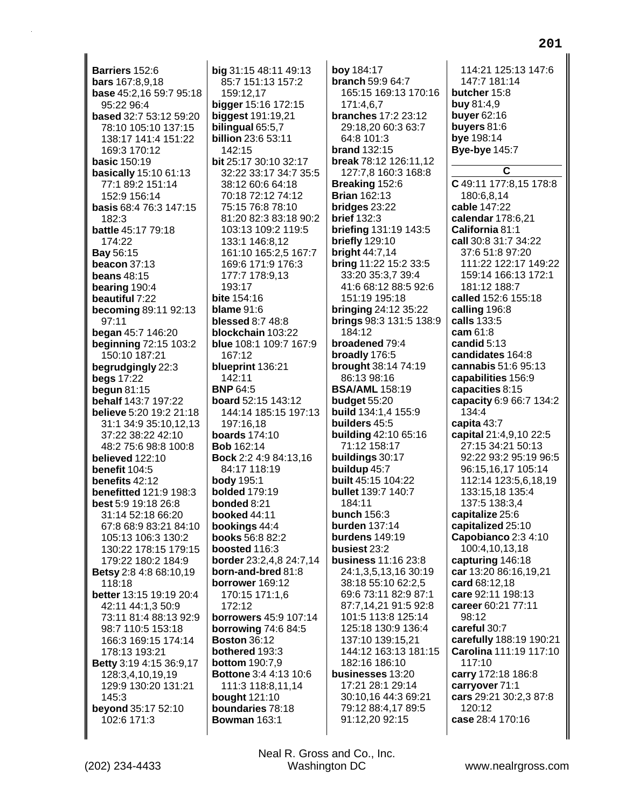Barriers 152:6 **bars** 167:8,9,18 base 45:2,16 59:7 95:18 95:22 96:4 based 32:7 53:12 59:20 78:10 105:10 137:15 138:17 141:4 151:22 169:3 170:12 **basic 150:19** basically 15:10 61:13 77:1 89:2 151:14 152:9 156:14 basis 68:4 76:3 147:15 182:3 battle 45:17 79:18 174:22 Bay 56:15 beacon 37:13 **beans 48:15** bearing 190:4 beautiful 7:22 becoming 89:11 92:13  $97:11$ began 45:7 146:20 **beginning 72:15 103:2** 150:10 187:21 begrudgingly 22:3 **begs 17:22** begun  $81:15$ **behalf** 143:7 197:22 believe 5:20 19:2 21:18 31:1 34:9 35:10.12.13 37:22 38:22 42:10 48:2 75:6 98:8 100:8 believed 122:10 benefit  $104:5$ benefits  $42.12$ benefitted 121:9 198:3 **best** 5:9 19:18 26:8 31:14 52:18 66:20 67:8 68:9 83:21 84:10 105:13 106:3 130:2 130:22 178:15 179:15 179:22 180:2 184:9 Betsy 2:8 4:8 68:10,19  $118.18$ better 13:15 19:19 20:4 42:11 44:1,3 50:9 73:11 81:4 88:13 92:9 98:7 110:5 153:18 166:3 169:15 174:14 178:13 193:21 Betty 3:19 4:15 36:9,17 128:3.4.10.19.19 129:9 130:20 131:21 145:3 beyond 35:17 52:10 102:6 171:3

big 31:15 48:11 49:13 85:7 151:13 157:2 159:12.17 bigger 15:16 172:15 **biggest** 191:19,21 bilingual 65:5,7 **billion** 23:6 53:11 142:15 bit 25:17 30:10 32:17 32:22 33:17 34:7 35:5 38:12 60:6 64:18 70:18 72:12 74:12 75:15 76:8 78:10 81:20 82:3 83:18 90:2 103:13 109:2 119:5 133:1 146:8,12 161:10 165:2,5 167:7 169:6 171:9 176:3 177:7 178:9,13 193:17 bite 154:16 **blame** 91:6 **blessed 8:7 48:8** blockchain 103:22 blue 108:1 109:7 167:9 167:12 blueprint 136:21 142:11 **BNP 64:5** board 52:15 143:12 144:14 185:15 197:13 197:16.18 **boards** 174:10 **Bob** 162:14 Bock 2:2 4:9 84:13,16 84:17 118:19 **body** 195:1 **bolded** 179:19 bonded 8:21 booked 44:11 bookings 44:4 **books** 56:8 82:2 boosted 116:3 border 23:2,4,8 24:7,14 born-and-bred 81:8 borrower 169:12 170:15 171:1,6 172:12 **borrowers** 45:9 107:14 **borrowing 74:6 84:5 Boston 36:12** bothered 193:3 **bottom** 190:7,9 Bottone 3:4 4:13 10:6 111:3 118:8,11,14 **bought** 121:10 boundaries 78:18 **Bowman 163:1** 

bov 184:17 **branch 59:9 64:7** 165:15 169:13 170:16 171:4.6.7 **branches** 17:2 23:12 29:18.20 60:3 63:7  $64.8101.3$ **brand** 132:15 break 78:12 126:11,12 127:7,8 160:3 168:8 Breaking 152:6 **Brian 162:13** bridges 23:22 **brief 132:3** briefing 131:19 143:5 briefly 129:10 bright  $44:7,14$ bring 11:22 15:2 33:5 33:20 35:3,7 39:4 41:6 68:12 88:5 92:6 151:19 195:18 **bringing 24:12 35:22** brings 98:3 131:5 138:9 184:12 broadened 79:4 broadly 176:5 brought 38:14 74:19 86:13 98:16 **BSA/AML** 158:19 budget 55:20 **build** 134:1,4 155:9 builders 45:5 building 42:10 65:16 71:12 158:17 buildings 30:17 buildup 45:7 **built** 45:15 104:22 **bullet** 139:7 140:7  $184.11$ bunch  $156:3$ **burden** 137:14 burdens  $149:19$ busiest 23:2 business 11:16 23:8 24:1,3,5,13,16 30:19 38:18 55:10 62:2,5 69:6 73:11 82:9 87:1 87:7,14,21 91:5 92:8 101:5 113:8 125:14 125:18 130:9 136:4 137:10 139:15,21 144:12 163:13 181:15 182:16 186:10 businesses 13:20 17:21 28:1 29:14 30:10,16 44:3 69:21 79:12 88:4,17 89:5 91:12,20 92:15

114:21 125:13 147:6 147:7 181:14 butcher 15:8 **buy 81:4.9 buyer** 62:16 buyers  $81:6$ bye 198:14 **Bye-bye 145:7** C C 49:11 177:8,15 178:8 180:6,8,14 cable 147:22 calendar 178:6,21 California 81:1 call 30:8 31:7 34:22 37:6 51:8 97:20 111:22 122:17 149:22 159:14 166:13 172:1 181:12 188:7 called 152:6 155:18 calling 196:8 calls 133:5 cam 61:8 candid  $5:13$ candidates 164:8 cannabis 51:6 95:13 capabilities 156:9 capacities 8:15 capacity 6:9 66:7 134:2 134:4 capita 43:7 capital 21:4,9,10 22:5 27:15 34:21 50:13 92:22 93:2 95:19 96:5 96:15,16,17 105:14 112:14 123:5,6,18,19 133:15,18 135:4 137:5 138:3.4 capitalize 25:6 capitalized 25:10 Capobianco 2:3 4:10 100:4,10,13,18 capturing 146:18 car 13:20 86:16,19,21 card 68:12.18 care 92:11 198:13 career 60:21 77:11 98:12 careful 30:7 carefully 188:19 190:21 Carolina 111:19 117:10 117:10 carry 172:18 186:8 carryover 71:1 cars 29:21 30:2,3 87:8 120:12

Neal R. Gross and Co., Inc. Washington DC

case 28:4 170:16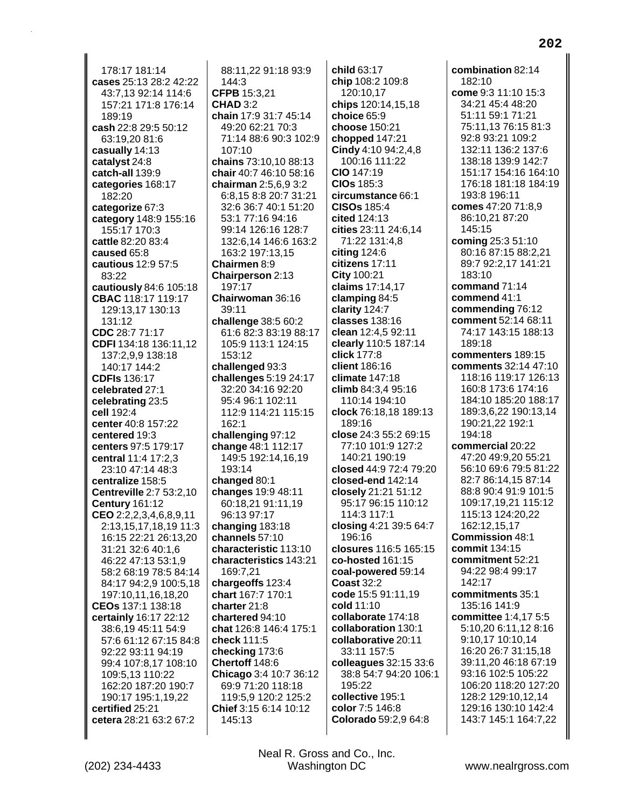178:17 181:14 **cases** 25:13 28:2 42:22 43:7,13 92:14 114:6 157:21 171:8 176:14 189:19 **cash** 22:8 29:5 50:12 63:19,20 81:6 **casually** 14:13 **catalyst** 24:8 **catch-all** 139:9 **categories** 168:17 182:20 **categorize** 67:3 **category** 148:9 155:16 155:17 170:3 **cattle** 82:20 83:4 **caused** 65:8 **cautious** 12:9 57:5 83:22 **cautiously** 84:6 105:18 **CBAC** 118:17 119:17 129:13,17 130:13 131:12 **CDC** 28:7 71:17 **CDFI** 134:18 136:11,12 137:2,9,9 138:18 140:17 144:2 **CDFIs** 136:17 **celebrated** 27:1 **celebrating** 23:5 **cell** 192:4 **center** 40:8 157:22 **centered** 19:3 **centers** 97:5 179:17 **central** 11:4 17:2,3 23:10 47:14 48:3 **centralize** 158:5 **Centreville** 2:7 53:2,10 **Century** 161:12 **CEO** 2:2,2,3,4,6,8,9,11 2:13,15,17,18,19 11:3 16:15 22:21 26:13,20 31:21 32:6 40:1,6 46:22 47:13 53:1,9 58:2 68:19 78:5 84:14 84:17 94:2,9 100:5,18 197:10,11,16,18,20 **CEOs** 137:1 138:18 **certainly** 16:17 22:12 38:6,19 45:11 54:9 57:6 61:12 67:15 84:8 92:22 93:11 94:19 99:4 107:8,17 108:10 109:5,13 110:22 162:20 187:20 190:7 190:17 195:1,19,22 **certified** 25:21 **cetera** 28:21 63:2 67:2

88:11,22 91:18 93:9  $144.3$ **CFPB** 15:3,21 **CHAD** 3:2 **chain** 17:9 31:7 45:14 49:20 62:21 70:3 71:14 88:6 90:3 102:9 107:10 **chains** 73:10,10 88:13 **chair** 40:7 46:10 58:16 **chairman** 2:5,6,9 3:2 6:8,15 8:8 20:7 31:21 32:6 36:7 40:1 51:20 53:1 77:16 94:16 99:14 126:16 128:7 132:6,14 146:6 163:2 163:2 197:13,15 **Chairmen** 8:9 **Chairperson** 2:13 197:17 **Chairwoman** 36:16 39:11 **challenge** 38:5 60:2 61:6 82:3 83:19 88:17 105:9 113:1 124:15 153:12 **challenged** 93:3 **challenges** 5:19 24:17 32:20 34:16 92:20 95:4 96:1 102:11 112:9 114:21 115:15 162:1 **challenging** 97:12 **change** 48:1 112:17 149:5 192:14,16,19 193:14 **changed** 80:1 **changes** 19:9 48:11 60:18,21 91:11,19 96:13 97:17 **changing** 183:18 **channels** 57:10 **characteristic** 113:10 **characteristics** 143:21 169:7,21 **chargeoffs** 123:4 **chart** 167:7 170:1 **charter** 21:8 **chartered** 94:10 **chat** 126:8 146:4 175:1 **check** 111:5 **checking** 173:6 **Chertoff** 148:6 **Chicago** 3:4 10:7 36:12 69:9 71:20 118:18 119:5,9 120:2 125:2 **Chief** 3:15 6:14 10:12 145:13

**child** 63:17 **chip** 108:2 109:8 120:10,17 **chips** 120:14,15,18 **choice** 65:9 **choose** 150:21 **chopped** 147:21 **Cindy** 4:10 94:2,4,8 100:16 111:22 **CIO** 147:19 **CIOs** 185:3 **circumstance** 66:1 **CISOs** 185:4 **cited** 124:13 **cities** 23:11 24:6,14 71:22 131:4,8 **citing** 124:6 **citizens** 17:11 **City** 100:21 **claims** 17:14,17 **clamping** 84:5 **clarity** 124:7 **classes** 138:16 **clean** 12:4,5 92:11 **clearly** 110:5 187:14 **click** 177:8 **client** 186:16 **climate** 147:18 **climb** 84:3,4 95:16 110:14 194:10 **clock** 76:18,18 189:13 189:16 **close** 24:3 55:2 69:15 77:10 101:9 127:2 140:21 190:19 **closed** 44:9 72:4 79:20 **closed-end** 142:14 **closely** 21:21 51:12 95:17 96:15 110:12 114:3 117:1 **closing** 4:21 39:5 64:7 196:16 **closures** 116:5 165:15 **co-hosted** 161:15 **coal-powered** 59:14 **Coast** 32:2 **code** 15:5 91:11,19 **cold** 11:10 **collaborate** 174:18 **collaboration** 130:1 **collaborative** 20:11 33:11 157:5 **colleagues** 32:15 33:6 38:8 54:7 94:20 106:1 195:22 **collective** 195:1 **color** 7:5 146:8 **Colorado** 59:2,9 64:8

**combination** 82:14 182:10 **come** 9:3 11:10 15:3 34:21 45:4 48:20 51:11 59:1 71:21 75:11,13 76:15 81:3 92:8 93:21 109:2 132:11 136:2 137:6 138:18 139:9 142:7 151:17 154:16 164:10 176:18 181:18 184:19 193:8 196:11 **comes** 47:20 71:8,9 86:10,21 87:20 145:15 **coming** 25:3 51:10 80:16 87:15 88:2,21 89:7 92:2,17 141:21 183:10 **command** 71:14 **commend** 41:1 **commending** 76:12 **comment** 52:14 68:11 74:17 143:15 188:13 189:18 **commenters** 189:15 **comments** 32:14 47:10 118:16 119:17 126:13 160:8 173:6 174:16 184:10 185:20 188:17 189:3,6,22 190:13,14 190:21,22 192:1 194:18 **commercial** 20:22 47:20 49:9,20 55:21 56:10 69:6 79:5 81:22 82:7 86:14,15 87:14 88:8 90:4 91:9 101:5 109:17,19,21 115:12 115:13 124:20,22 162:12,15,17 **Commission** 48:1 **commit** 134:15 **commitment** 52:21 94:22 98:4 99:17 142:17 **commitments** 35:1 135:16 141:9 **committee** 1:4,17 5:5 5:10,20 6:11,12 8:16 9:10,17 10:10,14 16:20 26:7 31:15,18 39:11,20 46:18 67:19 93:16 102:5 105:22 106:20 118:20 127:20 128:2 129:10,12,14 129:16 130:10 142:4 143:7 145:1 164:7,22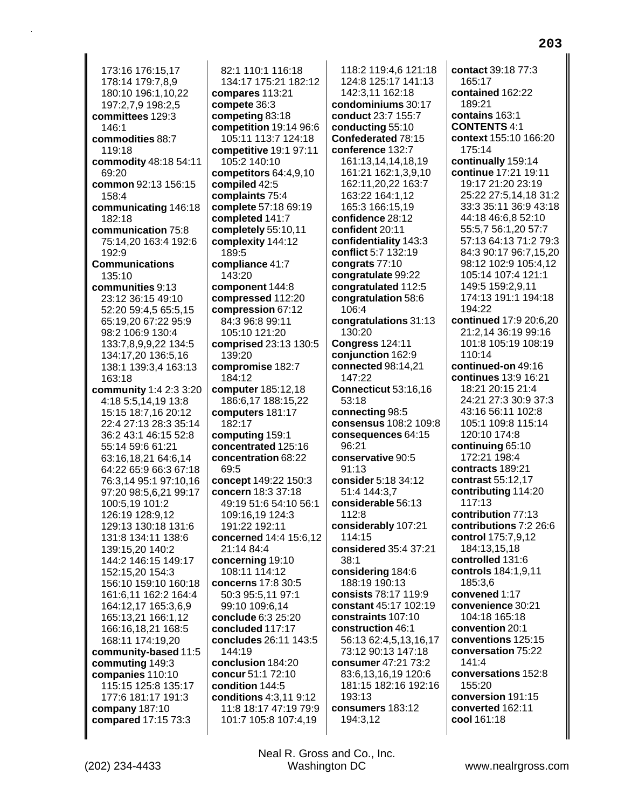173:16 176:15,17 178:14 179:7,8,9 180:10 196:1,10,22 197:2,7,9 198:2,5 **committees** 129:3  $146.1$ **commodities** 88:7 119:18 **commodity** 48:18 54:11 69:20 **common** 92:13 156:15 158:4 **communicating** 146:18 182:18 **communication** 75:8 75:14,20 163:4 192:6 192:9 **Communications** 135:10 **communities** 9:13 23:12 36:15 49:10 52:20 59:4,5 65:5,15 65:19,20 67:22 95:9 98:2 106:9 130:4 133:7,8,9,9,22 134:5 134:17,20 136:5,16 138:1 139:3,4 163:13 163:18 **community** 1:4 2:3 3:20 4:18 5:5,14,19 13:8 15:15 18:7,16 20:12 22:4 27:13 28:3 35:14 36:2 43:1 46:15 52:8 55:14 59:6 61:21 63:16,18,21 64:6,14 64:22 65:9 66:3 67:18 76:3,14 95:1 97:10,16 97:20 98:5,6,21 99:17 100:5,19 101:2 126:19 128:9,12 129:13 130:18 131:6 131:8 134:11 138:6 139:15,20 140:2 144:2 146:15 149:17 152:15,20 154:3 156:10 159:10 160:18 161:6,11 162:2 164:4 164:12,17 165:3,6,9 165:13,21 166:1,12 166:16,18,21 168:5 168:11 174:19,20 **community-based** 11:5 **commuting** 149:3 **companies** 110:10 115:15 125:8 135:17 177:6 181:17 191:3 **company** 187:10 **compared** 17:15 73:3

82:1 110:1 116:18 134:17 175:21 182:12 **compares** 113:21 **compete** 36:3 **competing** 83:18 **competition** 19:14 96:6 105:11 113:7 124:18 **competitive** 19:1 97:11 105:2 140:10 **competitors** 64:4,9,10 **compiled** 42:5 **complaints** 75:4 **complete** 57:18 69:19 **completed** 141:7 **completely** 55:10,11 **complexity** 144:12 189:5 **compliance** 41:7 143:20 **component** 144:8 **compressed** 112:20 **compression** 67:12 84:3 96:8 99:11 105:10 121:20 **comprised** 23:13 130:5 139:20 **compromise** 182:7 184:12 **computer** 185:12,18 186:6,17 188:15,22 **computers** 181:17 182:17 **computing** 159:1 **concentrated** 125:16 **concentration** 68:22 69:5 **concept** 149:22 150:3 **concern** 18:3 37:18 49:19 51:6 54:10 56:1 109:16,19 124:3 191:22 192:11 **concerned** 14:4 15:6,12 21:14 84:4 **concerning** 19:10 108:11 114:12 **concerns** 17:8 30:5 50:3 95:5,11 97:1 99:10 109:6,14 **conclude** 6:3 25:20 **concluded** 117:17 **concludes** 26:11 143:5 144:19 **conclusion** 184:20 **concur** 51:1 72:10 **condition** 144:5 **conditions** 4:3,11 9:12 11:8 18:17 47:19 79:9 101:7 105:8 107:4,19

118:2 119:4,6 121:18 124:8 125:17 141:13 142:3,11 162:18 **condominiums** 30:17 **conduct** 23:7 155:7 **conducting** 55:10 **Confederated** 78:15 **conference** 132:7 161:13,14,14,18,19 161:21 162:1,3,9,10 162:11,20,22 163:7 163:22 164:1,12 165:3 166:15,19 **confidence** 28:12 **confident** 20:11 **confidentiality** 143:3 **conflict** 5:7 132:19 **congrats** 77:10 **congratulate** 99:22 **congratulated** 112:5 **congratulation** 58:6 106:4 **congratulations** 31:13 130:20 **Congress** 124:11 **conjunction** 162:9 **connected** 98:14,21 147:22 **Connecticut** 53:16,16 53:18 **connecting** 98:5 **consensus** 108:2 109:8 **consequences** 64:15 96:21 **conservative** 90:5 91:13 **consider** 5:18 34:12 51:4 144:3,7 **considerable** 56:13 112:8 **considerably** 107:21 114:15 **considered** 35:4 37:21 38:1 **considering** 184:6 188:19 190:13 **consists** 78:17 119:9 **constant** 45:17 102:19 **constraints** 107:10 **construction** 46:1 56:13 62:4,5,13,16,17 73:12 90:13 147:18 **consumer** 47:21 73:2 83:6,13,16,19 120:6 181:15 182:16 192:16 193:13 **consumers** 183:12 194:3,12

**contact** 39:18 77:3 165:17 **contained** 162:22 189:21 **contains** 163:1 **CONTENTS** 4:1 **context** 155:10 166:20 175:14 **continually** 159:14 **continue** 17:21 19:11 19:17 21:20 23:19 25:22 27:5,14,18 31:2 33:3 35:11 36:9 43:18 44:18 46:6,8 52:10 55:5,7 56:1,20 57:7 57:13 64:13 71:2 79:3 84:3 90:17 96:7,15,20 98:12 102:9 105:4,12 105:14 107:4 121:1 149:5 159:2,9,11 174:13 191:1 194:18 194:22 **continued** 17:9 20:6,20 21:2,14 36:19 99:16 101:8 105:19 108:19 110:14 **continued-on** 49:16 **continues** 13:9 16:21 18:21 20:15 21:4 24:21 27:3 30:9 37:3 43:16 56:11 102:8 105:1 109:8 115:14 120:10 174:8 **continuing** 65:10 172:21 198:4 **contracts** 189:21 **contrast** 55:12,17 **contributing** 114:20 117:13 **contribution** 77:13 **contributions** 7:2 26:6 **control** 175:7,9,12 184:13,15,18 **controlled** 131:6 **controls** 184:1,9,11 185:3,6 **convened** 1:17 **convenience** 30:21 104:18 165:18 **convention** 20:1 **conventions** 125:15 **conversation** 75:22 141:4 **conversations** 152:8 155:20 **conversion** 191:15 **converted** 162:11 **cool** 161:18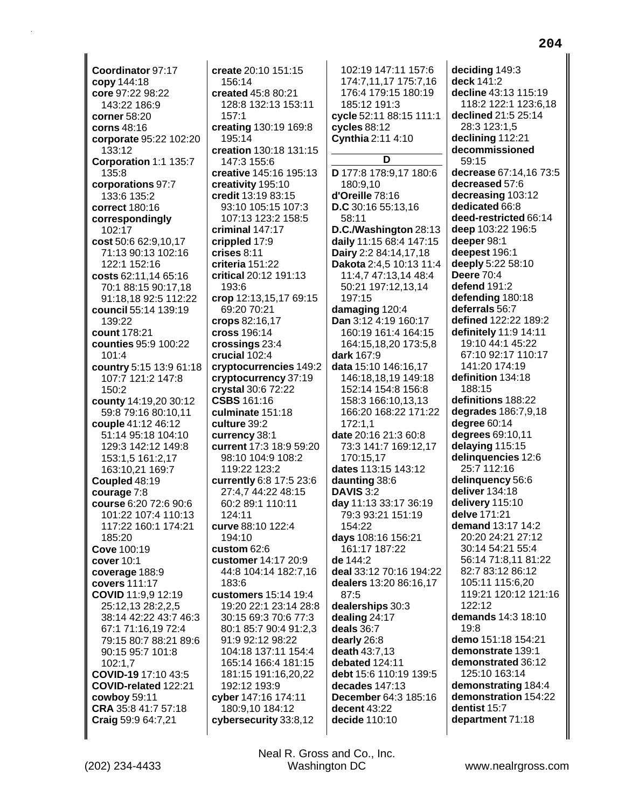**Coordinator** 97:17 **copy** 144:18 **core** 97:22 98:22 143:22 186:9 **corner** 58:20 **corns** 48:16 **corporate** 95:22 102:20 133:12 **Corporation** 1:1 135:7 135:8 **corporations** 97:7 133:6 135:2 **correct** 180:16 **correspondingly** 102:17 **cost** 50:6 62:9,10,17 71:13 90:13 102:16 122:1 152:16 **costs** 62:11,14 65:16 70:1 88:15 90:17,18 91:18,18 92:5 112:22 **council** 55:14 139:19 139:22 **count** 178:21 **counties** 95:9 100:22 101:4 **country** 5:15 13:9 61:18 107:7 121:2 147:8  $150.2$ **county** 14:19,20 30:12 59:8 79:16 80:10,11 **couple** 41:12 46:12 51:14 95:18 104:10 129:3 142:12 149:8 153:1,5 161:2,17 163:10,21 169:7 **Coupled** 48:19 **courage** 7:8 **course** 6:20 72:6 90:6 101:22 107:4 110:13 117:22 160:1 174:21 185:20 **Cove** 100:19 **cover** 10:1 **coverage** 188:9 **covers** 111:17 **COVID** 11:9,9 12:19 25:12,13 28:2,2,5 38:14 42:22 43:7 46:3 67:1 71:16,19 72:4 79:15 80:7 88:21 89:6 90:15 95:7 101:8 102:1,7 **COVID-19** 17:10 43:5 **COVID-related** 122:21 **cowboy** 59:11 **CRA** 35:8 41:7 57:18 **Craig** 59:9 64:7,21

**create** 20:10 151:15 156:14 **created** 45:8 80:21 128:8 132:13 153:11 157:1 **creating** 130:19 169:8 195:14 **creation** 130:18 131:15 147:3 155:6 **creative** 145:16 195:13 **creativity** 195:10 **credit** 13:19 83:15 93:10 105:15 107:3 107:13 123:2 158:5 **criminal** 147:17 **crippled** 17:9 **crises** 8:11 **criteria** 151:22 **critical** 20:12 191:13 193:6 **crop** 12:13,15,17 69:15 69:20 70:21 **crops** 82:16,17 **cross** 196:14 **crossings** 23:4 **crucial** 102:4 **cryptocurrencies** 149:2 **cryptocurrency** 37:19 **crystal** 30:6 72:22 **CSBS** 161:16 **culminate** 151:18 **culture** 39:2 **currency** 38:1 **current** 17:3 18:9 59:20 98:10 104:9 108:2 119:22 123:2 **currently** 6:8 17:5 23:6 27:4,7 44:22 48:15 60:2 89:1 110:11 124:11 **curve** 88:10 122:4 194:10 **custom** 62:6 **customer** 14:17 20:9 44:8 104:14 182:7,16 183:6 **customers** 15:14 19:4 19:20 22:1 23:14 28:8 30:15 69:3 70:6 77:3 80:1 85:7 90:4 91:2,3 91:9 92:12 98:22 104:18 137:11 154:4 165:14 166:4 181:15 181:15 191:16,20,22 192:12 193:9 **cyber** 147:16 174:11 180:9,10 184:12 **cybersecurity** 33:8,12

102:19 147:11 157:6 174:7,11,17 175:7,16 176:4 179:15 180:19 185:12 191:3 **cycle** 52:11 88:15 111:1 **cycles** 88:12 **Cynthia** 2:11 4:10 **D D** 177:8 178:9,17 180:6 180:9,10 **d'Oreille** 78:16 **D.C** 30:16 55:13,16 58:11 **D.C./Washington** 28:13 **daily** 11:15 68:4 147:15 **Dairy** 2:2 84:14,17,18 **Dakota** 2:4,5 10:13 11:4 11:4,7 47:13,14 48:4 50:21 197:12,13,14 197:15 **damaging** 120:4 **Dan** 3:12 4:19 160:17 160:19 161:4 164:15 164:15,18,20 173:5,8 **dark** 167:9 **data** 15:10 146:16,17 146:18,18,19 149:18 152:14 154:8 156:8 158:3 166:10,13,13 166:20 168:22 171:22 172:1,1 **date** 20:16 21:3 60:8 73:3 141:7 169:12,17 170:15,17 **dates** 113:15 143:12 **daunting** 38:6 **DAVIS** 3:2 **day** 11:13 33:17 36:19 79:3 93:21 151:19 154:22 **days** 108:16 156:21 161:17 187:22 **de** 144:2 **deal** 33:12 70:16 194:22 **dealers** 13:20 86:16,17 87:5 **dealerships** 30:3 **dealing** 24:17 **deals** 36:7 **dearly** 26:8 **death** 43:7,13 **debated** 124:11 **debt** 15:6 110:19 139:5 **decades** 147:13 **December** 64:3 185:16 **decent** 43:22 **decide** 110:10

**deciding** 149:3 **deck** 141:2 **decline** 43:13 115:19 118:2 122:1 123:6,18 **declined** 21:5 25:14 28:3 123:1,5 **declining** 112:21 **decommissioned** 59:15 **decrease** 67:14,16 73:5 **decreased** 57:6 **decreasing** 103:12 **dedicated** 66:8 **deed-restricted** 66:14 **deep** 103:22 196:5 **deeper** 98:1 **deepest** 196:1 **deeply** 5:22 58:10 **Deere** 70:4 **defend** 191:2 **defending** 180:18 **deferrals** 56:7 **defined** 122:22 189:2 **definitely** 11:9 14:11 19:10 44:1 45:22 67:10 92:17 110:17 141:20 174:19 **definition** 134:18 188:15 **definitions** 188:22 **degrades** 186:7,9,18 **degree** 60:14 **degrees** 69:10,11 **delaying** 115:15 **delinquencies** 12:6 25:7 112:16 **delinquency** 56:6 **deliver** 134:18 **delivery** 115:10 **delve** 171:21 **demand** 13:17 14:2 20:20 24:21 27:12 30:14 54:21 55:4 56:14 71:8,11 81:22 82:7 83:12 86:12 105:11 115:6,20 119:21 120:12 121:16 122:12 **demands** 14:3 18:10 19:8 **demo** 151:18 154:21 **demonstrate** 139:1 **demonstrated** 36:12 125:10 163:14 **demonstrating** 184:4 **demonstration** 154:22 **dentist** 15:7 **department** 71:18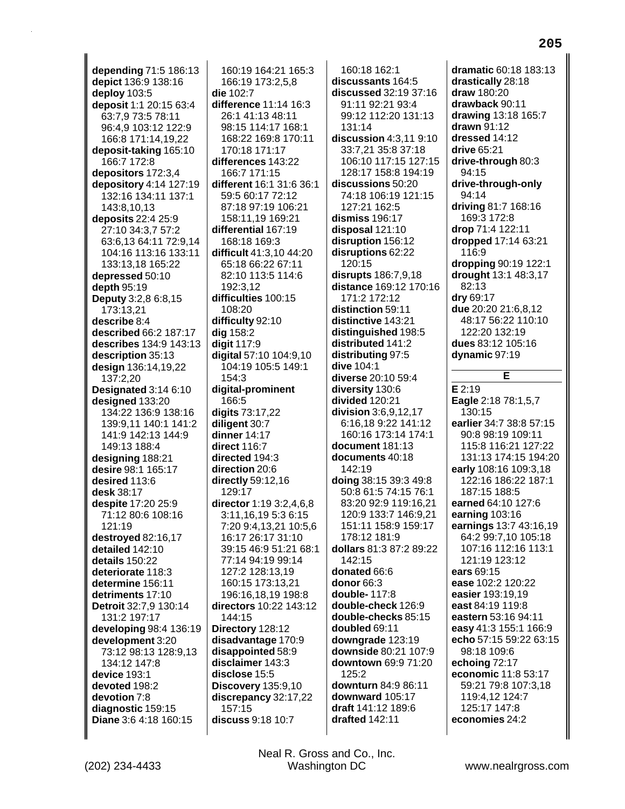depending 71:5 186:13 depict 136:9 138:16 deploy 103:5 deposit 1:1 20:15 63:4 63:7.9 73:5 78:11 96:4,9 103:12 122:9 166:8 171:14,19,22 deposit-taking 165:10 166:7 172:8 depositors 172:3,4 depository 4:14 127:19 132:16 134:11 137:1 143:8,10,13 deposits 22:4 25:9 27:10 34:3,7 57:2 63:6,13 64:11 72:9,14 104:16 113:16 133:11 133:13,18 165:22 depressed 50:10 depth  $95:19$ Deputy 3:2,8 6:8,15 173:13,21 describe 8:4 described 66:2 187:17 describes 134:9 143:13 description 35:13 design 136:14,19,22 137:2,20 Designated 3:14 6:10 designed 133:20 134:22 136:9 138:16 139:9.11 140:1 141:2 141:9 142:13 144:9 149:13 188:4 designing 188:21 desire 98:1 165:17 desired 113:6 desk 38:17 despite 17:20 25:9 71:12 80:6 108:16 121:19 destroyed 82:16,17 detailed 142:10 details 150:22 deteriorate 118:3 determine 156:11 detriments 17:10 Detroit 32:7,9 130:14 131:2 197:17 developing 98:4 136:19 development 3:20 73:12 98:13 128:9,13 134:12 147:8 device 193:1 devoted 198:2 devotion 7:8 diagnostic 159:15 Diane 3:6 4:18 160:15

160:19 164:21 165:3 166:19 173:2,5,8 die 102:7 difference 11:14 16:3 26:1 41:13 48:11 98:15 114:17 168:1 168:22 169:8 170:11 170:18 171:17 differences 143:22 166:7 171:15 different 16:1 31:6 36:1 59:5 60:17 72:12 87:18 97:19 106:21 158:11.19 169:21 differential 167:19 168:18 169:3 difficult 41:3,10 44:20 65:18 66:22 67:11 82:10 113:5 114:6 192:3.12 difficulties 100:15 108:20 difficulty 92:10 dig 158:2 digit 117:9 digital 57:10 104:9,10 104:19 105:5 149:1 154:3 digital-prominent 166:5 digits 73:17.22 diligent 30:7 dinner 14:17 direct 116:7 directed 194:3 direction 20:6 directly 59:12,16 129:17 director 1:19 3:2,4,6,8 3:11,16,19 5:3 6:15 7:20 9:4,13,21 10:5,6 16:17 26:17 31:10 39:15 46:9 51:21 68:1 77:14 94:19 99:14 127:2 128:13.19 160:15 173:13,21 196:16,18,19 198:8 directors 10:22 143:12 144:15 Directory 128:12 disadvantage 170:9 disappointed 58:9 disclaimer 143:3 disclose 15:5 **Discovery 135:9,10** discrepancy 32:17,22 157:15 discuss 9:18 10:7

160:18 162:1 discussants 164:5 discussed 32:19 37:16 91:11 92:21 93:4 99:12 112:20 131:13 131:14 discussion 4:3,11 9:10 33:7,21 35:8 37:18 106:10 117:15 127:15 128:17 158:8 194:19 discussions 50:20 74:18 106:19 121:15 127:21 162:5 dismiss 196:17 disposal 121:10 disruption 156:12 disruptions 62:22 120:15 disrupts 186:7,9,18 distance 169:12 170:16 171:2 172:12 distinction 59:11 distinctive 143:21 distinguished 198:5 distributed 141:2 distributing 97:5 dive 104:1 diverse 20:10 59:4 diversity 130:6 divided 120:21 division 3:6,9,12,17 6:16.18 9:22 141:12 160:16 173:14 174:1 document 181:13 documents 40:18 142:19 doing 38:15 39:3 49:8 50:8 61:5 74:15 76:1 83:20 92:9 119:16,21 120:9 133:7 146:9,21 151:11 158:9 159:17 178:12 181:9 dollars 81:3 87:2 89:22 142:15 donated 66:6 donor 66:3 double-117:8 double-check 126:9 double-checks 85:15 doubled 69:11 downgrade 123:19 downside 80:21 107:9 downtown 69:9 71:20  $125.2$ downturn 84:9 86:11 downward 105:17 draft 141:12 189:6 drafted 142:11

dramatic 60:18 183:13 drastically 28:18 draw 180:20 drawback 90:11 drawing 13:18 165:7 drawn 91:12 dressed 14:12 drive 65:21 drive-through 80:3 94:15 drive-through-only 94:14 driving 81:7 168:16 169:3 172:8 drop 71:4 122:11 dropped 17:14 63:21 116:9 dropping 90:19 122:1 drought 13:1 48:3,17 82:13 dry 69:17 due 20:20 21:6,8,12 48:17 56:22 110:10 122:20 132:19 dues 83:12 105:16 dynamic 97:19

## $\overline{\sf E}$

 $E$  2:19 **Eagle** 2:18 78:1,5,7 130:15 earlier 34:7 38:8 57:15 90:8 98:19 109:11 115:8 116:21 127:22 131:13 174:15 194:20 early 108:16 109:3.18 122:16 186:22 187:1 187:15 188:5 earned 64:10 127:6 earning  $103:16$ earnings 13:7 43:16,19 64:2 99:7,10 105:18 107:16 112:16 113:1 121:19 123:12 ears 69:15 ease 102:2 120:22 easier 193:19.19 east 84:19 119:8 eastern 53:16 94:11 easy 41:3 155:1 166:9 echo 57:15 59:22 63:15 98:18 109:6 echoing 72:17 economic 11:8 53:17 59:21 79:8 107:3.18 119:4,12 124:7 125:17 147:8 economies 24:2

Neal R. Gross and Co., Inc. Washington DC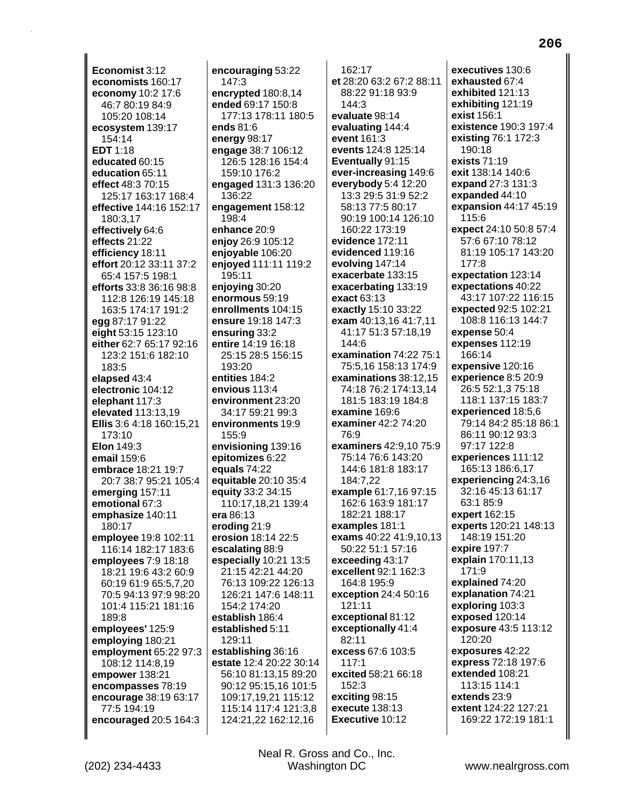**Economist** 3:12 **economists** 160:17 **economy** 10:2 17:6 46:7 80:19 84:9 105:20 108:14 **ecosystem** 139:17 154:14 **EDT** 1:18 **educated** 60:15 **education** 65:11 **effect** 48:3 70:15 125:17 163:17 168:4 **effective** 144:16 152:17 180:3,17 **effectively** 64:6 **effects** 21:22 **efficiency** 18:11 **effort** 20:12 33:11 37:2 65:4 157:5 198:1 **efforts** 33:8 36:16 98:8 112:8 126:19 145:18 163:5 174:17 191:2 **egg** 87:17 91:22 **eight** 53:15 123:10 **either** 62:7 65:17 92:16 123:2 151:6 182:10 183:5 **elapsed** 43:4 **electronic** 104:12 **elephant** 117:3 **elevated** 113:13,19 **Ellis** 3:6 4:18 160:15,21 173:10 **Elon** 149:3 **email** 159:6 **embrace** 18:21 19:7 20:7 38:7 95:21 105:4 **emerging** 157:11 **emotional** 67:3 **emphasize** 140:11 180:17 **employee** 19:8 102:11 116:14 182:17 183:6 **employees** 7:9 18:18 18:21 19:6 43:2 60:9 60:19 61:9 65:5,7,20 70:5 94:13 97:9 98:20 101:4 115:21 181:16 189:8 **employees'** 125:9 **employing** 180:21 **employment** 65:22 97:3 108:12 114:8,19 **empower** 138:21 **encompasses** 78:19 **encourage** 38:19 63:17 77:5 194:19 **encouraged** 20:5 164:3

**encouraging** 53:22 147:3 **encrypted** 180:8,14 **ended** 69:17 150:8 177:13 178:11 180:5 **ends** 81:6 **energy** 98:17 **engage** 38:7 106:12 126:5 128:16 154:4 159:10 176:2 **engaged** 131:3 136:20 136:22 **engagement** 158:12 198:4 **enhance** 20:9 **enjoy** 26:9 105:12 **enjoyable** 106:20 **enjoyed** 111:11 119:2 195:11 **enjoying** 30:20 **enormous** 59:19 **enrollments** 104:15 **ensure** 19:18 147:3 **ensuring** 33:2 **entire** 14:19 16:18 25:15 28:5 156:15 193:20 **entities** 184:2 **envious** 113:4 **environment** 23:20 34:17 59:21 99:3 **environments** 19:9 155:9 **envisioning** 139:16 **epitomizes** 6:22 **equals** 74:22 **equitable** 20:10 35:4 **equity** 33:2 34:15 110:17,18,21 139:4 **era** 86:13 **eroding** 21:9 **erosion** 18:14 22:5 **escalating** 88:9 **especially** 10:21 13:5 21:15 42:21 44:20 76:13 109:22 126:13 126:21 147:6 148:11 154:2 174:20 **establish** 186:4 **established** 5:11 129:11 **establishing** 36:16 **estate** 12:4 20:22 30:14 56:10 81:13,15 89:20 90:12 95:15,16 101:5 109:17,19,21 115:12 115:14 117:4 121:3,8 124:21,22 162:12,16

162:17 **et** 28:20 63:2 67:2 88:11 88:22 91:18 93:9 144:3 **evaluate** 98:14 **evaluating** 144:4 **event** 161:3 **events** 124:8 125:14 **Eventually** 91:15 **ever-increasing** 149:6 **everybody** 5:4 12:20 13:3 29:5 31:9 52:2 58:13 77:5 80:17 90:19 100:14 126:10 160:22 173:19 **evidence** 172:11 **evidenced** 119:16 **evolving** 147:14 **exacerbate** 133:15 **exacerbating** 133:19 **exact** 63:13 **exactly** 15:10 33:22 **exam** 40:13,16 41:7,11 41:17 51:3 57:18,19  $144.6$ **examination** 74:22 75:1 75:5,16 158:13 174:9 **examinations** 38:12,15 74:18 76:2 174:13,14 181:5 183:19 184:8 **examine** 169:6 **examiner** 42:2 74:20 76:9 **examiners** 42:9,10 75:9 75:14 76:6 143:20 144:6 181:8 183:17 184:7,22 **example** 61:7,16 97:15 162:6 163:9 181:17 182:21 188:17 **examples** 181:1 **exams** 40:22 41:9,10,13 50:22 51:1 57:16 **exceeding** 43:17 **excellent** 92:1 162:3 164:8 195:9 **exception** 24:4 50:16 121:11 **exceptional** 81:12 **exceptionally** 41:4 82:11 **excess** 67:6 103:5 117:1 **excited** 58:21 66:18 152:3 **exciting** 98:15 **execute** 138:13 **Executive** 10:12

**executives** 130:6 **exhausted** 67:4 **exhibited** 121:13 **exhibiting** 121:19 **exist** 156:1 **existence** 190:3 197:4 **existing** 76:1 172:3 190:18 **exists** 71:19 **exit** 138:14 140:6 **expand** 27:3 131:3 **expanded** 44:10 **expansion** 44:17 45:19 115:6 **expect** 24:10 50:8 57:4 57:6 67:10 78:12 81:19 105:17 143:20 177:8 **expectation** 123:14 **expectations** 40:22 43:17 107:22 116:15 **expected** 92:5 102:21 108:8 116:13 144:7 **expense** 50:4 **expenses** 112:19 166:14 **expensive** 120:16 **experience** 8:5 20:9 26:5 52:1,3 75:18 118:1 137:15 183:7 **experienced** 18:5,6 79:14 84:2 85:18 86:1 86:11 90:12 93:3 97:17 122:8 **experiences** 111:12 165:13 186:6,17 **experiencing** 24:3,16 32:16 45:13 61:17 63:1 85:9 **expert** 162:15 **experts** 120:21 148:13 148:19 151:20 **expire** 197:7 **explain** 170:11,13 171:9 **explained** 74:20 **explanation** 74:21 **exploring** 103:3 **exposed** 120:14 **exposure** 43:5 113:12 120:20 **exposures** 42:22 **express** 72:18 197:6 **extended** 108:21 113:15 114:1 **extends** 23:9 **extent** 124:22 127:21 169:22 172:19 181:1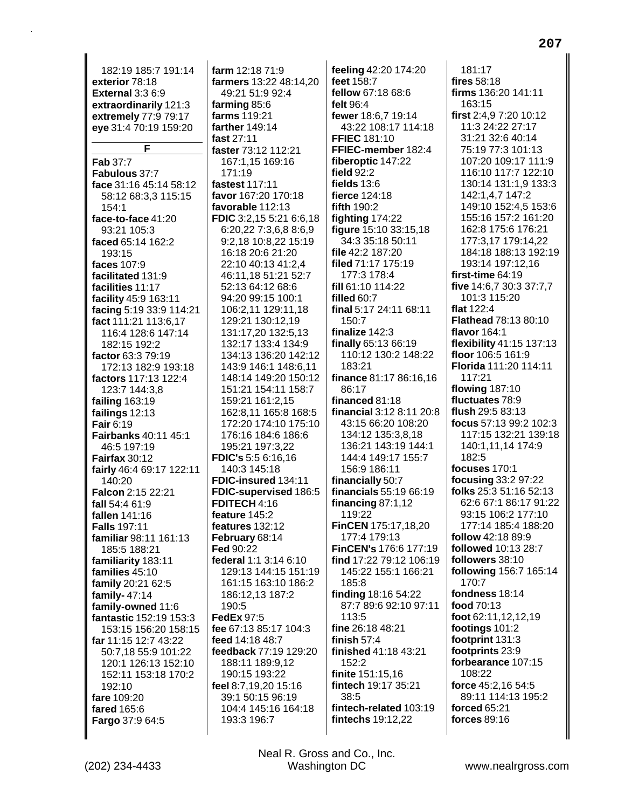182:19 185:7 191:14 **exterior** 78:18 **External** 3:3 6:9 **extraordinarily** 121:3 **extremely** 77:9 79:17 **eye** 31:4 70:19 159:20 **F Fab** 37:7 **Fabulous** 37:7 **face** 31:16 45:14 58:12 58:12 68:3,3 115:15 154:1 **face-to-face** 41:20 93:21 105:3 **faced** 65:14 162:2 193:15 **faces** 107:9 **facilitated** 131:9 **facilities** 11:17 **facility** 45:9 163:11 **facing** 5:19 33:9 114:21 **fact** 111:21 113:6,17 116:4 128:6 147:14 182:15 192:2 **factor** 63:3 79:19 172:13 182:9 193:18 **factors** 117:13 122:4 123:7 144:3,8 **failing** 163:19 **failings** 12:13 **Fair** 6:19 **Fairbanks** 40:11 45:1 46:5 197:19 **Fairfax** 30:12 **fairly** 46:4 69:17 122:11 140:20 **Falcon** 2:15 22:21 **fall** 54:4 61:9 **fallen** 141:16 **Falls** 197:11 **familiar** 98:11 161:13 185:5 188:21 **familiarity** 183:11 **families** 45:10 **family** 20:21 62:5 **family-** 47:14 **family-owned** 11:6 **fantastic** 152:19 153:3 153:15 156:20 158:15 **far** 11:15 12:7 43:22 50:7,18 55:9 101:22 120:1 126:13 152:10 152:11 153:18 170:2 192:10 **fare** 109:20 **fared** 165:6 **Fargo** 37:9 64:5 **farm** 12:18 71:9 **farmers** 13:22 48:14,20 49:21 51:9 92:4 **farming** 85:6 **farms** 119:21 **farther** 149:14 **fast** 27:11 **faster** 73:12 112:21 167:1,15 169:16 171:19 **fastest** 117:11 **favor** 167:20 170:18 **favorable** 112:13 **FDIC** 3:2,15 5:21 6:6,18 6:20,22 7:3,6,8 8:6,9 9:2,18 10:8,22 15:19 16:18 20:6 21:20 22:10 40:13 41:2,4 46:11,18 51:21 52:7 52:13 64:12 68:6 94:20 99:15 100:1 106:2,11 129:11,18 129:21 130:12,19 131:17,20 132:5,13 132:17 133:4 134:9 134:13 136:20 142:12 143:9 146:1 148:6,11 148:14 149:20 150:12 151:21 154:11 158:7 159:21 161:2,15 162:8,11 165:8 168:5 172:20 174:10 175:10 176:16 184:6 186:6 195:21 197:3,22 **FDIC's** 5:5 6:16,16 140:3 145:18 **FDIC-insured** 134:11 **FDIC-supervised** 186:5 **FDITECH** 4:16 **feature** 145:2 **features** 132:12 **February** 68:14 **Fed** 90:22 **federal** 1:1 3:14 6:10 129:13 144:15 151:19 161:15 163:10 186:2 186:12,13 187:2 190:5 **FedEx** 97:5 **fee** 67:13 85:17 104:3 **feed** 14:18 48:7 **feedback** 77:19 129:20 188:11 189:9,12 190:15 193:22 **feel** 8:7,19,20 15:16 39:1 50:15 96:19 104:4 145:16 164:18 193:3 196:7 **feeling** 42:20 174:20 **feet** 158:7 **fellow** 67:18 68:6 **felt** 96:4 **fewer** 18:6,7 19:14 43:22 108:17 114:18 **FFIEC** 181:10 **FFIEC-member** 182:4 **fiberoptic** 147:22 **field** 92:2 **fields** 13:6 **fierce** 124:18 **fifth** 190:2 **fighting** 174:22 **figure** 15:10 33:15,18 34:3 35:18 50:11 **file** 42:2 187:20 **filed** 71:17 175:19 177:3 178:4 **fill** 61:10 114:22 **filled** 60:7 **final** 5:17 24:11 68:11 150:7 **finalize** 142:3 **finally** 65:13 66:19 110:12 130:2 148:22 183:21 **finance** 81:17 86:16,16 86:17 **financed** 81:18 **financial** 3:12 8:11 20:8 43:15 66:20 108:20 134:12 135:3,8,18 136:21 143:19 144:1 144:4 149:17 155:7 156:9 186:11 **financially** 50:7 **financials** 55:19 66:19 **financing** 87:1,12 119:22 **FinCEN** 175:17,18,20 177:4 179:13 **FinCEN's** 176:6 177:19 **find** 17:22 79:12 106:19 145:22 155:1 166:21 185:8 **finding** 18:16 54:22 87:7 89:6 92:10 97:11 113:5 **fine** 26:18 48:21 **finish** 57:4 **finished** 41:18 43:21 152:2 **finite** 151:15,16 **fintech** 19:17 35:21 38:5 **fintech-related** 103:19 **fintechs** 19:12,22 181:17 **fires** 58:18 **firms** 136:20 141:11 163:15 **first** 2:4,9 7:20 10:12 11:3 24:22 27:17 31:21 32:6 40:14 75:19 77:3 101:13 107:20 109:17 111:9 116:10 117:7 122:10 130:14 131:1,9 133:3 142:1,4,7 147:2 149:10 152:4,5 153:6 155:16 157:2 161:20 162:8 175:6 176:21 177:3,17 179:14,22 184:18 188:13 192:19 193:14 197:12,16 **first-time** 64:19 **five** 14:6,7 30:3 37:7,7 101:3 115:20 **flat** 122:4 **Flathead** 78:13 80:10 **flavor** 164:1 **flexibility** 41:15 137:13 **floor** 106:5 161:9 **Florida** 111:20 114:11 117:21 **flowing** 187:10 **fluctuates** 78:9 **flush** 29:5 83:13 **focus** 57:13 99:2 102:3 117:15 132:21 139:18 140:1,11,14 174:9 182:5 **focuses** 170:1 **focusing** 33:2 97:22 **folks** 25:3 51:16 52:13 62:6 67:1 86:17 91:22 93:15 106:2 177:10 177:14 185:4 188:20 **follow** 42:18 89:9 **followed** 10:13 28:7 **followers** 38:10 **following** 156:7 165:14 170:7 **fondness** 18:14 **food** 70:13 **foot** 62:11,12,12,19 **footings** 101:2 **footprint** 131:3 **footprints** 23:9 **forbearance** 107:15 108:22 **force** 45:2,16 54:5 89:11 114:13 195:2 **forced** 65:21 **forces** 89:16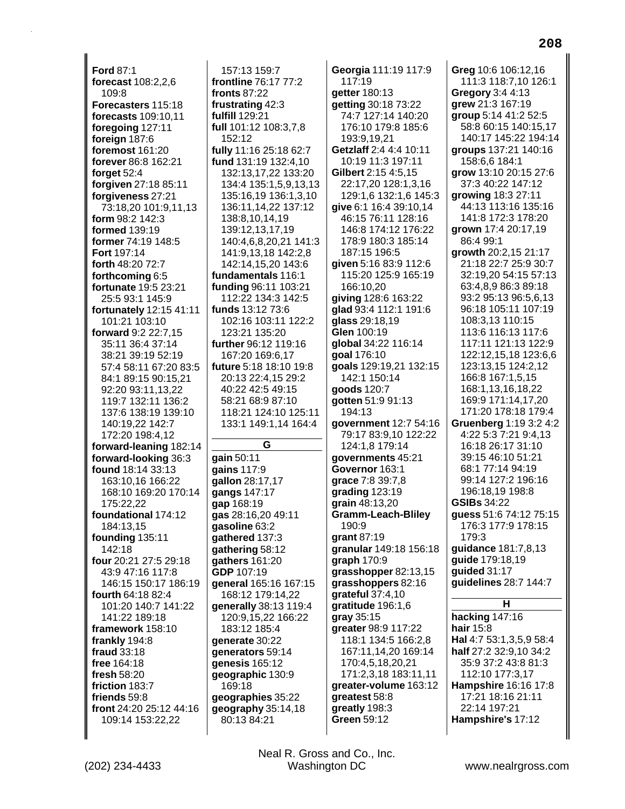**Ford 87:1** forecast 108:2,2,6 109:8 Forecasters 115:18 forecasts 109:10.11 foregoing 127:11 foreign 187:6 foremost 161:20 forever 86:8 162:21 forget  $52.4$ forgiven 27:18 85:11 forgiveness 27:21 73:18,20 101:9,11,13 form 98:2 142:3 formed 139:19 former 74:19 148:5 Fort 197:14 forth 48:20 72:7 forthcoming 6:5 fortunate 19:5 23:21 25:5 93:1 145:9 fortunately 12:15 41:11 101:21 103:10 forward 9:2 22:7,15 35:11 36:4 37:14 38:21 39:19 52:19 57:4 58:11 67:20 83:5 84:1 89:15 90:15,21 92:20 93:11,13,22 119:7 132:11 136:2 137:6 138:19 139:10 140:19.22 142:7 172:20 198:4,12 forward-leaning 182:14 forward-looking 36:3 found 18:14 33:13 163:10,16 166:22 168:10 169:20 170:14 175:22.22 foundational 174:12 184:13,15 founding 135:11 142:18 four 20:21 27:5 29:18 43:9 47:16 117:8 146:15 150:17 186:19 fourth 64:18 82:4 101:20 140:7 141:22 141:22 189:18 framework 158:10 frankly 194:8 fraud 33:18 free 164:18 fresh 58:20 friction 183:7 friends 59:8 front 24:20 25:12 44:16 109:14 153:22,22

157:13 159:7 frontline 76:17 77:2 fronts  $87:22$ frustrating 42:3 fulfill 129:21 full 101:12 108:3,7,8 152:12 fully 11:16 25:18 62:7 fund 131:19 132:4,10 132:13,17,22 133:20 134:4 135:1,5,9,13,13 135:16,19 136:1,3,10 136:11,14,22 137:12 138:8,10,14,19 139:12,13,17,19 140:4,6,8,20,21 141:3 141:9,13,18 142:2,8 142:14,15,20 143:6 fundamentals 116:1 funding 96:11 103:21 112:22 134:3 142:5 funds 13:12 73:6 102:16 103:11 122:2 123:21 135:20 further 96:12 119:16 167:20 169:6,17 future 5:18 18:10 19:8 20:13 22:4.15 29:2 40:22 42:5 49:15 58:21 68:9 87:10 118:21 124:10 125:11 133:1 149:1,14 164:4 G gain 50:11 qains 117:9 gallon 28:17,17 gangs 147:17 gap 168:19 gas 28:16,20 49:11 gasoline 63:2 gathered 137:3 gathering 58:12 qathers 161:20 GDP 107:19 general 165:16 167:15 168:12 179:14,22 generally 38:13 119:4 120:9.15.22 166:22 183:12 185:4 generate 30:22

generators 59:14

geographic 130:9

geographies 35:22

geography 35:14,18

genesis 165:12

80:13 84:21

169:18

Georgia 111:19 117:9  $117:19$ aetter 180:13 getting 30:18 73:22 74:7 127:14 140:20 176:10 179:8 185:6 193.919.21 Getzlaff 2:4 4:4 10:11 10:19 11:3 197:11 Gilbert 2:15 4:5.15 22:17,20 128:1,3,16 129:1,6 132:1,6 145:3 give 6:1 16:4 39:10,14 46:15 76:11 128:16 146:8 174:12 176:22 178:9 180:3 185:14 187:15 196:5 given 5:16 83:9 112:6 115:20 125:9 165:19 166:10,20 giving 128:6 163:22 glad 93:4 112:1 191:6 **glass** 29:18,19 Glen 100:19 global 34:22 116:14 goal 176:10 goals 129:19,21 132:15 142:1 150:14 qoods 120:7 **gotten** 51:9 91:13 194:13 aovernment 12:7 54:16 79:17 83:9.10 122:22 124:1,8 179:14 governments 45:21 Governor 163:1 grace 7:8 39:7,8 grading  $123:19$ **grain** 48:13,20 **Gramm-Leach-Bliley** 190:9 grant 87:19 granular 149:18 156:18 graph 170:9 grasshopper 82:13,15 grasshoppers 82:16 grateful  $37:4,10$ gratitude 196:1,6 gray 35:15 greater 98:9 117:22 118:1 134:5 166:2,8 167:11,14,20 169:14 170:4,5,18,20,21 171:2,3,18 183:11,11 greater-volume 163:12 greatest 58:8 greatly 198:3 Green 59:12

Grea 10:6 106:12.16 111:3 118:7,10 126:1 Gregory 3:4 4:13 grew 21:3 167:19 group 5:14 41:2 52:5 58:8 60:15 140:15.17 140:17 145:22 194:14 groups 137:21 140:16 158:6,6 184:1 grow 13:10 20:15 27:6 37:3 40:22 147:12 growing 18:3 27:11 44:13 113:16 135:16 141:8 172:3 178:20 arown 17:4 20:17.19 86:4 99:1 growth 20:2,15 21:17 21:18 22:7 25:9 30:7 32:19,20 54:15 57:13 63:4,8,9 86:3 89:18 93:2 95:13 96:5,6,13 96:18 105:11 107:19 108:3,13 110:15 113:6 116:13 117:6 117:11 121:13 122:9 122:12,15,18 123:6,6 123:13,15 124:2,12 166:8 167:1.5.15 168:1,13,16,18,22 169:9 171:14,17,20 171:20 178:18 179:4 **Gruenberg 1:19 3:2 4:2** 4:22 5:3 7:21 9:4.13 16:18 26:17 31:10 39:15 46:10 51:21 68:1 77:14 94:19 99:14 127:2 196:16 196:18.19 198:8 **GSIBs 34:22** guess 51:6 74:12 75:15 176:3 177:9 178:15 179:3 guidance 181:7,8,13 quide 179:18,19 quided 31:17 guidelines 28:7 144:7 н hacking  $147:16$ hair 15:8

Hal 4:7 53:1,3,5,9 58:4 half 27:2 32:9,10 34:2 35:9 37:2 43:8 81:3 112:10 177:3,17 Hampshire 16:16 17:8 17:21 18:16 21:11 22:14 197:21 Hampshire's 17:12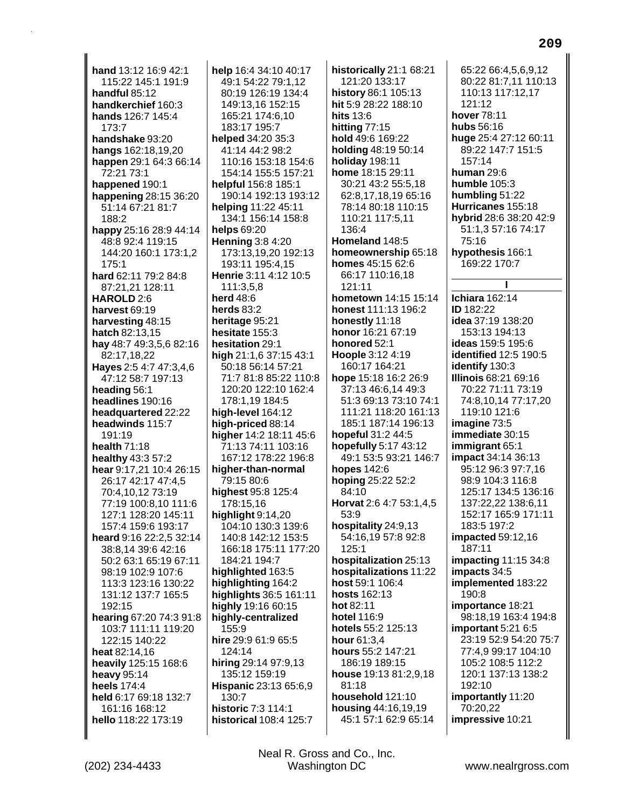hand 13:12 16:9 42:1 115:22 145:1 191:9 handful 85:12 handkerchief 160:3 hands 126:7 145:4  $173.7$ handshake 93:20 hangs 162:18,19,20 happen 29:1 64:3 66:14 72:21 73:1 happened 190:1 happening 28:15 36:20 51:14 67:21 81:7  $188.2$ happy 25:16 28:9 44:14 48:8 92:4 119:15 144:20 160:1 173:1,2 175:1 hard 62:11 79:2 84:8 87:21,21 128:11 HAROLD 2:6 harvest 69:19 harvesting 48:15 hatch 82:13,15 hay 48:7 49:3,5,6 82:16 82:17.18.22 Hayes 2:5 4:7 47:3,4,6 47:12 58:7 197:13 heading 56:1 headlines 190:16 headquartered 22:22 headwinds 115:7  $191.19$ health  $71:18$ healthy 43:3 57:2 hear 9:17,21 10:4 26:15 26:17 42:17 47:4,5 70:4,10,12 73:19 77:19 100:8,10 111:6 127:1 128:20 145:11 157:4 159:6 193:17 heard 9:16 22:2,5 32:14 38:8,14 39:6 42:16 50:2 63:1 65:19 67:11 98:19 102:9 107:6 113:3 123:16 130:22 131:12 137:7 165:5 192:15 hearing 67:20 74:3 91:8 103:7 111:11 119:20 122:15 140:22 heat 82:14,16 heavily 125:15 168:6 heavy 95:14 heels 174:4 held 6:17 69:18 132:7 161:16 168:12 hello 118:22 173:19

help 16:4 34:10 40:17 49:1 54:22 79:1.12 80:19 126:19 134:4 149:13,16 152:15 165:21 174:6.10 183:17 195:7 helped 34:20 35:3 41:14 44:2 98:2 110:16 153:18 154:6 154:14 155:5 157:21 helpful 156:8 185:1 190:14 192:13 193:12 helping 11:22 45:11 134:1 156:14 158:8 helps 69:20 **Henning 3:8 4:20** 173:13,19,20 192:13 193:11 195:4,15 Henrie 3:11 4:12 10:5 111:3,5,8 **herd** 48:6 herds  $83:2$ heritage 95:21 hesitate 155:3 hesitation 29:1 high 21:1,6 37:15 43:1 50:18 56:14 57:21 71:7 81:8 85:22 110:8 120:20 122:10 162:4 178:1,19 184:5 high-level 164:12 high-priced 88:14 higher 14:2 18:11 45:6 71:13 74:11 103:16 167:12 178:22 196:8 higher-than-normal 79:15 80:6 highest 95:8 125:4 178:15,16 highlight  $9:14,20$ 104:10 130:3 139:6 140:8 142:12 153:5 166:18 175:11 177:20 184:21 194:7 highlighted 163:5 highlighting 164:2 highlights 36:5 161:11 highly 19:16 60:15 highly-centralized 155:9 hire 29:9 61:9 65:5 124:14 hiring 29:14 97:9,13 135:12 159:19 Hispanic 23:13 65:6,9 130:7 historic 7:3 114:1 historical 108:4 125:7

historically 21:1 68:21 121:20 133:17 history 86:1 105:13 hit 5:9 28:22 188:10 hits 13:6 hitting  $77:15$ hold 49:6 169:22 holding 48:19 50:14 holiday 198:11 home 18:15 29:11 30:21 43:2 55:5,18 62:8,17,18,19 65:16 78:14 80:18 110:15 110:21 117:5,11 136:4 Homeland 148:5 homeownership 65:18 homes 45:15 62:6 66:17 110:16,18 121:11 hometown 14:15 15:14 honest 111:13 196:2 honestly 11:18 honor 16:21 67:19 honored 52:1 Hoople 3:12 4:19 160:17 164:21 hope 15:18 16:2 26:9 37:13 46:6,14 49:3 51:3 69:13 73:10 74:1 111:21 118:20 161:13 185:1 187:14 196:13 hopeful 31:2 44:5 hopefully 5:17 43:12 49:1 53:5 93:21 146:7 hopes 142:6 hoping 25:22 52:2 84:10 Horvat 2:6 4:7 53:1,4,5 53:9 hospitality 24:9,13 54:16,19 57:8 92:8  $125:1$ hospitalization 25:13 hospitalizations 11:22 host 59:1 106:4 hosts 162:13 hot 82:11 hotel 116:9 hotels 55:2 125:13 hour 61:3,4 hours 55:2 147:21 186:19 189:15 house 19:13 81:2,9,18  $81:18$ household 121:10 housing 44:16,19,19 45:1 57:1 62:9 65:14

65:22 66:4.5.6.9.12 80:22 81:7,11 110:13 110:13 117:12,17 121:12 hover 78:11 hubs 56:16 huge 25:4 27:12 60:11 89:22 147:7 151:5 157:14 **human** 29:6 humble 105:3 humbling 51:22 Hurricanes 155:18 hybrid 28:6 38:20 42:9 51:1,3 57:16 74:17  $75.16$ hypothesis 166:1 169:22 170:7 I **Ichiara** 162:14 **ID** 182:22 idea 37:19 138:20 153:13 194:13 ideas 159:5 195:6 identified 12:5 190:5 identify 130:3 **Illinois 68:21 69:16** 70:22 71:11 73:19 74:8,10,14 77:17,20 119:10 121:6 imagine 73:5 immediate 30:15 **immigrant** 65:1 **impact** 34:14 36:13 95:12 96:3 97:7.16 98:9 104:3 116:8 125:17 134:5 136:16 137:22,22 138:6,11 152:17 165:9 171:11 183:5 197:2 impacted 59:12,16 187:11 impacting  $11:1534:8$ impacts 34:5 implemented 183:22 190:8 importance 18:21 98:18,19 163:4 194:8 important 5:21 6:5 23:19 52:9 54:20 75:7 77:4,9 99:17 104:10 105:2 108:5 112:2 120:1 137:13 138:2 192:10 importantly 11:20 70:20,22 impressive 10:21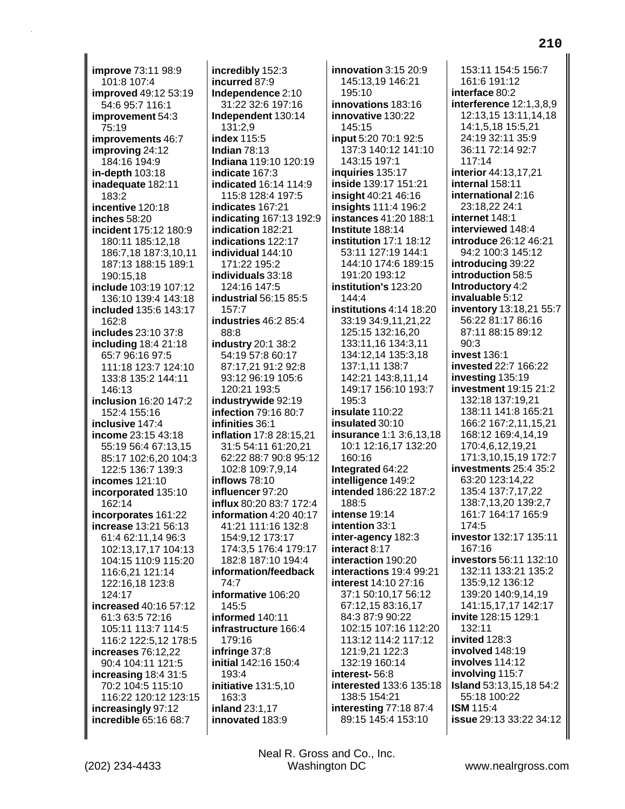**improve** 73:11 98:9 101:8 107:4 **improved** 49:12 53:19 54:6 95:7 116:1 **improvement** 54:3 75:19 **improvements** 46:7 **improving** 24:12 184:16 194:9 **in-depth** 103:18 **inadequate** 182:11 183:2 **incentive** 120:18 **inches** 58:20 **incident** 175:12 180:9 180:11 185:12,18 186:7,18 187:3,10,11 187:13 188:15 189:1 190:15,18 **include** 103:19 107:12 136:10 139:4 143:18 **included** 135:6 143:17 162:8 **includes** 23:10 37:8 **including** 18:4 21:18 65:7 96:16 97:5 111:18 123:7 124:10 133:8 135:2 144:11 146:13 **inclusion** 16:20 147:2 152:4 155:16 **inclusive** 147:4 **income** 23:15 43:18 55:19 56:4 67:13,15 85:17 102:6,20 104:3 122:5 136:7 139:3 **incomes** 121:10 **incorporated** 135:10 162:14 **incorporates** 161:22 **increase** 13:21 56:13 61:4 62:11,14 96:3 102:13,17,17 104:13 104:15 110:9 115:20 116:6,21 121:14 122:16,18 123:8 124:17 **increased** 40:16 57:12 61:3 63:5 72:16 105:11 113:7 114:5 116:2 122:5,12 178:5 **increases** 76:12,22 90:4 104:11 121:5 **increasing** 18:4 31:5 70:2 104:5 115:10 116:22 120:12 123:15 **increasingly** 97:12 **incredible** 65:16 68:7

**incredibly** 152:3 **incurred** 87:9 **Independence** 2:10 31:22 32:6 197:16 **Independent** 130:14 131:2,9 **index** 115:5 **Indian** 78:13 **Indiana** 119:10 120:19 **indicate** 167:3 **indicated** 16:14 114:9 115:8 128:4 197:5 **indicates** 167:21 **indicating** 167:13 192:9 **indication** 182:21 **indications** 122:17 **individual** 144:10 171:22 195:2 **individuals** 33:18 124:16 147:5 **industrial** 56:15 85:5 157:7 **industries** 46:2 85:4 88:8 **industry** 20:1 38:2 54:19 57:8 60:17 87:17,21 91:2 92:8 93:12 96:19 105:6 120:21 193:5 **industrywide** 92:19 **infection** 79:16 80:7 **infinities** 36:1 **inflation** 17:8 28:15,21 31:5 54:11 61:20,21 62:22 88:7 90:8 95:12 102:8 109:7,9,14 **inflows** 78:10 **influencer** 97:20 **influx** 80:20 83:7 172:4 **information** 4:20 40:17 41:21 111:16 132:8 154:9,12 173:17 174:3,5 176:4 179:17 182:8 187:10 194:4 **information/feedback** 74:7 **informative** 106:20 145:5 **informed** 140:11 **infrastructure** 166:4 179:16 **infringe** 37:8 **initial** 142:16 150:4 193:4 **initiative** 131:5,10 163:3 **inland** 23:1,17 **innovated** 183:9

**innovation** 3:15 20:9 145:13,19 146:21 195:10 **innovations** 183:16 **innovative** 130:22 145:15 **input** 5:20 70:1 92:5 137:3 140:12 141:10 143:15 197:1 **inquiries** 135:17 **inside** 139:17 151:21 **insight** 40:21 46:16 **insights** 111:4 196:2 **instances** 41:20 188:1 **Institute** 188:14 **institution** 17:1 18:12 53:11 127:19 144:1 144:10 174:6 189:15 191:20 193:12 **institution's** 123:20 144:4 **institutions** 4:14 18:20 33:19 34:9,11,21,22 125:15 132:16,20 133:11,16 134:3,11 134:12,14 135:3,18 137:1,11 138:7 142:21 143:8,11,14 149:17 156:10 193:7 195:3 **insulate** 110:22 **insulated** 30:10 **insurance** 1:1 3:6,13,18 10:1 12:16,17 132:20 160:16 **Integrated** 64:22 **intelligence** 149:2 **intended** 186:22 187:2 188:5 **intense** 19:14 **intention** 33:1 **inter-agency** 182:3 **interact** 8:17 **interaction** 190:20 **interactions** 19:4 99:21 **interest** 14:10 27:16 37:1 50:10,17 56:12 67:12,15 83:16,17 84:3 87:9 90:22 102:15 107:16 112:20 113:12 114:2 117:12 121:9,21 122:3 132:19 160:14 **interest-** 56:8 **interested** 133:6 135:18 138:5 154:21 **interesting** 77:18 87:4 89:15 145:4 153:10

153:11 154:5 156:7 161:6 191:12 **interface** 80:2 **interference** 12:1,3,8,9 12:13,15 13:11,14,18 14:1,5,18 15:5,21 24:19 32:11 35:9 36:11 72:14 92:7 117:14 **interior** 44:13,17,21 **internal** 158:11 **international** 2:16 23:18,22 24:1 **internet** 148:1 **interviewed** 148:4 **introduce** 26:12 46:21 94:2 100:3 145:12 **introducing** 39:22 **introduction** 58:5 **Introductory** 4:2 **invaluable** 5:12 **inventory** 13:18,21 55:7 56:22 81:17 86:16 87:11 88:15 89:12 90:3 **invest** 136:1 **invested** 22:7 166:22 **investing** 135:19 **investment** 19:15 21:2 132:18 137:19,21 138:11 141:8 165:21 166:2 167:2,11,15,21 168:12 169:4,14,19 170:4,6,12,19,21 171:3,10,15,19 172:7 **investments** 25:4 35:2 63:20 123:14,22 135:4 137:7,17,22 138:7,13,20 139:2,7 161:7 164:17 165:9 174:5 **investor** 132:17 135:11 167:16 **investors** 56:11 132:10 132:11 133:21 135:2 135:9,12 136:12 139:20 140:9,14,19 141:15,17,17 142:17 **invite** 128:15 129:1 132:11 **invited** 128:3 **involved** 148:19 **involves** 114:12 **involving** 115:7 **Island** 53:13,15,18 54:2 55:18 100:22 **ISM** 115:4 **issue** 29:13 33:22 34:12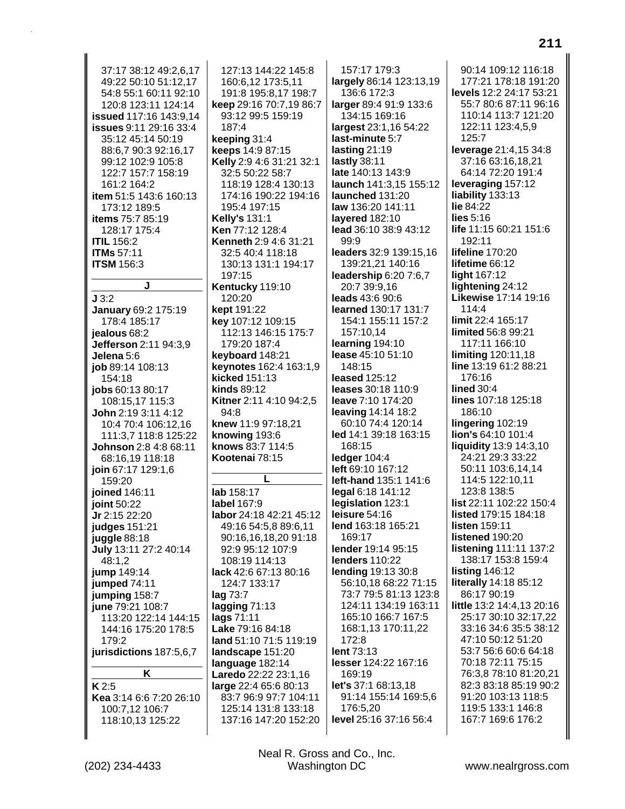37:17 38:12 49:2.6.17 49:22 50:10 51:12,17 54:8 55:1 60:11 92:10 120:8 123:11 124:14 issued 117:16 143:9.14 issues 9:11 29:16 33:4 35:12 45:14 50:19 88:6,7 90:3 92:16,17 99:12 102:9 105:8 122:7 157:7 158:19 161:2 164:2 item 51:5 143:6 160:13 173:12 189:5 items 75:7 85:19 128:17 175:4 **ITIL 156:2 ITMs** 57:11 **ITSM 156:3**  $J3:2$ January 69:2 175:19 178:4 185:17 jealous 68:2 Jefferson 2:11 94:3.9 Jelena 5:6 iob 89:14 108:13 154:18 jobs 60:13 80:17 108:15.17 115:3 **John** 2:19 3:11 4:12 10:4 70:4 106:12,16 111:3,7 118:8 125:22 Johnson 2:8 4:8 68:11 68:16,19 118:18 join 67:17 129:1,6 159:20 joined 146:11 ioint 50:22 Jr 2:15 22:20 judges 151:21 juggle 88:18 July 13:11 27:2 40:14 48:1.2 jump 149:14 jumped 74:11 jumping 158:7 june 79:21 108:7 113:20 122:14 144:15 144:16 175:20 178:5 179:2 jurisdictions 187:5,6,7 K  $K2:5$ Kea 3:14 6:6 7:20 26:10 100:7,12 106:7 118:10.13 125:22

127:13 144:22 145:8 160:6,12 173:5,11 191:8 195:8,17 198:7 keep 29:16 70:7,19 86:7 93:12 99:5 159:19  $187.4$ keeping 31:4 keeps 14:9 87:15 Kelly 2:9 4:6 31:21 32:1 32:5 50:22 58:7 118:19 128:4 130:13 174:16 190:22 194:16 195:4 197:15 **Kelly's 131:1** Ken 77:12 128:4 Kenneth 2:9 4:6 31:21 32:5 40:4 118:18 130:13 131:1 194:17 197:15 Kentucky 119:10 120:20 kept 191:22 key 107:12 109:15 112:13 146:15 175:7 179:20 187:4 keyboard 148:21 keynotes 162:4 163:1,9 kicked 151:13 kinds 89:12 Kitner 2:11 4:10 94:2.5  $94:8$ knew 11:9 97:18,21 knowing 193:6 knows 83:7 114:5 Kootenai 78:15 lab 158:17 label 167:9 labor 24:18 42:21 45:12 49:16 54:5,8 89:6,11 90:16,16,18,20 91:18 92:9 95:12 107:9 108:19 114:13 lack 42:6 67:13 80:16 124:7 133:17 lag 73:7 lagging  $71:13$ lags 71:11 Lake 79:16 84:18 land 51:10 71:5 119:19 landscape 151:20 language 182:14

Laredo 22:22 23:1,16

large 22:4 65:6 80:13

83:7 96:9 97:7 104:11

125:14 131:8 133:18

137:16 147:20 152:20

157:17 179:3 largely 86:14 123:13,19 136:6 172:3 larger 89:4 91:9 133:6 134:15 169:16 largest 23:1,16 54:22 last-minute 5:7 lasting 21:19 lastly 38:11 late 140:13 143:9 launch 141:3,15 155:12 launched 131:20 law 136:20 141:11 layered 182:10 lead 36:10 38:9 43:12  $99.9$ leaders 32:9 139:15,16 139:21,21 140:16 leadership 6:20 7:6,7 20:7 39:9,16 leads 43:6 90:6 learned 130:17 131:7 154:1 155:11 157:2 157:10.14 learning 194:10 lease 45:10 51:10 148:15 leased 125:12 leases 30:18 110:9 **leave** 7:10 174:20 **leaving 14:14 18:2** 60:10 74:4 120:14 led 14:1 39:18 163:15 168:15 ledger 104:4 left 69:10 167:12 left-hand 135:1 141:6 legal 6:18 141:12 legislation 123:1 leisure  $54:16$ lend 163:18 165:21 169:17 lender 19:14 95:15 **lenders 110:22** lending 19:13 30:8 56:10,18 68:22 71:15 73:7 79:5 81:13 123:8 124:11 134:19 163:11 165:10 166:7 167:5 168:1,13 170:11,22  $172.8$ lent 73:13 lesser 124:22 167:16 169:19 let's 37:1 68:13.18 91:14 155:14 169:5.6 176:5,20 level 25:16 37:16 56:4

90:14 109:12 116:18 177:21 178:18 191:20 levels 12:2 24:17 53:21 55:7 80:6 87:11 96:16 110:14 113:7 121:20 122:11 123:4,5,9  $125:7$ leverage 21:4,15 34:8 37:16 63:16,18,21 64:14 72:20 191:4 leveraging 157:12 liability 133:13 lie 84:22  $lies 5:16$ life 11:15 60:21 151:6 192:11 lifeline 170:20 lifetime 66:12 light 167:12 lightening 24:12 Likewise 17:14 19:16  $114.4$ limit 22:4 165:17 limited 56:8 99:21 117:11 166:10 **limiting 120:11,18** line 13:19 61:2 88:21 176:16 lined  $30:4$ lines 107:18 125:18 186:10 lingering 102:19 lion's 64:10 101:4 **liquidity** 13:9 14:3,10 24:21 29:3 33:22 50:11 103:6,14,14 114:5 122:10.11 123:8 138:5 list 22:11 102:22 150:4 **listed** 179:15 184:18 **listen** 159:11 listened 190:20 **listening 111:11 137:2** 138:17 153:8 159:4 **listing 146:12** literally 14:18 85:12 86:17 90:19 little 13:2 14:4,13 20:16 25:17 30:10 32:17,22 33:16 34:6 35:5 38:12 47:10 50:12 51:20 53:7 56:6 60:6 64:18 70:18 72:11 75:15 76:3,8 78:10 81:20,21 82:3 83:18 85:19 90:2 91:20 103:13 118:5 119:5 133:1 146:8 167:7 169:6 176:2

Neal R. Gross and Co., Inc. Washington DC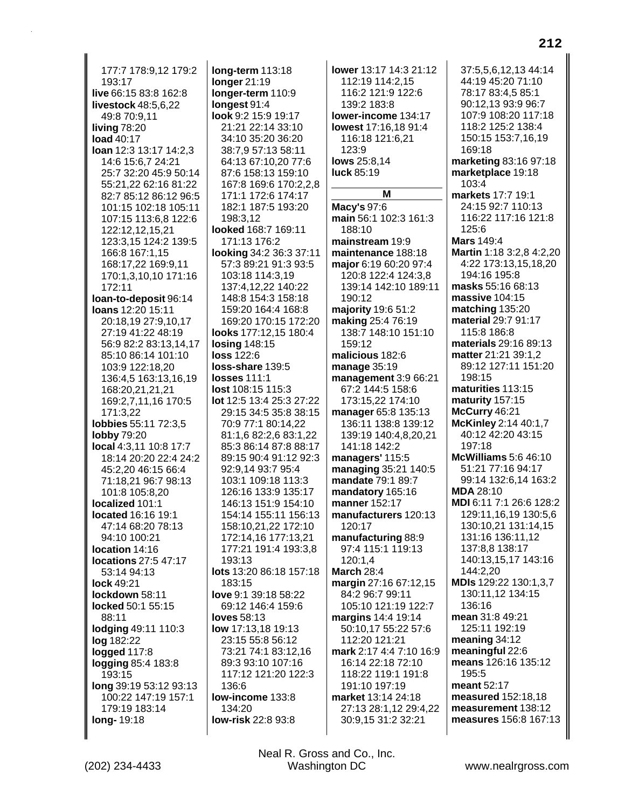177:7 178:9,12 179:2 193:17 **live** 66:15 83:8 162:8 **livestock** 48:5,6,22 49:8 70:9,11 **living** 78:20 **load** 40:17 **loan** 12:3 13:17 14:2,3 14:6 15:6,7 24:21 25:7 32:20 45:9 50:14 55:21,22 62:16 81:22 82:7 85:12 86:12 96:5 101:15 102:18 105:11 107:15 113:6,8 122:6 122:12,12,15,21 123:3,15 124:2 139:5 166:8 167:1,15 168:17,22 169:9,11 170:1,3,10,10 171:16 172:11 **loan-to-deposit** 96:14 **loans** 12:20 15:11 20:18,19 27:9,10,17 27:19 41:22 48:19 56:9 82:2 83:13,14,17 85:10 86:14 101:10 103:9 122:18,20 136:4,5 163:13,16,19 168:20,21,21,21 169:2,7,11,16 170:5 171:3,22 **lobbies** 55:11 72:3,5 **lobby** 79:20 **local** 4:3,11 10:8 17:7 18:14 20:20 22:4 24:2 45:2,20 46:15 66:4 71:18,21 96:7 98:13 101:8 105:8,20 **localized** 101:1 **located** 16:16 19:1 47:14 68:20 78:13 94:10 100:21 **location** 14:16 **locations** 27:5 47:17 53:14 94:13 **lock** 49:21 **lockdown** 58:11 **locked** 50:1 55:15 88:11 **lodging** 49:11 110:3 **log** 182:22 **logged** 117:8 **logging** 85:4 183:8 193:15 **long** 39:19 53:12 93:13 100:22 147:19 157:1 179:19 183:14 **long-** 19:18

**long-term** 113:18 **longer** 21:19 **longer-term** 110:9 **longest** 91:4 **look** 9:2 15:9 19:17 21:21 22:14 33:10 34:10 35:20 36:20 38:7,9 57:13 58:11 64:13 67:10,20 77:6 87:6 158:13 159:10 167:8 169:6 170:2,2,8 171:1 172:6 174:17 182:1 187:5 193:20 198:3,12 **looked** 168:7 169:11 171:13 176:2 **looking** 34:2 36:3 37:11 57:3 89:21 91:3 93:5 103:18 114:3,19 137:4,12,22 140:22 148:8 154:3 158:18 159:20 164:4 168:8 169:20 170:15 172:20 **looks** 177:12,15 180:4 **losing** 148:15 **loss** 122:6 **loss-share** 139:5 **losses** 111:1 **lost** 108:15 115:3 **lot** 12:5 13:4 25:3 27:22 29:15 34:5 35:8 38:15 70:9 77:1 80:14,22 81:1,6 82:2,6 83:1,22 85:3 86:14 87:8 88:17 89:15 90:4 91:12 92:3 92:9,14 93:7 95:4 103:1 109:18 113:3 126:16 133:9 135:17 146:13 151:9 154:10 154:14 155:11 156:13 158:10,21,22 172:10 172:14,16 177:13,21 177:21 191:4 193:3,8 193:13 **lots** 13:20 86:18 157:18 183:15 **love** 9:1 39:18 58:22 69:12 146:4 159:6 **loves** 58:13 **low** 17:13,18 19:13 23:15 55:8 56:12 73:21 74:1 83:12,16 89:3 93:10 107:16 117:12 121:20 122:3 136:6 **low-income** 133:8 134:20 **low-risk** 22:8 93:8

**lower** 13:17 14:3 21:12 112:19 114:2,15 116:2 121:9 122:6 139:2 183:8 **lower-income** 134:17 **lowest** 17:16,18 91:4 116:18 121:6,21 123:9 **lows** 25:8,14 **luck** 85:19 **M Macy's** 97:6 **main** 56:1 102:3 161:3 188:10 **mainstream** 19:9 **maintenance** 188:18 **major** 6:19 60:20 97:4 120:8 122:4 124:3,8 139:14 142:10 189:11 190:12 **majority** 19:6 51:2 **making** 25:4 76:19 138:7 148:10 151:10 159:12 **malicious** 182:6 **manage** 35:19 **management** 3:9 66:21 67:2 144:5 158:6 173:15,22 174:10 **manager** 65:8 135:13 136:11 138:8 139:12 139:19 140:4,8,20,21 141:18 142:2 **managers'** 115:5 **managing** 35:21 140:5 **mandate** 79:1 89:7 **mandatory** 165:16 **manner** 152:17 **manufacturers** 120:13 120:17 **manufacturing** 88:9 97:4 115:1 119:13 120:1,4 **March** 28:4 **margin** 27:16 67:12,15 84:2 96:7 99:11 105:10 121:19 122:7 **margins** 14:4 19:14 50:10,17 55:22 57:6 112:20 121:21 **mark** 2:17 4:4 7:10 16:9 16:14 22:18 72:10 118:22 119:1 191:8 191:10 197:19 **market** 13:14 24:18 27:13 28:1,12 29:4,22 30:9,15 31:2 32:21

37:5,5,6,12,13 44:14 44:19 45:20 71:10 78:17 83:4,5 85:1 90:12,13 93:9 96:7 107:9 108:20 117:18 118:2 125:2 138:4 150:15 153:7,16,19 169:18 **marketing** 83:16 97:18 **marketplace** 19:18 103:4 **markets** 17:7 19:1 24:15 92:7 110:13 116:22 117:16 121:8 125:6 **Mars** 149:4 **Martin** 1:18 3:2,8 4:2,20 4:22 173:13,15,18,20 194:16 195:8 **masks** 55:16 68:13 **massive** 104:15 **matching** 135:20 **material** 29:7 91:17 115:8 186:8 **materials** 29:16 89:13 **matter** 21:21 39:1,2 89:12 127:11 151:20 198:15 **maturities** 113:15 **maturity** 157:15 **McCurry** 46:21 **McKinley** 2:14 40:1,7 40:12 42:20 43:15 197:18 **McWilliams** 5:6 46:10 51:21 77:16 94:17 99:14 132:6,14 163:2 **MDA** 28:10 **MDI** 6:11 7:1 26:6 128:2 129:11,16,19 130:5,6 130:10,21 131:14,15 131:16 136:11,12 137:8,8 138:17 140:13,15,17 143:16 144:2,20 **MDIs** 129:22 130:1,3,7 130:11,12 134:15 136:16 **mean** 31:8 49:21 125:11 192:19 **meaning** 34:12 **meaningful** 22:6 **means** 126:16 135:12 195:5 **meant** 52:17 **measured** 152:18,18 **measurement** 138:12 **measures** 156:8 167:13

**212**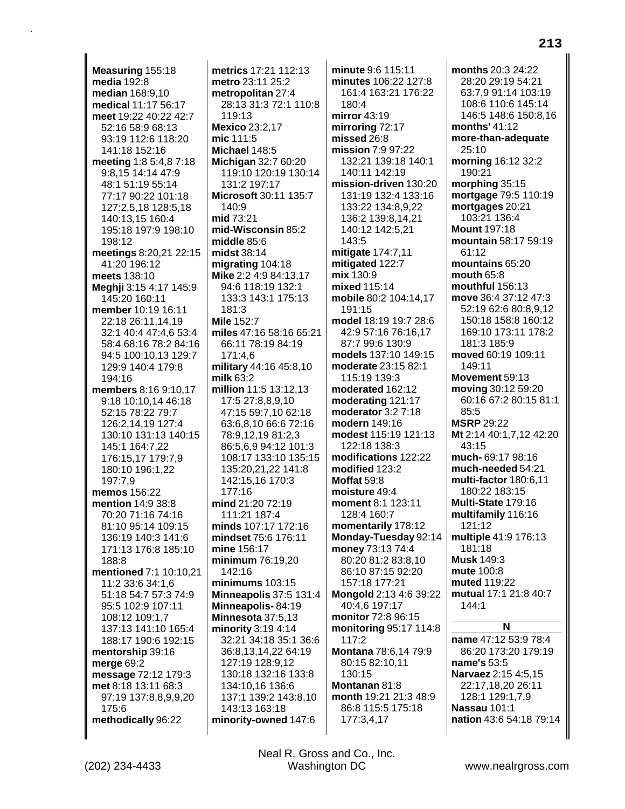Measuring 155:18 media 192:8 **median** 168:9,10 medical 11:17 56:17 meet 19:22 40:22 42:7 52:16 58:9 68:13 93:19 112:6 118:20 141:18 152:16 meeting 1:8 5:4,8 7:18 9:8,15 14:14 47:9 48:1 51:19 55:14 77:17 90:22 101:18 127:2,5,18 128:5,18 140:13.15 160:4 195:18 197:9 198:10 198:12 meetings 8:20,21 22:15 41:20 196:12 meets 138:10 Meghji 3:15 4:17 145:9 145:20 160:11 member 10:19 16:11 22:18 26:11,14,19 32:1 40:4 47:4,6 53:4 58:4 68:16 78:2 84:16 94:5 100:10.13 129:7 129:9 140:4 179:8 194:16 members 8:16 9:10.17 9:18 10:10.14 46:18 52:15 78:22 79:7 126:2.14.19 127:4 130:10 131:13 140:15 145:1 164:7,22 176:15,17 179:7,9 180:10 196:1,22 197:7.9 memos 156:22 mention 14:9 38:8 70:20 71:16 74:16 81:10 95:14 109:15 136:19 140:3 141:6 171:13 176:8 185:10 188:8 mentioned 7:1 10:10.21 11:2 33:6 34:1,6 51:18 54:7 57:3 74:9 95:5 102:9 107:11 108:12 109:1.7 137:13 141:10 165:4 188:17 190:6 192:15 mentorship 39:16 merge 69:2 message 72:12 179:3 met 8:18 13:11 68:3 97:19 137:8,8,9,9,20 175:6 methodically 96:22

metrics 17:21 112:13 metro 23:11 25:2 metropolitan 27:4 28:13 31:3 72:1 110:8  $119.13$ Mexico 23:2,17 mic 111:5 Michael 148:5 Michigan 32:7 60:20 119:10 120:19 130:14 131:2 197:17 Microsoft 30:11 135:7 140:9 mid 73:21 mid-Wisconsin 85:2 middle 85:6 midst 38:14 migrating 104:18 Mike 2:2 4:9 84:13,17 94:6 118:19 132:1 133:3 143:1 175:13 181:3 **Mile 152:7** miles 47:16 58:16 65:21 66:11 78:19 84:19 171:4,6 military 44:16 45:8,10  $m$ ilk 63:2 million 11:5 13:12,13 17:5 27:8,8,9,10 47:15 59:7.10 62:18 63:6,8,10 66:6 72:16 78:9,12,19 81:2,3 86:5.6.9 94:12 101:3 108:17 133:10 135:15 135:20,21,22 141:8 142:15,16 170:3  $177:16$ mind 21:20 72:19 111:21 187:4 minds 107:17 172:16 mindset 75:6 176:11 mine 156:17 minimum 76:19,20 142:16  $minimums$  103:15 Minneapolis 37:5 131:4 Minneapolis-84:19 Minnesota 37:5,13 minority 3:19 4:14 32:21 34:18 35:1 36:6 36:8,13,14,22 64:19 127:19 128:9,12 130:18 132:16 133:8 134:10,16 136:6 137:1 139:2 143:8,10 143:13 163:18 minority-owned 147:6

minute 9:6 115:11 minutes 106:22 127:8 161:4 163:21 176:22 180:4 mirror  $43:19$ mirroring 72:17 missed 26:8 mission 7:9 97:22 132:21 139:18 140:1 140:11 142:19 mission-driven 130:20 131:19 132:4 133:16 133:22 134:8,9,22 136:2 139:8,14,21 140:12 142:5,21 143:5 mitigate 174:7,11 mitigated 122:7 mix 130:9 mixed 115:14 mobile 80:2 104:14,17 191:15 model 18:19 19:7 28:6 42:9 57:16 76:16.17 87:7 99:6 130:9 models 137:10 149:15 moderate 23:15 82:1 115:19 139:3 moderated 162:12 moderating 121:17 moderator  $3:2$  7:18 modern 149:16 modest 115:19 121:13 122:18 138:3 modifications 122:22 modified 123:2 Moffat 59:8 moisture 49:4 moment 8:1 123:11 128:4 160:7 momentarily 178:12 Monday-Tuesday 92:14 money 73:13 74:4 80:20 81:2 83:8,10 86:10 87:15 92:20 157:18 177:21 Mongold 2:13 4:6 39:22 40:4,6 197:17 monitor 72:8 96:15 monitoring 95:17 114:8 117:2 Montana 78:6,14 79:9 80:15 82:10,11 130:15 Montanan 81:8 month 19:21 21:3 48:9 86:8 115:5 175:18 177:3,4,17

months 20:3 24:22 28:20 29:19 54:21 63:7,9 91:14 103:19 108:6 110:6 145:14 146:5 148:6 150:8.16 months'  $41:12$ more-than-adequate 25:10 morning 16:12 32:2 190:21 morphing 35:15 mortgage 79:5 110:19 mortgages 20:21 103:21 136:4 **Mount 197:18** mountain 58:17 59:19  $61.12$ mountains 65:20 mouth 65:8 mouthful 156:13 move 36:4 37:12 47:3 52:19 62:6 80:8,9,12 150:18 158:8 160:12 169:10 173:11 178:2 181:3 185:9 moved 60:19 109:11 149:11 Movement 59:13 moving 30:12 59:20 60:16 67:2 80:15 81:1  $85:5$ **MSRP 29:22** Mt 2:14 40:1,7,12 42:20 43:15 much-69:17 98:16 much-needed 54:21 multi-factor 180:6.11 180:22 183:15 Multi-State 179:16 multifamily 116:16 121:12 multiple 41:9 176:13 181:18 **Musk 149:3** mute 100:8 muted 119:22 mutual 17:1 21:8 40:7  $144:1$ N name 47:12 53:9 78:4 86:20 173:20 179:19

name's 53:5 Narvaez 2:15 4:5,15 22:17,18,20 26:11 128:1 129:1,7,9 Nassau 101:1 nation 43:6 54:18 79:14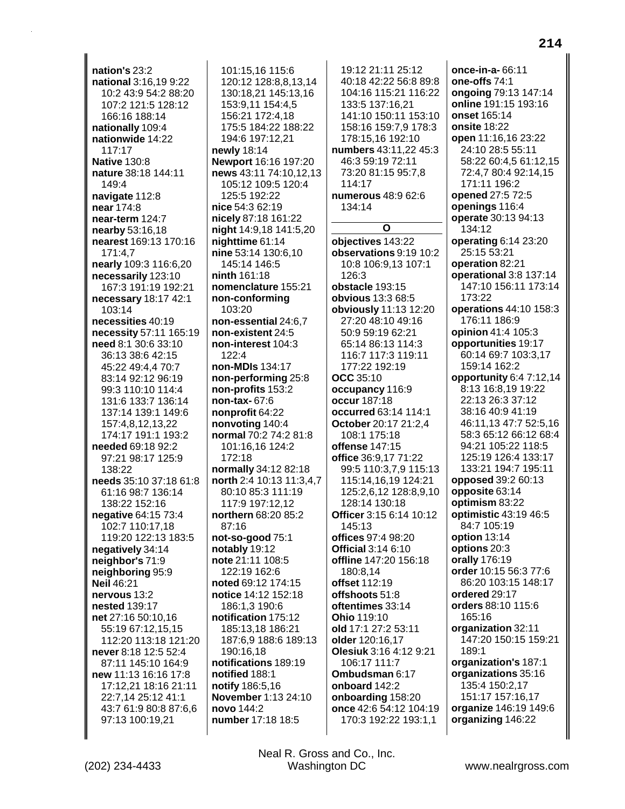nation's 23:2 national 3:16.19 9:22 10:2 43:9 54:2 88:20 107:2 121:5 128:12 166:16 188:14 nationally 109:4 nationwide 14:22 117:17 **Native 130:8** nature 38:18 144:11 149:4 navigate 112:8 near 174:8 near-term 124:7 nearby 53:16,18 nearest 169:13 170:16 171:4,7 nearly 109:3 116:6,20 necessarily 123:10 167:3 191:19 192:21 necessary 18:17 42:1 103:14 necessities 40:19 necessity 57:11 165:19 need 8:1 30:6 33:10 36:13 38:6 42:15 45:22 49:4.4 70:7 83:14 92:12 96:19 99:3 110:10 114:4 131:6 133:7 136:14 137:14 139:1 149:6 157:4.8.12.13.22 174:17 191:1 193:2 **needed 69:18 92:2** 97:21 98:17 125:9 138:22 needs 35:10 37:18 61:8 61:16 98:7 136:14 138:22 152:16 negative 64:15 73:4 102:7 110:17,18 119:20 122:13 183:5 negatively 34:14 neighbor's 71:9 neighboring 95:9 Neil 46:21 nervous 13:2 **nested 139:17** net 27:16 50:10.16 55:19 67:12,15,15 112:20 113:18 121:20 never 8:18 12:5 52:4 87:11 145:10 164:9 new 11:13 16:16 17:8 17:12,21 18:16 21:11 22:7,14 25:12 41:1 43:7 61:9 80:8 87:6,6 97:13 100:19,21

101:15.16 115:6 120:12 128:8,8,13,14 130:18,21 145:13,16 153:9,11 154:4,5 156:21 172:4.18 175:5 184:22 188:22 194:6 197:12,21 newly 18:14 Newport 16:16 197:20 news 43:11 74:10,12,13 105:12 109:5 120:4 125:5 192:22 nice 54:3 62:19 nicely 87:18 161:22 night 14:9,18 141:5,20 nighttime 61:14 nine 53:14 130:6,10 145:14 146:5 ninth 161:18 nomenclature 155:21 non-conforming 103:20 non-essential 24:6.7 non-existent 24:5 non-interest 104:3 122:4 non-MDIs 134:17 non-performing 25:8 non-profits 153:2 non-tax- 67:6 nonprofit 64:22 nonvoting 140:4 normal 70:2 74:2 81:8 101:16,16 124:2 172:18 normally 34:12 82:18 north 2:4 10:13 11:3,4,7 80:10 85:3 111:19 117:9 197:12.12 northern 68:20 85:2 87:16 not-so-good 75:1 notably 19:12 note 21:11 108:5 122:19 162:6 noted 69:12 174:15 notice 14:12 152:18 186:1,3 190:6 notification 175:12 185:13.18 186:21 187:6,9 188:6 189:13 190:16,18 notifications 189:19 notified 188:1 notify 186:5,16 November 1:13 24:10 novo 144:2 number 17:18 18:5

19:12 21:11 25:12 40:18 42:22 56:8 89:8 104:16 115:21 116:22 133:5 137:16.21 141:10 150:11 153:10 158:16 159:7,9 178:3 178:15,16 192:10 numbers 43:11,22 45:3 46:3 59:19 72:11 73:20 81:15 95:7.8  $114.17$ numerous 48:9 62:6 134:14  $\Omega$ objectives 143:22 observations 9:19 10:2 10:8 106:9.13 107:1 126:3 obstacle 193:15 obvious 13:3 68:5 obviously 11:13 12:20 27:20 48:10 49:16 50:9 59:19 62:21 65:14 86:13 114:3 116:7 117:3 119:11 177:22 192:19 **OCC** 35:10 occupancy 116:9 **occur** 187:18 occurred 63:14 114:1 **October 20:17 21:2.4** 108:1 175:18 offense 147:15 office 36:9.17 71:22 99:5 110:3.7.9 115:13 115:14,16,19 124:21 125:2,6,12 128:8,9,10 128:14 130:18 Officer 3:15 6:14 10:12 145:13 offices  $97.4$   $98.20$ **Official 3:14 6:10** offline 147:20 156:18 180:8.14 offset 112:19 offshoots 51:8 oftentimes 33:14 Ohio 119:10 old 17:1 27:2 53:11 older 120:16,17 Olesiuk 3:16 4:12 9:21 106:17 111:7 Ombudsman 6:17 onboard 142:2 onboarding 158:20 once 42:6 54:12 104:19 170:3 192:22 193:1.1

once-in-a-66:11 one-offs 74:1 ongoing 79:13 147:14 online 191:15 193:16 onset 165:14 onsite 18:22 open 11:16,16 23:22 24:10 28:5 55:11 58:22 60:4,5 61:12,15 72:4,7 80:4 92:14,15 171:11 196:2 opened 27:5 72:5 openings 116:4 operate 30:13 94:13 134:12 operating 6:14 23:20 25:15 53:21 operation 82:21 operational 3:8 137:14 147:10 156:11 173:14 173:22 operations 44:10 158:3 176:11 186:9 opinion 41:4 105:3 opportunities 19:17 60:14 69:7 103:3,17 159:14 162:2 opportunity 6:4 7:12,14 8:13 16:8.19 19:22 22:13 26:3 37:12 38:16 40:9 41:19 46:11.13 47:7 52:5.16 58:3 65:12 66:12 68:4 94:21 105:22 118:5 125:19 126:4 133:17 133:21 194:7 195:11 opposed 39:2 60:13 opposite 63:14 optimism 83:22 optimistic 43:19 46:5 84:7 105:19 option 13:14 options 20:3 orally 176:19 order 10:15 56:3 77:6 86:20 103:15 148:17 ordered 29:17 orders 88:10 115:6 165:16 organization 32:11 147:20 150:15 159:21  $189.1$ organization's 187:1 organizations 35:16 135:4 150:2.17 151:17 157:16,17 organize 146:19 149:6 organizing 146:22

Neal R. Gross and Co., Inc. **Washington DC**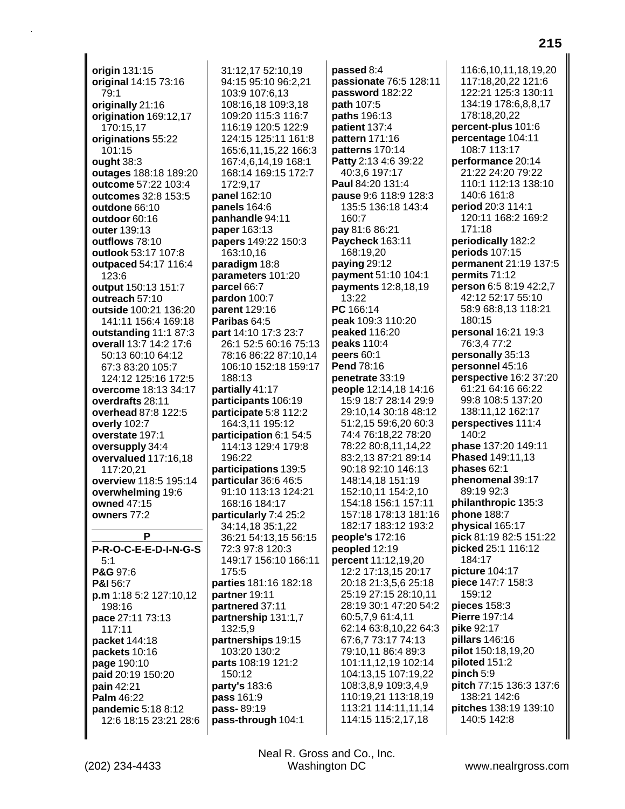**origin** 131:15 **original** 14:15 73:16 79:1 **originally** 21:16 **origination** 169:12,17 170:15,17 **originations** 55:22 101:15 **ought** 38:3 **outages** 188:18 189:20 **outcome** 57:22 103:4 **outcomes** 32:8 153:5 **outdone** 66:10 **outdoor** 60:16 **outer** 139:13 **outflows** 78:10 **outlook** 53:17 107:8 **outpaced** 54:17 116:4 123:6 **output** 150:13 151:7 **outreach** 57:10 **outside** 100:21 136:20 141:11 156:4 169:18 **outstanding** 11:1 87:3 **overall** 13:7 14:2 17:6 50:13 60:10 64:12 67:3 83:20 105:7 124:12 125:16 172:5 **overcome** 18:13 34:17 **overdrafts** 28:11 **overhead** 87:8 122:5 **overly** 102:7 **overstate** 197:1 **oversupply** 34:4 **overvalued** 117:16,18 117:20,21 **overview** 118:5 195:14 **overwhelming** 19:6 **owned** 47:15 **owners** 77:2 **P P-R-O-C-E-E-D-I-N-G-S** 5:1 **P&G** 97:6 **P&I** 56:7 **p.m** 1:18 5:2 127:10,12 198:16 **pace** 27:11 73:13 117:11 **packet** 144:18 **packets** 10:16 **page** 190:10 **paid** 20:19 150:20 **pain** 42:21

31:12,17 52:10,19 94:15 95:10 96:2,21 103:9 107:6,13 108:16,18 109:3,18 109:20 115:3 116:7 116:19 120:5 122:9 124:15 125:11 161:8 165:6,11,15,22 166:3 167:4,6,14,19 168:1 168:14 169:15 172:7 172:9,17 **panel** 162:10 **panels** 164:6 **panhandle** 94:11 **paper** 163:13 **papers** 149:22 150:3 163:10,16 **paradigm** 18:8 **parameters** 101:20 **parcel** 66:7 **pardon** 100:7 **parent** 129:16 **Paribas** 64:5 **part** 14:10 17:3 23:7 26:1 52:5 60:16 75:13 78:16 86:22 87:10,14 106:10 152:18 159:17 188:13 **partially** 41:17 **participants** 106:19 **participate** 5:8 112:2 164:3,11 195:12 **participation** 6:1 54:5 114:13 129:4 179:8 196:22 **participations** 139:5 **particular** 36:6 46:5 91:10 113:13 124:21 168:16 184:17 **particularly** 7:4 25:2 34:14,18 35:1,22 36:21 54:13,15 56:15 72:3 97:8 120:3 149:17 156:10 166:11 175:5 **parties** 181:16 182:18 **partner** 19:11 **partnered** 37:11 **partnership** 131:1,7 132:5,9 **partnerships** 19:15 103:20 130:2 **parts** 108:19 121:2 150:12 **party's** 183:6 **pass** 161:9 **pass-** 89:19 **pass-through** 104:1

**passed** 8:4 **passionate** 76:5 128:11 **password** 182:22 **path** 107:5 **paths** 196:13 **patient** 137:4 **pattern** 171:16 **patterns** 170:14 **Patty** 2:13 4:6 39:22 40:3,6 197:17 **Paul** 84:20 131:4 **pause** 9:6 118:9 128:3 135:5 136:18 143:4 160:7 **pay** 81:6 86:21 **Paycheck** 163:11 168:19,20 **paying** 29:12 **payment** 51:10 104:1 **payments** 12:8,18,19 13:22 **PC** 166:14 **peak** 109:3 110:20 **peaked** 116:20 **peaks** 110:4 **peers** 60:1 **Pend** 78:16 **penetrate** 33:19 **people** 12:14,18 14:16 15:9 18:7 28:14 29:9 29:10,14 30:18 48:12 51:2,15 59:6,20 60:3 74:4 76:18,22 78:20 78:22 80:8,11,14,22 83:2,13 87:21 89:14 90:18 92:10 146:13 148:14,18 151:19 152:10,11 154:2,10 154:18 156:1 157:11 157:18 178:13 181:16 182:17 183:12 193:2 **people's** 172:16 **peopled** 12:19 **percent** 11:12,19,20 12:2 17:13,15 20:17 20:18 21:3,5,6 25:18 25:19 27:15 28:10,11 28:19 30:1 47:20 54:2 60:5,7,9 61:4,11 62:14 63:8,10,22 64:3 67:6,7 73:17 74:13 79:10,11 86:4 89:3 101:11,12,19 102:14 104:13,15 107:19,22 108:3,8,9 109:3,4,9 110:19,21 113:18,19 113:21 114:11,11,14 114:15 115:2,17,18

116:6,10,11,18,19,20 117:18,20,22 121:6 122:21 125:3 130:11 134:19 178:6,8,8,17 178:18,20,22 **percent-plus** 101:6 **percentage** 104:11 108:7 113:17 **performance** 20:14 21:22 24:20 79:22 110:1 112:13 138:10 140:6 161:8 **period** 20:3 114:1 120:11 168:2 169:2 171:18 **periodically** 182:2 **periods** 107:15 **permanent** 21:19 137:5 **permits** 71:12 **person** 6:5 8:19 42:2,7 42:12 52:17 55:10 58:9 68:8,13 118:21 180:15 **personal** 16:21 19:3 76:3,4 77:2 **personally** 35:13 **personnel** 45:16 **perspective** 16:2 37:20 61:21 64:16 66:22 99:8 108:5 137:20 138:11,12 162:17 **perspectives** 111:4 140:2 **phase** 137:20 149:11 **Phased** 149:11,13 **phases** 62:1 **phenomenal** 39:17 89:19 92:3 **philanthropic** 135:3 **phone** 188:7 **physical** 165:17 **pick** 81:19 82:5 151:22 **picked** 25:1 116:12 184:17 **picture** 104:17 **piece** 147:7 158:3 159:12 **pieces** 158:3 **Pierre** 197:14 **pike** 92:17 **pillars** 146:16 **pilot** 150:18,19,20 **piloted** 151:2 **pinch** 5:9 **pitch** 77:15 136:3 137:6 138:21 142:6 **pitches** 138:19 139:10 140:5 142:8

**Palm** 46:22

**pandemic** 5:18 8:12 12:6 18:15 23:21 28:6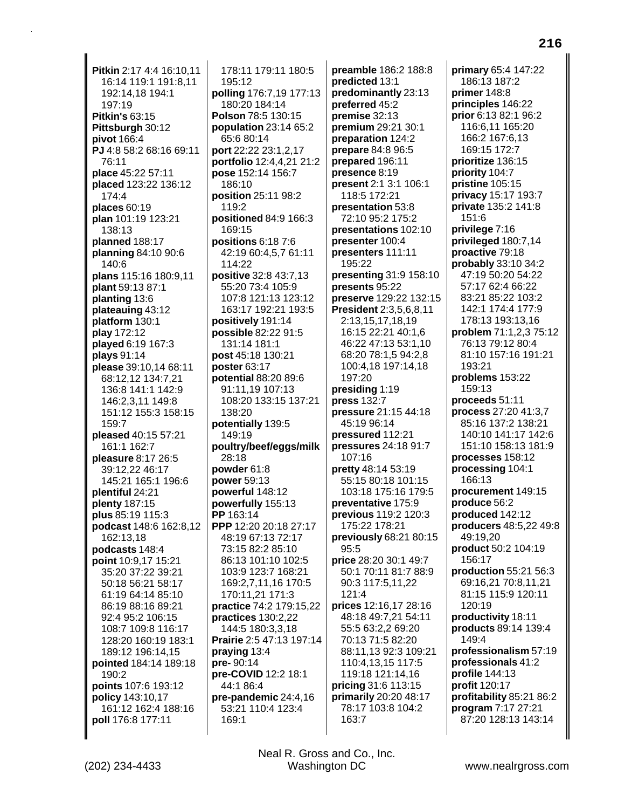**Pitkin** 2:17 4:4 16:10,11 16:14 119:1 191:8,11 192:14,18 194:1 197:19 **Pitkin's** 63:15 **Pittsburgh** 30:12 **pivot** 166:4 **PJ** 4:8 58:2 68:16 69:11 76:11 **place** 45:22 57:11 **placed** 123:22 136:12 174:4 **places** 60:19 **plan** 101:19 123:21 138:13 **planned** 188:17 **planning** 84:10 90:6 140:6 **plans** 115:16 180:9,11 **plant** 59:13 87:1 **planting** 13:6 **plateauing** 43:12 **platform** 130:1 **play** 172:12 **played** 6:19 167:3 **plays** 91:14 **please** 39:10,14 68:11 68:12,12 134:7,21 136:8 141:1 142:9 146:2,3,11 149:8 151:12 155:3 158:15 159:7 **pleased** 40:15 57:21 161:1 162:7 **pleasure** 8:17 26:5 39:12,22 46:17 145:21 165:1 196:6 **plentiful** 24:21 **plenty** 187:15 **plus** 85:19 115:3 **podcast** 148:6 162:8,12 162:13,18 **podcasts** 148:4 **point** 10:9,17 15:21 35:20 37:22 39:21 50:18 56:21 58:17 61:19 64:14 85:10 86:19 88:16 89:21 92:4 95:2 106:15 108:7 109:8 116:17 128:20 160:19 183:1 189:12 196:14,15 **pointed** 184:14 189:18 190:2 **points** 107:6 193:12 **policy** 143:10,17 161:12 162:4 188:16 **poll** 176:8 177:11

178:11 179:11 180:5 195:12 **polling** 176:7,19 177:13 180:20 184:14 **Polson** 78:5 130:15 **population** 23:14 65:2 65:6 80:14 **port** 22:22 23:1,2,17 **portfolio** 12:4,4,21 21:2 **pose** 152:14 156:7 186:10 **position** 25:11 98:2 119:2 **positioned** 84:9 166:3 169:15 **positions** 6:18 7:6 42:19 60:4,5,7 61:11 114:22 **positive** 32:8 43:7,13 55:20 73:4 105:9 107:8 121:13 123:12 163:17 192:21 193:5 **positively** 191:14 **possible** 82:22 91:5 131:14 181:1 **post** 45:18 130:21 **poster** 63:17 **potential** 88:20 89:6 91:11,19 107:13 108:20 133:15 137:21 138:20 **potentially** 139:5 149:19 **poultry/beef/eggs/milk** 28:18 **powder** 61:8 **power** 59:13 **powerful** 148:12 **powerfully** 155:13 **PP** 163:14 **PPP** 12:20 20:18 27:17 48:19 67:13 72:17 73:15 82:2 85:10 86:13 101:10 102:5 103:9 123:7 168:21 169:2,7,11,16 170:5 170:11,21 171:3 **practice** 74:2 179:15,22 **practices** 130:2,22 144:5 180:3,3,18 **Prairie** 2:5 47:13 197:14 **praying** 13:4 **pre-** 90:14 **pre-COVID** 12:2 18:1 44:1 86:4 **pre-pandemic** 24:4,16 53:21 110:4 123:4 169:1

**preamble** 186:2 188:8 **predicted** 13:1 **predominantly** 23:13 **preferred** 45:2 **premise** 32:13 **premium** 29:21 30:1 **preparation** 124:2 **prepare** 84:8 96:5 **prepared** 196:11 **presence** 8:19 **present** 2:1 3:1 106:1 118:5 172:21 **presentation** 53:8 72:10 95:2 175:2 **presentations** 102:10 **presenter** 100:4 **presenters** 111:11 195:22 **presenting** 31:9 158:10 **presents** 95:22 **preserve** 129:22 132:15 **President** 2:3,5,6,8,11 2:13,15,17,18,19 16:15 22:21 40:1,6 46:22 47:13 53:1,10 68:20 78:1,5 94:2,8 100:4,18 197:14,18 197:20 **presiding** 1:19 **press** 132:7 **pressure** 21:15 44:18 45:19 96:14 **pressured** 112:21 **pressures** 24:18 91:7 107:16 **pretty** 48:14 53:19 55:15 80:18 101:15 103:18 175:16 179:5 **preventative** 175:9 **previous** 119:2 120:3 175:22 178:21 **previously** 68:21 80:15 95:5 **price** 28:20 30:1 49:7 50:1 70:11 81:7 88:9 90:3 117:5,11,22 121:4 **prices** 12:16,17 28:16 48:18 49:7,21 54:11 55:5 63:2,2 69:20 70:13 71:5 82:20 88:11,13 92:3 109:21 110:4,13,15 117:5 119:18 121:14,16 **pricing** 31:6 113:15 **primarily** 20:20 48:17 78:17 103:8 104:2 163:7

**primary** 65:4 147:22 186:13 187:2 **primer** 148:8 **principles** 146:22 **prior** 6:13 82:1 96:2 116:6,11 165:20 166:2 167:6,13 169:15 172:7 **prioritize** 136:15 **priority** 104:7 **pristine** 105:15 **privacy** 15:17 193:7 **private** 135:2 141:8 151:6 **privilege** 7:16 **privileged** 180:7,14 **proactive** 79:18 **probably** 33:10 34:2 47:19 50:20 54:22 57:17 62:4 66:22 83:21 85:22 103:2 142:1 174:4 177:9 178:13 193:13,16 **problem** 71:1,2,3 75:12 76:13 79:12 80:4 81:10 157:16 191:21 193:21 **problems** 153:22 159:13 **proceeds** 51:11 **process** 27:20 41:3,7 85:16 137:2 138:21 140:10 141:17 142:6 151:10 158:13 181:9 **processes** 158:12 **processing** 104:1 166:13 **procurement** 149:15 **produce** 56:2 **produced** 142:12 **producers** 48:5,22 49:8 49:19,20 **product** 50:2 104:19 156:17 **production** 55:21 56:3 69:16,21 70:8,11,21 81:15 115:9 120:11 120:19 **productivity** 18:11 **products** 89:14 139:4 149:4 **professionalism** 57:19 **professionals** 41:2 **profile** 144:13 **profit** 120:17 **profitability** 85:21 86:2 **program** 7:17 27:21 87:20 128:13 143:14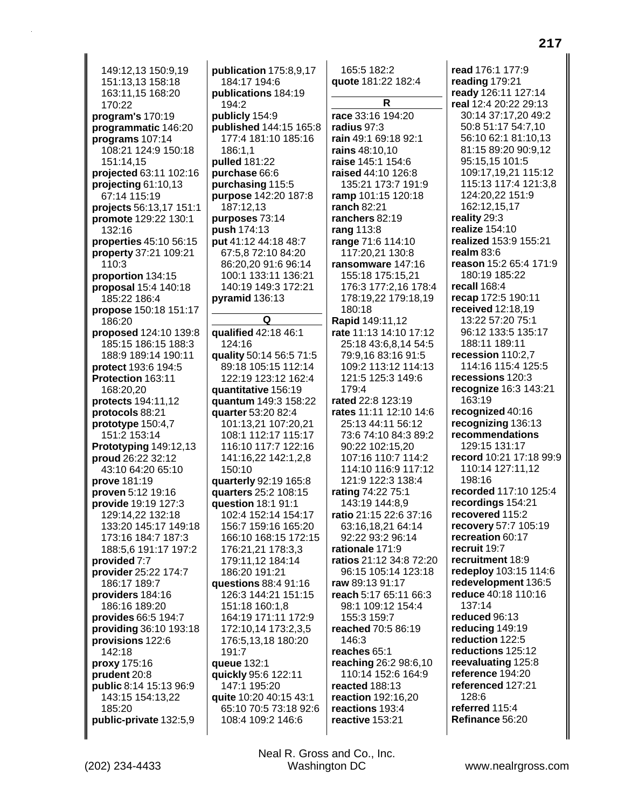149:12,13 150:9,19 151:13,13 158:18 163:11,15 168:20 170:22 **program's** 170:19 **programmatic** 146:20 **programs** 107:14 108:21 124:9 150:18 151:14,15 **projected** 63:11 102:16 **projecting** 61:10,13 67:14 115:19 **projects** 56:13,17 151:1 **promote** 129:22 130:1 132:16 **properties** 45:10 56:15 **property** 37:21 109:21 110:3 **proportion** 134:15 **proposal** 15:4 140:18 185:22 186:4 **propose** 150:18 151:17 186:20 **proposed** 124:10 139:8 185:15 186:15 188:3 188:9 189:14 190:11 **protect** 193:6 194:5 **Protection** 163:11 168:20,20 **protects** 194:11,12 **protocols** 88:21 **prototype** 150:4,7 151:2 153:14 **Prototyping** 149:12,13 **proud** 26:22 32:12 43:10 64:20 65:10 **prove** 181:19 **proven** 5:12 19:16 **provide** 19:19 127:3 129:14,22 132:18 133:20 145:17 149:18 173:16 184:7 187:3 188:5,6 191:17 197:2 **provided** 7:7 **provider** 25:22 174:7 186:17 189:7 **providers** 184:16 186:16 189:20 **provides** 66:5 194:7 **providing** 36:10 193:18 **provisions** 122:6 142:18 **proxy** 175:16 **prudent** 20:8 **public** 8:14 15:13 96:9 143:15 154:13,22 185:20 **public-private** 132:5,9

**publication** 175:8,9,17 184:17 194:6 **publications** 184:19 194:2 **publicly** 154:9 **published** 144:15 165:8 177:4 181:10 185:16 186:1,1 **pulled** 181:22 **purchase** 66:6 **purchasing** 115:5 **purpose** 142:20 187:8 187:12,13 **purposes** 73:14 **push** 174:13 **put** 41:12 44:18 48:7 67:5,8 72:10 84:20 86:20,20 91:6 96:14 100:1 133:11 136:21 140:19 149:3 172:21 **pyramid** 136:13 **Q qualified** 42:18 46:1 124:16 **quality** 50:14 56:5 71:5 89:18 105:15 112:14 122:19 123:12 162:4 **quantitative** 156:19 **quantum** 149:3 158:22 **quarter** 53:20 82:4 101:13,21 107:20,21 108:1 112:17 115:17 116:10 117:7 122:16 141:16,22 142:1,2,8 150:10 **quarterly** 92:19 165:8 **quarters** 25:2 108:15 **question** 18:1 91:1 102:4 152:14 154:17 156:7 159:16 165:20 166:10 168:15 172:15 176:21,21 178:3,3 179:11,12 184:14 186:20 191:21 **questions** 88:4 91:16 126:3 144:21 151:15 151:18 160:1,8 164:19 171:11 172:9 172:10,14 173:2,3,5 176:5,13,18 180:20 191:7 **queue** 132:1 **quickly** 95:6 122:11 147:1 195:20 **quite** 10:20 40:15 43:1 65:10 70:5 73:18 92:6 108:4 109:2 146:6

165:5 182:2 **quote** 181:22 182:4 **R race** 33:16 194:20 **radius** 97:3 **rain** 49:1 69:18 92:1 **rains** 48:10,10 **raise** 145:1 154:6 **raised** 44:10 126:8 135:21 173:7 191:9 **ramp** 101:15 120:18 **ranch** 82:21 **ranchers** 82:19 **rang** 113:8 **range** 71:6 114:10 117:20,21 130:8 **ransomware** 147:16 155:18 175:15,21 176:3 177:2,16 178:4 178:19,22 179:18,19 180:18 **Rapid** 149:11,12 **rate** 11:13 14:10 17:12 25:18 43:6,8,14 54:5 79:9,16 83:16 91:5 109:2 113:12 114:13 121:5 125:3 149:6 179:4 **rated** 22:8 123:19 **rates** 11:11 12:10 14:6 25:13 44:11 56:12 73:6 74:10 84:3 89:2 90:22 102:15,20 107:16 110:7 114:2 114:10 116:9 117:12 121:9 122:3 138:4 **rating** 74:22 75:1 143:19 144:8,9 **ratio** 21:15 22:6 37:16 63:16,18,21 64:14 92:22 93:2 96:14 **rationale** 171:9 **ratios** 21:12 34:8 72:20 96:15 105:14 123:18 **raw** 89:13 91:17 **reach** 5:17 65:11 66:3 98:1 109:12 154:4 155:3 159:7 **reached** 70:5 86:19 146:3 **reaches** 65:1 **reaching** 26:2 98:6,10 110:14 152:6 164:9 **reacted** 188:13 **reaction** 192:16,20 **reactions** 193:4 **reactive** 153:21

**read** 176:1 177:9 **reading** 179:21 **ready** 126:11 127:14 **real** 12:4 20:22 29:13 30:14 37:17,20 49:2 50:8 51:17 54:7,10 56:10 62:1 81:10,13 81:15 89:20 90:9,12 95:15,15 101:5 109:17,19,21 115:12 115:13 117:4 121:3,8 124:20,22 151:9 162:12,15,17 **reality** 29:3 **realize** 154:10 **realized** 153:9 155:21 **realm** 83:6 **reason** 15:2 65:4 171:9 180:19 185:22 **recall** 168:4 **recap** 172:5 190:11 **received** 12:18,19 13:22 57:20 75:1 96:12 133:5 135:17 188:11 189:11 **recession** 110:2,7 114:16 115:4 125:5 **recessions** 120:3 **recognize** 16:3 143:21 163:19 **recognized** 40:16 **recognizing** 136:13 **recommendations** 129:15 131:17 **record** 10:21 17:18 99:9 110:14 127:11,12 198:16 **recorded** 117:10 125:4 **recordings** 154:21 **recovered** 115:2 **recovery** 57:7 105:19 **recreation** 60:17 **recruit** 19:7 **recruitment** 18:9 **redeploy** 103:15 114:6 **redevelopment** 136:5 **reduce** 40:18 110:16 137:14 **reduced** 96:13 **reducing** 149:19 **reduction** 122:5 **reductions** 125:12 **reevaluating** 125:8 **reference** 194:20 **referenced** 127:21 128:6 **referred** 115:4 **Refinance** 56:20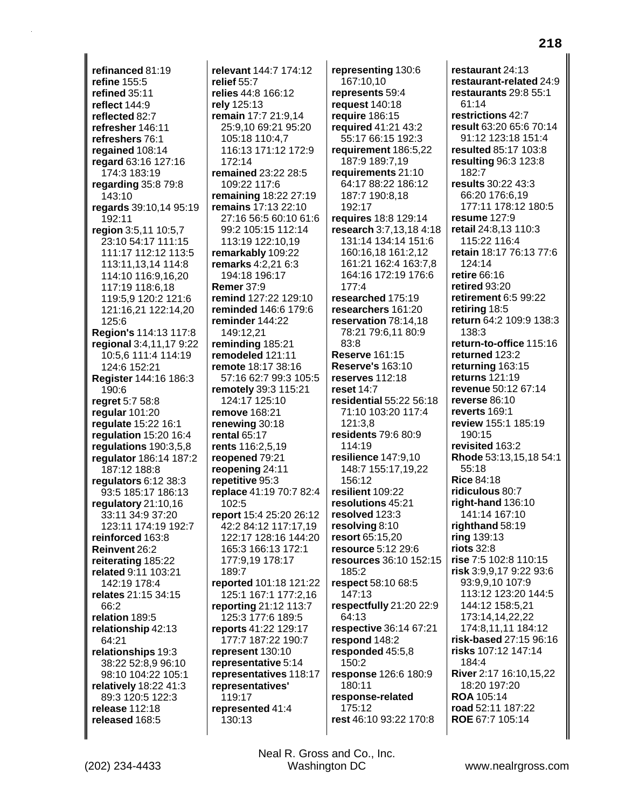**refinanced** 81:19 **refine** 155:5 **refined** 35:11 **reflect** 144:9 **reflected** 82:7 **refresher** 146:11 **refreshers** 76:1 **regained** 108:14 **regard** 63:16 127:16 174:3 183:19 **regarding** 35:8 79:8 143:10 **regards** 39:10,14 95:19 192:11 **region** 3:5,11 10:5,7 23:10 54:17 111:15 111:17 112:12 113:5 113:11,13,14 114:8 114:10 116:9,16,20 117:19 118:6,18 119:5,9 120:2 121:6 121:16,21 122:14,20 125:6 **Region's** 114:13 117:8 **regional** 3:4,11,17 9:22 10:5,6 111:4 114:19 124:6 152:21 **Register** 144:16 186:3 190:6 **regret** 5:7 58:8 **regular** 101:20 **regulate** 15:22 16:1 **regulation** 15:20 16:4 **regulations** 190:3,5,8 **regulator** 186:14 187:2 187:12 188:8 **regulators** 6:12 38:3 93:5 185:17 186:13 **regulatory** 21:10,16 33:11 34:9 37:20 123:11 174:19 192:7 **reinforced** 163:8 **Reinvent** 26:2 **reiterating** 185:22 **related** 9:11 103:21 142:19 178:4 **relates** 21:15 34:15 66:2 **relation** 189:5 **relationship** 42:13 64:21 **relationships** 19:3 38:22 52:8,9 96:10 98:10 104:22 105:1 **relatively** 18:22 41:3 89:3 120:5 122:3 **release** 112:18 **released** 168:5

**relevant** 144:7 174:12 **relief** 55:7 **relies** 44:8 166:12 **rely** 125:13 **remain** 17:7 21:9,14 25:9,10 69:21 95:20 105:18 110:4,7 116:13 171:12 172:9 172:14 **remained** 23:22 28:5 109:22 117:6 **remaining** 18:22 27:19 **remains** 17:13 22:10 27:16 56:5 60:10 61:6 99:2 105:15 112:14 113:19 122:10,19 **remarkably** 109:22 **remarks** 4:2,21 6:3 194:18 196:17 **Remer** 37:9 **remind** 127:22 129:10 **reminded** 146:6 179:6 **reminder** 144:22 149:12,21 **reminding** 185:21 **remodeled** 121:11 **remote** 18:17 38:16 57:16 62:7 99:3 105:5 **remotely** 39:3 115:21 124:17 125:10 **remove** 168:21 **renewing** 30:18 **rental** 65:17 **rents** 116:2,5,19 **reopened** 79:21 **reopening** 24:11 **repetitive** 95:3 **replace** 41:19 70:7 82:4 102:5 **report** 15:4 25:20 26:12 42:2 84:12 117:17,19 122:17 128:16 144:20 165:3 166:13 172:1 177:9,19 178:17 189:7 **reported** 101:18 121:22 125:1 167:1 177:2,16 **reporting** 21:12 113:7 125:3 177:6 189:5 **reports** 41:22 129:17 177:7 187:22 190:7 **represent** 130:10 **representative** 5:14 **representatives** 118:17 **representatives'** 119:17 **represented** 41:4 130:13

**representing** 130:6 167:10,10 **represents** 59:4 **request** 140:18 **require** 186:15 **required** 41:21 43:2 55:17 66:15 192:3 **requirement** 186:5,22 187:9 189:7,19 **requirements** 21:10 64:17 88:22 186:12 187:7 190:8,18 192:17 **requires** 18:8 129:14 **research** 3:7,13,18 4:18 131:14 134:14 151:6 160:16,18 161:2,12 161:21 162:4 163:7,8 164:16 172:19 176:6 177:4 **researched** 175:19 **researchers** 161:20 **reservation** 78:14,18 78:21 79:6,11 80:9 83:8 **Reserve** 161:15 **Reserve's** 163:10 **reserves** 112:18 **reset** 14:7 **residential** 55:22 56:18 71:10 103:20 117:4 121:3,8 **residents** 79:6 80:9 114:19 **resilience** 147:9,10 148:7 155:17,19,22 156:12 **resilient** 109:22 **resolutions** 45:21 **resolved** 123:3 **resolving** 8:10 **resort** 65:15,20 **resource** 5:12 29:6 **resources** 36:10 152:15 185:2 **respect** 58:10 68:5 147:13 **respectfully** 21:20 22:9 64:13 **respective** 36:14 67:21 **respond** 148:2 **responded** 45:5,8 150:2 **response** 126:6 180:9 180:11 **response-related** 175:12 **rest** 46:10 93:22 170:8

**restaurant** 24:13 **restaurant-related** 24:9 **restaurants** 29:8 55:1 61:14 **restrictions** 42:7 **result** 63:20 65:6 70:14 91:12 123:18 151:4 **resulted** 85:17 103:8 **resulting** 96:3 123:8 182:7 **results** 30:22 43:3 66:20 176:6,19 177:11 178:12 180:5 **resume** 127:9 **retail** 24:8,13 110:3 115:22 116:4 **retain** 18:17 76:13 77:6 124:14 **retire** 66:16 **retired** 93:20 **retirement** 6:5 99:22 **retiring** 18:5 **return** 64:2 109:9 138:3 138:3 **return-to-office** 115:16 **returned** 123:2 **returning** 163:15 **returns** 121:19 **revenue** 50:12 67:14 **reverse** 86:10 **reverts** 169:1 **review** 155:1 185:19 190:15 **revisited** 163:2 **Rhode** 53:13,15,18 54:1 55:18 **Rice** 84:18 **ridiculous** 80:7 **right-hand** 136:10 141:14 167:10 **righthand** 58:19 **ring** 139:13 **riots** 32:8 **rise** 7:5 102:8 110:15 **risk** 3:9,9,17 9:22 93:6 93:9,9,10 107:9 113:12 123:20 144:5 144:12 158:5,21 173:14,14,22,22 174:8,11,11 184:12 **risk-based** 27:15 96:16 **risks** 107:12 147:14 184:4 **River** 2:17 16:10,15,22 18:20 197:20 **ROA** 105:14 **road** 52:11 187:22 **ROE** 67:7 105:14

**218**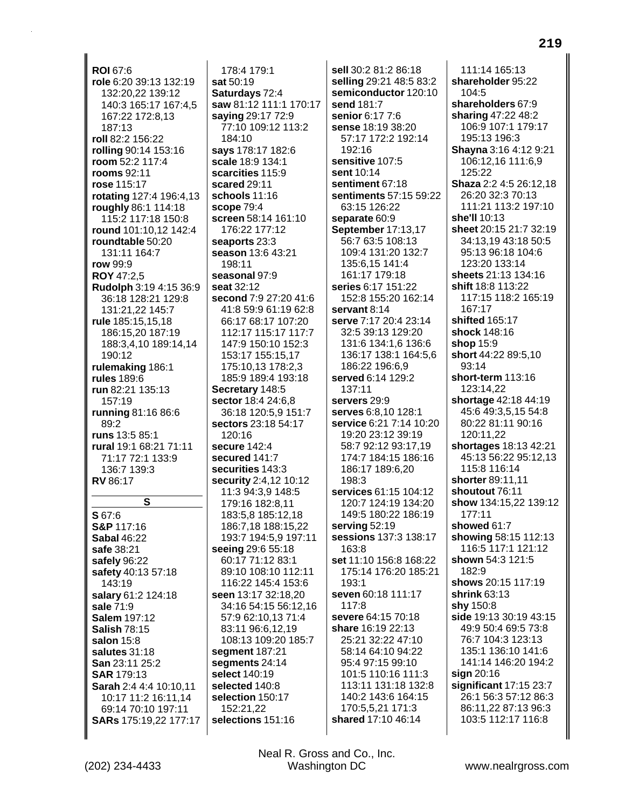**ROI** 67:6 **role** 6:20 39:13 132:19 132:20,22 139:12 140:3 165:17 167:4,5 167:22 172:8,13 187:13 **roll** 82:2 156:22 **rolling** 90:14 153:16 **room** 52:2 117:4 **rooms** 92:11 **rose** 115:17 **rotating** 127:4 196:4,13 **roughly** 86:1 114:18 115:2 117:18 150:8 **round** 101:10,12 142:4 **roundtable** 50:20 131:11 164:7 **row** 99:9 **ROY** 47:2,5 **Rudolph** 3:19 4:15 36:9 36:18 128:21 129:8 131:21,22 145:7 **rule** 185:15,15,18 186:15,20 187:19 188:3,4,10 189:14,14 190:12 **rulemaking** 186:1 **rules** 189:6 **run** 82:21 135:13 157:19 **running** 81:16 86:6 89:2 **runs** 13:5 85:1 **rural** 19:1 68:21 71:11 71:17 72:1 133:9 136:7 139:3 **RV** 86:17 **S S** 67:6 **S&P** 117:16 **Sabal** 46:22 **safe** 38:21 **safely** 96:22 **safety** 40:13 57:18 143:19 **salary** 61:2 124:18 **sale** 71:9 **Salem** 197:12 **Salish** 78:15 **salon** 15:8 **salutes** 31:18 **San** 23:11 25:2 **SAR** 179:13 **Sarah** 2:4 4:4 10:10,11 10:17 11:2 16:11,14 69:14 70:10 197:11 **SARs** 175:19,22 177:17

178:4 179:1 **sat** 50:19 **Saturdays** 72:4 **saw** 81:12 111:1 170:17 **saying** 29:17 72:9 77:10 109:12 113:2 184:10 **says** 178:17 182:6 **scale** 18:9 134:1 **scarcities** 115:9 **scared** 29:11 **schools** 11:16 **scope** 79:4 **screen** 58:14 161:10 176:22 177:12 **seaports** 23:3 **season** 13:6 43:21 198:11 **seasonal** 97:9 **seat** 32:12 **second** 7:9 27:20 41:6 41:8 59:9 61:19 62:8 66:17 68:17 107:20 112:17 115:17 117:7 147:9 150:10 152:3 153:17 155:15,17 175:10,13 178:2,3 185:9 189:4 193:18 **Secretary** 148:5 **sector** 18:4 24:6,8 36:18 120:5,9 151:7 **sectors** 23:18 54:17 120:16 **secure** 142:4 **secured** 141:7 **securities** 143:3 **security** 2:4,12 10:12 11:3 94:3,9 148:5 179:16 182:8,11 183:5,8 185:12,18 186:7,18 188:15,22 193:7 194:5,9 197:11 **seeing** 29:6 55:18 60:17 71:12 83:1 89:10 108:10 112:11 116:22 145:4 153:6 **seen** 13:17 32:18,20 34:16 54:15 56:12,16 57:9 62:10,13 71:4 83:11 96:6,12,19 108:13 109:20 185:7 **segment** 187:21 **segments** 24:14 **select** 140:19 **selected** 140:8 **selection** 150:17 152:21,22 **selections** 151:16

**sell** 30:2 81:2 86:18 **selling** 29:21 48:5 83:2 **semiconductor** 120:10 **send** 181:7 **senior** 6:17 7:6 **sense** 18:19 38:20 57:17 172:2 192:14 192:16 **sensitive** 107:5 **sent** 10:14 **sentiment** 67:18 **sentiments** 57:15 59:22 63:15 126:22 **separate** 60:9 **September** 17:13,17 56:7 63:5 108:13 109:4 131:20 132:7 135:6,15 141:4 161:17 179:18 **series** 6:17 151:22 152:8 155:20 162:14 **servant** 8:14 **serve** 7:17 20:4 23:14 32:5 39:13 129:20 131:6 134:1,6 136:6 136:17 138:1 164:5,6 186:22 196:6,9 **served** 6:14 129:2 137:11 **servers** 29:9 **serves** 6:8,10 128:1 **service** 6:21 7:14 10:20 19:20 23:12 39:19 58:7 92:12 93:17,19 174:7 184:15 186:16 186:17 189:6,20 198:3 **services** 61:15 104:12 120:7 124:19 134:20 149:5 180:22 186:19 **serving** 52:19 **sessions** 137:3 138:17 163:8 **set** 11:10 156:8 168:22 175:14 176:20 185:21 193:1 **seven** 60:18 111:17 117:8 **severe** 64:15 70:18 **share** 16:19 22:13 25:21 32:22 47:10 58:14 64:10 94:22 95:4 97:15 99:10 101:5 110:16 111:3 113:11 131:18 132:8 140:2 143:6 164:15 170:5,5,21 171:3 **shared** 17:10 46:14

111:14 165:13 **shareholder** 95:22 104:5 **shareholders** 67:9 **sharing** 47:22 48:2 106:9 107:1 179:17 195:13 196:3 **Shayna** 3:16 4:12 9:21 106:12,16 111:6,9 125:22 **Shaza** 2:2 4:5 26:12,18 26:20 32:3 70:13 111:21 113:2 197:10 **she'll** 10:13 **sheet** 20:15 21:7 32:19 34:13,19 43:18 50:5 95:13 96:18 104:6 123:20 133:14 **sheets** 21:13 134:16 **shift** 18:8 113:22 117:15 118:2 165:19 167:17 **shifted** 165:17 **shock** 148:16 **shop** 15:9 **short** 44:22 89:5,10 93:14 **short-term** 113:16 123:14,22 **shortage** 42:18 44:19 45:6 49:3,5,15 54:8 80:22 81:11 90:16 120:11,22 **shortages** 18:13 42:21 45:13 56:22 95:12,13 115:8 116:14 **shorter** 89:11,11 **shoutout** 76:11 **show** 134:15,22 139:12 177:11 **showed** 61:7 **showing** 58:15 112:13 116:5 117:1 121:12 **shown** 54:3 121:5 182:9 **shows** 20:15 117:19 **shrink** 63:13 **shy** 150:8 **side** 19:13 30:19 43:15 49:9 50:4 69:5 73:8 76:7 104:3 123:13 135:1 136:10 141:6 141:14 146:20 194:2 **sign** 20:16 **significant** 17:15 23:7 26:1 56:3 57:12 86:3 86:11,22 87:13 96:3 103:5 112:17 116:8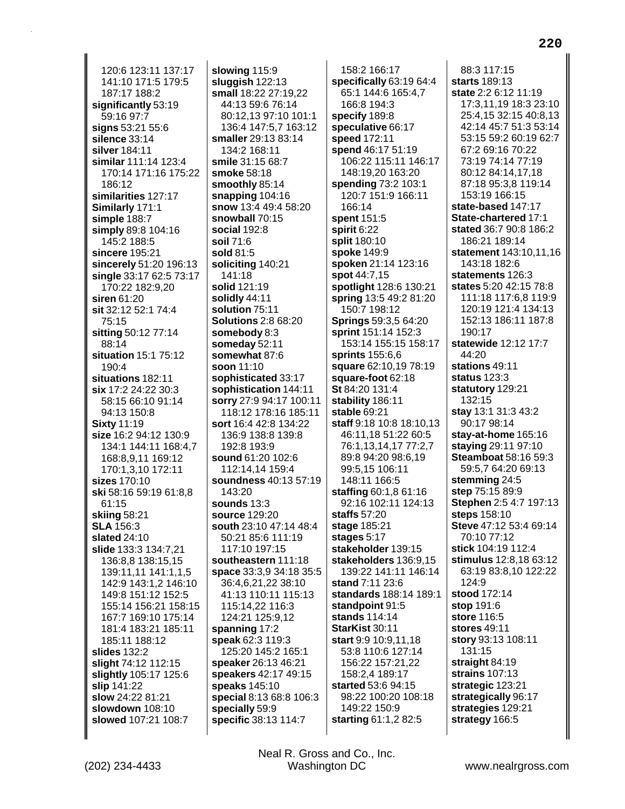120:6 123:11 137:17 141:10 171:5 179:5 187:17 188:2 significantly 53:19 59:16 97:7 signs 53:21 55:6 silence 33:14 silver 184:11 similar 111:14 123:4 170:14 171:16 175:22 186:12 similarities 127:17 Similarly 171:1 simple 188:7 simply 89:8 104:16 145:2 188:5 sincere 195:21 sincerely 51:20 196:13 single 33:17 62:5 73:17 170:22 182:9,20 siren  $61:20$ sit 32:12 52:1 74:4  $75:15$ sitting 50:12 77:14 88:14 situation 15:1 75:12 190:4 situations 182:11 six 17:2 24:22 30:3 58:15 66:10 91:14 94:13 150:8 **Sixty 11:19** size 16:2 94:12 130:9 134:1 144:11 168:4,7 168:8,9,11 169:12 170:1,3,10 172:11 sizes 170:10 ski 58:16 59:19 61:8.8 61:15 skiing 58:21 **SLA** 156:3 slated 24:10 slide 133:3 134:7,21 136:8,8 138:15,15 139:11,11 141:1,1,5 142:9 143:1,2 146:10 149:8 151:12 152:5 155:14 156:21 158:15 167:7 169:10 175:14 181:4 183:21 185:11 185:11 188:12 slides 132:2 slight 74:12 112:15 slightly 105:17 125:6 slip 141:22 slow 24:22 81:21 slowdown 108:10 slowed 107:21 108:7

slowing 115:9 sluggish  $122:13$ small 18:22 27:19,22 44:13 59:6 76:14 80:12.13 97:10 101:1 136:4 147:5,7 163:12 smaller 29:13 83:14 134:2 168:11 smile 31:15 68:7 smoke 58:18 smoothly 85:14 snapping 104:16 snow 13:4 49:4 58:20 snowball 70:15 social 192:8 soil 71:6 sold 81:5 soliciting 140:21 141:18 solid 121:19 solidly 44:11 solution 75:11 **Solutions 2:8 68:20** somebody 8:3 someday 52:11 somewhat 87:6 soon 11:10 sophisticated 33:17 sophistication 144:11 sorry 27:9 94:17 100:11 118:12 178:16 185:11 sort 16:4 42:8 134:22 136:9 138:8 139:8 192:8 193:9 sound 61:20 102:6 112:14.14 159:4 soundness 40:13 57:19 143:20 sounds  $13:3$ source 129:20 south 23:10 47:14 48:4 50:21 85:6 111:19 117:10 197:15 southeastern 111:18 space 33:3,9 34:18 35:5 36:4,6,21,22 38:10 41:13 110:11 115:13 115:14,22 116:3 124:21 125:9,12 spanning 17:2 speak 62:3 119:3 125:20 145:2 165:1 speaker 26:13 46:21 speakers 42:17 49:15 speaks 145:10 special 8:13 68:8 106:3 specially 59:9 specific 38:13 114:7

158:2 166:17 specifically 63:19 64:4 65:1 144:6 165:4,7 166:8 194:3 specify 189:8 speculative 66:17 speed 172:11 spend 46:17 51:19 106:22 115:11 146:17 148:19,20 163:20 spending 73:2 103:1 120:7 151:9 166:11 166:14 spent 151:5 spirit 6:22 split 180:10 spoke 149:9 spoken 21:14 123:16 spot 44:7,15 spotlight 128:6 130:21 spring 13:5 49:2 81:20 150:7 198:12 **Springs 59:3.5 64:20** sprint 151:14 152:3 153:14 155:15 158:17 **sprints** 155:6,6 square 62:10,19 78:19 square-foot 62:18 St 84:20 131:4 stability 186:11 stable 69:21 staff 9:18 10:8 18:10.13 46:11.18 51:22 60:5 76:1,13,14,17 77:2,7 89:8 94:20 98:6,19 99:5.15 106:11 148:11 166:5 **staffing 60:1,8 61:16** 92:16 102:11 124:13 staffs  $57:20$ stage 185:21 stages 5:17 stakeholder 139:15 stakeholders 136:9.15 139:22 141:11 146:14 stand 7:11 23:6 standards 188:14 189:1 standpoint 91:5 stands 114:14 StarKist 30:11 start 9:9 10:9,11,18 53:8 110:6 127:14 156:22 157:21,22 158:2,4 189:17 started 53:6 94:15 98:22 100:20 108:18 149:22 150:9 starting 61:1,2 82:5

88:3 117:15 starts 189:13 state 2:2 6:12 11:19 17:3,11,19 18:3 23:10 25:4,15 32:15 40:8,13 42:14 45:7 51:3 53:14 53:15 59:2 60:19 62:7 67:2 69:16 70:22 73:19 74:14 77:19 80:12 84:14,17,18 87:18 95:3.8 119:14 153:19 166:15 state-based 147:17 State-chartered 17:1 stated 36:7 90:8 186:2 186:21 189:14 statement 143:10,11,16 143:18 182:6 statements 126:3 states 5:20 42:15 78:8 111:18 117:6,8 119:9 120:19 121:4 134:13 152:13 186:11 187:8 190:17 statewide 12:12 17:7 44:20 stations 49:11 status 123:3 statutory 129:21 132:15 **stav** 13:1 31:3 43:2 90:17 98:14 stay-at-home 165:16 staying 29:11 97:10 **Steamboat** 58:16 59:3 59:5.7 64:20 69:13 stemming 24:5 step 75:15 89:9 Stephen 2:5 4:7 197:13 steps 158:10 Steve 47:12 53:4 69:14 70:10 77:12 stick 104:19 112:4 stimulus 12:8,18 63:12 63:19 83:8,10 122:22  $124:9$ stood 172:14 stop 191:6 store 116:5 stores 49:11 story 93:13 108:11 131:15 straight 84:19 strains 107:13 strategic 123:21 strategically 96:17 strategies 129:21 strategy 166:5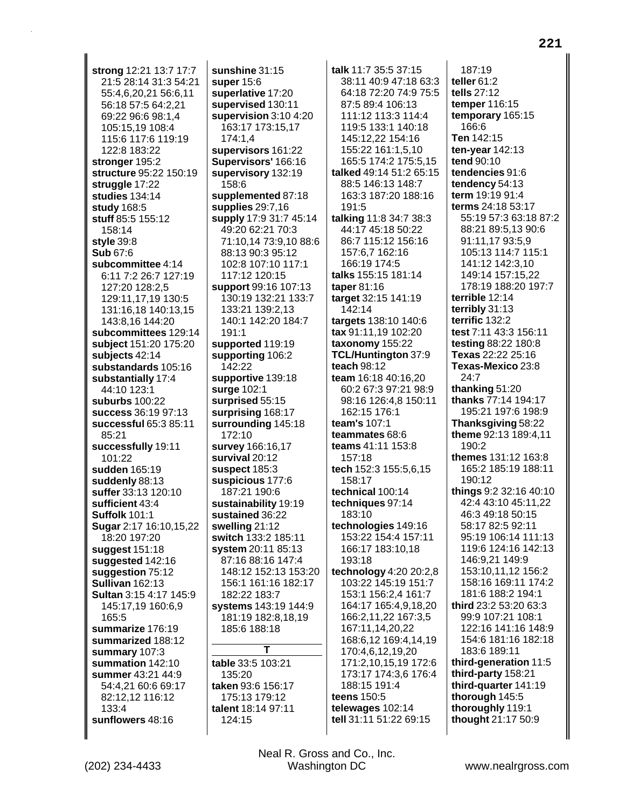**strong** 12:21 13:7 17:7 21:5 28:14 31:3 54:21 55:4,6,20,21 56:6,11 56:18 57:5 64:2,21 69:22 96:6 98:1,4 105:15,19 108:4 115:6 117:6 119:19 122:8 183:22 **stronger** 195:2 **structure** 95:22 150:19 **struggle** 17:22 **studies** 134:14 **study** 168:5 **stuff** 85:5 155:12 158:14 **style** 39:8 **Sub** 67:6 **subcommittee** 4:14 6:11 7:2 26:7 127:19 127:20 128:2,5 129:11,17,19 130:5 131:16,18 140:13,15 143:8,16 144:20 **subcommittees** 129:14 **subject** 151:20 175:20 **subjects** 42:14 **substandards** 105:16 **substantially** 17:4 44:10 123:1 **suburbs** 100:22 **success** 36:19 97:13 **successful** 65:3 85:11 85:21 **successfully** 19:11 101:22 **sudden** 165:19 **suddenly** 88:13 **suffer** 33:13 120:10 **sufficient** 43:4 **Suffolk** 101:1 **Sugar** 2:17 16:10,15,22 18:20 197:20 **suggest** 151:18 **suggested** 142:16 **suggestion** 75:12 **Sullivan** 162:13 **Sultan** 3:15 4:17 145:9 145:17,19 160:6,9 165:5 **summarize** 176:19 **summarized** 188:12 **summary** 107:3 **summation** 142:10 **summer** 43:21 44:9 54:4,21 60:6 69:17 82:12,12 116:12 133:4 **sunflowers** 48:16

**sunshine** 31:15 **super** 15:6 **superlative** 17:20 **supervised** 130:11 **supervision** 3:10 4:20 163:17 173:15,17 174:1,4 **supervisors** 161:22 **Supervisors'** 166:16 **supervisory** 132:19 158:6 **supplemented** 87:18 **supplies** 29:7,16 **supply** 17:9 31:7 45:14 49:20 62:21 70:3 71:10,14 73:9,10 88:6 88:13 90:3 95:12 102:8 107:10 117:1 117:12 120:15 **support** 99:16 107:13 130:19 132:21 133:7 133:21 139:2,13 140:1 142:20 184:7 191:1 **supported** 119:19 **supporting** 106:2 142:22 **supportive** 139:18 **surge** 102:1 **surprised** 55:15 **surprising** 168:17 **surrounding** 145:18 172:10 **survey** 166:16,17 **survival** 20:12 **suspect** 185:3 **suspicious** 177:6 187:21 190:6 **sustainability** 19:19 **sustained** 36:22 **swelling** 21:12 **switch** 133:2 185:11 **system** 20:11 85:13 87:16 88:16 147:4 148:12 152:13 153:20 156:1 161:16 182:17 182:22 183:7 **systems** 143:19 144:9 181:19 182:8,18,19 185:6 188:18 **T table** 33:5 103:21 135:20 **taken** 93:6 156:17

175:13 179:12 **talent** 18:14 97:11 124:15

38:11 40:9 47:18 63:3 64:18 72:20 74:9 75:5 87:5 89:4 106:13 111:12 113:3 114:4 119:5 133:1 140:18 145:12,22 154:16 155:22 161:1,5,10 165:5 174:2 175:5,15 **talked** 49:14 51:2 65:15 88:5 146:13 148:7 163:3 187:20 188:16 191:5 **talking** 11:8 34:7 38:3 44:17 45:18 50:22 86:7 115:12 156:16 157:6,7 162:16 166:19 174:5 **talks** 155:15 181:14 **taper** 81:16 **target** 32:15 141:19 142:14 **targets** 138:10 140:6 **tax** 91:11,19 102:20 **taxonomy** 155:22 **TCL/Huntington** 37:9 **teach** 98:12 **team** 16:18 40:16,20 60:2 67:3 97:21 98:9 98:16 126:4,8 150:11 162:15 176:1 **team's** 107:1 **teammates** 68:6 **teams** 41:11 153:8 157:18 **tech** 152:3 155:5,6,15 158:17 **technical** 100:14 **techniques** 97:14 183:10 **technologies** 149:16 153:22 154:4 157:11 166:17 183:10,18 193:18 **technology** 4:20 20:2,8 103:22 145:19 151:7 153:1 156:2,4 161:7 164:17 165:4,9,18,20 166:2,11,22 167:3,5 167:11,14,20,22 168:6,12 169:4,14,19 170:4,6,12,19,20 171:2,10,15,19 172:6 173:17 174:3,6 176:4 188:15 191:4 **teens** 150:5 **telewages** 102:14 **tell** 31:11 51:22 69:15

**talk** 11:7 35:5 37:15

187:19 **teller** 61:2 **tells** 27:12 **temper** 116:15 **temporary** 165:15 166:6 **Ten** 142:15 **ten-year** 142:13 **tend** 90:10 **tendencies** 91:6 **tendency** 54:13 **term** 19:19 91:4 **terms** 24:18 53:17 55:19 57:3 63:18 87:2 88:21 89:5,13 90:6 91:11,17 93:5,9 105:13 114:7 115:1 141:12 142:3,10 149:14 157:15,22 178:19 188:20 197:7 **terrible** 12:14 **terribly** 31:13 **terrific** 132:2 **test** 7:11 43:3 156:11 **testing** 88:22 180:8 **Texas** 22:22 25:16 **Texas-Mexico** 23:8 24:7 **thanking** 51:20 **thanks** 77:14 194:17 195:21 197:6 198:9 **Thanksgiving** 58:22 **theme** 92:13 189:4,11 190:2 **themes** 131:12 163:8 165:2 185:19 188:11 190:12 **things** 9:2 32:16 40:10 42:4 43:10 45:11,22 46:3 49:18 50:15 58:17 82:5 92:11 95:19 106:14 111:13 119:6 124:16 142:13 146:9,21 149:9 153:10,11,12 156:2 158:16 169:11 174:2 181:6 188:2 194:1 **third** 23:2 53:20 63:3 99:9 107:21 108:1 122:16 141:16 148:9 154:6 181:16 182:18 183:6 189:11 **third-generation** 11:5 **third-party** 158:21 **third-quarter** 141:19 **thorough** 145:5 **thoroughly** 119:1 **thought** 21:17 50:9

Neal R. Gross and Co., Inc. (202) 234-4433 Washington DC <www.nealrgross.com>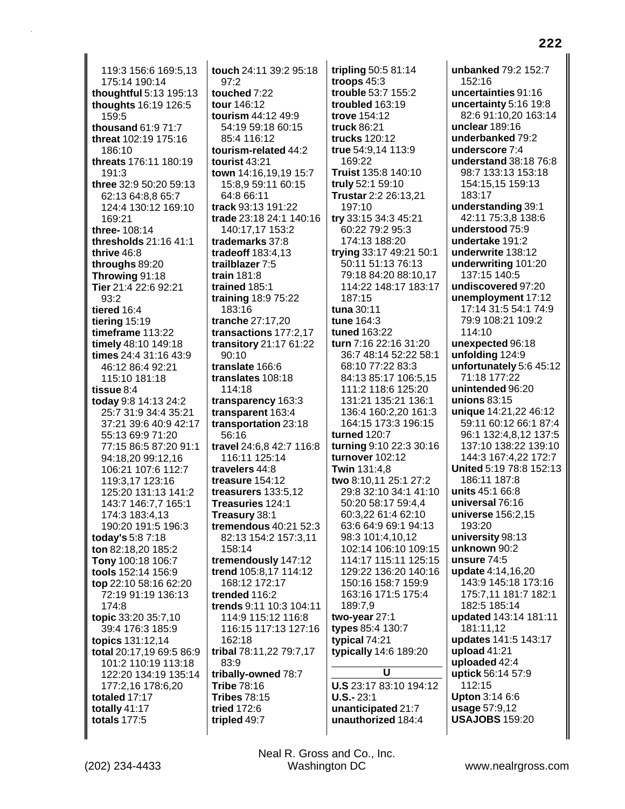119:3 156:6 169:5,13 175:14 190:14 **thoughtful** 5:13 195:13 **thoughts** 16:19 126:5 159:5 **thousand** 61:9 71:7 **threat** 102:19 175:16 186:10 **threats** 176:11 180:19 191:3 **three** 32:9 50:20 59:13 62:13 64:8,8 65:7 124:4 130:12 169:10 169:21 **three-** 108:14 **thresholds** 21:16 41:1 **thrive** 46:8 **throughs** 89:20 **Throwing** 91:18 **Tier** 21:4 22:6 92:21 93:2 **tiered** 16:4 **tiering** 15:19 **timeframe** 113:22 **timely** 48:10 149:18 **times** 24:4 31:16 43:9 46:12 86:4 92:21 115:10 181:18 **tissue** 8:4 **today** 9:8 14:13 24:2 25:7 31:9 34:4 35:21 37:21 39:6 40:9 42:17 55:13 69:9 71:20 77:15 86:5 87:20 91:1 94:18,20 99:12,16 106:21 107:6 112:7 119:3,17 123:16 125:20 131:13 141:2 143:7 146:7,7 165:1 174:3 183:4,13 190:20 191:5 196:3 **today's** 5:8 7:18 **ton** 82:18,20 185:2 **Tony** 100:18 106:7 **tools** 152:14 156:9 **top** 22:10 58:16 62:20 72:19 91:19 136:13 174:8 **topic** 33:20 35:7,10 39:4 176:3 185:9 **topics** 131:12,14 **total** 20:17,19 69:5 86:9 101:2 110:19 113:18 122:20 134:19 135:14 177:2,16 178:6,20 **totaled** 17:17 **totally** 41:17 **totals** 177:5

**touch** 24:11 39:2 95:18  $97.2$ **touched** 7:22 **tour** 146:12 **tourism** 44:12 49:9 54:19 59:18 60:15 85:4 116:12 **tourism-related** 44:2 **tourist** 43:21 **town** 14:16,19,19 15:7 15:8,9 59:11 60:15 64:8 66:11 **track** 93:13 191:22 **trade** 23:18 24:1 140:16 140:17,17 153:2 **trademarks** 37:8 **tradeoff** 183:4,13 **trailblazer** 7:5 **train** 181:8 **trained** 185:1 **training** 18:9 75:22 183:16 **tranche** 27:17,20 **transactions** 177:2,17 **transitory** 21:17 61:22 90:10 **translate** 166:6 **translates** 108:18 114:18 **transparency** 163:3 **transparent** 163:4 **transportation** 23:18 56:16 **travel** 24:6,8 42:7 116:8 116:11 125:14 **travelers** 44:8 **treasure** 154:12 **treasurers** 133:5,12 **Treasuries** 124:1 **Treasury** 38:1 **tremendous** 40:21 52:3 82:13 154:2 157:3,11 158:14 **tremendously** 147:12 **trend** 105:8,17 114:12 168:12 172:17 **trended** 116:2 **trends** 9:11 10:3 104:11 114:9 115:12 116:8 116:15 117:13 127:16 162:18 **tribal** 78:11,22 79:7,17 83:9 **tribally-owned** 78:7 **Tribe** 78:16 **Tribes** 78:15 **tried** 172:6 **tripled** 49:7

**tripling** 50:5 81:14 **troops** 45:3 **trouble** 53:7 155:2 **troubled** 163:19 **trove** 154:12 **truck** 86:21 **trucks** 120:12 **true** 54:9,14 113:9 169:22 **Truist** 135:8 140:10 **truly** 52:1 59:10 **Trustar** 2:2 26:13,21 197:10 **try** 33:15 34:3 45:21 60:22 79:2 95:3 174:13 188:20 **trying** 33:17 49:21 50:1 50:11 51:13 76:13 79:18 84:20 88:10,17 114:22 148:17 183:17 187:15 **tuna** 30:11 **tune** 164:3 **tuned** 163:22 **turn** 7:16 22:16 31:20 36:7 48:14 52:22 58:1 68:10 77:22 83:3 84:13 85:17 106:5,15 111:2 118:6 125:20 131:21 135:21 136:1 136:4 160:2,20 161:3 164:15 173:3 196:15 **turned** 120:7 **turning** 9:10 22:3 30:16 **turnover** 102:12 **Twin** 131:4,8 **two** 8:10,11 25:1 27:2 29:8 32:10 34:1 41:10 50:20 58:17 59:4,4 60:3,22 61:4 62:10 63:6 64:9 69:1 94:13 98:3 101:4,10,12 102:14 106:10 109:15 114:17 115:11 125:15 129:22 136:20 140:16 150:16 158:7 159:9 163:16 171:5 175:4 189:7,9 **two-year** 27:1 **types** 85:4 130:7 **typical** 74:21 **typically** 14:6 189:20 **U U.S** 23:17 83:10 194:12 **U.S.-** 23:1 **unanticipated** 21:7

**unbanked** 79:2 152:7 152:16 **uncertainties** 91:16 **uncertainty** 5:16 19:8 82:6 91:10,20 163:14 **unclear** 189:16 **underbanked** 79:2 **underscore** 7:4 **understand** 38:18 76:8 98:7 133:13 153:18 154:15,15 159:13 183:17 **understanding** 39:1 42:11 75:3,8 138:6 **understood** 75:9 **undertake** 191:2 **underwrite** 138:12 **underwriting** 101:20 137:15 140:5 **undiscovered** 97:20 **unemployment** 17:12 17:14 31:5 54:1 74:9 79:9 108:21 109:2 114:10 **unexpected** 96:18 **unfolding** 124:9 **unfortunately** 5:6 45:12 71:18 177:22 **unintended** 96:20 **unions** 83:15 **unique** 14:21,22 46:12 59:11 60:12 66:1 87:4 96:1 132:4,8,12 137:5 137:10 138:22 139:10 144:3 167:4,22 172:7 **United** 5:19 78:8 152:13 186:11 187:8 **units** 45:1 66:8 **universal** 76:16 **universe** 156:2,15 193:20 **university** 98:13 **unknown** 90:2 **unsure** 74:5 **update** 4:14,16,20 143:9 145:18 173:16 175:7,11 181:7 182:1 182:5 185:14 **updated** 143:14 181:11 181:11,12 **updates** 141:5 143:17 **upload** 41:21 **uploaded** 42:4 **uptick** 56:14 57:9 112:15 **Upton** 3:14 6:6 **usage** 57:9,12 **USAJOBS** 159:20

**unauthorized** 184:4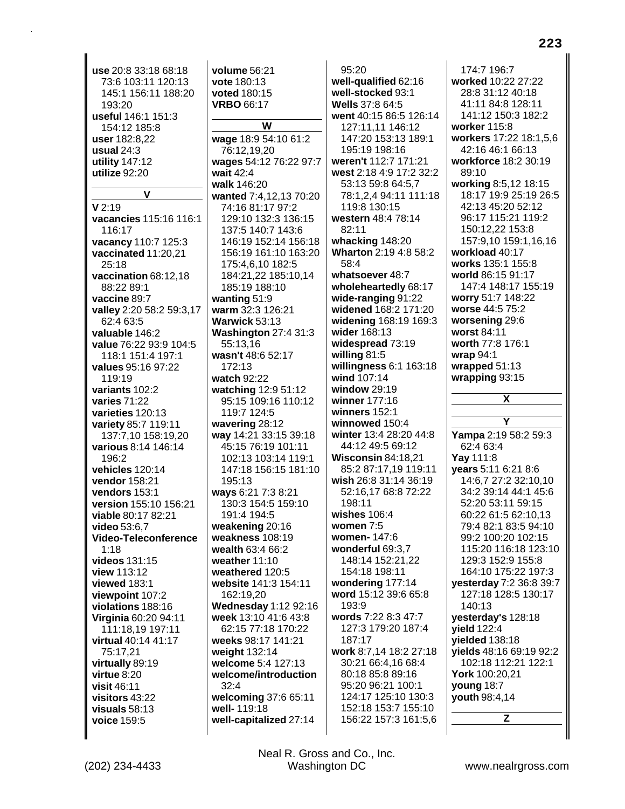**use** 20:8 33:18 68:18 73:6 103:11 120:13 145:1 156:11 188:20 193:20 **useful** 146:1 151:3 154:12 185:8 **user** 182:8,22 **usual** 24:3 **utility** 147:12 **utilize** 92:20 **V V** 2:19 **vacancies** 115:16 116:1 116:17 **vacancy** 110:7 125:3 **vaccinated** 11:20,21 25:18 **vaccination** 68:12,18 88:22 89:1 **vaccine** 89:7 **valley** 2:20 58:2 59:3,17 62:4 63:5 **valuable** 146:2 **value** 76:22 93:9 104:5 118:1 151:4 197:1 **values** 95:16 97:22 119:19 **variants** 102:2 **varies** 71:22 **varieties** 120:13 **variety** 85:7 119:11 137:7,10 158:19,20 **various** 8:14 146:14 196:2 **vehicles** 120:14 **vendor** 158:21 **vendors** 153:1 **version** 155:10 156:21 **viable** 80:17 82:21 **video** 53:6,7 **Video-Teleconference** 1:18 **videos** 131:15 **view** 113:12 **viewed** 183:1 **viewpoint** 107:2 **violations** 188:16 **Virginia** 60:20 94:11 111:18,19 197:11 **virtual** 40:14 41:17 75:17,21 **virtually** 89:19 **virtue** 8:20 **visit** 46:11 **visitors** 43:22 **visuals** 58:13 **voice** 159:5

**volume** 56:21 **vote** 180:13 **voted** 180:15 **VRBO** 66:17 **W wage** 18:9 54:10 61:2 76:12,19,20 **wages** 54:12 76:22 97:7 **wait** 42:4 **walk** 146:20 **wanted** 7:4,12,13 70:20 74:16 81:17 97:2 129:10 132:3 136:15 137:5 140:7 143:6 146:19 152:14 156:18 156:19 161:10 163:20 175:4,6,10 182:5 184:21,22 185:10,14 185:19 188:10 **wanting** 51:9 **warm** 32:3 126:21 **Warwick** 53:13 **Washington** 27:4 31:3 55:13,16 **wasn't** 48:6 52:17 172:13 **watch** 92:22 **watching** 12:9 51:12 95:15 109:16 110:12 119:7 124:5 **wavering** 28:12 **way** 14:21 33:15 39:18 45:15 76:19 101:11 102:13 103:14 119:1 147:18 156:15 181:10 195:13 **ways** 6:21 7:3 8:21 130:3 154:5 159:10 191:4 194:5 **weakening** 20:16 **weakness** 108:19 **wealth** 63:4 66:2 **weather** 11:10 **weathered** 120:5 **website** 141:3 154:11 162:19,20 **Wednesday** 1:12 92:16 **week** 13:10 41:6 43:8 62:15 77:18 170:22 **weeks** 98:17 141:21 **weight** 132:14 **welcome** 5:4 127:13 **welcome/introduction** 32:4 **welcoming** 37:6 65:11 **well-** 119:18 **well-capitalized** 27:14

95:20 **well-qualified** 62:16 **well-stocked** 93:1 **Wells** 37:8 64:5 **went** 40:15 86:5 126:14 127:11,11 146:12 147:20 153:13 189:1 195:19 198:16 **weren't** 112:7 171:21 **west** 2:18 4:9 17:2 32:2 53:13 59:8 64:5,7 78:1,2,4 94:11 111:18 119:8 130:15 **western** 48:4 78:14 82:11 **whacking** 148:20 **Wharton** 2:19 4:8 58:2 58:4 **whatsoever** 48:7 **wholeheartedly** 68:17 **wide-ranging** 91:22 **widened** 168:2 171:20 **widening** 168:19 169:3 **wider** 168:13 **widespread** 73:19 **willing** 81:5 **willingness** 6:1 163:18 **wind** 107:14 **window** 29:19 **winner** 177:16 **winners** 152:1 **winnowed** 150:4 **winter** 13:4 28:20 44:8 44:12 49:5 69:12 **Wisconsin** 84:18,21 85:2 87:17,19 119:11 **wish** 26:8 31:14 36:19 52:16,17 68:8 72:22 198:11 **wishes** 106:4 **women** 7:5 **women-** 147:6 **wonderful** 69:3,7 148:14 152:21,22 154:18 198:11 **wondering** 177:14 **word** 15:12 39:6 65:8  $193.9$ **words** 7:22 8:3 47:7 127:3 179:20 187:4 187:17 **work** 8:7,14 18:2 27:18 30:21 66:4,16 68:4 80:18 85:8 89:16 95:20 96:21 100:1 124:17 125:10 130:3 152:18 153:7 155:10 156:22 157:3 161:5,6

174:7 196:7 **worked** 10:22 27:22 28:8 31:12 40:18 41:11 84:8 128:11 141:12 150:3 182:2 **worker** 115:8 **workers** 17:22 18:1,5,6 42:16 46:1 66:13 **workforce** 18:2 30:19 89:10 **working** 8:5,12 18:15 18:17 19:9 25:19 26:5 42:13 45:20 52:12 96:17 115:21 119:2 150:12,22 153:8 157:9,10 159:1,16,16 **workload** 40:17 **works** 135:1 155:8 **world** 86:15 91:17 147:4 148:17 155:19 **worry** 51:7 148:22 **worse** 44:5 75:2 **worsening** 29:6 **worst** 84:11 **worth** 77:8 176:1 **wrap** 94:1 **wrapped** 51:13 **wrapping** 93:15 **X Y Yampa** 2:19 58:2 59:3 62:4 63:4 **Yay** 111:8 **years** 5:11 6:21 8:6 14:6,7 27:2 32:10,10 34:2 39:14 44:1 45:6 52:20 53:11 59:15 60:22 61:5 62:10,13 79:4 82:1 83:5 94:10 99:2 100:20 102:15 115:20 116:18 123:10 129:3 152:9 155:8 164:10 175:22 197:3 **yesterday** 7:2 36:8 39:7 127:18 128:5 130:17 140:13 **yesterday's** 128:18 **yield** 122:4 **yielded** 138:18 **yields** 48:16 69:19 92:2 102:18 112:21 122:1 **York** 100:20,21 **young** 18:7 **youth** 98:4,14 **Z**

Neal R. Gross and Co., Inc. (202) 234-4433 Washington DC <www.nealrgross.com>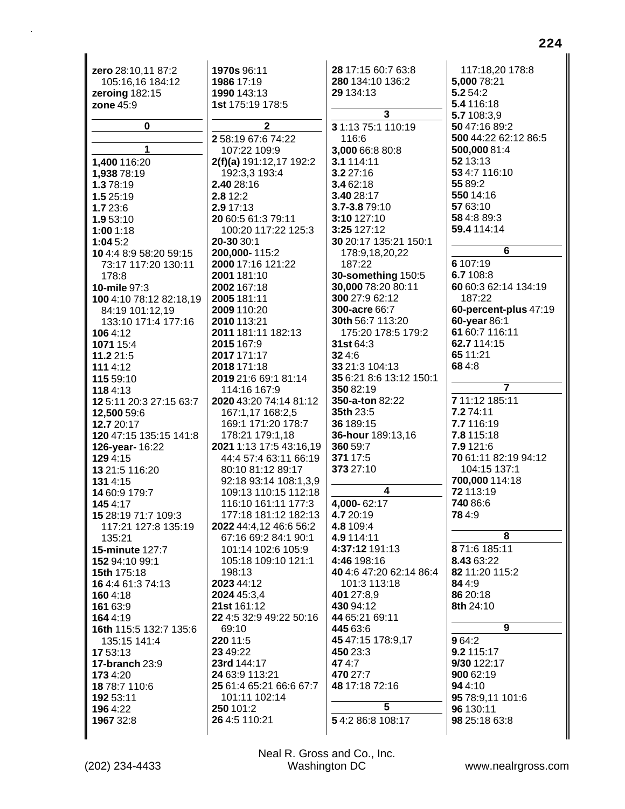| zero 28:10,11 87:2         | 1970s 96:11                                      | 28 17:15 60:7 63:8            | 117:18,20 178:8                   |
|----------------------------|--------------------------------------------------|-------------------------------|-----------------------------------|
| 105:16,16 184:12           | 1986 17:19                                       | 280 134:10 136:2              | 5,000 78:21                       |
| zeroing 182:15             | 1990 143:13                                      | 29 134:13                     | 5.2 54:2                          |
| zone 45:9                  | 1st 175:19 178:5                                 |                               | 5.4 116:18                        |
|                            |                                                  | $\overline{\mathbf{3}}$       | 5.7 108:3,9                       |
| 0                          | $\mathbf{2}$                                     | 3 1:13 75:1 110:19            | 50 47:16 89:2                     |
|                            | 258:1967:674:22                                  | 116:6                         | 500 44:22 62:12 86:5              |
| 1                          | 107:22 109:9                                     | 3,000 66:8 80:8               | 500,000 81:4                      |
| 1,400 116:20               | 2(f)(a) 191:12,17 192:2                          | 3.1 114:11                    | 52 13:13                          |
| 1,938 78:19                | 192:3,3 193:4                                    | 3.2 27:16                     | 53 4:7 116:10                     |
| 1.378:19                   | 2.40 28:16                                       | 3.4 62:18                     | 55 89:2                           |
| 1.5 25:19                  | 2.8 12:2                                         | 3.40 28:17                    | 550 14:16                         |
| 1.7 23:6                   | 2.9 17:13                                        | 3.7-3.879:10                  | 57 63:10                          |
| 1.9 53:10                  | 20 60:5 61:3 79:11                               | 3:10 127:10                   | 58 4:8 89:3                       |
| 1:001:18                   | 100:20 117:22 125:3                              | 3:25 127:12                   | 59.4 114:14                       |
| 1:045:2                    | 20-30 30:1                                       | 30 20:17 135:21 150:1         |                                   |
| 10 4:4 8:9 58:20 59:15     | 200,000-115:2                                    | 178:9,18,20,22                | $6\overline{6}$                   |
| 73:17 117:20 130:11        | 2000 17:16 121:22                                | 187:22                        | 6 107:19                          |
| 178:8                      | 2001 181:10                                      | 30-something 150:5            | 6.7 108:8                         |
| 10-mile 97:3               | 2002 167:18                                      | 30,000 78:20 80:11            | 60 60:3 62:14 134:19              |
| 100 4:10 78:12 82:18,19    | 2005 181:11                                      | 300 27:9 62:12                | 187:22                            |
| 84:19 101:12,19            | 2009 110:20                                      | 300-acre 66:7                 | 60-percent-plus 47:19             |
| 133:10 171:4 177:16        | 2010 113:21                                      | 30th 56:7 113:20              | 60-year 86:1                      |
| 1064:12                    | 2011 181:11 182:13                               | 175:20 178:5 179:2            | 61 60:7 116:11                    |
| 1071 15:4                  | 2015 167:9                                       | <b>31st</b> 64:3              | 62.7 114:15                       |
| 11.2 21:5                  | 2017 171:17                                      | 324:6                         | 65 11:21                          |
| 111 4:12                   | 2018 171:18                                      | 33 21:3 104:13                | 684:8                             |
| 115 59:10                  | 2019 21:6 69:1 81:14                             | 35 6:21 8:6 13:12 150:1       | $\overline{7}$                    |
| 1184:13                    | 114:16 167:9                                     | 350 82:19                     |                                   |
| 12 5:11 20:3 27:15 63:7    | 2020 43:20 74:14 81:12                           | <b>350-a-ton 82:22</b>        | 7 11:12 185:11                    |
| 12,500 59:6                | 167:1,17 168:2,5                                 | 35th 23:5                     | 7.274:11                          |
| 12.7 20:17                 | 169:1 171:20 178:7                               | 36 189:15                     | 7.7 116:19                        |
| 120 47:15 135:15 141:8     | 178:21 179:1,18                                  | 36-hour 189:13,16<br>360 59:7 | 7.8 115:18                        |
| 126-year-16:22             | 2021 1:13 17:5 43:16,19<br>44:4 57:4 63:11 66:19 | 371 17:5                      | 7.9 121:6<br>70 61:11 82:19 94:12 |
| 129 4:15                   | 80:10 81:12 89:17                                | 373 27:10                     | 104:15 137:1                      |
| 13 21:5 116:20<br>131 4:15 | 92:18 93:14 108:1,3,9                            |                               | 700,000 114:18                    |
| 14 60:9 179:7              | 109:13 110:15 112:18                             | 4                             | 72 113:19                         |
| 1454:17                    | 116:10 161:11 177:3                              | 4,000-62:17                   | 740 86:6                          |
| 15 28:19 71:7 109:3        | 177:18 181:12 182:13                             | 4.7 20:19                     | 784:9                             |
| 117:21 127:8 135:19        | 2022 44:4,12 46:6 56:2                           | 4.8 109:4                     |                                   |
| 135:21                     | 67:16 69:2 84:1 90:1                             | 4.9 114:11                    | 8                                 |
| 15-minute 127:7            | 101:14 102:6 105:9                               | 4:37:12 191:13                | 871:6 185:11                      |
| 152 94:10 99:1             | 105:18 109:10 121:1                              | 4:46 198:16                   | 8.43 63:22                        |
| 15th 175:18                | 198:13                                           | 40 4:6 47:20 62:14 86:4       | 82 11:20 115:2                    |
| 16 4:4 61:3 74:13          | 2023 44:12                                       | 101:3 113:18                  | 844:9                             |
| 1604:18                    | 2024 45:3,4                                      | 401 27:8,9                    | 86 20:18                          |
| 161 63:9                   | 21st 161:12                                      | 430 94:12                     | 8th 24:10                         |
| 164 4:19                   | 22 4:5 32:9 49:22 50:16                          | 44 65:21 69:11                |                                   |
| 16th 115:5 132:7 135:6     | 69:10                                            | 445 63:6                      | 9                                 |
| 135:15 141:4               | 220 11:5                                         | 45 47:15 178:9,17             | 964:2                             |
| 17 53:13                   | 23 49:22                                         | 450 23:3                      | 9.2 115:17                        |
| 17-branch 23:9             | 23rd 144:17                                      | 474:7                         | 9/30 122:17                       |
| 1734:20                    | 24 63:9 113:21                                   | 470 27:7                      | 900 62:19                         |
| 18 78:7 110:6              | 25 61:4 65:21 66:6 67:7                          | 48 17:18 72:16                | 94 4:10                           |
| 192 53:11                  | 101:11 102:14                                    | 5                             | 95 78:9,11 101:6                  |
| 1964:22                    | 250 101:2                                        |                               | 96 130:11                         |
| 1967 32:8                  | 26 4:5 110:21                                    | 54:286:8108:17                | 98 25:18 63:8                     |
|                            |                                                  |                               |                                   |

Neal R. Gross and Co., Inc.<br>Washington DC